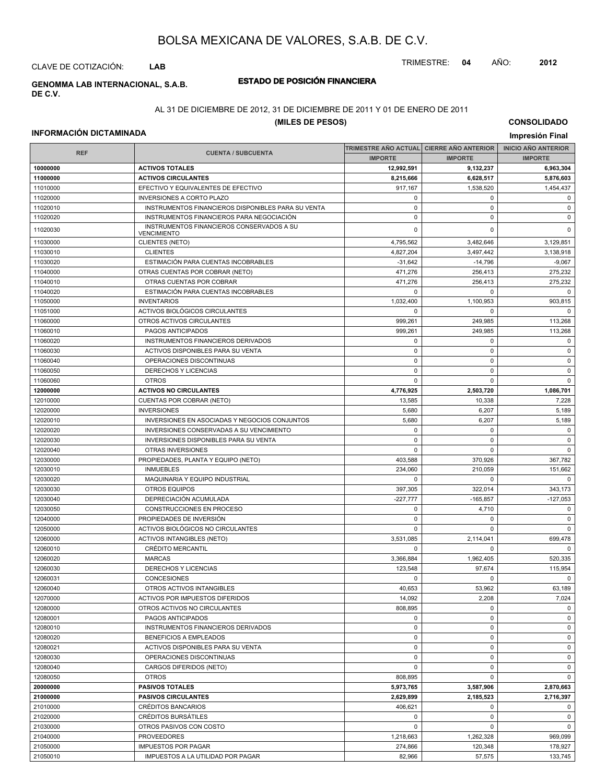TRIMESTRE: **04** AÑO: **2012**

CLAVE DE COTIZACIÓN: **LAB**

#### **ESTADO DE POSICIÓN FINANCIERA GENOMMA LAB INTERNACIONAL, S.A.B. DE C.V.**

#### AL 31 DE DICIEMBRE DE 2012, 31 DE DICIEMBRE DE 2011 Y 01 DE ENERO DE 2011

#### **(MILES DE PESOS)**

#### **INFORMACIÓN DICTAMINADA**

|            |                                                    | TRIMESTRE ANO ACTUAL  CIERRE ANO ANTERIOR |                | <b>INICIO ANO ANTERIOR</b> |
|------------|----------------------------------------------------|-------------------------------------------|----------------|----------------------------|
| <b>REF</b> | <b>CUENTA / SUBCUENTA</b>                          | <b>IMPORTE</b>                            | <b>IMPORTE</b> | <b>IMPORTE</b>             |
| 10000000   | <b>ACTIVOS TOTALES</b>                             | 12,992,591                                | 9,132,237      | 6,963,304                  |
| 11000000   | <b>ACTIVOS CIRCULANTES</b>                         | 8.215.666                                 | 6,628,517      | 5,876,603                  |
| 11010000   | EFECTIVO Y EQUIVALENTES DE EFECTIVO                | 917,167                                   | 1,538,520      | 1,454,437                  |
| 11020000   | <b>INVERSIONES A CORTO PLAZO</b>                   | $\Omega$                                  | $\Omega$       | $\mathbf 0$                |
| 11020010   | INSTRUMENTOS FINANCIEROS DISPONIBLES PARA SU VENTA | 0                                         | $\mathbf 0$    | $\mathbf 0$                |
| 11020020   | INSTRUMENTOS FINANCIEROS PARA NEGOCIACIÓN          | 0                                         | $\pmb{0}$      | $\mathbf 0$                |
|            | INSTRUMENTOS FINANCIEROS CONSERVADOS A SU          |                                           |                |                            |
| 11020030   | <b>VENCIMIENTO</b>                                 | 0                                         | $\mathbf 0$    | $\Omega$                   |
| 11030000   | CLIENTES (NETO)                                    | 4,795,562                                 | 3,482,646      | 3,129,851                  |
| 11030010   | <b>CLIENTES</b>                                    | 4,827,204                                 | 3,497,442      | 3,138,918                  |
| 11030020   | ESTIMACIÓN PARA CUENTAS INCOBRABLES                | $-31,642$                                 | $-14,796$      | $-9,067$                   |
| 11040000   | OTRAS CUENTAS POR COBRAR (NETO)                    | 471,276                                   | 256,413        | 275,232                    |
| 11040010   | OTRAS CUENTAS POR COBRAR                           | 471,276                                   | 256,413        | 275,232                    |
| 11040020   | ESTIMACIÓN PARA CUENTAS INCOBRABLES                | $\Omega$                                  | 0              | $\Omega$                   |
| 11050000   | <b>INVENTARIOS</b>                                 | 1,032,400                                 | 1,100,953      | 903,815                    |
| 11051000   | ACTIVOS BIOLÓGICOS CIRCULANTES                     | 0                                         | 0              | $\Omega$                   |
| 11060000   | OTROS ACTIVOS CIRCULANTES                          | 999,261                                   | 249,985        | 113,268                    |
| 11060010   | PAGOS ANTICIPADOS                                  | 999,261                                   | 249,985        | 113,268                    |
|            | INSTRUMENTOS FINANCIEROS DERIVADOS                 | 0                                         | 0              | $\mathbf 0$                |
| 11060020   |                                                    |                                           |                |                            |
| 11060030   | ACTIVOS DISPONIBLES PARA SU VENTA                  | 0                                         | $\pmb{0}$      | $\mathbf 0$                |
| 11060040   | OPERACIONES DISCONTINUAS                           | 0                                         | $\mathbf 0$    | $\mathbf 0$                |
| 11060050   | <b>DERECHOS Y LICENCIAS</b>                        | 0                                         | $\mathbf 0$    | $\mathbf 0$                |
| 11060060   | <b>OTROS</b>                                       | 0                                         | $\mathbf 0$    | $\mathbf 0$                |
| 12000000   | <b>ACTIVOS NO CIRCULANTES</b>                      | 4,776,925                                 | 2,503,720      | 1,086,701                  |
| 12010000   | CUENTAS POR COBRAR (NETO)                          | 13,585                                    | 10,338         | 7,228                      |
| 12020000   | <b>INVERSIONES</b>                                 | 5,680                                     | 6,207          | 5,189                      |
| 12020010   | INVERSIONES EN ASOCIADAS Y NEGOCIOS CONJUNTOS      | 5,680                                     | 6,207          | 5,189                      |
| 12020020   | INVERSIONES CONSERVADAS A SU VENCIMIENTO           | 0                                         | 0              | $\mathbf 0$                |
| 12020030   | INVERSIONES DISPONIBLES PARA SU VENTA              | 0                                         | $\mathbf 0$    | $\mathbf 0$                |
| 12020040   | OTRAS INVERSIONES                                  | 0                                         | $\mathbf 0$    | $\mathbf 0$                |
| 12030000   | PROPIEDADES, PLANTA Y EQUIPO (NETO)                | 403,588                                   | 370,926        | 367,782                    |
| 12030010   | <b>INMUEBLES</b>                                   | 234,060                                   | 210,059        | 151,662                    |
| 12030020   | MAQUINARIA Y EQUIPO INDUSTRIAL                     | 0                                         | 0              | $\mathbf 0$                |
| 12030030   | <b>OTROS EQUIPOS</b>                               | 397,305                                   | 322,014        | 343,173                    |
| 12030040   | DEPRECIACIÓN ACUMULADA                             | $-227,777$                                | $-165,857$     | $-127,053$                 |
| 12030050   | CONSTRUCCIONES EN PROCESO                          | 0                                         | 4,710          | $\mathbf 0$                |
| 12040000   | PROPIEDADES DE INVERSIÓN                           | 0                                         | 0              | $\mathbf 0$                |
| 12050000   | ACTIVOS BIOLÓGICOS NO CIRCULANTES                  | $\Omega$                                  | $\mathbf 0$    | $\mathbf 0$                |
| 12060000   | <b>ACTIVOS INTANGIBLES (NETO)</b>                  | 3,531,085                                 | 2.114.041      | 699,478                    |
|            |                                                    | 0                                         |                | $\mathbf 0$                |
| 12060010   | CRÉDITO MERCANTIL                                  |                                           | 0              |                            |
| 12060020   | <b>MARCAS</b>                                      | 3,366,884                                 | 1,962,405      | 520,335                    |
| 12060030   | DERECHOS Y LICENCIAS                               | 123,548                                   | 97,674         | 115,954                    |
| 12060031   | <b>CONCESIONES</b>                                 | $\mathbf 0$                               | 0              | $\mathbf 0$                |
| 12060040   | OTROS ACTIVOS INTANGIBLES                          | 40,653                                    | 53,962         | 63,189                     |
| 12070000   | <b>ACTIVOS POR IMPUESTOS DIFERIDOS</b>             | 14,092                                    | 2,208          | 7,024                      |
| 12080000   | OTROS ACTIVOS NO CIRCULANTES                       | 808,895                                   | $\mathbf 0$    | $\mathbf 0$                |
| 12080001   | PAGOS ANTICIPADOS                                  | 0                                         | 0              | $\mathbf 0$                |
| 12080010   | INSTRUMENTOS FINANCIEROS DERIVADOS                 | 0                                         | $\mathbf 0$    | $\mathbf 0$                |
| 12080020   | BENEFICIOS A EMPLEADOS                             | 0                                         | 0              | $\mathbf 0$                |
| 12080021   | ACTIVOS DISPONIBLES PARA SU VENTA                  | 0                                         | 0              | $\mathbf 0$                |
| 12080030   | OPERACIONES DISCONTINUAS                           | 0                                         | 0              | $\mathbf 0$                |
| 12080040   | CARGOS DIFERIDOS (NETO)                            | 0                                         | 0              | $\mathsf 0$                |
| 12080050   | <b>OTROS</b>                                       | 808,895                                   | $\mathbf 0$    | $\mathbf 0$                |
| 20000000   | <b>PASIVOS TOTALES</b>                             | 5,973,765                                 | 3,587,906      | 2,870,663                  |
| 21000000   | <b>PASIVOS CIRCULANTES</b>                         | 2,629,899                                 | 2,185,523      | 2,716,397                  |
| 21010000   | CRÉDITOS BANCARIOS                                 | 406,621                                   | 0              | $\mathbf 0$                |
| 21020000   | <b>CRÉDITOS BURSÁTILES</b>                         | 0                                         | $\mathbf 0$    | $\mathbf 0$                |
| 21030000   | OTROS PASIVOS CON COSTO                            | 0                                         | $\mathbf 0$    | $\mathbf 0$                |
| 21040000   | <b>PROVEEDORES</b>                                 | 1,218,663                                 | 1,262,328      | 969,099                    |
| 21050000   | <b>IMPUESTOS POR PAGAR</b>                         | 274,866                                   | 120,348        | 178,927                    |
| 21050010   | IMPUESTOS A LA UTILIDAD POR PAGAR                  | 82,966                                    | 57,575         | 133,745                    |
|            |                                                    |                                           |                |                            |

## **CONSOLIDADO**

## **Impresión Final**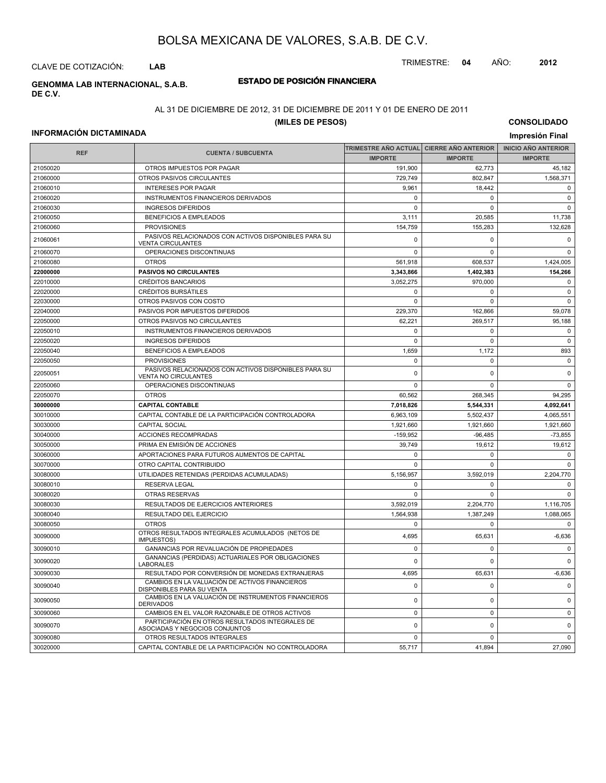TRIMESTRE: **04** AÑO: **2012**

CLAVE DE COTIZACIÓN: **LAB**

#### **ESTADO DE POSICIÓN FINANCIERA GENOMMA LAB INTERNACIONAL, S.A.B. DE C.V.**

## AL 31 DE DICIEMBRE DE 2012, 31 DE DICIEMBRE DE 2011 Y 01 DE ENERO DE 2011

#### **(MILES DE PESOS)**

#### **INFORMACIÓN DICTAMINADA**

| <b>REF</b> | <b>CUENTA / SUBCUENTA</b>                                                           |                | TRIMESTRE AÑO ACTUAL  CIERRE AÑO ANTERIOR | <b>INICIO ANO ANTERIOR</b> |
|------------|-------------------------------------------------------------------------------------|----------------|-------------------------------------------|----------------------------|
|            |                                                                                     | <b>IMPORTE</b> | <b>IMPORTE</b>                            | <b>IMPORTE</b>             |
| 21050020   | OTROS IMPUESTOS POR PAGAR                                                           | 191,900        | 62,773                                    | 45,182                     |
| 21060000   | OTROS PASIVOS CIRCULANTES                                                           | 729,749        | 802.847                                   | 1,568,371                  |
| 21060010   | <b>INTERESES POR PAGAR</b>                                                          | 9.961          | 18,442                                    | $\mathbf 0$                |
| 21060020   | INSTRUMENTOS FINANCIEROS DERIVADOS                                                  | 0              | $\pmb{0}$                                 | $\pmb{0}$                  |
| 21060030   | <b>INGRESOS DIFERIDOS</b>                                                           | 0              | $\pmb{0}$                                 | $\mathsf 0$                |
| 21060050   | <b>BENEFICIOS A EMPLEADOS</b>                                                       | 3,111          | 20,585                                    | 11,738                     |
| 21060060   | <b>PROVISIONES</b>                                                                  | 154,759        | 155,283                                   | 132,628                    |
| 21060061   | PASIVOS RELACIONADOS CON ACTIVOS DISPONIBLES PARA SU<br><b>VENTA CIRCULANTES</b>    | 0              | $\pmb{0}$                                 | $\pmb{0}$                  |
| 21060070   | OPERACIONES DISCONTINUAS                                                            | 0              | 0                                         | $\pmb{0}$                  |
| 21060080   | <b>OTROS</b>                                                                        | 561,918        | 608,537                                   | 1,424,005                  |
| 22000000   | <b>PASIVOS NO CIRCULANTES</b>                                                       | 3,343,866      | 1,402,383                                 | 154,266                    |
| 22010000   | <b>CRÉDITOS BANCARIOS</b>                                                           | 3,052,275      | 970,000                                   | $\pmb{0}$                  |
| 22020000   | <b>CRÉDITOS BURSÁTILES</b>                                                          | 0              | $\mathbf 0$                               | $\mathbf 0$                |
| 22030000   | OTROS PASIVOS CON COSTO                                                             | $\Omega$       | 0                                         | $\mathbf 0$                |
| 22040000   | PASIVOS POR IMPUESTOS DIFERIDOS                                                     | 229,370        | 162,866                                   | 59,078                     |
| 22050000   | OTROS PASIVOS NO CIRCULANTES                                                        | 62,221         | 269,517                                   | 95,188                     |
| 22050010   | INSTRUMENTOS FINANCIEROS DERIVADOS                                                  | $\mathbf 0$    | $\pmb{0}$                                 | $\pmb{0}$                  |
| 22050020   | <b>INGRESOS DIFERIDOS</b>                                                           | $\Omega$       | $\mathbf 0$                               | $\pmb{0}$                  |
| 22050040   | <b>BENEFICIOS A EMPLEADOS</b>                                                       | 1,659          | 1,172                                     | 893                        |
| 22050050   | <b>PROVISIONES</b>                                                                  | 0              | $\mathbf 0$                               | $\pmb{0}$                  |
| 22050051   | PASIVOS RELACIONADOS CON ACTIVOS DISPONIBLES PARA SU<br><b>VENTA NO CIRCULANTES</b> | $\Omega$       | $\pmb{0}$                                 | $\pmb{0}$                  |
| 22050060   | OPERACIONES DISCONTINUAS                                                            | $\Omega$       | $\mathbf 0$                               | $\mathbf 0$                |
| 22050070   | <b>OTROS</b>                                                                        | 60,562         | 268,345                                   | 94,295                     |
| 30000000   | <b>CAPITAL CONTABLE</b>                                                             | 7,018,826      | 5,544,331                                 | 4,092,641                  |
| 30010000   | CAPITAL CONTABLE DE LA PARTICIPACIÓN CONTROLADORA                                   | 6,963,109      | 5,502,437                                 | 4,065,551                  |
| 30030000   | <b>CAPITAL SOCIAL</b>                                                               | 1,921,660      | 1,921,660                                 | 1,921,660                  |
| 30040000   | <b>ACCIONES RECOMPRADAS</b>                                                         | $-159,952$     | $-96,485$                                 | $-73,855$                  |
| 30050000   | PRIMA EN EMISIÓN DE ACCIONES                                                        | 39,749         | 19,612                                    | 19,612                     |
| 30060000   | APORTACIONES PARA FUTUROS AUMENTOS DE CAPITAL                                       | 0              | 0                                         | $\mathbf 0$                |
| 30070000   | OTRO CAPITAL CONTRIBUIDO                                                            | 0              | $\pmb{0}$                                 | $\pmb{0}$                  |
| 30080000   | UTILIDADES RETENIDAS (PERDIDAS ACUMULADAS)                                          | 5,156,957      | 3,592,019                                 | 2,204,770                  |
| 30080010   | <b>RESERVA LEGAL</b>                                                                | 0              | $\mathbf 0$                               | $\mathbf 0$                |
| 30080020   | <b>OTRAS RESERVAS</b>                                                               | 0              | $\Omega$                                  | $\Omega$                   |
| 30080030   | RESULTADOS DE EJERCICIOS ANTERIORES                                                 | 3,592,019      | 2,204,770                                 | 1,116,705                  |
| 30080040   | RESULTADO DEL EJERCICIO                                                             | 1,564,938      | 1,387,249                                 | 1,088,065                  |
| 30080050   | <b>OTROS</b>                                                                        | 0              | $\pmb{0}$                                 | $\pmb{0}$                  |
| 30090000   | OTROS RESULTADOS INTEGRALES ACUMULADOS (NETOS DE<br><b>IMPUESTOS)</b>               | 4,695          | 65,631                                    | $-6,636$                   |
| 30090010   | GANANCIAS POR REVALUACIÓN DE PROPIEDADES                                            | $\Omega$       | $\Omega$                                  | $\Omega$                   |
| 30090020   | GANANCIAS (PERDIDAS) ACTUARIALES POR OBLIGACIONES<br><b>LABORALES</b>               | 0              | $\pmb{0}$                                 | $\pmb{0}$                  |
| 30090030   | RESULTADO POR CONVERSIÓN DE MONEDAS EXTRANJERAS                                     | 4,695          | 65,631                                    | $-6,636$                   |
| 30090040   | CAMBIOS EN LA VALUACIÓN DE ACTIVOS FINANCIEROS<br>DISPONIBLES PARA SU VENTA         | 0              | 0                                         | $\mathbf 0$                |
| 30090050   | CAMBIOS EN LA VALUACIÓN DE INSTRUMENTOS FINANCIEROS<br><b>DERIVADOS</b>             | 0              | 0                                         | $\mathbf 0$                |
| 30090060   | CAMBIOS EN EL VALOR RAZONABLE DE OTROS ACTIVOS                                      | 0              | $\mathbf 0$                               | $\mathbf 0$                |
| 30090070   | PARTICIPACIÓN EN OTROS RESULTADOS INTEGRALES DE<br>ASOCIADAS Y NEGOCIOS CONJUNTOS   | $\Omega$       | 0                                         | $\pmb{0}$                  |
| 30090080   | OTROS RESULTADOS INTEGRALES                                                         | 0              | 0                                         | $\mathbf 0$                |
| 30020000   | CAPITAL CONTABLE DE LA PARTICIPACIÓN NO CONTROLADORA                                | 55,717         | 41,894                                    | 27,090                     |

# **CONSOLIDADO**

**Impresión Final**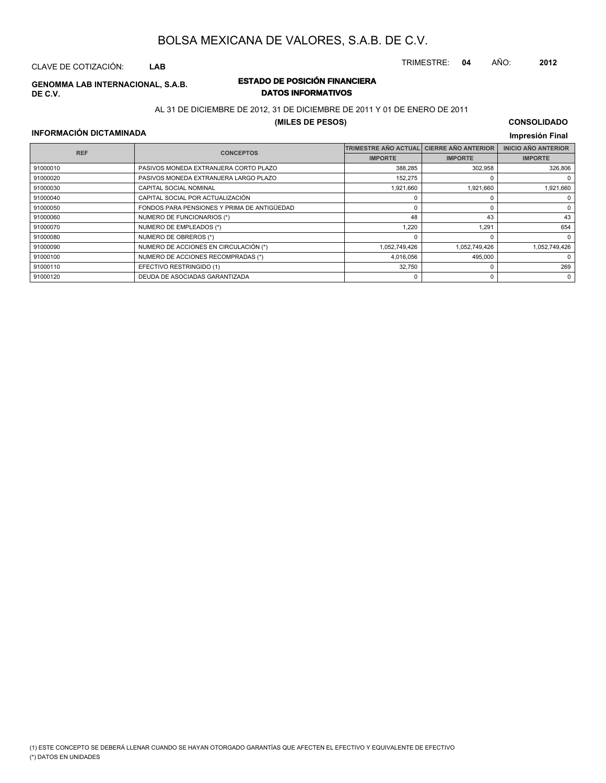TRIMESTRE: **04** AÑO: **2012**

# CLAVE DE COTIZACIÓN: **LAB**

**DE C.V.**

#### **ESTADO DE POSICIÓN FINANCIERA GENOMMA LAB INTERNACIONAL, S.A.B. DATOS INFORMATIVOS**

#### AL 31 DE DICIEMBRE DE 2012, 31 DE DICIEMBRE DE 2011 Y 01 DE ENERO DE 2011

#### **(MILES DE PESOS)**

#### **CONSOLIDADO Impresión Final**

#### **INFORMACIÓN DICTAMINADA**

| <b>REF</b> |                                             | <b>TRIMESTRE AÑO ACTUAL</b> | <b>CIERRE AÑO ANTERIOR</b> | <b>INICIO AÑO ANTERIOR</b> |
|------------|---------------------------------------------|-----------------------------|----------------------------|----------------------------|
|            | <b>CONCEPTOS</b>                            | <b>IMPORTE</b>              | <b>IMPORTE</b>             | <b>IMPORTE</b>             |
| 91000010   | PASIVOS MONEDA EXTRANJERA CORTO PLAZO       | 388.285                     | 302,958                    | 326,806                    |
| 91000020   | PASIVOS MONEDA EXTRANJERA LARGO PLAZO       | 152,275                     |                            | 0                          |
| 91000030   | CAPITAL SOCIAL NOMINAL                      | 1,921,660                   | 1.921.660                  | 1,921,660                  |
| 91000040   | CAPITAL SOCIAL POR ACTUALIZACIÓN            |                             | 0                          | 0                          |
| 91000050   | FONDOS PARA PENSIONES Y PRIMA DE ANTIGÜEDAD |                             |                            | 0                          |
| 91000060   | NUMERO DE FUNCIONARIOS (*)                  | 48                          | 43                         | 43                         |
| 91000070   | NUMERO DE EMPLEADOS (*)                     | 1,220                       | 1,291                      | 654                        |
| 91000080   | NUMERO DE OBREROS (*)                       |                             |                            | 0                          |
| 91000090   | NUMERO DE ACCIONES EN CIRCULACIÓN (*)       | 1,052,749,426               | 1,052,749,426              | 1.052.749.426              |
| 91000100   | NUMERO DE ACCIONES RECOMPRADAS (*)          | 4,016,056                   | 495,000                    | 0                          |
| 91000110   | EFECTIVO RESTRINGIDO (1)                    | 32,750                      | 0                          | 269                        |
| 91000120   | DEUDA DE ASOCIADAS GARANTIZADA              |                             | 0                          | $\Omega$                   |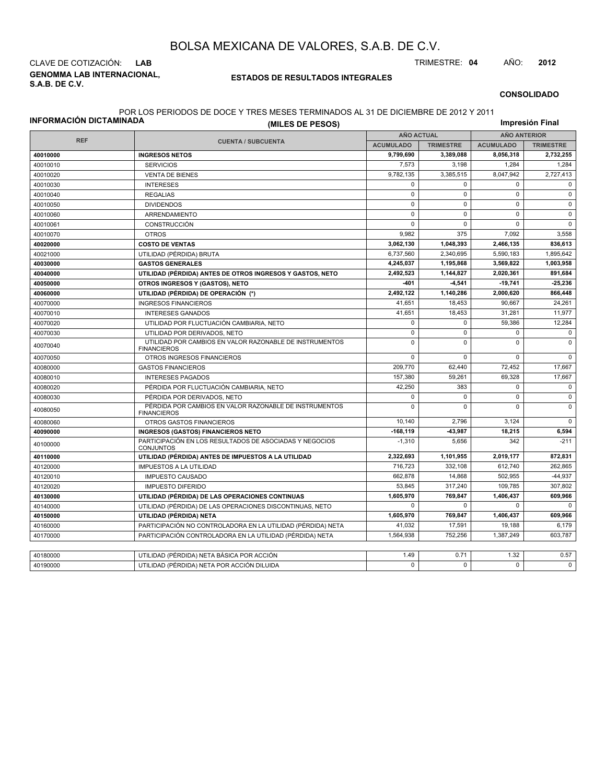**GENOMMA LAB INTERNACIONAL, S.A.B. DE C.V.** CLAVE DE COTIZACIÓN: **LAB** TRIMESTRE: **04** AÑO: **2012**

#### **ESTADOS DE RESULTADOS INTEGRALES**

#### **CONSOLIDADO**

#### POR LOS PERIODOS DE DOCE Y TRES MESES TERMINADOS AL 31 DE DICIEMBRE DE 2012 Y 2011

| INFORMACIÓN DICTAMINADA | (MILES DE PESOS)                                                              |                   |                  |                     | Impresión Final  |  |
|-------------------------|-------------------------------------------------------------------------------|-------------------|------------------|---------------------|------------------|--|
|                         |                                                                               | <b>AÑO ACTUAL</b> |                  | <b>AÑO ANTERIOR</b> |                  |  |
| <b>REF</b>              | <b>CUENTA / SUBCUENTA</b>                                                     | <b>ACUMULADO</b>  | <b>TRIMESTRE</b> | <b>ACUMULADO</b>    | <b>TRIMESTRE</b> |  |
| 40010000                | <b>INGRESOS NETOS</b>                                                         | 9,799,690         | 3,389,088        | 8,056,318           | 2,732,255        |  |
| 40010010                | <b>SERVICIOS</b>                                                              | 7.573             | 3.198            | 1,284               | 1,284            |  |
| 40010020                | <b>VENTA DE BIENES</b>                                                        | 9,782,135         | 3,385,515        | 8,047,942           | 2,727,413        |  |
| 40010030                | <b>INTERESES</b>                                                              | $\mathbf 0$       | $\Omega$         | $\mathbf 0$         | $\Omega$         |  |
| 40010040                | <b>REGALIAS</b>                                                               | $\mathbf 0$       | $\mathbf 0$      | $\mathbf 0$         | $\mathbf 0$      |  |
| 40010050                | <b>DIVIDENDOS</b>                                                             | $\mathbf 0$       | $\mathbf 0$      | $\mathbf 0$         | $\mathbf 0$      |  |
| 40010060                | ARRENDAMIENTO                                                                 | $\mathbf 0$       | $\Omega$         | $\mathbf 0$         | $\mathbf 0$      |  |
| 40010061                | CONSTRUCCIÓN                                                                  | $\mathbf 0$       | $\mathbf 0$      | $\mathbf 0$         | $\mathsf 0$      |  |
| 40010070                | <b>OTROS</b>                                                                  | 9,982             | 375              | 7,092               | 3,558            |  |
| 40020000                | <b>COSTO DE VENTAS</b>                                                        | 3,062,130         | 1,048,393        | 2,466,135           | 836,613          |  |
| 40021000                | UTILIDAD (PÉRDIDA) BRUTA                                                      | 6,737,560         | 2,340,695        | 5,590,183           | 1,895,642        |  |
| 40030000                | <b>GASTOS GENERALES</b>                                                       | 4,245,037         | 1,195,868        | 3,569,822           | 1,003,958        |  |
| 40040000                | UTILIDAD (PÉRDIDA) ANTES DE OTROS INGRESOS Y GASTOS, NETO                     | 2,492,523         | 1,144,827        | 2,020,361           | 891,684          |  |
| 40050000                | OTROS INGRESOS Y (GASTOS), NETO                                               | -401              | $-4,541$         | $-19,741$           | $-25,236$        |  |
| 40060000                | UTILIDAD (PÉRDIDA) DE OPERACIÓN (*)                                           | 2,492,122         | 1,140,286        | 2,000,620           | 866,448          |  |
| 40070000                | <b>INGRESOS FINANCIEROS</b>                                                   | 41,651            | 18,453           | 90,667              | 24,261           |  |
| 40070010                | <b>INTERESES GANADOS</b>                                                      | 41,651            | 18,453           | 31,281              | 11,977           |  |
| 40070020                | UTILIDAD POR FLUCTUACIÓN CAMBIARIA, NETO                                      | $\mathbf 0$       | $\Omega$         | 59,386              | 12,284           |  |
| 40070030                | UTILIDAD POR DERIVADOS, NETO                                                  | $\mathbf 0$       | $\mathbf 0$      | $\mathbf 0$         | $\mathbf 0$      |  |
| 40070040                | UTILIDAD POR CAMBIOS EN VALOR RAZONABLE DE INSTRUMENTOS<br><b>FINANCIEROS</b> | $\mathbf 0$       | $\Omega$         | $\Omega$            | $\Omega$         |  |
| 40070050                | OTROS INGRESOS FINANCIEROS                                                    | $\mathbf 0$       | $\mathbf 0$      | $\mathbf 0$         | $\mathbf 0$      |  |
| 40080000                | <b>GASTOS FINANCIEROS</b>                                                     | 209,770           | 62,440           | 72,452              | 17,667           |  |
| 40080010                | <b>INTERESES PAGADOS</b>                                                      | 157,380           | 59,261           | 69,328              | 17,667           |  |
| 40080020                | PÉRDIDA POR FLUCTUACIÓN CAMBIARIA, NETO                                       | 42,250            | 383              | $\mathsf 0$         | $\mathbf 0$      |  |
| 40080030                | PÉRDIDA POR DERIVADOS, NETO                                                   | $\mathbf 0$       | $\Omega$         | $\mathbf 0$         | $\mathbf 0$      |  |
| 40080050                | PÉRDIDA POR CAMBIOS EN VALOR RAZONABLE DE INSTRUMENTOS<br><b>FINANCIEROS</b>  | $\mathbf 0$       | $\Omega$         | $\mathbf 0$         | $\mathbf 0$      |  |
| 40080060                | OTROS GASTOS FINANCIEROS                                                      | 10.140            | 2.796            | 3.124               | $\Omega$         |  |
| 40090000                | <b>INGRESOS (GASTOS) FINANCIEROS NETO</b>                                     | $-168, 119$       | 43,987           | 18,215              | 6,594            |  |
| 40100000                | PARTICIPACIÓN EN LOS RESULTADOS DE ASOCIADAS Y NEGOCIOS<br><b>CONJUNTOS</b>   | $-1,310$          | 5,656            | 342                 | $-211$           |  |
| 40110000                | UTILIDAD (PÉRDIDA) ANTES DE IMPUESTOS A LA UTILIDAD                           | 2,322,693         | 1,101,955        | 2,019,177           | 872,831          |  |
| 40120000                | <b>IMPUESTOS A LA UTILIDAD</b>                                                | 716,723           | 332,108          | 612,740             | 262,865          |  |
| 40120010                | <b>IMPUESTO CAUSADO</b>                                                       | 662,878           | 14,868           | 502.955             | $-44,937$        |  |
| 40120020                | <b>IMPUESTO DIFERIDO</b>                                                      | 53,845            | 317.240          | 109,785             | 307,802          |  |
| 40130000                | UTILIDAD (PÉRDIDA) DE LAS OPERACIONES CONTINUAS                               | 1,605,970         | 769,847          | 1,406,437           | 609,966          |  |
| 40140000                | UTILIDAD (PÉRDIDA) DE LAS OPERACIONES DISCONTINUAS, NETO                      | $\mathbf 0$       | $\mathbf 0$      | $\mathbf 0$         | $\mathbf 0$      |  |
| 40150000                | UTILIDAD (PÉRDIDA) NETA                                                       | 1,605,970         | 769,847          | 1,406,437           | 609,966          |  |
| 40160000                | PARTICIPACIÓN NO CONTROLADORA EN LA UTILIDAD (PÉRDIDA) NETA                   | 41,032            | 17.591           | 19,188              | 6,179            |  |
| 40170000                | PARTICIPACIÓN CONTROLADORA EN LA UTILIDAD (PÉRDIDA) NETA                      | 1,564,938         | 752,256          | 1,387,249           | 603,787          |  |
|                         |                                                                               |                   |                  |                     |                  |  |
| 40180000                | UTILIDAD (PÉRDIDA) NETA BÁSICA POR ACCIÓN                                     | 1.49              | 0.71             | 1.32                | 0.57             |  |
| 40190000                | UTILIDAD (PÉRDIDA) NETA POR ACCIÓN DILUIDA                                    | $\Omega$          | $\Omega$         | $\Omega$            | $\Omega$         |  |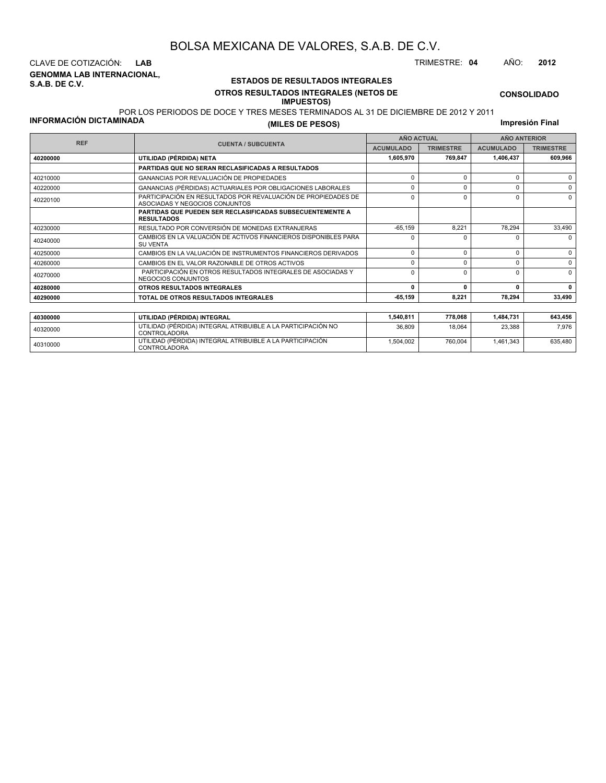**GENOMMA LAB INTERNACIONAL, S.A.B. DE C.V.** CLAVE DE COTIZACIÓN: **LAB** TRIMESTRE: **04** AÑO: **2012**

<sup>40310000</sup> UTILIDAD (PÉRDIDA) INTEGRAL ATRIBUIBLE A LA PARTICIPACIÓN CONTROLADORA

#### **ESTADOS DE RESULTADOS INTEGRALES OTROS RESULTADOS INTEGRALES (NETOS DE IMPUESTOS)**

1,504,002 760,004 1,461,343 635,480

**CONSOLIDADO**

#### POR LOS PERIODOS DE DOCE Y TRES MESES TERMINADOS AL 31 DE DICIEMBRE DE 2012 Y 2011

**INFORMACIÓN DICTAMINADA**

**(MILES DE PESOS)**

**Impresión Final**

| <b>REF</b> |                                                                                                 |                  | <b>AÑO ACTUAL</b> | <b>AÑO ANTERIOR</b> |                  |  |
|------------|-------------------------------------------------------------------------------------------------|------------------|-------------------|---------------------|------------------|--|
|            | <b>CUENTA / SUBCUENTA</b>                                                                       | <b>ACUMULADO</b> | <b>TRIMESTRE</b>  | <b>ACUMULADO</b>    | <b>TRIMESTRE</b> |  |
| 40200000   | UTILIDAD (PÉRDIDA) NETA                                                                         | 1,605,970        | 769,847           | 1,406,437           | 609,966          |  |
|            | PARTIDAS QUE NO SERAN RECLASIFICADAS A RESULTADOS                                               |                  |                   |                     |                  |  |
| 40210000   | GANANCIAS POR REVALUACIÓN DE PROPIEDADES                                                        | $\Omega$         | $\Omega$          |                     | 0                |  |
| 40220000   | GANANCIAS (PÉRDIDAS) ACTUARIALES POR OBLIGACIONES LABORALES                                     | $\Omega$         | $\Omega$          |                     | $\Omega$         |  |
| 40220100   | PARTICIPACIÓN EN RESULTADOS POR REVALUACIÓN DE PROPIEDADES DE<br>ASOCIADAS Y NEGOCIOS CONJUNTOS | $\Omega$         | $\Omega$          | ŋ                   | $\Omega$         |  |
|            | <b>PARTIDAS QUE PUEDEN SER RECLASIFICADAS SUBSECUENTEMENTE A</b><br><b>RESULTADOS</b>           |                  |                   |                     |                  |  |
| 40230000   | RESULTADO POR CONVERSIÓN DE MONEDAS EXTRANJERAS                                                 | $-65, 159$       | 8,221             | 78,294              | 33,490           |  |
| 40240000   | CAMBIOS EN LA VALUACIÓN DE ACTIVOS FINANCIEROS DISPONIBLES PARA<br><b>SU VENTA</b>              | n                | 0                 |                     | $\Omega$         |  |
| 40250000   | CAMBIOS EN LA VALUACIÓN DE INSTRUMENTOS FINANCIEROS DERIVADOS                                   | $\mathbf 0$      | $\Omega$          |                     | $\Omega$         |  |
| 40260000   | CAMBIOS EN EL VALOR RAZONABLE DE OTROS ACTIVOS                                                  | $\Omega$         | $\Omega$          |                     | 0                |  |
| 40270000   | PARTICIPACIÓN EN OTROS RESULTADOS INTEGRALES DE ASOCIADAS Y<br>NEGOCIOS CONJUNTOS               | $\Omega$         | $\Omega$          |                     | $\Omega$         |  |
| 40280000   | OTROS RESULTADOS INTEGRALES                                                                     | $\Omega$         | 0                 | $\Omega$            | $\Omega$         |  |
| 40290000   | TOTAL DE OTROS RESULTADOS INTEGRALES                                                            | $-65,159$        | 8,221             | 78.294              | 33,490           |  |
|            |                                                                                                 |                  |                   |                     |                  |  |
| 40300000   | UTILIDAD (PÉRDIDA) INTEGRAL                                                                     | 1,540,811        | 778,068           | 1,484,731           | 643,456          |  |
| 40320000   | UTILIDAD (PÉRDIDA) INTEGRAL ATRIBUIBLE A LA PARTICIPACIÓN NO<br><b>CONTROLADORA</b>             | 36,809           | 18.064            | 23.388              | 7.976            |  |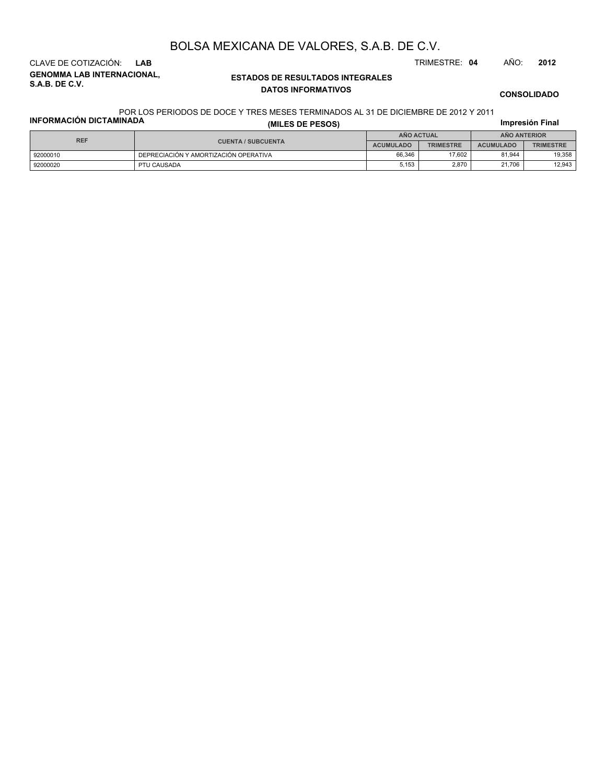**GENOMMA LAB INTERNACIONAL, S.A.B. DE C.V.** CLAVE DE COTIZACIÓN: **LAB** TRIMESTRE: **04** AÑO: **2012**

#### **ESTADOS DE RESULTADOS INTEGRALES DATOS INFORMATIVOS**

**CONSOLIDADO**

#### **INFORMACIÓN DICTAMINADA** POR LOS PERIODOS DE DOCE Y TRES MESES TERMINADOS AL 31 DE DICIEMBRE DE 2012 Y 2011

| <b>INFORMACIÓN DICTAMINADA</b> | (MILES DE PESOS)                      |                  |                  |                  |                  |
|--------------------------------|---------------------------------------|------------------|------------------|------------------|------------------|
| <b>REF</b>                     |                                       | AÑO ACTUAL       |                  | AÑO ANTERIOR     |                  |
|                                | <b>CUENTA / SUBCUENTA</b>             | <b>ACUMULADO</b> | <b>TRIMESTRE</b> | <b>ACUMULADO</b> | <b>TRIMESTRE</b> |
| 92000010                       | DEPRECIACIÓN Y AMORTIZACIÓN OPERATIVA | 66.346           | 17.602           | 81.944           | 19.358           |
| 92000020                       | PTU CAUSADA                           | 5,153            | 2.870            | 21,706           | 12.943           |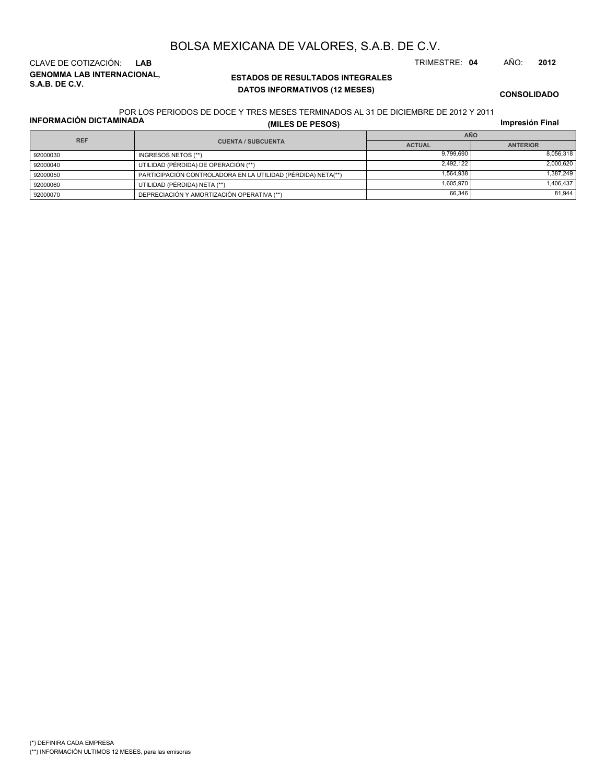# (\*) DEFINIRA CADA EMPRESA

(\*\*) INFORMACIÓN ULTIMOS 12 MESES, para las emisoras

**ESTADOS DE RESULTADOS INTEGRALES GENOMMA LAB INTERNACIONAL, DATOS INFORMATIVOS (12 MESES)**

# BOLSA MEXICANA DE VALORES, S.A.B. DE C.V.

CLAVE DE COTIZACIÓN: **LAB** TRIMESTRE: **04** AÑO: **2012**

**Impresión Final**

POR LOS PERIODOS DE DOCE Y TRES MESES TERMINADOS AL 31 DE DICIEMBRE DE 2012 Y 2011

**INFORMACIÓN DICTAMINADA**

**S.A.B. DE C.V.**

| INFORMACION DICTAMINADA |                           | (MILES DE PESOS)                                             | Impresión Final |           |  |
|-------------------------|---------------------------|--------------------------------------------------------------|-----------------|-----------|--|
| <b>REF</b>              |                           | <b>AÑO</b>                                                   |                 |           |  |
|                         | <b>CUENTA / SUBCUENTA</b> | <b>ACTUAL</b>                                                | <b>ANTERIOR</b> |           |  |
|                         | 92000030                  | INGRESOS NETOS (**)                                          | 9.799.690       | 8,056,318 |  |
|                         | 92000040                  | UTILIDAD (PÉRDIDA) DE OPERACIÓN (**)                         | 2.492.122       | 2,000,620 |  |
|                         | 92000050                  | PARTICIPACIÓN CONTROLADORA EN LA UTILIDAD (PÉRDIDA) NETA(**) | 1.564.938       | 1.387.249 |  |
|                         | 92000060                  | UTILIDAD (PÉRDIDA) NETA (**)                                 | 1.605.970       | 1,406,437 |  |
|                         | 92000070                  | DEPRECIACIÓN Y AMORTIZACIÓN OPERATIVA (**)                   | 66,346          | 81.944    |  |

**CONSOLIDADO**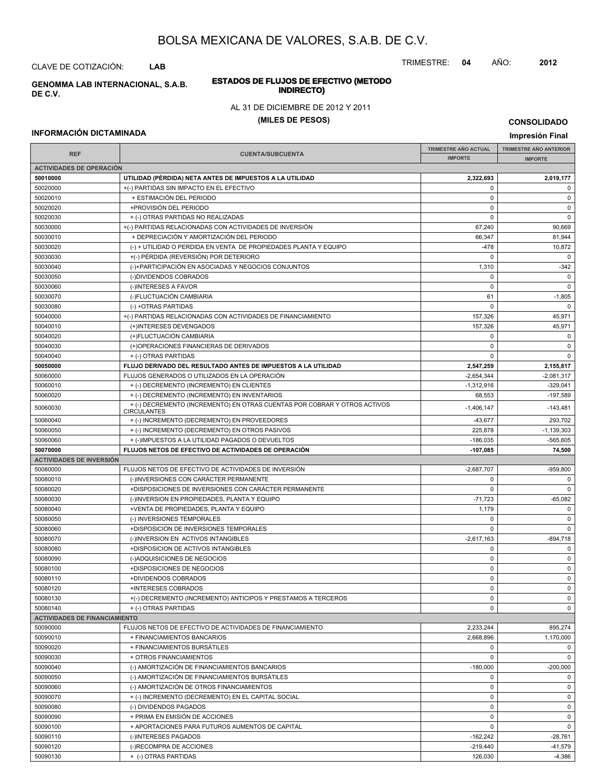TRIMESTRE: **04** AÑO: **2012**

#### **ESTADOS DE FLUJOS DE EFECTIVO (METODO INDIRECTO) GENOMMA LAB INTERNACIONAL, S.A.B.**

#### AL 31 DE DICIEMBRE DE 2012 Y 2011

#### **(MILES DE PESOS)**

#### **INFORMACIÓN DICTAMINADA**

CLAVE DE COTIZACIÓN: **LAB**

**DE C.V.**

**IMPRESIÓN FINAL AND SUBCUENTA**<br> **IMPORTE TRIMESTRE AÑO ACTUAL IMPORTE IMPORTE REF TRIMESTRE AÑO ANTERIOR IMPORTE ACTIVIDADES DE OPERACIÓN 50010000 UTILIDAD (PÉRDIDA) NETA ANTES DE IMPUESTOS A LA UTILIDAD 2,322,693 2,019,177** 50020000 +(-) PARTIDAS SIN IMPACTO EN EL EFECTIVO 0 0 50020010 + ESTIMACIÓN DEL PERIODO 0 0 50020020 +PROVISIÓN DEL PERIODO 0 0 50020030 + (-) OTRAS PARTIDAS NO REALIZADAS 0 0 50030000 +(-) PARTIDAS RELACIONADAS CON ACTIVIDADES DE INVERSIÓN 67,240 669 0669 50030010 + DEPRECIACIÓN Y AMORTIZACIÓN DEL PERIODO 66,347 81,944 50030020 (-) + UTILIDAD O PERDIDA EN VENTA DE PROPIEDADES PLANTA Y EQUIPO -478 10,872 50030030 +(-) PÉRDIDA (REVERSIÓN) POR DETERIORO 0 0 50030040 (-)+PARTICIPACIÓN EN ASOCIADAS Y NEGOCIOS CONJUNTOS 1,310 | 1,310 | 1,310 | 2342 50030050 (-)DIVIDENDOS COBRADOS 0 0 50030060 (-)INTERESES A FAVOR 0 0 50030070 (-)FLUCTUACIÓN CAMBIARIA 61 -1,805 50030080 (-) +OTRAS PARTIDAS 0 0 50040000 + (-) PARTIDAS RELACIONADAS CON ACTIVIDADES DE FINANCIAMIENTO 157,326 45,971 50040010 (+)INTERESES DEVENGADOS 45,971 (+) 157,326 45,971 50040020 (+)FLUCTUACIÓN CAMBIARIA 0 0 50040030 (+)OPERACIONES FINANCIERAS DE DERIVADOS 0 0 50040040 + (-) OTRAS PARTIDAS 0 0 **50050000 FLUJO DERIVADO DEL RESULTADO ANTES DE IMPUESTOS A LA UTILIDAD 2,547,259 2,155,817** 50060000 FLUJOS GENERADOS O UTILIZADOS EN LA OPERACIÓN -2,051,317 -2,654,344 -2,654,344 -2,081,317 50060010 + (-) DECREMENTO (INCREMENTO) EN CLIENTES -1,312,916 -329,041 50060020 + (-) DECREMENTO (INCREMENTO) EN INVENTARIOS 68.553 68.553 -197,589 -197,589  $+(-)$ DECREMENTO (INCREMENTO) EN OTRAS CUENTAS POR COBRAR Y OTROS ACTIVOS -1,406,147 -143,481 **CIRCULANTES** 50060040 + (-) INCREMENTO (DECREMENTO) EN PROVEEDORES + + (-) INCREMENTO (DECREMENTO) EN PROVEEDORES 50060050 + (-) INCREMENTO (DECREMENTO) EN OTROS PASIVOS + (-) (-) (-) (-) (-) (-) (-) (-) (-) (-1,139,303) + (-) (-1,139,303) + (-) (-1,139,303) + (-) (-1,139,303) + (-) (-1,139,303) + (-) (-) (-) (-) (-) (-) (-) (-) (-) (  $+$  (-)IMPUESTOS A LA UTILIDAD PAGADOS O DEVUELTOS -186,035 -186,035 -565,605 -565,605 -565,605 -565,605 -565,605 **50070000 FLUJOS NETOS DE EFECTIVO DE ACTIVIDADES DE OPERACIÓN -107,085 74,500 ACTIVIDADES DE INVERSIÓN** 50080000 FLUJOS NETOS DE EFECTIVO DE ACTIVIDADES DE INVERSIÓN CONTRADORES EN ENTRE EN EL ENTRE EN LA ENFERACIA 50080010 (-)INVERSIONES CON CARÁCTER PERMANENTE 0 0 50080020 +DISPOSICIONES DE INVERSIONES CON CARÁCTER PERMANENTE 0 0 50080030 (-)INVERSION EN PROPIEDADES, PLANTA Y EQUIPO -71,723 -71,723 -65,082 50080040 +VENTA DE PROPIEDADES, PLANTA Y EQUIPO 1,179 0 50080050 (-) INVERSIONES TEMPORALES 0 0 50080060 +DISPOSICION DE INVERSIONES TEMPORALES 0 0 50080070 (-)INVERSION EN ACTIVOS INTANGIBLES - -2,617,163 - -2,617,163 - -894,718 50080080 +DISPOSICION DE ACTIVOS INTANGIBLES 0 0 50080090 (-)ADQUISICIONES DE NEGOCIOS 0 0 50080100 +DISPOSICIONES DE NEGOCIOS 0 0 50080110 +DIVIDENDOS COBRADOS 0 0 50080120 +INTERESES COBRADOS 0 0 50080130 +(-) DECREMENTO (INCREMENTO) ANTICIPOS Y PRESTAMOS A TERCEROS 0 0 50080140 + (-) OTRAS PARTIDAS 0 0 **ACTIVIDADES DE FINANCIAMIENTO** 50090000 FLUJOS NETOS DE EFECTIVO DE ACTIVIDADES DE FINANCIAMIENTO 2,233,244 895,274 50090010 + FINANCIAMIENTOS BANCARIOS 2,668,896 1,170,000 50090020 + FINANCIAMIENTOS BURSÁTILES 0 0 50090030 + OTROS FINANCIAMIENTOS 0 0 50090040 (-) AMORTIZACIÓN DE FINANCIAMIENTOS BANCARIOS -180,000 -200,000 50090050 (-) AMORTIZACIÓN DE FINANCIAMIENTOS BURSÁTILES 0 0 50090060 (-) AMORTIZACIÓN DE OTROS FINANCIAMIENTOS 0 0 50090070 + (-) INCREMENTO (DECREMENTO) EN EL CAPITAL SOCIAL 0 0 50090080 (-) DIVIDENDOS PAGADOS 0 0 50090090 + PRIMA EN EMISIÓN DE ACCIONES de la componentación de la componentación de la componentación de la c 50090100 + APORTACIONES PARA FUTUROS AUMENTOS DE CAPITAL 0 0 50090110 | (-)INTERESES PAGADOS -162,242 | -28,761 50090120 (-)RECOMPRA DE ACCIONES -219,440 -41,579

50090130 + (-) OTRAS PARTIDAS 126,030 -4,386

**CONSOLIDADO Impresión Final**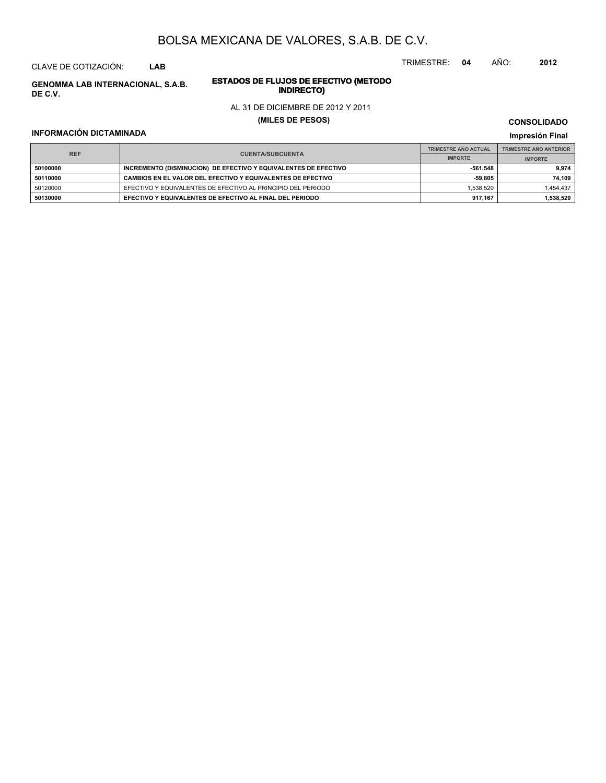CLAVE DE COTIZACIÓN: **LAB**

**INDIRECTO) GENOMMA LAB INTERNACIONAL, S.A.B. DE C.V.**

## TRIMESTRE: **04** AÑO: **2012**

# **ESTADOS DE FLUJOS DE EFECTIVO (METODO**

#### AL 31 DE DICIEMBRE DE 2012 Y 2011

#### **(MILES DE PESOS)**

#### **INFORMACIÓN DICTAMINADA**

**CONSOLIDADO**

#### **Impresión Final**

|            |                                                                 | <b>TRIMESTRE AÑO ACTUAL</b> | <b>TRIMESTRE AÑO ANTERIOR</b> |
|------------|-----------------------------------------------------------------|-----------------------------|-------------------------------|
| <b>REF</b> | <b>CUENTA/SUBCUENTA</b>                                         | <b>IMPORTE</b>              | <b>IMPORTE</b>                |
| 50100000   | INCREMENTO (DISMINUCION) DE EFECTIVO Y EQUIVALENTES DE EFECTIVO | -561.548                    | 9.974                         |
| 50110000   | CAMBIOS EN EL VALOR DEL EFECTIVO Y EQUIVALENTES DE EFECTIVO     | -59.805                     | 74.109                        |
| 50120000   | EFECTIVO Y EQUIVALENTES DE EFECTIVO AL PRINCIPIO DEL PERIODO    | 1.538.520                   | 1.454.437                     |
| 50130000   | EFECTIVO Y EQUIVALENTES DE EFECTIVO AL FINAL DEL PERIODO        | 917.167                     | 1,538,520                     |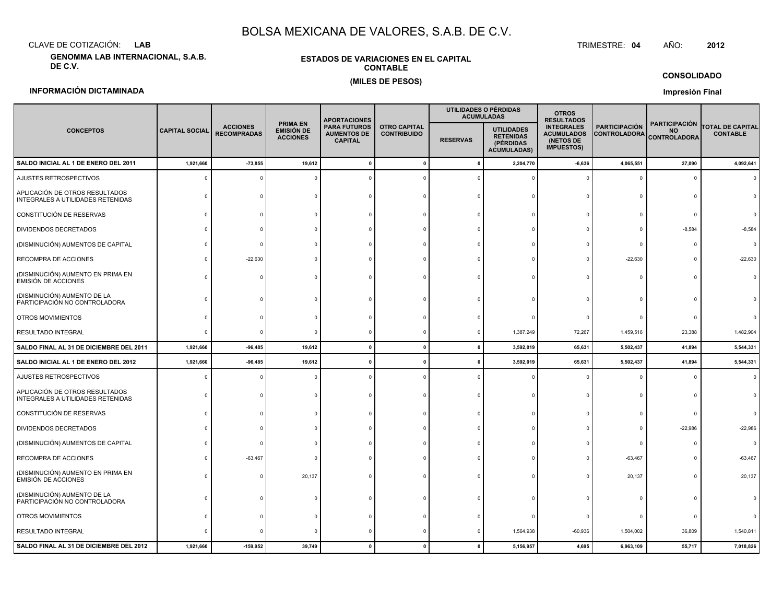CLAVE DE COTIZACIÓN:**LAB**

**GENOMMA LAB INTERNACIONAL, S.A.B. DE C.V.**

#### **ESTADOS DE VARIACIONES EN EL CAPITALCONTABLE(MILES DE PESOS)**

 TRIMESTRE:TRIMESTRE: 04 AÑO: **<sup>2012</sup>**

**CONSOLIDADO**

#### **INFORMACIÓN DICTAMINADA**

**Impresión Final**

|                                                                     |                       |                                       |                                                  | <b>APORTACIONES</b>                                         |                                           | UTILIDADES O PÉRDIDAS<br><b>ACUMULADAS</b> |                                                                          | <b>OTROS</b><br><b>RESULTADOS</b>                                        |                                             |                                                          |                                            |
|---------------------------------------------------------------------|-----------------------|---------------------------------------|--------------------------------------------------|-------------------------------------------------------------|-------------------------------------------|--------------------------------------------|--------------------------------------------------------------------------|--------------------------------------------------------------------------|---------------------------------------------|----------------------------------------------------------|--------------------------------------------|
| <b>CONCEPTOS</b>                                                    | <b>CAPITAL SOCIAL</b> | <b>ACCIONES</b><br><b>RECOMPRADAS</b> | <b>PRIMA EN</b><br>EMISIÓN DE<br><b>ACCIONES</b> | <b>PARA FUTUROS</b><br><b>AUMENTOS DE</b><br><b>CAPITAL</b> | <b>OTRO CAPITAL</b><br><b>CONTRIBUIDO</b> | <b>RESERVAS</b>                            | <b>UTILIDADES</b><br><b>RETENIDAS</b><br>(PÉRDIDAS<br><b>ACUMULADAS)</b> | <b>INTEGRALES</b><br><b>ACUMULADOS</b><br>(NETOS DE<br><b>IMPUESTOS)</b> | <b>PARTICIPACIÓN</b><br><b>CONTROLADORA</b> | <b>PARTICIPACIÓN</b><br><b>NO</b><br><b>CONTROLADORA</b> | <b>TOTAL DE CAPITAL</b><br><b>CONTABLE</b> |
| SALDO INICIAL AL 1 DE ENERO DEL 2011                                | 1,921,660             | $-73,855$                             | 19,612                                           | $\mathbf{0}$                                                | $\mathbf{0}$                              | $\pmb{0}$                                  | 2,204,770                                                                | $-6,636$                                                                 | 4,065,551                                   | 27,090                                                   | 4,092,641                                  |
| AJUSTES RETROSPECTIVOS                                              | $\mathbf 0$           | $\Omega$                              | $\Omega$                                         |                                                             |                                           | $\Omega$                                   |                                                                          |                                                                          |                                             |                                                          |                                            |
| APLICACIÓN DE OTROS RESULTADOS<br>INTEGRALES A UTILIDADES RETENIDAS |                       |                                       |                                                  |                                                             |                                           |                                            |                                                                          |                                                                          |                                             |                                                          |                                            |
| CONSTITUCIÓN DE RESERVAS                                            | $\Omega$              |                                       | $\Omega$                                         |                                                             |                                           |                                            |                                                                          |                                                                          |                                             |                                                          |                                            |
| DIVIDENDOS DECRETADOS                                               |                       |                                       |                                                  |                                                             |                                           |                                            |                                                                          |                                                                          |                                             | $-8,584$                                                 | $-8,584$                                   |
| (DISMINUCIÓN) AUMENTOS DE CAPITAL                                   |                       | $\Omega$                              |                                                  |                                                             |                                           |                                            |                                                                          |                                                                          |                                             |                                                          |                                            |
| RECOMPRA DE ACCIONES                                                |                       | $-22,630$                             |                                                  |                                                             |                                           |                                            |                                                                          |                                                                          | $-22,630$                                   |                                                          | $-22,630$                                  |
| (DISMINUCIÓN) AUMENTO EN PRIMA EN<br>EMISIÓN DE ACCIONES            | $\Omega$              | $\Omega$                              | $\Omega$                                         |                                                             |                                           |                                            |                                                                          |                                                                          |                                             |                                                          |                                            |
| (DISMINUCIÓN) AUMENTO DE LA<br>PARTICIPACIÓN NO CONTROLADORA        |                       |                                       |                                                  |                                                             |                                           |                                            |                                                                          |                                                                          |                                             |                                                          |                                            |
| OTROS MOVIMIENTOS                                                   |                       |                                       |                                                  |                                                             |                                           |                                            |                                                                          |                                                                          |                                             |                                                          |                                            |
| RESULTADO INTEGRAL                                                  | $\mathbf 0$           | $\Omega$                              | $\Omega$                                         |                                                             |                                           | $\Omega$                                   | 1,387,249                                                                | 72,267                                                                   | 1,459,516                                   | 23,388                                                   | 1,482,904                                  |
| SALDO FINAL AL 31 DE DICIEMBRE DEL 2011                             | 1,921,660             | $-96,485$                             | 19,612                                           | $\Omega$                                                    | $\mathbf{0}$                              | $\mathbf{0}$                               | 3,592,019                                                                | 65,631                                                                   | 5,502,437                                   | 41,894                                                   | 5,544,331                                  |
| SALDO INICIAL AL 1 DE ENERO DEL 2012                                | 1,921,660             | $-96,485$                             | 19,612                                           | $\mathbf{0}$                                                | $\mathbf{0}$                              | $\mathbf 0$                                | 3,592,019                                                                | 65,631                                                                   | 5,502,437                                   | 41,894                                                   | 5,544,331                                  |
| AJUSTES RETROSPECTIVOS                                              | $\Omega$              | $\Omega$                              |                                                  |                                                             |                                           | $\Omega$                                   |                                                                          |                                                                          |                                             |                                                          |                                            |
| APLICACIÓN DE OTROS RESULTADOS<br>INTEGRALES A UTILIDADES RETENIDAS | $\Omega$              |                                       |                                                  |                                                             |                                           |                                            |                                                                          |                                                                          |                                             |                                                          |                                            |
| CONSTITUCIÓN DE RESERVAS                                            | $\Omega$              |                                       | $\Omega$                                         |                                                             | $\Omega$                                  |                                            |                                                                          |                                                                          |                                             | $\Omega$                                                 |                                            |
| DIVIDENDOS DECRETADOS                                               |                       |                                       |                                                  |                                                             |                                           |                                            |                                                                          |                                                                          | n                                           | $-22,986$                                                | $-22,986$                                  |
| (DISMINUCIÓN) AUMENTOS DE CAPITAL                                   | $\Omega$              | $\Omega$                              |                                                  |                                                             |                                           |                                            |                                                                          |                                                                          |                                             |                                                          | $\Omega$                                   |
| RECOMPRA DE ACCIONES                                                | $\Omega$              | $-63,467$                             |                                                  |                                                             |                                           |                                            |                                                                          |                                                                          | $-63,467$                                   |                                                          | $-63,467$                                  |
| (DISMINUCIÓN) AUMENTO EN PRIMA EN<br>EMISIÓN DE ACCIONES            | $\Omega$              | n                                     | 20,137                                           |                                                             |                                           |                                            |                                                                          |                                                                          | 20,137                                      |                                                          | 20,137                                     |
| (DISMINUCIÓN) AUMENTO DE LA<br>PARTICIPACIÓN NO CONTROLADORA        |                       |                                       |                                                  |                                                             |                                           |                                            |                                                                          |                                                                          |                                             |                                                          |                                            |
| OTROS MOVIMIENTOS                                                   |                       |                                       |                                                  |                                                             |                                           |                                            |                                                                          |                                                                          |                                             |                                                          |                                            |
| RESULTADO INTEGRAL                                                  | $\Omega$              |                                       |                                                  |                                                             |                                           |                                            | 1,564,938                                                                | $-60,936$                                                                | 1,504,002                                   | 36,809                                                   | 1,540,811                                  |
| SALDO FINAL AL 31 DE DICIEMBRE DEL 2012                             | 1,921,660             | $-159,952$                            | 39,749                                           | $\mathbf{0}$                                                | $\Omega$                                  | $\mathbf{0}$                               | 5,156,957                                                                | 4,695                                                                    | 6,963,109                                   | 55,717                                                   | 7,018,826                                  |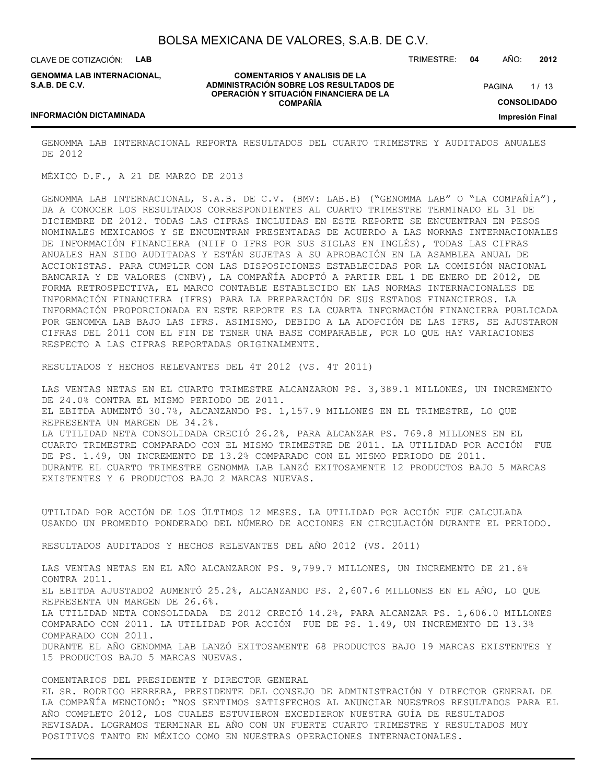CLAVE DE COTIZACIÓN: **LAB**

**GENOMMA LAB INTERNACIONAL, S.A.B. DE C.V.**

**COMENTARIOS Y ANALISIS DE LA ADMINISTRACIÓN SOBRE LOS RESULTADOS DE OPERACIÓN Y SITUACIÓN FINANCIERA DE LA COMPAÑÍA**

 $1/13$ **CONSOLIDADO Impresión Final PAGINA** 

#### **INFORMACIÓN DICTAMINADA**

GENOMMA LAB INTERNACIONAL REPORTA RESULTADOS DEL CUARTO TRIMESTRE Y AUDITADOS ANUALES DE 2012

MÉXICO D.F., A 21 DE MARZO DE 2013

GENOMMA LAB INTERNACIONAL, S.A.B. DE C.V. (BMV: LAB.B) ("GENOMMA LAB" O "LA COMPAÑÍA"), DA A CONOCER LOS RESULTADOS CORRESPONDIENTES AL CUARTO TRIMESTRE TERMINADO EL 31 DE DICIEMBRE DE 2012. TODAS LAS CIFRAS INCLUIDAS EN ESTE REPORTE SE ENCUENTRAN EN PESOS NOMINALES MEXICANOS Y SE ENCUENTRAN PRESENTADAS DE ACUERDO A LAS NORMAS INTERNACIONALES DE INFORMACIÓN FINANCIERA (NIIF O IFRS POR SUS SIGLAS EN INGLÉS), TODAS LAS CIFRAS ANUALES HAN SIDO AUDITADAS Y ESTÁN SUJETAS A SU APROBACIÓN EN LA ASAMBLEA ANUAL DE ACCIONISTAS. PARA CUMPLIR CON LAS DISPOSICIONES ESTABLECIDAS POR LA COMISIÓN NACIONAL BANCARIA Y DE VALORES (CNBV), LA COMPAÑÍA ADOPTÓ A PARTIR DEL 1 DE ENERO DE 2012, DE FORMA RETROSPECTIVA, EL MARCO CONTABLE ESTABLECIDO EN LAS NORMAS INTERNACIONALES DE INFORMACIÓN FINANCIERA (IFRS) PARA LA PREPARACIÓN DE SUS ESTADOS FINANCIEROS. LA INFORMACIÓN PROPORCIONADA EN ESTE REPORTE ES LA CUARTA INFORMACIÓN FINANCIERA PUBLICADA POR GENOMMA LAB BAJO LAS IFRS. ASIMISMO, DEBIDO A LA ADOPCIÓN DE LAS IFRS, SE AJUSTARON CIFRAS DEL 2011 CON EL FIN DE TENER UNA BASE COMPARABLE, POR LO QUE HAY VARIACIONES RESPECTO A LAS CIFRAS REPORTADAS ORIGINALMENTE.

RESULTADOS Y HECHOS RELEVANTES DEL 4T 2012 (VS. 4T 2011)

LAS VENTAS NETAS EN EL CUARTO TRIMESTRE ALCANZARON PS. 3,389.1 MILLONES, UN INCREMENTO DE 24.0% CONTRA EL MISMO PERIODO DE 2011. EL EBITDA AUMENTÓ 30.7%, ALCANZANDO PS. 1,157.9 MILLONES EN EL TRIMESTRE, LO QUE REPRESENTA UN MARGEN DE 34.2%. LA UTILIDAD NETA CONSOLIDADA CRECIÓ 26.2%, PARA ALCANZAR PS. 769.8 MILLONES EN EL CUARTO TRIMESTRE COMPARADO CON EL MISMO TRIMESTRE DE 2011. LA UTILIDAD POR ACCIÓN FUE DE PS. 1.49, UN INCREMENTO DE 13.2% COMPARADO CON EL MISMO PERIODO DE 2011. DURANTE EL CUARTO TRIMESTRE GENOMMA LAB LANZÓ EXITOSAMENTE 12 PRODUCTOS BAJO 5 MARCAS EXISTENTES Y 6 PRODUCTOS BAJO 2 MARCAS NUEVAS.

UTILIDAD POR ACCIÓN DE LOS ÚLTIMOS 12 MESES. LA UTILIDAD POR ACCIÓN FUE CALCULADA USANDO UN PROMEDIO PONDERADO DEL NÚMERO DE ACCIONES EN CIRCULACIÓN DURANTE EL PERIODO.

RESULTADOS AUDITADOS Y HECHOS RELEVANTES DEL AÑO 2012 (VS. 2011)

LAS VENTAS NETAS EN EL AÑO ALCANZARON PS. 9,799.7 MILLONES, UN INCREMENTO DE 21.6% CONTRA 2011. EL EBITDA AJUSTADO2 AUMENTÓ 25.2%, ALCANZANDO PS. 2,607.6 MILLONES EN EL AÑO, LO QUE REPRESENTA UN MARGEN DE 26.6%. LA UTILIDAD NETA CONSOLIDADA DE 2012 CRECIÓ 14.2%, PARA ALCANZAR PS. 1,606.0 MILLONES COMPARADO CON 2011. LA UTILIDAD POR ACCIÓN FUE DE PS. 1.49, UN INCREMENTO DE 13.3% COMPARADO CON 2011. DURANTE EL AÑO GENOMMA LAB LANZÓ EXITOSAMENTE 68 PRODUCTOS BAJO 19 MARCAS EXISTENTES Y 15 PRODUCTOS BAJO 5 MARCAS NUEVAS.

COMENTARIOS DEL PRESIDENTE Y DIRECTOR GENERAL

EL SR. RODRIGO HERRERA, PRESIDENTE DEL CONSEJO DE ADMINISTRACIÓN Y DIRECTOR GENERAL DE LA COMPAÑÍA MENCIONÓ: "NOS SENTIMOS SATISFECHOS AL ANUNCIAR NUESTROS RESULTADOS PARA EL AÑO COMPLETO 2012, LOS CUALES ESTUVIERON EXCEDIERON NUESTRA GUÍA DE RESULTADOS REVISADA. LOGRAMOS TERMINAR EL AÑO CON UN FUERTE CUARTO TRIMESTRE Y RESULTADOS MUY POSITIVOS TANTO EN MÉXICO COMO EN NUESTRAS OPERACIONES INTERNACIONALES.

TRIMESTRE: **04** AÑO: **2012**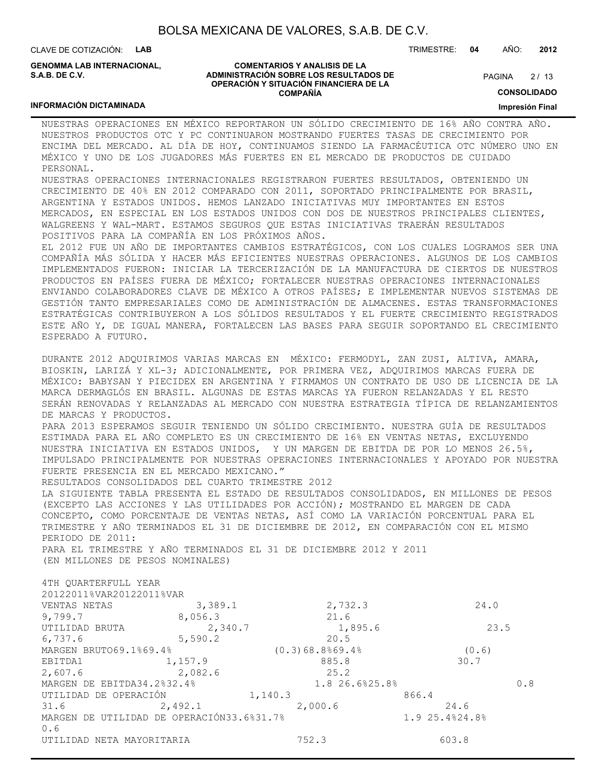CLAVE DE COTIZACIÓN: **LAB**

**INFORMACIÓN DICTAMINADA**

**GENOMMA LAB INTERNACIONAL, S.A.B. DE C.V.**

#### **COMENTARIOS Y ANALISIS DE LA ADMINISTRACIÓN SOBRE LOS RESULTADOS DE OPERACIÓN Y SITUACIÓN FINANCIERA DE LA COMPAÑÍA**

 $2/13$ **PAGINA** 

TRIMESTRE: **04** AÑO: **2012**

**CONSOLIDADO**

**Impresión Final**

### NUESTRAS OPERACIONES EN MÉXICO REPORTARON UN SÓLIDO CRECIMIENTO DE 16% AÑO CONTRA AÑO. NUESTROS PRODUCTOS OTC Y PC CONTINUARON MOSTRANDO FUERTES TASAS DE CRECIMIENTO POR ENCIMA DEL MERCADO. AL DÍA DE HOY, CONTINUAMOS SIENDO LA FARMACÉUTICA OTC NÚMERO UNO EN MÉXICO Y UNO DE LOS JUGADORES MÁS FUERTES EN EL MERCADO DE PRODUCTOS DE CUIDADO PERSONAL. NUESTRAS OPERACIONES INTERNACIONALES REGISTRARON FUERTES RESULTADOS, OBTENIENDO UN

CRECIMIENTO DE 40% EN 2012 COMPARADO CON 2011, SOPORTADO PRINCIPALMENTE POR BRASIL, ARGENTINA Y ESTADOS UNIDOS. HEMOS LANZADO INICIATIVAS MUY IMPORTANTES EN ESTOS MERCADOS, EN ESPECIAL EN LOS ESTADOS UNIDOS CON DOS DE NUESTROS PRINCIPALES CLIENTES, WALGREENS Y WAL-MART. ESTAMOS SEGUROS QUE ESTAS INICIATIVAS TRAERÁN RESULTADOS POSITIVOS PARA LA COMPAÑÍA EN LOS PRÓXIMOS AÑOS.

EL 2012 FUE UN AÑO DE IMPORTANTES CAMBIOS ESTRATÉGICOS, CON LOS CUALES LOGRAMOS SER UNA COMPAÑÍA MÁS SÓLIDA Y HACER MÁS EFICIENTES NUESTRAS OPERACIONES. ALGUNOS DE LOS CAMBIOS IMPLEMENTADOS FUERON: INICIAR LA TERCERIZACIÓN DE LA MANUFACTURA DE CIERTOS DE NUESTROS PRODUCTOS EN PAÍSES FUERA DE MÉXICO; FORTALECER NUESTRAS OPERACIONES INTERNACIONALES ENVIANDO COLABORADORES CLAVE DE MÉXICO A OTROS PAÍSES; E IMPLEMENTAR NUEVOS SISTEMAS DE GESTIÓN TANTO EMPRESARIALES COMO DE ADMINISTRACIÓN DE ALMACENES. ESTAS TRANSFORMACIONES ESTRATÉGICAS CONTRIBUYERON A LOS SÓLIDOS RESULTADOS Y EL FUERTE CRECIMIENTO REGISTRADOS ESTE AÑO Y, DE IGUAL MANERA, FORTALECEN LAS BASES PARA SEGUIR SOPORTANDO EL CRECIMIENTO ESPERADO A FUTURO.

DURANTE 2012 ADQUIRIMOS VARIAS MARCAS EN MÉXICO: FERMODYL, ZAN ZUSI, ALTIVA, AMARA, BIOSKIN, LARIZÁ Y XL-3; ADICIONALMENTE, POR PRIMERA VEZ, ADQUIRIMOS MARCAS FUERA DE MÉXICO: BABYSAN Y PIECIDEX EN ARGENTINA Y FIRMAMOS UN CONTRATO DE USO DE LICENCIA DE LA MARCA DERMAGLÓS EN BRASIL. ALGUNAS DE ESTAS MARCAS YA FUERON RELANZADAS Y EL RESTO SERÁN RENOVADAS Y RELANZADAS AL MERCADO CON NUESTRA ESTRATEGIA TÍPICA DE RELANZAMIENTOS DE MARCAS Y PRODUCTOS.

PARA 2013 ESPERAMOS SEGUIR TENIENDO UN SÓLIDO CRECIMIENTO. NUESTRA GUÍA DE RESULTADOS ESTIMADA PARA EL AÑO COMPLETO ES UN CRECIMIENTO DE 16% EN VENTAS NETAS, EXCLUYENDO NUESTRA INICIATIVA EN ESTADOS UNIDOS, Y UN MARGEN DE EBITDA DE POR LO MENOS 26.5%, IMPULSADO PRINCIPALMENTE POR NUESTRAS OPERACIONES INTERNACIONALES Y APOYADO POR NUESTRA FUERTE PRESENCIA EN EL MERCADO MEXICANO."

RESULTADOS CONSOLIDADOS DEL CUARTO TRIMESTRE 2012

LA SIGUIENTE TABLA PRESENTA EL ESTADO DE RESULTADOS CONSOLIDADOS, EN MILLONES DE PESOS (EXCEPTO LAS ACCIONES Y LAS UTILIDADES POR ACCIÓN); MOSTRANDO EL MARGEN DE CADA CONCEPTO, COMO PORCENTAJE DE VENTAS NETAS, ASÍ COMO LA VARIACIÓN PORCENTUAL PARA EL TRIMESTRE Y AÑO TERMINADOS EL 31 DE DICIEMBRE DE 2012, EN COMPARACIÓN CON EL MISMO PERIODO DE 2011:

PARA EL TRIMESTRE Y AÑO TERMINADOS EL 31 DE DICIEMBRE 2012 Y 2011 (EN MILLONES DE PESOS NOMINALES)

| 4TH OUARTERFULL YEAR                      |         |                    |                |     |
|-------------------------------------------|---------|--------------------|----------------|-----|
| 20122011%VAR20122011%VAR                  |         |                    |                |     |
| VENTAS NETAS                              | 3,389.1 | 2,732.3            | 24.0           |     |
| 9,799.7                                   | 8,056.3 | 21.6               |                |     |
| UTILIDAD BRUTA                            | 2,340.7 | 1,895.6            | 23.5           |     |
| 6,737.6                                   | 5,590.2 | 20.5               |                |     |
| MARGEN BRUTO69.1%69.4%                    |         | $(0.3)68.8$ %69.4% | (0.6)          |     |
| EBITDA1                                   | 1,157.9 | 885.8              | 30.7           |     |
| 2,607.6                                   | 2,082.6 | 25.2               |                |     |
| MARGEN DE EBITDA34.2%32.4%                |         | 1.8 26.6%25.8%     |                | 0.8 |
| UTILIDAD DE OPERACIÓN                     |         | 1,140.3            | 866.4          |     |
| 31.6                                      | 2,492.1 | 2,000.6            | 24.6           |     |
| MARGEN DE UTILIDAD DE OPERACIÓN33.6%31.7% |         |                    | 1.9 25.4%24.8% |     |
| 0.6                                       |         |                    |                |     |
| UTILIDAD NETA MAYORITARIA                 |         | 752.3              | 603.8          |     |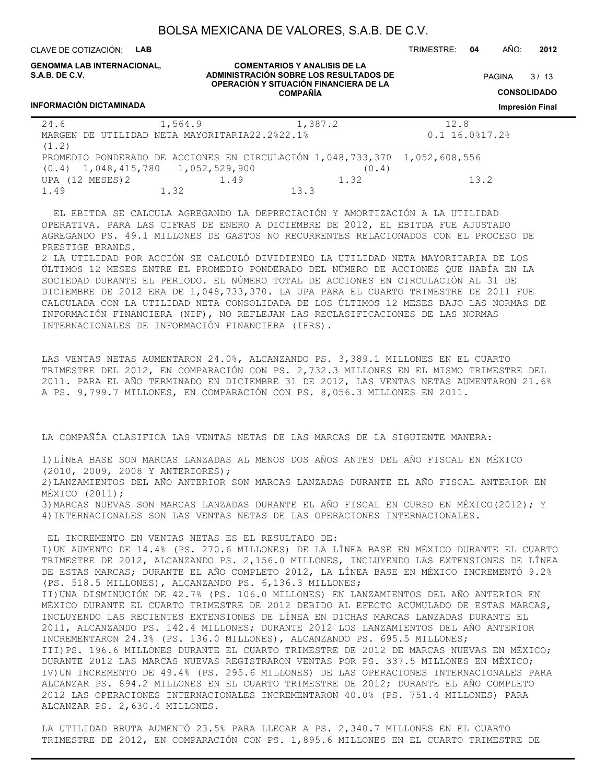CLAVE DE COTIZACIÓN: **LAB** TRIMESTRE: **04** AÑO: **2012**

**PAGINA** 

**GENOMMA LAB INTERNACIONAL, S.A.B. DE C.V.**

**INFORMACIÓN DICTAMINADA**

#### **COMENTARIOS Y ANALISIS DE LA ADMINISTRACIÓN SOBRE LOS RESULTADOS DE OPERACIÓN Y SITUACIÓN FINANCIERA DE LA COMPAÑÍA**

**CONSOLIDADO**

#### **Impresión Final**

 $3/13$ 

| 24.6                                | 1,564.9                                                                   | 1,387.2 | 12.8                 |
|-------------------------------------|---------------------------------------------------------------------------|---------|----------------------|
| MARGEN                              | DE UTILIDAD NETA MAYORITARIA22.2%22.1%                                    |         | $0.1$ 16.0% $17.2$ % |
| (1.2)                               |                                                                           |         |                      |
|                                     | PROMEDIO PONDERADO DE ACCIONES EN CIRCULACIÓN 1,048,733,370 1,052,608,556 |         |                      |
| $(0.4)$ 1,048,415,780 1,052,529,900 |                                                                           | (0.4)   |                      |
| UPA (12 MESES) 2                    | 1.49                                                                      | 1.32    | 13.2                 |
| 1.49                                | 1.32                                                                      | 133     |                      |

 EL EBITDA SE CALCULA AGREGANDO LA DEPRECIACIÓN Y AMORTIZACIÓN A LA UTILIDAD OPERATIVA. PARA LAS CIFRAS DE ENERO A DICIEMBRE DE 2012, EL EBITDA FUE AJUSTADO AGREGANDO PS. 49.1 MILLONES DE GASTOS NO RECURRENTES RELACIONADOS CON EL PROCESO DE PRESTIGE BRANDS.

2 LA UTILIDAD POR ACCIÓN SE CALCULÓ DIVIDIENDO LA UTILIDAD NETA MAYORITARIA DE LOS ÚLTIMOS 12 MESES ENTRE EL PROMEDIO PONDERADO DEL NÚMERO DE ACCIONES QUE HABÍA EN LA SOCIEDAD DURANTE EL PERIODO. EL NÚMERO TOTAL DE ACCIONES EN CIRCULACIÓN AL 31 DE DICIEMBRE DE 2012 ERA DE 1,048,733,370. LA UPA PARA EL CUARTO TRIMESTRE DE 2011 FUE CALCULADA CON LA UTILIDAD NETA CONSOLIDADA DE LOS ÚLTIMOS 12 MESES BAJO LAS NORMAS DE INFORMACIÓN FINANCIERA (NIF), NO REFLEJAN LAS RECLASIFICACIONES DE LAS NORMAS INTERNACIONALES DE INFORMACIÓN FINANCIERA (IFRS).

LAS VENTAS NETAS AUMENTARON 24.0%, ALCANZANDO PS. 3,389.1 MILLONES EN EL CUARTO TRIMESTRE DEL 2012, EN COMPARACIÓN CON PS. 2,732.3 MILLONES EN EL MISMO TRIMESTRE DEL 2011. PARA EL AÑO TERMINADO EN DICIEMBRE 31 DE 2012, LAS VENTAS NETAS AUMENTARON 21.6% A PS. 9,799.7 MILLONES, EN COMPARACIÓN CON PS. 8,056.3 MILLONES EN 2011.

LA COMPAÑÍA CLASIFICA LAS VENTAS NETAS DE LAS MARCAS DE LA SIGUIENTE MANERA:

1)LÍNEA BASE SON MARCAS LANZADAS AL MENOS DOS AÑOS ANTES DEL AÑO FISCAL EN MÉXICO (2010, 2009, 2008 Y ANTERIORES); 2)LANZAMIENTOS DEL AÑO ANTERIOR SON MARCAS LANZADAS DURANTE EL AÑO FISCAL ANTERIOR EN MÉXICO (2011); 3)MARCAS NUEVAS SON MARCAS LANZADAS DURANTE EL AÑO FISCAL EN CURSO EN MÉXICO(2012); Y 4)INTERNACIONALES SON LAS VENTAS NETAS DE LAS OPERACIONES INTERNACIONALES.

 EL INCREMENTO EN VENTAS NETAS ES EL RESULTADO DE: I)UN AUMENTO DE 14.4% (PS. 270.6 MILLONES) DE LA LÍNEA BASE EN MÉXICO DURANTE EL CUARTO TRIMESTRE DE 2012, ALCANZANDO PS. 2,156.0 MILLONES, INCLUYENDO LAS EXTENSIONES DE LÍNEA DE ESTAS MARCAS; DURANTE EL AÑO COMPLETO 2012, LA LÍNEA BASE EN MÉXICO INCREMENTÓ 9.2% (PS. 518.5 MILLONES), ALCANZANDO PS. 6,136.3 MILLONES; II)UNA DISMINUCIÓN DE 42.7% (PS. 106.0 MILLONES) EN LANZAMIENTOS DEL AÑO ANTERIOR EN MÉXICO DURANTE EL CUARTO TRIMESTRE DE 2012 DEBIDO AL EFECTO ACUMULADO DE ESTAS MARCAS, INCLUYENDO LAS RECIENTES EXTENSIONES DE LÍNEA EN DICHAS MARCAS LANZADAS DURANTE EL 2011, ALCANZANDO PS. 142.4 MILLONES; DURANTE 2012 LOS LANZAMIENTOS DEL AÑO ANTERIOR INCREMENTARON 24.3% (PS. 136.0 MILLONES), ALCANZANDO PS. 695.5 MILLONES; III)PS. 196.6 MILLONES DURANTE EL CUARTO TRIMESTRE DE 2012 DE MARCAS NUEVAS EN MÉXICO; DURANTE 2012 LAS MARCAS NUEVAS REGISTRARON VENTAS POR PS. 337.5 MILLONES EN MÉXICO; IV)UN INCREMENTO DE 49.4% (PS. 295.6 MILLONES) DE LAS OPERACIONES INTERNACIONALES PARA ALCANZAR PS. 894.2 MILLONES EN EL CUARTO TRIMESTRE DE 2012; DURANTE EL AÑO COMPLETO 2012 LAS OPERACIONES INTERNACIONALES INCREMENTARON 40.0% (PS. 751.4 MILLONES) PARA ALCANZAR PS. 2,630.4 MILLONES.

LA UTILIDAD BRUTA AUMENTÓ 23.5% PARA LLEGAR A PS. 2,340.7 MILLONES EN EL CUARTO TRIMESTRE DE 2012, EN COMPARACIÓN CON PS. 1,895.6 MILLONES EN EL CUARTO TRIMESTRE DE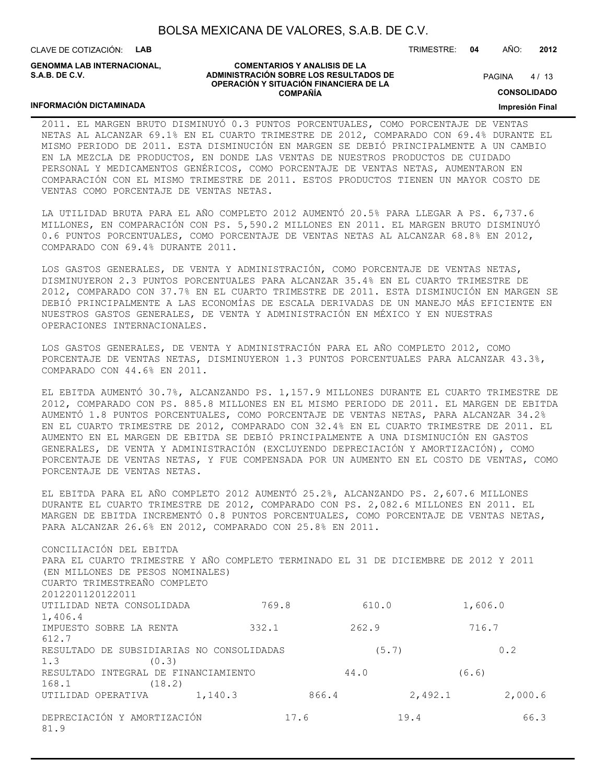CLAVE DE COTIZACIÓN: **LAB**

**INFORMACIÓN DICTAMINADA**

**GENOMMA LAB INTERNACIONAL, S.A.B. DE C.V.**

#### **COMENTARIOS Y ANALISIS DE LA ADMINISTRACIÓN SOBRE LOS RESULTADOS DE OPERACIÓN Y SITUACIÓN FINANCIERA DE LA COMPAÑÍA**

 $4/13$ **PAGINA** 

TRIMESTRE: **04** AÑO: **2012**

**CONSOLIDADO**

**Impresión Final**

#### 2011. EL MARGEN BRUTO DISMINUYÓ 0.3 PUNTOS PORCENTUALES, COMO PORCENTAJE DE VENTAS NETAS AL ALCANZAR 69.1% EN EL CUARTO TRIMESTRE DE 2012, COMPARADO CON 69.4% DURANTE EL MISMO PERIODO DE 2011. ESTA DISMINUCIÓN EN MARGEN SE DEBIÓ PRINCIPALMENTE A UN CAMBIO EN LA MEZCLA DE PRODUCTOS, EN DONDE LAS VENTAS DE NUESTROS PRODUCTOS DE CUIDADO PERSONAL Y MEDICAMENTOS GENÉRICOS, COMO PORCENTAJE DE VENTAS NETAS, AUMENTARON EN COMPARACIÓN CON EL MISMO TRIMESTRE DE 2011. ESTOS PRODUCTOS TIENEN UN MAYOR COSTO DE VENTAS COMO PORCENTAJE DE VENTAS NETAS.

LA UTILIDAD BRUTA PARA EL AÑO COMPLETO 2012 AUMENTÓ 20.5% PARA LLEGAR A PS. 6,737.6 MILLONES, EN COMPARACIÓN CON PS. 5,590.2 MILLONES EN 2011. EL MARGEN BRUTO DISMINUYÓ 0.6 PUNTOS PORCENTUALES, COMO PORCENTAJE DE VENTAS NETAS AL ALCANZAR 68.8% EN 2012, COMPARADO CON 69.4% DURANTE 2011.

LOS GASTOS GENERALES, DE VENTA Y ADMINISTRACIÓN, COMO PORCENTAJE DE VENTAS NETAS, DISMINUYERON 2.3 PUNTOS PORCENTUALES PARA ALCANZAR 35.4% EN EL CUARTO TRIMESTRE DE 2012, COMPARADO CON 37.7% EN EL CUARTO TRIMESTRE DE 2011. ESTA DISMINUCIÓN EN MARGEN SE DEBIÓ PRINCIPALMENTE A LAS ECONOMÍAS DE ESCALA DERIVADAS DE UN MANEJO MÁS EFICIENTE EN NUESTROS GASTOS GENERALES, DE VENTA Y ADMINISTRACIÓN EN MÉXICO Y EN NUESTRAS OPERACIONES INTERNACIONALES.

LOS GASTOS GENERALES, DE VENTA Y ADMINISTRACIÓN PARA EL AÑO COMPLETO 2012, COMO PORCENTAJE DE VENTAS NETAS, DISMINUYERON 1.3 PUNTOS PORCENTUALES PARA ALCANZAR 43.3%, COMPARADO CON 44.6% EN 2011.

EL EBITDA AUMENTÓ 30.7%, ALCANZANDO PS. 1,157.9 MILLONES DURANTE EL CUARTO TRIMESTRE DE 2012, COMPARADO CON PS. 885.8 MILLONES EN EL MISMO PERIODO DE 2011. EL MARGEN DE EBITDA AUMENTÓ 1.8 PUNTOS PORCENTUALES, COMO PORCENTAJE DE VENTAS NETAS, PARA ALCANZAR 34.2% EN EL CUARTO TRIMESTRE DE 2012, COMPARADO CON 32.4% EN EL CUARTO TRIMESTRE DE 2011. EL AUMENTO EN EL MARGEN DE EBITDA SE DEBIÓ PRINCIPALMENTE A UNA DISMINUCIÓN EN GASTOS GENERALES, DE VENTA Y ADMINISTRACIÓN (EXCLUYENDO DEPRECIACIÓN Y AMORTIZACIÓN), COMO PORCENTAJE DE VENTAS NETAS, Y FUE COMPENSADA POR UN AUMENTO EN EL COSTO DE VENTAS, COMO PORCENTAJE DE VENTAS NETAS.

EL EBITDA PARA EL AÑO COMPLETO 2012 AUMENTÓ 25.2%, ALCANZANDO PS. 2,607.6 MILLONES DURANTE EL CUARTO TRIMESTRE DE 2012, COMPARADO CON PS. 2,082.6 MILLONES EN 2011. EL MARGEN DE EBITDA INCREMENTÓ 0.8 PUNTOS PORCENTUALES, COMO PORCENTAJE DE VENTAS NETAS, PARA ALCANZAR 26.6% EN 2012, COMPARADO CON 25.8% EN 2011.

| CONCILIACIÓN DEL EBITDA                                                             |       |       |                    |      |
|-------------------------------------------------------------------------------------|-------|-------|--------------------|------|
| PARA EL CUARTO TRIMESTRE Y AÑO COMPLETO TERMINADO EL 31 DE DICIEMBRE DE 2012 Y 2011 |       |       |                    |      |
| (EN MILLONES DE PESOS NOMINALES)                                                    |       |       |                    |      |
| CUARTO TRIMESTREAÑO COMPLETO                                                        |       |       |                    |      |
| 2012201120122011                                                                    |       |       |                    |      |
| UTILIDAD NETA CONSOLIDADA                                                           | 769.8 | 610.0 | 1,606.0            |      |
| 1,406.4                                                                             |       |       |                    |      |
| IMPUESTO SOBRE LA RENTA                                                             | 332.1 | 262.9 | 716.7              |      |
| 612.7                                                                               |       |       |                    |      |
| RESULTADO DE SUBSIDIARIAS NO CONSOLIDADAS                                           |       | (5.7) | 0.2                |      |
| 1.3<br>(0.3)                                                                        |       |       |                    |      |
| RESULTADO INTEGRAL DE FINANCIAMIENTO                                                |       | 44.0  | (6.6)              |      |
| 168.1<br>(18.2)                                                                     |       |       |                    |      |
| 1,140.3<br>UTILIDAD OPERATIVA                                                       |       | 866.4 | 2,492.1<br>2,000.6 |      |
| DEPRECIACIÓN Y AMORTIZACIÓN<br>81.9                                                 | 17.6  | 19.4  |                    | 66.3 |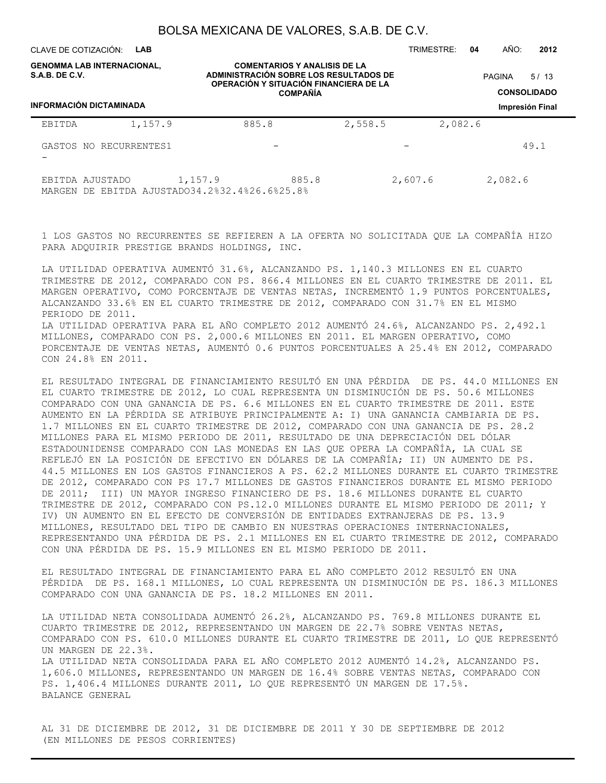CLAVE DE COTIZACIÓN: **LAB**

TRIMESTRE: **04** AÑO: **2012**

| S.A.B. DE C.V. | <b>GENOMMA LAB INTERNACIONAL,</b><br><b>INFORMACIÓN DICTAMINADA</b> |                                                          | <b>COMENTARIOS Y ANALISIS DE LA</b><br><b>ADMINISTRACIÓN SOBRE LOS RESULTADOS DE</b><br>OPERACIÓN Y SITUACIÓN FINANCIERA DE LA<br><b>COMPAÑÍA</b> |         | 5/13<br><b>PAGINA</b><br><b>CONSOLIDADO</b><br>Impresión Final |
|----------------|---------------------------------------------------------------------|----------------------------------------------------------|---------------------------------------------------------------------------------------------------------------------------------------------------|---------|----------------------------------------------------------------|
| EBITDA         | 1,157.9<br>GASTOS NO RECURRENTES1                                   | 885.8                                                    | 2,558.5                                                                                                                                           | 2,082.6 | 49.1                                                           |
|                | EBITDA AJUSTADO                                                     | 1,157.9<br>MARGEN DE EBITDA AJUSTADO34.2%32.4%26.6%25.8% | 885.8                                                                                                                                             | 2,607.6 | 2,082.6                                                        |

1 LOS GASTOS NO RECURRENTES SE REFIEREN A LA OFERTA NO SOLICITADA QUE LA COMPAÑÍA HIZO PARA ADQUIRIR PRESTIGE BRANDS HOLDINGS, INC.

LA UTILIDAD OPERATIVA AUMENTÓ 31.6%, ALCANZANDO PS. 1,140.3 MILLONES EN EL CUARTO TRIMESTRE DE 2012, COMPARADO CON PS. 866.4 MILLONES EN EL CUARTO TRIMESTRE DE 2011. EL MARGEN OPERATIVO, COMO PORCENTAJE DE VENTAS NETAS, INCREMENTÓ 1.9 PUNTOS PORCENTUALES, ALCANZANDO 33.6% EN EL CUARTO TRIMESTRE DE 2012, COMPARADO CON 31.7% EN EL MISMO PERIODO DE 2011. LA UTILIDAD OPERATIVA PARA EL AÑO COMPLETO 2012 AUMENTÓ 24.6%, ALCANZANDO PS. 2,492.1 MILLONES, COMPARADO CON PS. 2,000.6 MILLONES EN 2011. EL MARGEN OPERATIVO, COMO PORCENTAJE DE VENTAS NETAS, AUMENTÓ 0.6 PUNTOS PORCENTUALES A 25.4% EN 2012, COMPARADO CON 24.8% EN 2011.

EL RESULTADO INTEGRAL DE FINANCIAMIENTO RESULTÓ EN UNA PÉRDIDA DE PS. 44.0 MILLONES EN EL CUARTO TRIMESTRE DE 2012, LO CUAL REPRESENTA UN DISMINUCIÓN DE PS. 50.6 MILLONES COMPARADO CON UNA GANANCIA DE PS. 6.6 MILLONES EN EL CUARTO TRIMESTRE DE 2011. ESTE AUMENTO EN LA PÉRDIDA SE ATRIBUYE PRINCIPALMENTE A: I) UNA GANANCIA CAMBIARIA DE PS. 1.7 MILLONES EN EL CUARTO TRIMESTRE DE 2012, COMPARADO CON UNA GANANCIA DE PS. 28.2 MILLONES PARA EL MISMO PERIODO DE 2011, RESULTADO DE UNA DEPRECIACIÓN DEL DÓLAR ESTADOUNIDENSE COMPARADO CON LAS MONEDAS EN LAS QUE OPERA LA COMPAÑÍA, LA CUAL SE REFLEJÓ EN LA POSICIÓN DE EFECTIVO EN DÓLARES DE LA COMPAÑÍA; II) UN AUMENTO DE PS. 44.5 MILLONES EN LOS GASTOS FINANCIEROS A PS. 62.2 MILLONES DURANTE EL CUARTO TRIMESTRE DE 2012, COMPARADO CON PS 17.7 MILLONES DE GASTOS FINANCIEROS DURANTE EL MISMO PERIODO DE 2011; III) UN MAYOR INGRESO FINANCIERO DE PS. 18.6 MILLONES DURANTE EL CUARTO TRIMESTRE DE 2012, COMPARADO CON PS.12.0 MILLONES DURANTE EL MISMO PERIODO DE 2011; Y IV) UN AUMENTO EN EL EFECTO DE CONVERSIÓN DE ENTIDADES EXTRANJERAS DE PS. 13.9 MILLONES, RESULTADO DEL TIPO DE CAMBIO EN NUESTRAS OPERACIONES INTERNACIONALES, REPRESENTANDO UNA PÉRDIDA DE PS. 2.1 MILLONES EN EL CUARTO TRIMESTRE DE 2012, COMPARADO CON UNA PÉRDIDA DE PS. 15.9 MILLONES EN EL MISMO PERIODO DE 2011.

EL RESULTADO INTEGRAL DE FINANCIAMIENTO PARA EL AÑO COMPLETO 2012 RESULTÓ EN UNA PÉRDIDA DE PS. 168.1 MILLONES, LO CUAL REPRESENTA UN DISMINUCIÓN DE PS. 186.3 MILLONES COMPARADO CON UNA GANANCIA DE PS. 18.2 MILLONES EN 2011.

LA UTILIDAD NETA CONSOLIDADA AUMENTÓ 26.2%, ALCANZANDO PS. 769.8 MILLONES DURANTE EL CUARTO TRIMESTRE DE 2012, REPRESENTANDO UN MARGEN DE 22.7% SOBRE VENTAS NETAS, COMPARADO CON PS. 610.0 MILLONES DURANTE EL CUARTO TRIMESTRE DE 2011, LO QUE REPRESENTÓ UN MARGEN DE 22.3%. LA UTILIDAD NETA CONSOLIDADA PARA EL AÑO COMPLETO 2012 AUMENTÓ 14.2%, ALCANZANDO PS. 1,606.0 MILLONES, REPRESENTANDO UN MARGEN DE 16.4% SOBRE VENTAS NETAS, COMPARADO CON PS. 1,406.4 MILLONES DURANTE 2011, LO QUE REPRESENTÓ UN MARGEN DE 17.5%. BALANCE GENERAL

AL 31 DE DICIEMBRE DE 2012, 31 DE DICIEMBRE DE 2011 Y 30 DE SEPTIEMBRE DE 2012 (EN MILLONES DE PESOS CORRIENTES)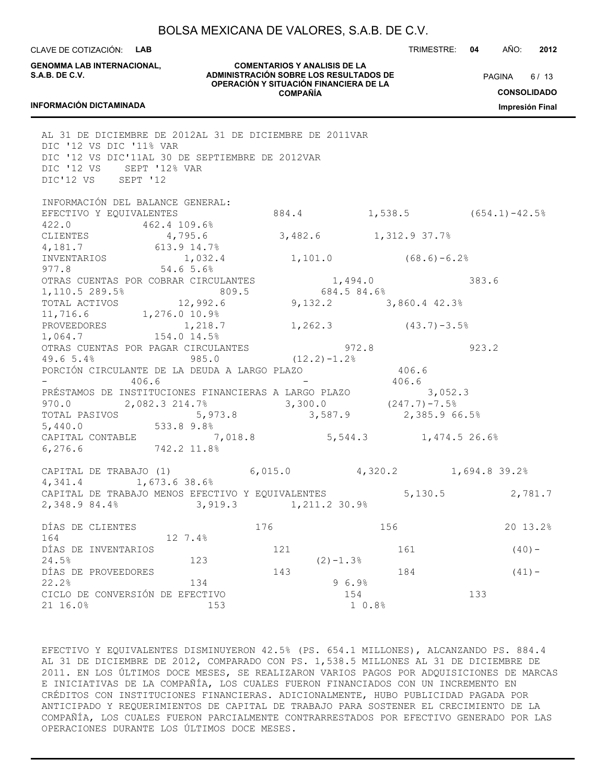CLAVE DE COTIZACIÓN: **LAB**

**INFORMACIÓN DICTAMINADA**

**GENOMMA LAB INTERNACIONAL, S.A.B. DE C.V.**

**COMENTARIOS Y ANALISIS DE LA ADMINISTRACIÓN SOBRE LOS RESULTADOS DE OPERACIÓN Y SITUACIÓN FINANCIERA DE LA COMPAÑÍA**

 $6/13$ **PAGINA** 

**CONSOLIDADO**

**Impresión Final**

## AL 31 DE DICIEMBRE DE 2012AL 31 DE DICIEMBRE DE 2011VAR DIC '12 VS DIC '11% VAR DIC '12 VS DIC'11AL 30 DE SEPTIEMBRE DE 2012VAR DIC '12 VS SEPT '12% VAR DIC'12 VS SEPT '12 INFORMACIÓN DEL BALANCE GENERAL: EFECTIVO Y EQUIVALENTES 684.4 1,538.5 (654.1)-42.5% 422.0 462.4 109.6%<br>CLIENTES 4,795.6 CLIENTES 4,795.6 3,482.6 1,312.9 37.7% 4,181.7 613.9 14.7% INVENTARIOS 1,032.4 1,101.0 (68.6)-6.2% 977.8 54.6 5.6% OTRAS CUENTAS POR COBRAR CIRCULANTES  $1,494.0$  383.6<br>1,110.5 289.5% 809.5 684.5 84.6% 1,110.5 289.5% 809.5 684.5 84.6%<br>TOTAL ACTIVOS 12,992.6 9,132.2 3 12,992.6 9,132.2 3,860.4 42.3% 11,716.6 1,276.0 10.9% PROVEEDORES 1,218.7 1,262.3 (43.7) -3.5% 1,064.7 154.0 14.5% OTRAS CUENTAS POR PAGAR CIRCULANTES 972.8 923.2 49.6 5.4% 985.0 (12.2)-1.2% PORCIÓN CIRCULANTE DE LA DEUDA A LARGO PLAZO 406.6  $-$  406.6  $-$  406.6 PRÉSTAMOS DE INSTITUCIONES FINANCIERAS A LARGO PLAZO 3,052.3 970.0 2,082.3 214.7% 3,300.0 (247.7)-7.5% TOTAL PASIVOS 5,973.8 3,587.9 2,385.9 66.5% 5,440.0 533.8 9.8% CAPITAL CONTABLE 7,018.8 5,544.3 1,474.5 26.6% 6,276.6 742.2 11.8% CAPITAL DE TRABAJO (1) 6,015.0 4,320.2 1,694.8 39.2% 4,341.4 1,673.6 38.6% CAPITAL DE TRABAJO MENOS EFECTIVO Y EQUIVALENTES 5,130.5 2,781.7 2,348.9 84.4% 3,919.3 1,211.2 30.9% DÍAS DE CLIENTES 176 156 20 13.2% 164 12 7.4%  $DÍAS DE INVENTARIOS$  121 161 (40)-24.5% 123 (2)-1.3% DÍAS DE PROVEEDORES 143 143 184 (41) - $22.2\%$  9 6.9% CICLO DE CONVERSIÓN DE EFECTIVO 154 133 21 16.0% 153 1 0.8%

EFECTIVO Y EQUIVALENTES DISMINUYERON 42.5% (PS. 654.1 MILLONES), ALCANZANDO PS. 884.4 AL 31 DE DICIEMBRE DE 2012, COMPARADO CON PS. 1,538.5 MILLONES AL 31 DE DICIEMBRE DE 2011. EN LOS ÚLTIMOS DOCE MESES, SE REALIZARON VARIOS PAGOS POR ADQUISICIONES DE MARCAS E INICIATIVAS DE LA COMPAÑÍA, LOS CUALES FUERON FINANCIADOS CON UN INCREMENTO EN CRÉDITOS CON INSTITUCIONES FINANCIERAS. ADICIONALMENTE, HUBO PUBLICIDAD PAGADA POR ANTICIPADO Y REQUERIMIENTOS DE CAPITAL DE TRABAJO PARA SOSTENER EL CRECIMIENTO DE LA COMPAÑÍA, LOS CUALES FUERON PARCIALMENTE CONTRARRESTADOS POR EFECTIVO GENERADO POR LAS OPERACIONES DURANTE LOS ÚLTIMOS DOCE MESES.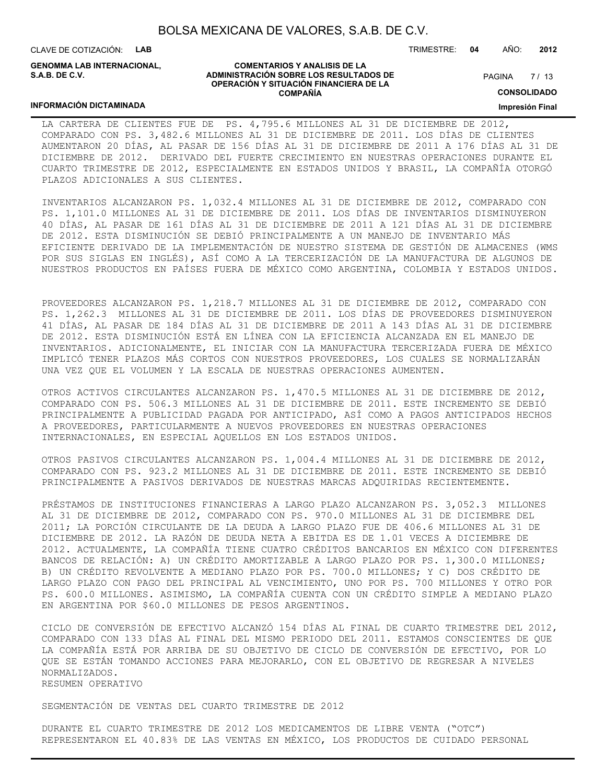CLAVE DE COTIZACIÓN: **LAB**

**INFORMACIÓN DICTAMINADA**

**GENOMMA LAB INTERNACIONAL, S.A.B. DE C.V.**

#### **COMENTARIOS Y ANALISIS DE LA ADMINISTRACIÓN SOBRE LOS RESULTADOS DE OPERACIÓN Y SITUACIÓN FINANCIERA DE LA COMPAÑÍA**

TRIMESTRE: **04** AÑO: **2012**

 $7/13$ **PAGINA** 

**CONSOLIDADO**

**Impresión Final**

#### LA CARTERA DE CLIENTES FUE DE PS. 4,795.6 MILLONES AL 31 DE DICIEMBRE DE 2012, COMPARADO CON PS. 3,482.6 MILLONES AL 31 DE DICIEMBRE DE 2011. LOS DÍAS DE CLIENTES AUMENTARON 20 DÍAS, AL PASAR DE 156 DÍAS AL 31 DE DICIEMBRE DE 2011 A 176 DÍAS AL 31 DE DICIEMBRE DE 2012. DERIVADO DEL FUERTE CRECIMIENTO EN NUESTRAS OPERACIONES DURANTE EL CUARTO TRIMESTRE DE 2012, ESPECIALMENTE EN ESTADOS UNIDOS Y BRASIL, LA COMPAÑÍA OTORGÓ PLAZOS ADICIONALES A SUS CLIENTES.

INVENTARIOS ALCANZARON PS. 1,032.4 MILLONES AL 31 DE DICIEMBRE DE 2012, COMPARADO CON PS. 1,101.0 MILLONES AL 31 DE DICIEMBRE DE 2011. LOS DÍAS DE INVENTARIOS DISMINUYERON 40 DÍAS, AL PASAR DE 161 DÍAS AL 31 DE DICIEMBRE DE 2011 A 121 DÍAS AL 31 DE DICIEMBRE DE 2012. ESTA DISMINUCIÓN SE DEBIÓ PRINCIPALMENTE A UN MANEJO DE INVENTARIO MÁS EFICIENTE DERIVADO DE LA IMPLEMENTACIÓN DE NUESTRO SISTEMA DE GESTIÓN DE ALMACENES (WMS POR SUS SIGLAS EN INGLÉS), ASÍ COMO A LA TERCERIZACIÓN DE LA MANUFACTURA DE ALGUNOS DE NUESTROS PRODUCTOS EN PAÍSES FUERA DE MÉXICO COMO ARGENTINA, COLOMBIA Y ESTADOS UNIDOS.

PROVEEDORES ALCANZARON PS. 1,218.7 MILLONES AL 31 DE DICIEMBRE DE 2012, COMPARADO CON PS. 1,262.3 MILLONES AL 31 DE DICIEMBRE DE 2011. LOS DÍAS DE PROVEEDORES DISMINUYERON 41 DÍAS, AL PASAR DE 184 DÍAS AL 31 DE DICIEMBRE DE 2011 A 143 DÍAS AL 31 DE DICIEMBRE DE 2012. ESTA DISMINUCIÓN ESTÁ EN LÍNEA CON LA EFICIENCIA ALCANZADA EN EL MANEJO DE INVENTARIOS. ADICIONALMENTE, EL INICIAR CON LA MANUFACTURA TERCERIZADA FUERA DE MÉXICO IMPLICÓ TENER PLAZOS MÁS CORTOS CON NUESTROS PROVEEDORES, LOS CUALES SE NORMALIZARÁN UNA VEZ QUE EL VOLUMEN Y LA ESCALA DE NUESTRAS OPERACIONES AUMENTEN.

OTROS ACTIVOS CIRCULANTES ALCANZARON PS. 1,470.5 MILLONES AL 31 DE DICIEMBRE DE 2012, COMPARADO CON PS. 506.3 MILLONES AL 31 DE DICIEMBRE DE 2011. ESTE INCREMENTO SE DEBIÓ PRINCIPALMENTE A PUBLICIDAD PAGADA POR ANTICIPADO, ASÍ COMO A PAGOS ANTICIPADOS HECHOS A PROVEEDORES, PARTICULARMENTE A NUEVOS PROVEEDORES EN NUESTRAS OPERACIONES INTERNACIONALES, EN ESPECIAL AQUELLOS EN LOS ESTADOS UNIDOS.

OTROS PASIVOS CIRCULANTES ALCANZARON PS. 1,004.4 MILLONES AL 31 DE DICIEMBRE DE 2012, COMPARADO CON PS. 923.2 MILLONES AL 31 DE DICIEMBRE DE 2011. ESTE INCREMENTO SE DEBIÓ PRINCIPALMENTE A PASIVOS DERIVADOS DE NUESTRAS MARCAS ADQUIRIDAS RECIENTEMENTE.

PRÉSTAMOS DE INSTITUCIONES FINANCIERAS A LARGO PLAZO ALCANZARON PS. 3,052.3 MILLONES AL 31 DE DICIEMBRE DE 2012, COMPARADO CON PS. 970.0 MILLONES AL 31 DE DICIEMBRE DEL 2011; LA PORCIÓN CIRCULANTE DE LA DEUDA A LARGO PLAZO FUE DE 406.6 MILLONES AL 31 DE DICIEMBRE DE 2012. LA RAZÓN DE DEUDA NETA A EBITDA ES DE 1.01 VECES A DICIEMBRE DE 2012. ACTUALMENTE, LA COMPAÑÍA TIENE CUATRO CRÉDITOS BANCARIOS EN MÉXICO CON DIFERENTES BANCOS DE RELACIÓN: A) UN CRÉDITO AMORTIZABLE A LARGO PLAZO POR PS. 1,300.0 MILLONES; B) UN CRÉDITO REVOLVENTE A MEDIANO PLAZO POR PS. 700.0 MILLONES; Y C) DOS CRÉDITO DE LARGO PLAZO CON PAGO DEL PRINCIPAL AL VENCIMIENTO, UNO POR PS. 700 MILLONES Y OTRO POR PS. 600.0 MILLONES. ASIMISMO, LA COMPAÑÍA CUENTA CON UN CRÉDITO SIMPLE A MEDIANO PLAZO EN ARGENTINA POR \$60.0 MILLONES DE PESOS ARGENTINOS.

CICLO DE CONVERSIÓN DE EFECTIVO ALCANZÓ 154 DÍAS AL FINAL DE CUARTO TRIMESTRE DEL 2012, COMPARADO CON 133 DÍAS AL FINAL DEL MISMO PERIODO DEL 2011. ESTAMOS CONSCIENTES DE QUE LA COMPAÑÍA ESTÁ POR ARRIBA DE SU OBJETIVO DE CICLO DE CONVERSIÓN DE EFECTIVO, POR LO QUE SE ESTÁN TOMANDO ACCIONES PARA MEJORARLO, CON EL OBJETIVO DE REGRESAR A NIVELES NORMALIZADOS. RESUMEN OPERATIVO

SEGMENTACIÓN DE VENTAS DEL CUARTO TRIMESTRE DE 2012

DURANTE EL CUARTO TRIMESTRE DE 2012 LOS MEDICAMENTOS DE LIBRE VENTA ("OTC") REPRESENTARON EL 40.83% DE LAS VENTAS EN MÉXICO, LOS PRODUCTOS DE CUIDADO PERSONAL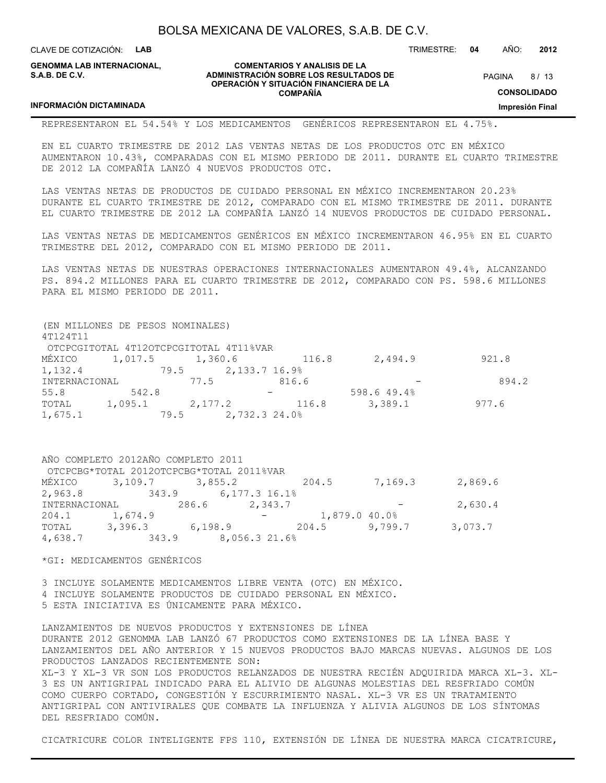CLAVE DE COTIZACIÓN: **LAB**

**INFORMACIÓN DICTAMINADA**

**GENOMMA LAB INTERNACIONAL, S.A.B. DE C.V.**

#### **COMENTARIOS Y ANALISIS DE LA ADMINISTRACIÓN SOBRE LOS RESULTADOS DE OPERACIÓN Y SITUACIÓN FINANCIERA DE LA COMPAÑÍA**

 $8/13$ **PAGINA** 

TRIMESTRE: **04** AÑO: **2012**

**CONSOLIDADO**

**Impresión Final**

REPRESENTARON EL 54.54% Y LOS MEDICAMENTOS GENÉRICOS REPRESENTARON EL 4.75%.

EN EL CUARTO TRIMESTRE DE 2012 LAS VENTAS NETAS DE LOS PRODUCTOS OTC EN MÉXICO AUMENTARON 10.43%, COMPARADAS CON EL MISMO PERIODO DE 2011. DURANTE EL CUARTO TRIMESTRE DE 2012 LA COMPAÑÍA LANZÓ 4 NUEVOS PRODUCTOS OTC.

LAS VENTAS NETAS DE PRODUCTOS DE CUIDADO PERSONAL EN MÉXICO INCREMENTARON 20.23% DURANTE EL CUARTO TRIMESTRE DE 2012, COMPARADO CON EL MISMO TRIMESTRE DE 2011. DURANTE EL CUARTO TRIMESTRE DE 2012 LA COMPAÑÍA LANZÓ 14 NUEVOS PRODUCTOS DE CUIDADO PERSONAL.

LAS VENTAS NETAS DE MEDICAMENTOS GENÉRICOS EN MÉXICO INCREMENTARON 46.95% EN EL CUARTO TRIMESTRE DEL 2012, COMPARADO CON EL MISMO PERIODO DE 2011.

LAS VENTAS NETAS DE NUESTRAS OPERACIONES INTERNACIONALES AUMENTARON 49.4%, ALCANZANDO PS. 894.2 MILLONES PARA EL CUARTO TRIMESTRE DE 2012, COMPARADO CON PS. 598.6 MILLONES PARA EL MISMO PERIODO DE 2011.

(EN MILLONES DE PESOS NOMINALES) 4T124T11 OTCPCGITOTAL 4T12OTCPCGITOTAL 4T11%VAR MÉXICO 1,017.5 1,360.6 116.8 2,494.9 921.8 1,132.4 79.5 2,133.7 16.9% INTERNACIONAL 77.5 816.6 - 894.2 55.8 542.8 - 598.6 49.4% TOTAL 1,095.1 2,177.2 116.8 3,389.1 977.6 1,675.1 79.5 2,732.3 24.0%

|               | AÑO COMPLETO 2012AÑO COMPLETO 2011       |                     |  |               |         |
|---------------|------------------------------------------|---------------------|--|---------------|---------|
|               | OTCPCBG*TOTAL 2012OTCPCBG*TOTAL 2011%VAR |                     |  |               |         |
|               | MÉXICO 3,109.7 3,855.2 204.5             |                     |  | 7,169.3       | 2,869.6 |
| 2,963.8       |                                          | 343.9 6,177.3 16.1% |  |               |         |
| INTERNACIONAL |                                          | 286.6 2,343.7       |  |               | 2,630.4 |
| 204.1 1,674.9 |                                          |                     |  | 1,879.0 40.0% |         |
|               | TOTAL 3,396.3 6,198.9 204.5              |                     |  | 9,799.7       | 3,073.7 |
| 4,638.7       |                                          | 343.9 8,056.3 21.6% |  |               |         |

\*GI: MEDICAMENTOS GENÉRICOS

3 INCLUYE SOLAMENTE MEDICAMENTOS LIBRE VENTA (OTC) EN MÉXICO. 4 INCLUYE SOLAMENTE PRODUCTOS DE CUIDADO PERSONAL EN MÉXICO. 5 ESTA INICIATIVA ES ÚNICAMENTE PARA MÉXICO.

LANZAMIENTOS DE NUEVOS PRODUCTOS Y EXTENSIONES DE LÍNEA DURANTE 2012 GENOMMA LAB LANZÓ 67 PRODUCTOS COMO EXTENSIONES DE LA LÍNEA BASE Y LANZAMIENTOS DEL AÑO ANTERIOR Y 15 NUEVOS PRODUCTOS BAJO MARCAS NUEVAS. ALGUNOS DE LOS PRODUCTOS LANZADOS RECIENTEMENTE SON: XL-3 Y XL-3 VR SON LOS PRODUCTOS RELANZADOS DE NUESTRA RECIÉN ADQUIRIDA MARCA XL-3. XL-3 ES UN ANTIGRIPAL INDICADO PARA EL ALIVIO DE ALGUNAS MOLESTIAS DEL RESFRIADO COMÚN COMO CUERPO CORTADO, CONGESTIÓN Y ESCURRIMIENTO NASAL. XL-3 VR ES UN TRATAMIENTO ANTIGRIPAL CON ANTIVIRALES QUE COMBATE LA INFLUENZA Y ALIVIA ALGUNOS DE LOS SÍNTOMAS DEL RESFRIADO COMÚN.

CICATRICURE COLOR INTELIGENTE FPS 110, EXTENSIÓN DE LÍNEA DE NUESTRA MARCA CICATRICURE,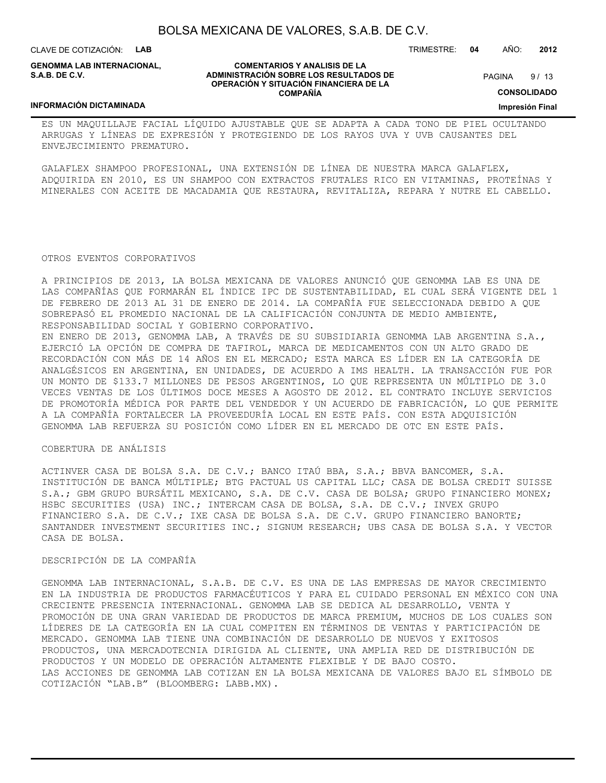CLAVE DE COTIZACIÓN: **LAB**

**INFORMACIÓN DICTAMINADA**

**GENOMMA LAB INTERNACIONAL, S.A.B. DE C.V.**

#### **COMENTARIOS Y ANALISIS DE LA ADMINISTRACIÓN SOBRE LOS RESULTADOS DE OPERACIÓN Y SITUACIÓN FINANCIERA DE LA COMPAÑÍA**

 $9/13$ **PAGINA** 

**CONSOLIDADO**

**Impresión Final**

#### ES UN MAQUILLAJE FACIAL LÍQUIDO AJUSTABLE QUE SE ADAPTA A CADA TONO DE PIEL OCULTANDO ARRUGAS Y LÍNEAS DE EXPRESIÓN Y PROTEGIENDO DE LOS RAYOS UVA Y UVB CAUSANTES DEL ENVEJECIMIENTO PREMATURO.

GALAFLEX SHAMPOO PROFESIONAL, UNA EXTENSIÓN DE LÍNEA DE NUESTRA MARCA GALAFLEX, ADQUIRIDA EN 2010, ES UN SHAMPOO CON EXTRACTOS FRUTALES RICO EN VITAMINAS, PROTEÍNAS Y MINERALES CON ACEITE DE MACADAMIA QUE RESTAURA, REVITALIZA, REPARA Y NUTRE EL CABELLO.

#### OTROS EVENTOS CORPORATIVOS

A PRINCIPIOS DE 2013, LA BOLSA MEXICANA DE VALORES ANUNCIÓ QUE GENOMMA LAB ES UNA DE LAS COMPAÑÍAS QUE FORMARÁN EL ÍNDICE IPC DE SUSTENTABILIDAD, EL CUAL SERÁ VIGENTE DEL 1 DE FEBRERO DE 2013 AL 31 DE ENERO DE 2014. LA COMPAÑÍA FUE SELECCIONADA DEBIDO A QUE SOBREPASÓ EL PROMEDIO NACIONAL DE LA CALIFICACIÓN CONJUNTA DE MEDIO AMBIENTE, RESPONSABILIDAD SOCIAL Y GOBIERNO CORPORATIVO.

EN ENERO DE 2013, GENOMMA LAB, A TRAVÉS DE SU SUBSIDIARIA GENOMMA LAB ARGENTINA S.A., EJERCIÓ LA OPCIÓN DE COMPRA DE TAFIROL, MARCA DE MEDICAMENTOS CON UN ALTO GRADO DE RECORDACIÓN CON MÁS DE 14 AÑOS EN EL MERCADO; ESTA MARCA ES LÍDER EN LA CATEGORÍA DE ANALGÉSICOS EN ARGENTINA, EN UNIDADES, DE ACUERDO A IMS HEALTH. LA TRANSACCIÓN FUE POR UN MONTO DE \$133.7 MILLONES DE PESOS ARGENTINOS, LO QUE REPRESENTA UN MÚLTIPLO DE 3.0 VECES VENTAS DE LOS ÚLTIMOS DOCE MESES A AGOSTO DE 2012. EL CONTRATO INCLUYE SERVICIOS DE PROMOTORÍA MÉDICA POR PARTE DEL VENDEDOR Y UN ACUERDO DE FABRICACIÓN, LO QUE PERMITE A LA COMPAÑÍA FORTALECER LA PROVEEDURÍA LOCAL EN ESTE PAÍS. CON ESTA ADQUISICIÓN GENOMMA LAB REFUERZA SU POSICIÓN COMO LÍDER EN EL MERCADO DE OTC EN ESTE PAÍS.

#### COBERTURA DE ANÁLISIS

ACTINVER CASA DE BOLSA S.A. DE C.V.; BANCO ITAÚ BBA, S.A.; BBVA BANCOMER, S.A. INSTITUCIÓN DE BANCA MÚLTIPLE; BTG PACTUAL US CAPITAL LLC; CASA DE BOLSA CREDIT SUISSE S.A.; GBM GRUPO BURSÁTIL MEXICANO, S.A. DE C.V. CASA DE BOLSA; GRUPO FINANCIERO MONEX; HSBC SECURITIES (USA) INC.; INTERCAM CASA DE BOLSA, S.A. DE C.V.; INVEX GRUPO FINANCIERO S.A. DE C.V.; IXE CASA DE BOLSA S.A. DE C.V. GRUPO FINANCIERO BANORTE; SANTANDER INVESTMENT SECURITIES INC.; SIGNUM RESEARCH; UBS CASA DE BOLSA S.A. Y VECTOR CASA DE BOLSA.

#### DESCRIPCIÓN DE LA COMPAÑÍA

GENOMMA LAB INTERNACIONAL, S.A.B. DE C.V. ES UNA DE LAS EMPRESAS DE MAYOR CRECIMIENTO EN LA INDUSTRIA DE PRODUCTOS FARMACÉUTICOS Y PARA EL CUIDADO PERSONAL EN MÉXICO CON UNA CRECIENTE PRESENCIA INTERNACIONAL. GENOMMA LAB SE DEDICA AL DESARROLLO, VENTA Y PROMOCIÓN DE UNA GRAN VARIEDAD DE PRODUCTOS DE MARCA PREMIUM, MUCHOS DE LOS CUALES SON LÍDERES DE LA CATEGORÍA EN LA CUAL COMPITEN EN TÉRMINOS DE VENTAS Y PARTICIPACIÓN DE MERCADO. GENOMMA LAB TIENE UNA COMBINACIÓN DE DESARROLLO DE NUEVOS Y EXITOSOS PRODUCTOS, UNA MERCADOTECNIA DIRIGIDA AL CLIENTE, UNA AMPLIA RED DE DISTRIBUCIÓN DE PRODUCTOS Y UN MODELO DE OPERACIÓN ALTAMENTE FLEXIBLE Y DE BAJO COSTO. LAS ACCIONES DE GENOMMA LAB COTIZAN EN LA BOLSA MEXICANA DE VALORES BAJO EL SÍMBOLO DE COTIZACIÓN "LAB.B" (BLOOMBERG: LABB.MX).

TRIMESTRE: **04** AÑO: **2012**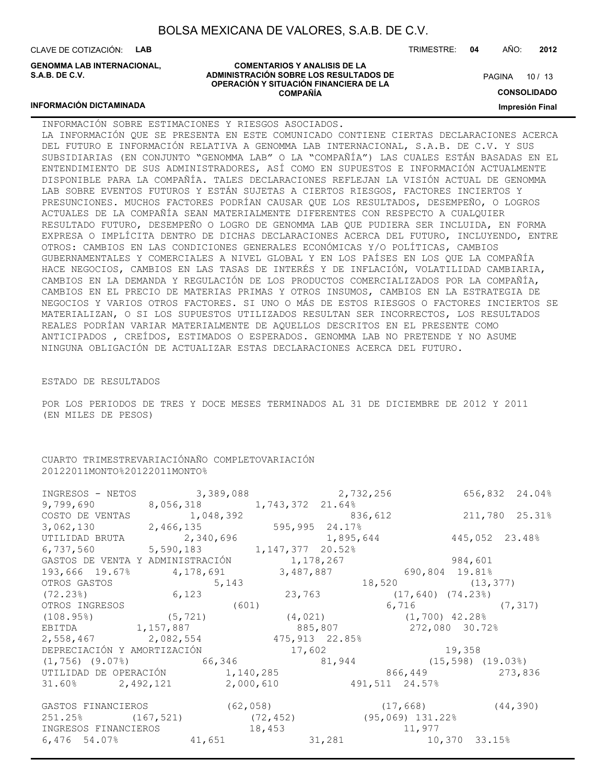CLAVE DE COTIZACIÓN: **LAB**

**GENOMMA LAB INTERNACIONAL, S.A.B. DE C.V.**

#### **COMENTARIOS Y ANALISIS DE LA ADMINISTRACIÓN SOBRE LOS RESULTADOS DE OPERACIÓN Y SITUACIÓN FINANCIERA DE LA COMPAÑÍA**

TRIMESTRE: **04** AÑO: **2012**

PAGINA 10 / 13

**CONSOLIDADO**

**Impresión Final**

#### **INFORMACIÓN DICTAMINADA**

INFORMACIÓN SOBRE ESTIMACIONES Y RIESGOS ASOCIADOS. LA INFORMACIÓN QUE SE PRESENTA EN ESTE COMUNICADO CONTIENE CIERTAS DECLARACIONES ACERCA DEL FUTURO E INFORMACIÓN RELATIVA A GENOMMA LAB INTERNACIONAL, S.A.B. DE C.V. Y SUS SUBSIDIARIAS (EN CONJUNTO "GENOMMA LAB" O LA "COMPAÑÍA") LAS CUALES ESTÁN BASADAS EN EL ENTENDIMIENTO DE SUS ADMINISTRADORES, ASÍ COMO EN SUPUESTOS E INFORMACIÓN ACTUALMENTE DISPONIBLE PARA LA COMPAÑÍA. TALES DECLARACIONES REFLEJAN LA VISIÓN ACTUAL DE GENOMMA LAB SOBRE EVENTOS FUTUROS Y ESTÁN SUJETAS A CIERTOS RIESGOS, FACTORES INCIERTOS Y PRESUNCIONES. MUCHOS FACTORES PODRÍAN CAUSAR QUE LOS RESULTADOS, DESEMPEÑO, O LOGROS ACTUALES DE LA COMPAÑÍA SEAN MATERIALMENTE DIFERENTES CON RESPECTO A CUALQUIER RESULTADO FUTURO, DESEMPEÑO O LOGRO DE GENOMMA LAB QUE PUDIERA SER INCLUIDA, EN FORMA EXPRESA O IMPLÍCITA DENTRO DE DICHAS DECLARACIONES ACERCA DEL FUTURO, INCLUYENDO, ENTRE OTROS: CAMBIOS EN LAS CONDICIONES GENERALES ECONÓMICAS Y/O POLÍTICAS, CAMBIOS GUBERNAMENTALES Y COMERCIALES A NIVEL GLOBAL Y EN LOS PAÍSES EN LOS QUE LA COMPAÑÍA HACE NEGOCIOS, CAMBIOS EN LAS TASAS DE INTERÉS Y DE INFLACIÓN, VOLATILIDAD CAMBIARIA, CAMBIOS EN LA DEMANDA Y REGULACIÓN DE LOS PRODUCTOS COMERCIALIZADOS POR LA COMPAÑÍA, CAMBIOS EN EL PRECIO DE MATERIAS PRIMAS Y OTROS INSUMOS, CAMBIOS EN LA ESTRATEGIA DE NEGOCIOS Y VARIOS OTROS FACTORES. SI UNO O MÁS DE ESTOS RIESGOS O FACTORES INCIERTOS SE MATERIALIZAN, O SI LOS SUPUESTOS UTILIZADOS RESULTAN SER INCORRECTOS, LOS RESULTADOS REALES PODRÍAN VARIAR MATERIALMENTE DE AQUELLOS DESCRITOS EN EL PRESENTE COMO ANTICIPADOS , CREÍDOS, ESTIMADOS O ESPERADOS. GENOMMA LAB NO PRETENDE Y NO ASUME NINGUNA OBLIGACIÓN DE ACTUALIZAR ESTAS DECLARACIONES ACERCA DEL FUTURO.

#### ESTADO DE RESULTADOS

POR LOS PERIODOS DE TRES Y DOCE MESES TERMINADOS AL 31 DE DICIEMBRE DE 2012 Y 2011 (EN MILES DE PESOS)

#### CUARTO TRIMESTREVARIACIÓNAÑO COMPLETOVARIACIÓN 20122011MONTO%20122011MONTO%

|                                        | INGRESOS - NETOS 3,389,088 2,732,256                                              | 656,832 24.04%                                                                        |
|----------------------------------------|-----------------------------------------------------------------------------------|---------------------------------------------------------------------------------------|
| $9,799,690$ 8,056,318 1,743,372 21.64% |                                                                                   |                                                                                       |
|                                        |                                                                                   |                                                                                       |
|                                        |                                                                                   | COSTO DE VENTAS $1,048,392$<br>3,062,130 25.31%<br>3,062,130 2,466,135 595,995 24.17% |
|                                        | UTILIDAD BRUTA 2,340,696 1,895,644                                                | 445,052 23.48%                                                                        |
| 6,737,560 5,590,183 1,147,377 20.52%   |                                                                                   |                                                                                       |
|                                        | GASTOS DE VENTA Y ADMINISTRACIÓN 1,178,267                                        | 984,601                                                                               |
|                                        | $193,666$ $19.67\%$ 4, 178, 691 3, 487, 887 690, 804 19.81%                       |                                                                                       |
| OTROS GASTOS 5,143<br>(72.23%) 6,123   |                                                                                   | $18,520$ (13,377)                                                                     |
|                                        | 23,763 (17,640) (74.23%)                                                          |                                                                                       |
| OTROS INGRESOS (601)                   |                                                                                   | $6,716$ (7,317)                                                                       |
|                                        | $(108.95)$ $(5,721)$ $(4,021)$ $(1,700)$ 42.28%                                   |                                                                                       |
|                                        | EBITDA 1,157,887 885,807 272,080 30.72%                                           |                                                                                       |
| 2,558,467 2,082,554 475,913 22.85%     |                                                                                   |                                                                                       |
|                                        | DEPRECIACIÓN Y AMORTIZACIÓN 17,602 19,358                                         |                                                                                       |
|                                        | $(1, 756)$ $(9.07\%)$ 66,346 81,944 (15,598) (19.03%)                             |                                                                                       |
|                                        |                                                                                   | UTILIDAD DE OPERACIÓN 1,140,285 866,449 273,836                                       |
|                                        | $31.60\%$ 2,492,121 2,000,610 491,511 24.57%                                      |                                                                                       |
|                                        |                                                                                   | GASTOS FINANCIEROS (62,058) (62,058) (17,668) (44,390)                                |
|                                        |                                                                                   |                                                                                       |
|                                        | 251.25% (167,521) (72,452) (95,069) 131.22%<br>INGRESOS FINANCIEROS 18,453 11,977 |                                                                                       |
|                                        | 6,476 54.07% 41,651 31,281 10,370 33.15%                                          |                                                                                       |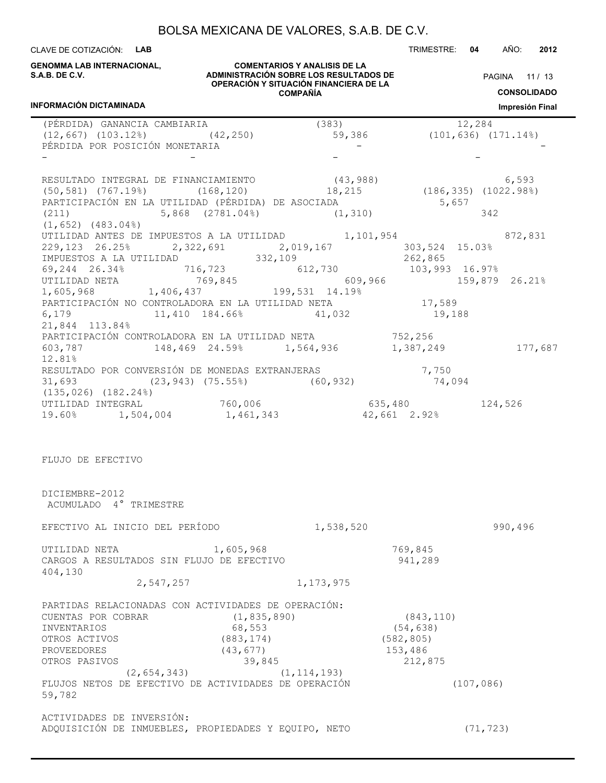CLAVE DE COTIZACIÓN: **LAB** TRIMESTRE: **04** AÑO: **2012**

**GENOMMA LAB INTERNACIONAL, S.A.B. DE C.V.**

**INFORMACIÓN DICTAMINADA**

**COMENTARIOS Y ANALISIS DE LA ADMINISTRACIÓN SOBRE LOS RESULTADOS DE OPERACIÓN Y SITUACIÓN FINANCIERA DE LA COMPAÑÍA**

PAGINA 11 / 13 **CONSOLIDADO**

**Impresión Final**

| (PÉRDIDA) GANANCIA CAMBIARIA        |                                                                                                   | (383)         |                    | 12,284                        |
|-------------------------------------|---------------------------------------------------------------------------------------------------|---------------|--------------------|-------------------------------|
|                                     | $(12, 667)$ $(103.12)$ $(42, 250)$                                                                | 59,386        |                    | $(101, 636)$ $(171.14\%)$     |
|                                     | PÉRDIDA POR POSICIÓN MONETARIA                                                                    |               |                    |                               |
|                                     |                                                                                                   |               |                    |                               |
|                                     | RESULTADO INTEGRAL DE FINANCIAMIENTO (43,988)                                                     |               |                    |                               |
|                                     | $(50, 581)$ $(767.19)$ $(168, 120)$ $18, 215$                                                     |               |                    | 6,593<br>(186,335) (1022.98%) |
|                                     | PARTICIPACIÓN EN LA UTILIDAD (PÉRDIDA) DE ASOCIADA 65,657                                         |               |                    |                               |
|                                     | (211) $5,868$ (2781.04%) $(1,310)$                                                                |               |                    | 342                           |
| $(1, 652)$ $(483.04)$               |                                                                                                   |               |                    |                               |
|                                     | UTILIDAD ANTES DE IMPUESTOS A LA UTILIDAD $1,101,954$ 872,831                                     |               |                    |                               |
|                                     | 229,123 26.25% 2,322,691 2,019,167 303,524 15.03%                                                 |               |                    |                               |
|                                     | IMPUESTOS A LA UTILIDAD 332,109 262,865                                                           |               |                    |                               |
|                                     | $69,244$ 26.34% 716,723 612,730 103,993 16.97%                                                    |               |                    |                               |
|                                     |                                                                                                   | 609,966       |                    | 159,879 26.21%                |
|                                     | UTILIDAD NETA $769,845$ 609,96<br>1,605,968 1,406,437 199,531 14.19%                              |               |                    |                               |
|                                     | PARTICIPACIÓN NO CONTROLADORA EN LA UTILIDAD NETA                                                 |               | 17,589             |                               |
|                                     | 6,179 11,410 184.66% 41,032                                                                       |               | 19,188             |                               |
| 21,844 113.84%                      |                                                                                                   |               |                    |                               |
|                                     | PARTICIPACIÓN CONTROLADORA EN LA UTILIDAD NETA $752,256$                                          |               |                    |                               |
|                                     | 603,787 148,469 24.59% 1,564,936 1,387,249 177,687                                                |               |                    |                               |
| 12.81%                              |                                                                                                   |               |                    |                               |
|                                     |                                                                                                   |               | 7,750              |                               |
|                                     | RESULTADO POR CONVERSIÓN DE MONEDAS EXTRANJERAS 7,750<br>31,693 (23,943) (75.55%) (60,932) 74,094 |               |                    |                               |
| $(135, 026)$ $(182.24\%)$           |                                                                                                   |               |                    |                               |
| UTILIDAD INTEGRAL                   | 760,006                                                                                           |               | 635,480 124,526    |                               |
| 19.60% 1,504,004                    |                                                                                                   | 1,461,343     | 42,661 2.92%       |                               |
| FLUJO DE EFECTIVO<br>DICIEMBRE-2012 |                                                                                                   |               |                    |                               |
| ACUMULADO 4° TRIMESTRE              |                                                                                                   |               |                    |                               |
|                                     | EFECTIVO AL INICIO DEL PERÍODO                                                                    | 1,538,520     |                    | 990,496                       |
|                                     |                                                                                                   |               |                    |                               |
| UTILIDAD NETA<br>404,130            | 1,605,968<br>CARGOS A RESULTADOS SIN FLUJO DE EFECTIVO                                            |               | 769,845<br>941,289 |                               |
|                                     | 2,547,257                                                                                         | 1, 173, 975   |                    |                               |
|                                     | PARTIDAS RELACIONADAS CON ACTIVIDADES DE OPERACIÓN:                                               |               |                    |                               |
| CUENTAS POR COBRAR                  |                                                                                                   | (1, 835, 890) | (843, 110)         |                               |
| INVENTARIOS                         | 68,553                                                                                            |               | (54, 638)          |                               |
| OTROS ACTIVOS                       | (883, 174)                                                                                        |               | (582, 805)         |                               |
| PROVEEDORES                         | (43, 677)                                                                                         |               | 153,486            |                               |
| OTROS PASIVOS                       |                                                                                                   | 39,845        | 212,875            |                               |
|                                     | (2, 654, 343)                                                                                     | (1, 114, 193) |                    |                               |
|                                     | FLUJOS NETOS DE EFECTIVO DE ACTIVIDADES DE OPERACIÓN                                              |               |                    | (107, 086)                    |
| 59,782                              |                                                                                                   |               |                    |                               |
| ACTIVIDADES DE INVERSIÓN:           |                                                                                                   |               |                    |                               |
|                                     | ADQUISICIÓN DE INMUEBLES, PROPIEDADES Y EQUIPO, NETO                                              |               |                    | (71, 723)                     |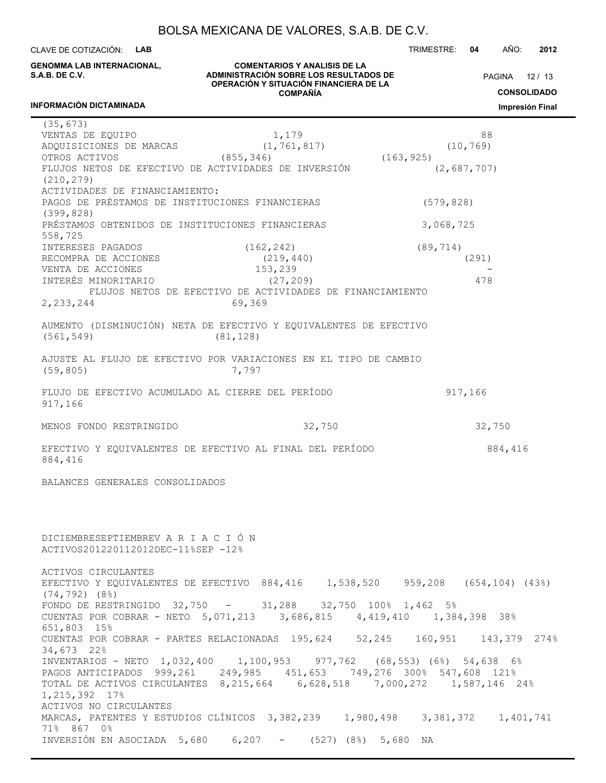**ADMINISTRACIÓN SOBRE LOS RESULTADOS DE** CLAVE DE COTIZACIÓN: **LAB GENOMMA LAB INTERNACIONAL, S.A.B. DE C.V.**

TRIMESTRE: **04** AÑO: **2012**

PAGINA 12 / 13

**OPERACIÓN Y SITUACIÓN FINANCIERA DE LA COMPAÑÍA**

**COMENTARIOS Y ANALISIS DE LA**

**CONSOLIDADO Impresión Final**

#### **INFORMACIÓN DICTAMINADA**

L.

| (35, 673)                                                         |                                                           |                                                                               |
|-------------------------------------------------------------------|-----------------------------------------------------------|-------------------------------------------------------------------------------|
| VENTAS DE EQUIPO                                                  | 1,179                                                     | 88                                                                            |
| ADQUISICIONES DE MARCAS                                           | (1, 761, 817)                                             | (10, 769)                                                                     |
| OTROS ACTIVOS                                                     | (855, 346)                                                | (163, 925)                                                                    |
| FLUJOS NETOS DE EFECTIVO DE ACTIVIDADES DE INVERSIÓN              |                                                           |                                                                               |
|                                                                   |                                                           | (2,687,707)                                                                   |
| (210, 279)                                                        |                                                           |                                                                               |
| ACTIVIDADES DE FINANCIAMIENTO:                                    |                                                           |                                                                               |
| PAGOS DE PRÉSTAMOS DE INSTITUCIONES FINANCIERAS                   |                                                           | (579, 828)                                                                    |
| (399, 828)                                                        |                                                           |                                                                               |
| PRÉSTAMOS OBTENIDOS DE INSTITUCIONES FINANCIERAS                  |                                                           |                                                                               |
|                                                                   |                                                           | 3,068,725                                                                     |
| 558,725                                                           |                                                           |                                                                               |
| INTERESES PAGADOS                                                 | (162, 242)                                                | (89, 714)                                                                     |
| RECOMPRA DE ACCIONES                                              | (219, 440)                                                | (291)                                                                         |
| VENTA DE ACCIONES                                                 | 153,239                                                   |                                                                               |
|                                                                   |                                                           |                                                                               |
| INTERÉS MINORITARIO                                               | (27, 209)                                                 | 478                                                                           |
|                                                                   | FLUJOS NETOS DE EFECTIVO DE ACTIVIDADES DE FINANCIAMIENTO |                                                                               |
| 2,233,244                                                         | 69,369                                                    |                                                                               |
|                                                                   |                                                           |                                                                               |
| AUMENTO (DISMINUCIÓN) NETA DE EFECTIVO Y EQUIVALENTES DE EFECTIVO |                                                           |                                                                               |
|                                                                   |                                                           |                                                                               |
| (561, 549)                                                        | (81, 128)                                                 |                                                                               |
|                                                                   |                                                           |                                                                               |
| AJUSTE AL FLUJO DE EFECTIVO POR VARIACIONES EN EL TIPO DE CAMBIO  |                                                           |                                                                               |
| (59, 805)                                                         | 7,797                                                     |                                                                               |
|                                                                   |                                                           |                                                                               |
|                                                                   |                                                           |                                                                               |
| FLUJO DE EFECTIVO ACUMULADO AL CIERRE DEL PERÍODO                 |                                                           | 917,166                                                                       |
| 917,166                                                           |                                                           |                                                                               |
|                                                                   |                                                           |                                                                               |
| MENOS FONDO RESTRINGIDO                                           | 32,750                                                    | 32,750                                                                        |
|                                                                   |                                                           |                                                                               |
|                                                                   |                                                           |                                                                               |
| EFECTIVO Y EQUIVALENTES DE EFECTIVO AL FINAL DEL PERÍODO          |                                                           | 884,416                                                                       |
| 884,416                                                           |                                                           |                                                                               |
|                                                                   |                                                           |                                                                               |
| BALANCES GENERALES CONSOLIDADOS                                   |                                                           |                                                                               |
|                                                                   |                                                           |                                                                               |
|                                                                   |                                                           |                                                                               |
|                                                                   |                                                           |                                                                               |
|                                                                   |                                                           |                                                                               |
|                                                                   |                                                           |                                                                               |
| DICIEMBRESEPTIEMBREV A R I A C I Ó N                              |                                                           |                                                                               |
|                                                                   |                                                           |                                                                               |
| ACTIVOS201220112012DEC-11%SEP -12%                                |                                                           |                                                                               |
|                                                                   |                                                           |                                                                               |
| ACTIVOS CIRCULANTES                                               |                                                           |                                                                               |
|                                                                   |                                                           | EFECTIVO Y EQUIVALENTES DE EFECTIVO 884,416 1,538,520 959,208 (654,104) (43%) |
|                                                                   |                                                           |                                                                               |
| $(74, 792)$ $(8\%)$                                               |                                                           |                                                                               |
| FONDO DE RESTRINGIDO $32,750$ - $31,288$ $32,750$ 100% 1,462 5%   |                                                           |                                                                               |
|                                                                   |                                                           | CUENTAS POR COBRAR - NETO 5,071,213 3,686,815 4,419,410 1,384,398 38%         |
| 651,803 15%                                                       |                                                           |                                                                               |
|                                                                   |                                                           |                                                                               |
|                                                                   |                                                           | CUENTAS POR COBRAR - PARTES RELACIONADAS 195,624 52,245 160,951 143,379 274%  |
| 34,673 22%                                                        |                                                           |                                                                               |
|                                                                   |                                                           | INVENTARIOS - NETO 1,032,400 1,100,953 977,762 (68,553) (6%) 54,638 6%        |
|                                                                   |                                                           | PAGOS ANTICIPADOS 999,261 249,985 451,653 749,276 300% 547,608 121%           |
|                                                                   |                                                           |                                                                               |
|                                                                   |                                                           | TOTAL DE ACTIVOS CIRCULANTES 8,215,664 6,628,518 7,000,272 1,587,146 24%      |
| 1,215,392 17%                                                     |                                                           |                                                                               |
| ACTIVOS NO CIRCULANTES                                            |                                                           |                                                                               |
|                                                                   |                                                           | MARCAS, PATENTES Y ESTUDIOS CLÍNICOS 3,382,239 1,980,498 3,381,372 1,401,741  |
| 71% 867 0%                                                        |                                                           |                                                                               |
|                                                                   |                                                           |                                                                               |
| INVERSIÓN EN ASOCIADA 5,680 6,207 - (527) (8%) 5,680 NA           |                                                           |                                                                               |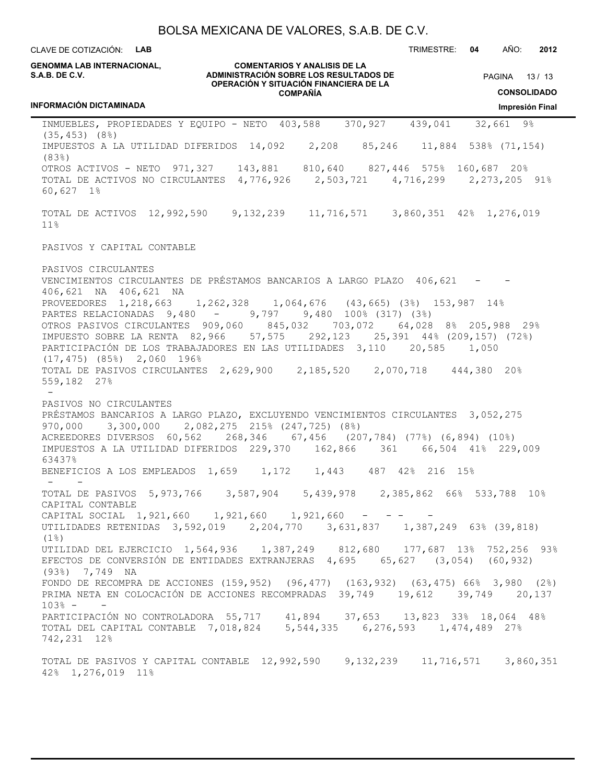CLAVE DE COTIZACIÓN: **LAB**

TRIMESTRE: **04** AÑO: **2012**

#### **COMENTARIOS Y ANALISIS DE LA ADMINISTRACIÓN SOBRE LOS RESULTADOS DE OPERACIÓN Y SITUACIÓN FINANCIERA DE LA COMPAÑÍA** PAGINA 13 / 13 **CONSOLIDADO Impresión Final GENOMMA LAB INTERNACIONAL, S.A.B. DE C.V. INFORMACIÓN DICTAMINADA** INMUEBLES, PROPIEDADES Y EQUIPO - NETO 403,588 370,927 439,041 32,661 9% (35,453) (8%) IMPUESTOS A LA UTILIDAD DIFERIDOS 14,092 2,208 85,246 11,884 538% (71,154) (83%) OTROS ACTIVOS - NETO 971,327 143,881 810,640 827,446 575% 160,687 20% TOTAL DE ACTIVOS NO CIRCULANTES 4,776,926 2,503,721 4,716,299 2,273,205 91% 60,627 1% TOTAL DE ACTIVOS 12,992,590 9,132,239 11,716,571 3,860,351 42% 1,276,019 11% PASIVOS Y CAPITAL CONTABLE PASIVOS CIRCULANTES VENCIMIENTOS CIRCULANTES DE PRÉSTAMOS BANCARIOS A LARGO PLAZO 406,621 - - 406,621 NA 406,621 NA PROVEEDORES 1,218,663 1,262,328 1,064,676 (43,665) (3%) 153,987 14% PARTES RELACIONADAS 9,480 - 9,797 9,480 100% (317) (3%) OTROS PASIVOS CIRCULANTES 909,060 845,032 703,072 64,028 8% 205,988 29% IMPUESTO SOBRE LA RENTA 82,966 57,575 292,123 25,391 44% (209,157) (72%) PARTICIPACIÓN DE LOS TRABAJADORES EN LAS UTILIDADES 3,110 20,585 1,050 (17,475) (85%) 2,060 196% TOTAL DE PASIVOS CIRCULANTES 2,629,900 2,185,520 2,070,718 444,380 20% 559,182 27% - PASIVOS NO CIRCULANTES PRÉSTAMOS BANCARIOS A LARGO PLAZO, EXCLUYENDO VENCIMIENTOS CIRCULANTES 3,052,275 970,000 3,300,000 2,082,275 215% (247,725) (8%) ACREEDORES DIVERSOS 60,562 268,346 67,456 (207,784) (77%) (6,894) (10%)<br>IMPUESTOS A LA UTILIDAD DIFERIDOS 229,370 162,866 361 66,504 41% 229,009 IMPUESTOS A LA UTILIDAD DIFERIDOS 229,370 162,866 361 63437% BENEFICIOS A LOS EMPLEADOS 1,659 1,172 1,443 487 42% 216 15% - - TOTAL DE PASIVOS 5,973,766 3,587,904 5,439,978 2,385,862 66% 533,788 10% CAPITAL CONTABLE CAPITAL SOCIAL 1,921,660 1,921,660 1,921,660 -UTILIDADES RETENIDAS 3,592,019 2,204,770 3,631,837 1,387,249 63% (39,818)  $(1\%)$ UTILIDAD DEL EJERCICIO 1,564,936 1,387,249 812,680 177,687 13% 752,256 93% EFECTOS DE CONVERSIÓN DE ENTIDADES EXTRANJERAS 4,695 65,627 (3,054) (60,932) (93%) 7,749 NA FONDO DE RECOMPRA DE ACCIONES (159,952) (96,477) (163,932) (63,475) 66% 3,980 (2%) PRIMA NETA EN COLOCACIÓN DE ACCIONES RECOMPRADAS 39,749 19,612 39,749 20,137 103% - - PARTICIPACIÓN NO CONTROLADORA 55,717 41,894 37,653 13,823 33% 18,064 48% TOTAL DEL CAPITAL CONTABLE 7,018,824 5,544,335 6,276,593 1,474,489 27% 742,231 12% TOTAL DE PASIVOS Y CAPITAL CONTABLE 12,992,590 9,132,239 11,716,571 3,860,351 42% 1,276,019 11%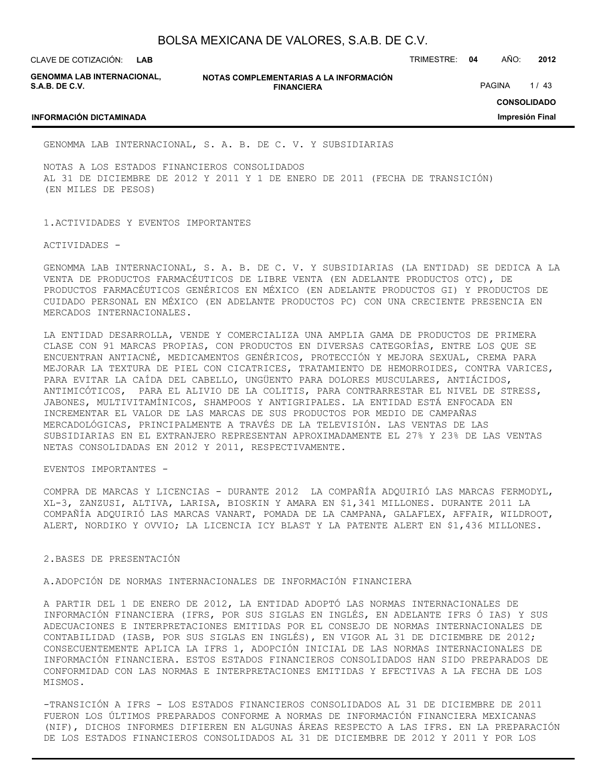**LAB**

**GENOMMA LAB INTERNACIONAL, S.A.B. DE C.V.**

**NOTAS COMPLEMENTARIAS A LA INFORMACIÓN FINANCIERA**

CLAVE DE COTIZACIÓN: TRIMESTRE: **04** AÑO: **2012**

PAGINA 1/43

#### **INFORMACIÓN DICTAMINADA**

**CONSOLIDADO Impresión Final**

GENOMMA LAB INTERNACIONAL, S. A. B. DE C. V. Y SUBSIDIARIAS

NOTAS A LOS ESTADOS FINANCIEROS CONSOLIDADOS AL 31 DE DICIEMBRE DE 2012 Y 2011 Y 1 DE ENERO DE 2011 (FECHA DE TRANSICIÓN) (EN MILES DE PESOS)

1.ACTIVIDADES Y EVENTOS IMPORTANTES

ACTIVIDADES -

GENOMMA LAB INTERNACIONAL, S. A. B. DE C. V. Y SUBSIDIARIAS (LA ENTIDAD) SE DEDICA A LA VENTA DE PRODUCTOS FARMACÉUTICOS DE LIBRE VENTA (EN ADELANTE PRODUCTOS OTC), DE PRODUCTOS FARMACÉUTICOS GENÉRICOS EN MÉXICO (EN ADELANTE PRODUCTOS GI) Y PRODUCTOS DE CUIDADO PERSONAL EN MÉXICO (EN ADELANTE PRODUCTOS PC) CON UNA CRECIENTE PRESENCIA EN MERCADOS INTERNACIONALES.

LA ENTIDAD DESARROLLA, VENDE Y COMERCIALIZA UNA AMPLIA GAMA DE PRODUCTOS DE PRIMERA CLASE CON 91 MARCAS PROPIAS, CON PRODUCTOS EN DIVERSAS CATEGORÍAS, ENTRE LOS QUE SE ENCUENTRAN ANTIACNÉ, MEDICAMENTOS GENÉRICOS, PROTECCIÓN Y MEJORA SEXUAL, CREMA PARA MEJORAR LA TEXTURA DE PIEL CON CICATRICES, TRATAMIENTO DE HEMORROIDES, CONTRA VARICES, PARA EVITAR LA CAÍDA DEL CABELLO, UNGÜENTO PARA DOLORES MUSCULARES, ANTIÁCIDOS, ANTIMICÓTICOS, PARA EL ALIVIO DE LA COLITIS, PARA CONTRARRESTAR EL NIVEL DE STRESS, JABONES, MULTIVITAMÍNICOS, SHAMPOOS Y ANTIGRIPALES. LA ENTIDAD ESTÁ ENFOCADA EN INCREMENTAR EL VALOR DE LAS MARCAS DE SUS PRODUCTOS POR MEDIO DE CAMPAÑAS MERCADOLÓGICAS, PRINCIPALMENTE A TRAVÉS DE LA TELEVISIÓN. LAS VENTAS DE LAS SUBSIDIARIAS EN EL EXTRANJERO REPRESENTAN APROXIMADAMENTE EL 27% Y 23% DE LAS VENTAS NETAS CONSOLIDADAS EN 2012 Y 2011, RESPECTIVAMENTE.

EVENTOS IMPORTANTES -

COMPRA DE MARCAS Y LICENCIAS - DURANTE 2012 LA COMPAÑÍA ADQUIRIÓ LAS MARCAS FERMODYL, XL-3, ZANZUSI, ALTIVA, LARISA, BIOSKIN Y AMARA EN \$1,341 MILLONES. DURANTE 2011 LA COMPAÑÍA ADQUIRIÓ LAS MARCAS VANART, POMADA DE LA CAMPANA, GALAFLEX, AFFAIR, WILDROOT, ALERT, NORDIKO Y OVVIO; LA LICENCIA ICY BLAST Y LA PATENTE ALERT EN \$1,436 MILLONES.

2.BASES DE PRESENTACIÓN

A.ADOPCIÓN DE NORMAS INTERNACIONALES DE INFORMACIÓN FINANCIERA

A PARTIR DEL 1 DE ENERO DE 2012, LA ENTIDAD ADOPTÓ LAS NORMAS INTERNACIONALES DE INFORMACIÓN FINANCIERA (IFRS, POR SUS SIGLAS EN INGLÉS, EN ADELANTE IFRS Ó IAS) Y SUS ADECUACIONES E INTERPRETACIONES EMITIDAS POR EL CONSEJO DE NORMAS INTERNACIONALES DE CONTABILIDAD (IASB, POR SUS SIGLAS EN INGLÉS), EN VIGOR AL 31 DE DICIEMBRE DE 2012; CONSECUENTEMENTE APLICA LA IFRS 1, ADOPCIÓN INICIAL DE LAS NORMAS INTERNACIONALES DE INFORMACIÓN FINANCIERA. ESTOS ESTADOS FINANCIEROS CONSOLIDADOS HAN SIDO PREPARADOS DE CONFORMIDAD CON LAS NORMAS E INTERPRETACIONES EMITIDAS Y EFECTIVAS A LA FECHA DE LOS MISMOS.

-TRANSICIÓN A IFRS - LOS ESTADOS FINANCIEROS CONSOLIDADOS AL 31 DE DICIEMBRE DE 2011 FUERON LOS ÚLTIMOS PREPARADOS CONFORME A NORMAS DE INFORMACIÓN FINANCIERA MEXICANAS (NIF), DICHOS INFORMES DIFIEREN EN ALGUNAS ÁREAS RESPECTO A LAS IFRS. EN LA PREPARACIÓN DE LOS ESTADOS FINANCIEROS CONSOLIDADOS AL 31 DE DICIEMBRE DE 2012 Y 2011 Y POR LOS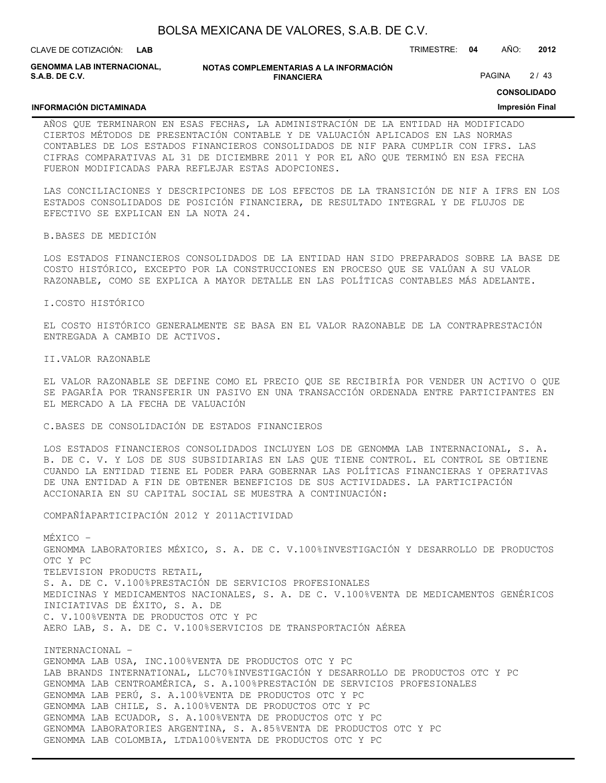| BOLSA MEXICANA DE VALORES, S.A.B. DE C.V. |  |  |
|-------------------------------------------|--|--|
|-------------------------------------------|--|--|

CLAVE DE COTIZACIÓN: TRIMESTRE: **04** AÑO: **2012 LAB**

**GENOMMA LAB INTERNACIONAL, S.A.B. DE C.V.**

**NOTAS COMPLEMENTARIAS A LA INFORMACIÓN FINANCIERA**

PAGINA 2/43

**CONSOLIDADO**

#### **INFORMACIÓN DICTAMINADA**

#### **Impresión Final**

AÑOS QUE TERMINARON EN ESAS FECHAS, LA ADMINISTRACIÓN DE LA ENTIDAD HA MODIFICADO CIERTOS MÉTODOS DE PRESENTACIÓN CONTABLE Y DE VALUACIÓN APLICADOS EN LAS NORMAS CONTABLES DE LOS ESTADOS FINANCIEROS CONSOLIDADOS DE NIF PARA CUMPLIR CON IFRS. LAS CIFRAS COMPARATIVAS AL 31 DE DICIEMBRE 2011 Y POR EL AÑO QUE TERMINÓ EN ESA FECHA FUERON MODIFICADAS PARA REFLEJAR ESTAS ADOPCIONES.

LAS CONCILIACIONES Y DESCRIPCIONES DE LOS EFECTOS DE LA TRANSICIÓN DE NIF A IFRS EN LOS ESTADOS CONSOLIDADOS DE POSICIÓN FINANCIERA, DE RESULTADO INTEGRAL Y DE FLUJOS DE EFECTIVO SE EXPLICAN EN LA NOTA 24.

#### B.BASES DE MEDICIÓN

LOS ESTADOS FINANCIEROS CONSOLIDADOS DE LA ENTIDAD HAN SIDO PREPARADOS SOBRE LA BASE DE COSTO HISTÓRICO, EXCEPTO POR LA CONSTRUCCIONES EN PROCESO QUE SE VALÚAN A SU VALOR RAZONABLE, COMO SE EXPLICA A MAYOR DETALLE EN LAS POLÍTICAS CONTABLES MÁS ADELANTE.

I.COSTO HISTÓRICO

EL COSTO HISTÓRICO GENERALMENTE SE BASA EN EL VALOR RAZONABLE DE LA CONTRAPRESTACIÓN ENTREGADA A CAMBIO DE ACTIVOS.

#### II.VALOR RAZONABLE

EL VALOR RAZONABLE SE DEFINE COMO EL PRECIO QUE SE RECIBIRÍA POR VENDER UN ACTIVO O QUE SE PAGARÍA POR TRANSFERIR UN PASIVO EN UNA TRANSACCIÓN ORDENADA ENTRE PARTICIPANTES EN EL MERCADO A LA FECHA DE VALUACIÓN

C.BASES DE CONSOLIDACIÓN DE ESTADOS FINANCIEROS

LOS ESTADOS FINANCIEROS CONSOLIDADOS INCLUYEN LOS DE GENOMMA LAB INTERNACIONAL, S. A. B. DE C. V. Y LOS DE SUS SUBSIDIARIAS EN LAS QUE TIENE CONTROL. EL CONTROL SE OBTIENE CUANDO LA ENTIDAD TIENE EL PODER PARA GOBERNAR LAS POLÍTICAS FINANCIERAS Y OPERATIVAS DE UNA ENTIDAD A FIN DE OBTENER BENEFICIOS DE SUS ACTIVIDADES. LA PARTICIPACIÓN ACCIONARIA EN SU CAPITAL SOCIAL SE MUESTRA A CONTINUACIÓN:

COMPAÑÍAPARTICIPACIÓN 2012 Y 2011ACTIVIDAD

MÉXICO – GENOMMA LABORATORIES MÉXICO, S. A. DE C. V.100%INVESTIGACIÓN Y DESARROLLO DE PRODUCTOS OTC Y PC TELEVISION PRODUCTS RETAIL, S. A. DE C. V.100%PRESTACIÓN DE SERVICIOS PROFESIONALES MEDICINAS Y MEDICAMENTOS NACIONALES, S. A. DE C. V.100%VENTA DE MEDICAMENTOS GENÉRICOS INICIATIVAS DE ÉXITO, S. A. DE C. V.100%VENTA DE PRODUCTOS OTC Y PC AERO LAB, S. A. DE C. V.100%SERVICIOS DE TRANSPORTACIÓN AÉREA

INTERNACIONAL – GENOMMA LAB USA, INC.100%VENTA DE PRODUCTOS OTC Y PC LAB BRANDS INTERNATIONAL, LLC70%INVESTIGACIÓN Y DESARROLLO DE PRODUCTOS OTC Y PC GENOMMA LAB CENTROAMÉRICA, S. A.100%PRESTACIÓN DE SERVICIOS PROFESIONALES GENOMMA LAB PERÚ, S. A.100%VENTA DE PRODUCTOS OTC Y PC GENOMMA LAB CHILE, S. A.100%VENTA DE PRODUCTOS OTC Y PC GENOMMA LAB ECUADOR, S. A.100%VENTA DE PRODUCTOS OTC Y PC GENOMMA LABORATORIES ARGENTINA, S. A.85%VENTA DE PRODUCTOS OTC Y PC GENOMMA LAB COLOMBIA, LTDA100%VENTA DE PRODUCTOS OTC Y PC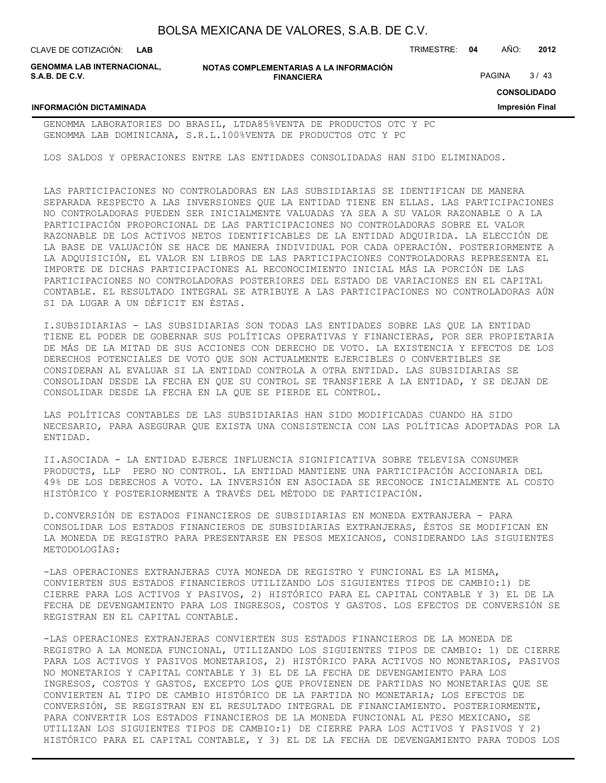| BOLSA MEXICANA DE VALORES, S.A.B. DE C.V. |  |  |
|-------------------------------------------|--|--|
|-------------------------------------------|--|--|

| CLAVE DE COTIZACIÓN: LAB                     |                                                             | TRIMESTRE: | -04 | AÑO:   | 2012               |
|----------------------------------------------|-------------------------------------------------------------|------------|-----|--------|--------------------|
| GENOMMA LAB INTERNACIONAL.<br>S.A.B. DE C.V. | NOTAS COMPLEMENTARIAS A LA INFORMACIÓN<br><b>FINANCIERA</b> |            |     | PAGINA | 3/43               |
|                                              |                                                             |            |     |        | <b>CONSOLIDADO</b> |

**Impresión Final**

#### **INFORMACIÓN DICTAMINADA**

#### GENOMMA LABORATORIES DO BRASIL, LTDA85%VENTA DE PRODUCTOS OTC Y PC GENOMMA LAB DOMINICANA, S.R.L.100%VENTA DE PRODUCTOS OTC Y PC

LOS SALDOS Y OPERACIONES ENTRE LAS ENTIDADES CONSOLIDADAS HAN SIDO ELIMINADOS.

LAS PARTICIPACIONES NO CONTROLADORAS EN LAS SUBSIDIARIAS SE IDENTIFICAN DE MANERA SEPARADA RESPECTO A LAS INVERSIONES QUE LA ENTIDAD TIENE EN ELLAS. LAS PARTICIPACIONES NO CONTROLADORAS PUEDEN SER INICIALMENTE VALUADAS YA SEA A SU VALOR RAZONABLE O A LA PARTICIPACIÓN PROPORCIONAL DE LAS PARTICIPACIONES NO CONTROLADORAS SOBRE EL VALOR RAZONABLE DE LOS ACTIVOS NETOS IDENTIFICABLES DE LA ENTIDAD ADQUIRIDA. LA ELECCIÓN DE LA BASE DE VALUACIÓN SE HACE DE MANERA INDIVIDUAL POR CADA OPERACIÓN. POSTERIORMENTE A LA ADQUISICIÓN, EL VALOR EN LIBROS DE LAS PARTICIPACIONES CONTROLADORAS REPRESENTA EL IMPORTE DE DICHAS PARTICIPACIONES AL RECONOCIMIENTO INICIAL MÁS LA PORCIÓN DE LAS PARTICIPACIONES NO CONTROLADORAS POSTERIORES DEL ESTADO DE VARIACIONES EN EL CAPITAL CONTABLE. EL RESULTADO INTEGRAL SE ATRIBUYE A LAS PARTICIPACIONES NO CONTROLADORAS AÚN SI DA LUGAR A UN DÉFICIT EN ÉSTAS.

I.SUBSIDIARIAS - LAS SUBSIDIARIAS SON TODAS LAS ENTIDADES SOBRE LAS QUE LA ENTIDAD TIENE EL PODER DE GOBERNAR SUS POLÍTICAS OPERATIVAS Y FINANCIERAS, POR SER PROPIETARIA DE MÁS DE LA MITAD DE SUS ACCIONES CON DERECHO DE VOTO. LA EXISTENCIA Y EFECTOS DE LOS DERECHOS POTENCIALES DE VOTO QUE SON ACTUALMENTE EJERCIBLES O CONVERTIBLES SE CONSIDERAN AL EVALUAR SI LA ENTIDAD CONTROLA A OTRA ENTIDAD. LAS SUBSIDIARIAS SE CONSOLIDAN DESDE LA FECHA EN QUE SU CONTROL SE TRANSFIERE A LA ENTIDAD, Y SE DEJAN DE CONSOLIDAR DESDE LA FECHA EN LA QUE SE PIERDE EL CONTROL.

LAS POLÍTICAS CONTABLES DE LAS SUBSIDIARIAS HAN SIDO MODIFICADAS CUANDO HA SIDO NECESARIO, PARA ASEGURAR QUE EXISTA UNA CONSISTENCIA CON LAS POLÍTICAS ADOPTADAS POR LA ENTIDAD.

II.ASOCIADA - LA ENTIDAD EJERCE INFLUENCIA SIGNIFICATIVA SOBRE TELEVISA CONSUMER PRODUCTS, LLP PERO NO CONTROL. LA ENTIDAD MANTIENE UNA PARTICIPACIÓN ACCIONARIA DEL 49% DE LOS DERECHOS A VOTO. LA INVERSIÓN EN ASOCIADA SE RECONOCE INICIALMENTE AL COSTO HISTÓRICO Y POSTERIORMENTE A TRAVÉS DEL MÉTODO DE PARTICIPACIÓN.

D.CONVERSIÓN DE ESTADOS FINANCIEROS DE SUBSIDIARIAS EN MONEDA EXTRANJERA - PARA CONSOLIDAR LOS ESTADOS FINANCIEROS DE SUBSIDIARIAS EXTRANJERAS, ÉSTOS SE MODIFICAN EN LA MONEDA DE REGISTRO PARA PRESENTARSE EN PESOS MEXICANOS, CONSIDERANDO LAS SIGUIENTES METODOLOGÍAS:

-LAS OPERACIONES EXTRANJERAS CUYA MONEDA DE REGISTRO Y FUNCIONAL ES LA MISMA, CONVIERTEN SUS ESTADOS FINANCIEROS UTILIZANDO LOS SIGUIENTES TIPOS DE CAMBIO:1) DE CIERRE PARA LOS ACTIVOS Y PASIVOS, 2) HISTÓRICO PARA EL CAPITAL CONTABLE Y 3) EL DE LA FECHA DE DEVENGAMIENTO PARA LOS INGRESOS, COSTOS Y GASTOS. LOS EFECTOS DE CONVERSIÓN SE REGISTRAN EN EL CAPITAL CONTABLE.

-LAS OPERACIONES EXTRANJERAS CONVIERTEN SUS ESTADOS FINANCIEROS DE LA MONEDA DE REGISTRO A LA MONEDA FUNCIONAL, UTILIZANDO LOS SIGUIENTES TIPOS DE CAMBIO: 1) DE CIERRE PARA LOS ACTIVOS Y PASIVOS MONETARIOS, 2) HISTÓRICO PARA ACTIVOS NO MONETARIOS, PASIVOS NO MONETARIOS Y CAPITAL CONTABLE Y 3) EL DE LA FECHA DE DEVENGAMIENTO PARA LOS INGRESOS, COSTOS Y GASTOS, EXCEPTO LOS QUE PROVIENEN DE PARTIDAS NO MONETARIAS QUE SE CONVIERTEN AL TIPO DE CAMBIO HISTÓRICO DE LA PARTIDA NO MONETARIA; LOS EFECTOS DE CONVERSIÓN, SE REGISTRAN EN EL RESULTADO INTEGRAL DE FINANCIAMIENTO. POSTERIORMENTE, PARA CONVERTIR LOS ESTADOS FINANCIEROS DE LA MONEDA FUNCIONAL AL PESO MEXICANO, SE UTILIZAN LOS SIGUIENTES TIPOS DE CAMBIO:1) DE CIERRE PARA LOS ACTIVOS Y PASIVOS Y 2) HISTÓRICO PARA EL CAPITAL CONTABLE, Y 3) EL DE LA FECHA DE DEVENGAMIENTO PARA TODOS LOS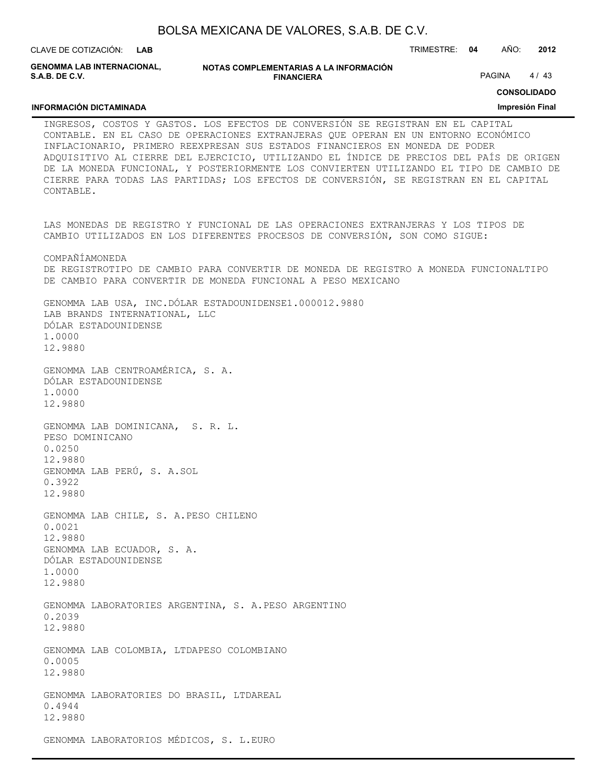BOLSA MEXICANA DE VALORES, S.A.B. DE C.V. **NOTAS COMPLEMENTARIAS A LA INFORMACIÓN FINANCIERA** CLAVE DE COTIZACIÓN: TRIMESTRE: **04** AÑO: **2012 CONSOLIDADO Impresión Final LAB GENOMMA LAB INTERNACIONAL, S.A.B. DE C.V. INFORMACIÓN DICTAMINADA** PAGINA 4/43 INGRESOS, COSTOS Y GASTOS. LOS EFECTOS DE CONVERSIÓN SE REGISTRAN EN EL CAPITAL CONTABLE. EN EL CASO DE OPERACIONES EXTRANJERAS QUE OPERAN EN UN ENTORNO ECONÓMICO INFLACIONARIO, PRIMERO REEXPRESAN SUS ESTADOS FINANCIEROS EN MONEDA DE PODER ADQUISITIVO AL CIERRE DEL EJERCICIO, UTILIZANDO EL ÍNDICE DE PRECIOS DEL PAÍS DE ORIGEN DE LA MONEDA FUNCIONAL, Y POSTERIORMENTE LOS CONVIERTEN UTILIZANDO EL TIPO DE CAMBIO DE CIERRE PARA TODAS LAS PARTIDAS; LOS EFECTOS DE CONVERSIÓN, SE REGISTRAN EN EL CAPITAL CONTABLE. LAS MONEDAS DE REGISTRO Y FUNCIONAL DE LAS OPERACIONES EXTRANJERAS Y LOS TIPOS DE CAMBIO UTILIZADOS EN LOS DIFERENTES PROCESOS DE CONVERSIÓN, SON COMO SIGUE: COMPAÑÍAMONEDA DE REGISTROTIPO DE CAMBIO PARA CONVERTIR DE MONEDA DE REGISTRO A MONEDA FUNCIONALTIPO DE CAMBIO PARA CONVERTIR DE MONEDA FUNCIONAL A PESO MEXICANO GENOMMA LAB USA, INC.DÓLAR ESTADOUNIDENSE1.000012.9880 LAB BRANDS INTERNATIONAL, LLC DÓLAR ESTADOUNIDENSE 1.0000 12.9880 GENOMMA LAB CENTROAMÉRICA, S. A. DÓLAR ESTADOUNIDENSE 1.0000 12.9880 GENOMMA LAB DOMINICANA, S. R. L. PESO DOMINICANO 0.0250 12.9880 GENOMMA LAB PERÚ, S. A.SOL 0.3922 12.9880

GENOMMA LAB CHILE, S. A.PESO CHILENO 0.0021 12.9880 GENOMMA LAB ECUADOR, S. A. DÓLAR ESTADOUNIDENSE 1.0000 12.9880

GENOMMA LABORATORIES ARGENTINA, S. A.PESO ARGENTINO 0.2039 12.9880

GENOMMA LAB COLOMBIA, LTDAPESO COLOMBIANO 0.0005 12.9880

GENOMMA LABORATORIES DO BRASIL, LTDAREAL 0.4944 12.9880

GENOMMA LABORATORIOS MÉDICOS, S. L.EURO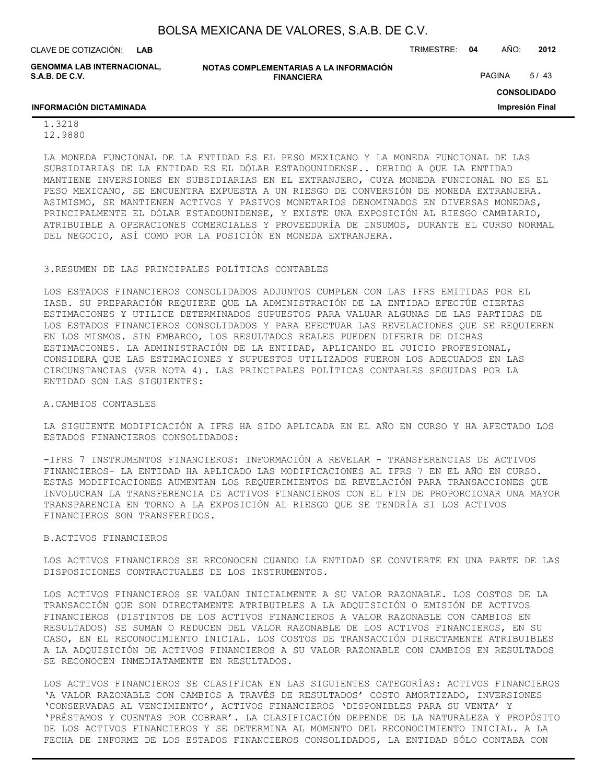CLAVE DE COTIZACIÓN: TRIMESTRE: **04** AÑO: **2012 LAB**

**GENOMMA LAB INTERNACIONAL, S.A.B. DE C.V.**

**NOTAS COMPLEMENTARIAS A LA INFORMACIÓN FINANCIERA**

PAGINA 5/43

**CONSOLIDADO**

**Impresión Final**

#### **INFORMACIÓN DICTAMINADA**

1.3218 12.9880

LA MONEDA FUNCIONAL DE LA ENTIDAD ES EL PESO MEXICANO Y LA MONEDA FUNCIONAL DE LAS SUBSIDIARIAS DE LA ENTIDAD ES EL DÓLAR ESTADOUNIDENSE.. DEBIDO A QUE LA ENTIDAD MANTIENE INVERSIONES EN SUBSIDIARIAS EN EL EXTRANJERO, CUYA MONEDA FUNCIONAL NO ES EL PESO MEXICANO, SE ENCUENTRA EXPUESTA A UN RIESGO DE CONVERSIÓN DE MONEDA EXTRANJERA. ASIMISMO, SE MANTIENEN ACTIVOS Y PASIVOS MONETARIOS DENOMINADOS EN DIVERSAS MONEDAS, PRINCIPALMENTE EL DÓLAR ESTADOUNIDENSE, Y EXISTE UNA EXPOSICIÓN AL RIESGO CAMBIARIO, ATRIBUIBLE A OPERACIONES COMERCIALES Y PROVEEDURÍA DE INSUMOS, DURANTE EL CURSO NORMAL DEL NEGOCIO, ASÍ COMO POR LA POSICIÓN EN MONEDA EXTRANJERA.

#### 3.RESUMEN DE LAS PRINCIPALES POLÍTICAS CONTABLES

LOS ESTADOS FINANCIEROS CONSOLIDADOS ADJUNTOS CUMPLEN CON LAS IFRS EMITIDAS POR EL IASB. SU PREPARACIÓN REQUIERE QUE LA ADMINISTRACIÓN DE LA ENTIDAD EFECTÚE CIERTAS ESTIMACIONES Y UTILICE DETERMINADOS SUPUESTOS PARA VALUAR ALGUNAS DE LAS PARTIDAS DE LOS ESTADOS FINANCIEROS CONSOLIDADOS Y PARA EFECTUAR LAS REVELACIONES QUE SE REQUIEREN EN LOS MISMOS. SIN EMBARGO, LOS RESULTADOS REALES PUEDEN DIFERIR DE DICHAS ESTIMACIONES. LA ADMINISTRACIÓN DE LA ENTIDAD, APLICANDO EL JUICIO PROFESIONAL, CONSIDERA QUE LAS ESTIMACIONES Y SUPUESTOS UTILIZADOS FUERON LOS ADECUADOS EN LAS CIRCUNSTANCIAS (VER NOTA 4). LAS PRINCIPALES POLÍTICAS CONTABLES SEGUIDAS POR LA ENTIDAD SON LAS SIGUIENTES:

A.CAMBIOS CONTABLES

LA SIGUIENTE MODIFICACIÓN A IFRS HA SIDO APLICADA EN EL AÑO EN CURSO Y HA AFECTADO LOS ESTADOS FINANCIEROS CONSOLIDADOS:

-IFRS 7 INSTRUMENTOS FINANCIEROS: INFORMACIÓN A REVELAR - TRANSFERENCIAS DE ACTIVOS FINANCIEROS- LA ENTIDAD HA APLICADO LAS MODIFICACIONES AL IFRS 7 EN EL AÑO EN CURSO. ESTAS MODIFICACIONES AUMENTAN LOS REQUERIMIENTOS DE REVELACIÓN PARA TRANSACCIONES QUE INVOLUCRAN LA TRANSFERENCIA DE ACTIVOS FINANCIEROS CON EL FIN DE PROPORCIONAR UNA MAYOR TRANSPARENCIA EN TORNO A LA EXPOSICIÓN AL RIESGO QUE SE TENDRÍA SI LOS ACTIVOS FINANCIEROS SON TRANSFERIDOS.

#### B.ACTIVOS FINANCIEROS

LOS ACTIVOS FINANCIEROS SE RECONOCEN CUANDO LA ENTIDAD SE CONVIERTE EN UNA PARTE DE LAS DISPOSICIONES CONTRACTUALES DE LOS INSTRUMENTOS.

LOS ACTIVOS FINANCIEROS SE VALÚAN INICIALMENTE A SU VALOR RAZONABLE. LOS COSTOS DE LA TRANSACCIÓN QUE SON DIRECTAMENTE ATRIBUIBLES A LA ADQUISICIÓN O EMISIÓN DE ACTIVOS FINANCIEROS (DISTINTOS DE LOS ACTIVOS FINANCIEROS A VALOR RAZONABLE CON CAMBIOS EN RESULTADOS) SE SUMAN O REDUCEN DEL VALOR RAZONABLE DE LOS ACTIVOS FINANCIEROS, EN SU CASO, EN EL RECONOCIMIENTO INICIAL. LOS COSTOS DE TRANSACCIÓN DIRECTAMENTE ATRIBUIBLES A LA ADQUISICIÓN DE ACTIVOS FINANCIEROS A SU VALOR RAZONABLE CON CAMBIOS EN RESULTADOS SE RECONOCEN INMEDIATAMENTE EN RESULTADOS.

LOS ACTIVOS FINANCIEROS SE CLASIFICAN EN LAS SIGUIENTES CATEGORÍAS: ACTIVOS FINANCIEROS 'A VALOR RAZONABLE CON CAMBIOS A TRAVÉS DE RESULTADOS' COSTO AMORTIZADO, INVERSIONES 'CONSERVADAS AL VENCIMIENTO', ACTIVOS FINANCIEROS 'DISPONIBLES PARA SU VENTA' Y 'PRÉSTAMOS Y CUENTAS POR COBRAR'. LA CLASIFICACIÓN DEPENDE DE LA NATURALEZA Y PROPÓSITO DE LOS ACTIVOS FINANCIEROS Y SE DETERMINA AL MOMENTO DEL RECONOCIMIENTO INICIAL. A LA FECHA DE INFORME DE LOS ESTADOS FINANCIEROS CONSOLIDADOS, LA ENTIDAD SÓLO CONTABA CON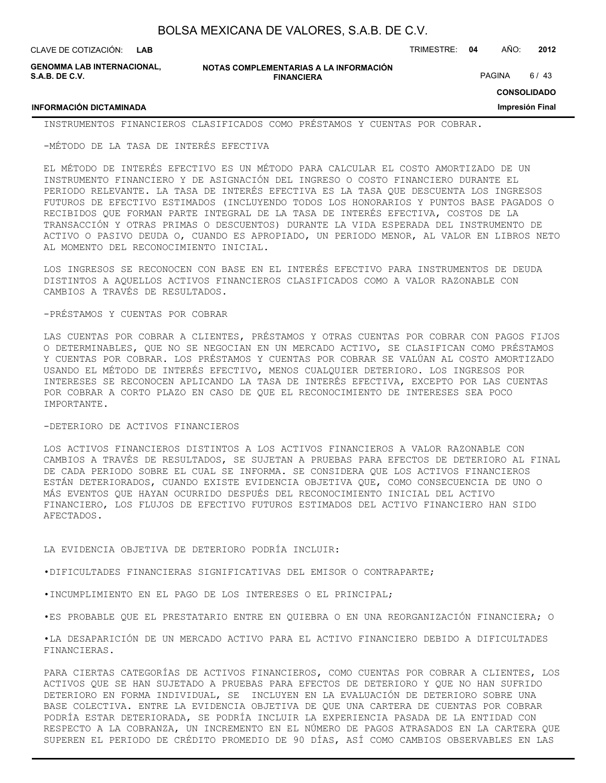**LAB**

**GENOMMA LAB INTERNACIONAL, S.A.B. DE C.V.**

**NOTAS COMPLEMENTARIAS A LA INFORMACIÓN FINANCIERA**

CLAVE DE COTIZACIÓN: TRIMESTRE: **04** AÑO: **2012**

PAGINA 6/43

**CONSOLIDADO**

**Impresión Final**

#### **INFORMACIÓN DICTAMINADA**

INSTRUMENTOS FINANCIEROS CLASIFICADOS COMO PRÉSTAMOS Y CUENTAS POR COBRAR.

-MÉTODO DE LA TASA DE INTERÉS EFECTIVA

EL MÉTODO DE INTERÉS EFECTIVO ES UN MÉTODO PARA CALCULAR EL COSTO AMORTIZADO DE UN INSTRUMENTO FINANCIERO Y DE ASIGNACIÓN DEL INGRESO O COSTO FINANCIERO DURANTE EL PERIODO RELEVANTE. LA TASA DE INTERÉS EFECTIVA ES LA TASA QUE DESCUENTA LOS INGRESOS FUTUROS DE EFECTIVO ESTIMADOS (INCLUYENDO TODOS LOS HONORARIOS Y PUNTOS BASE PAGADOS O RECIBIDOS QUE FORMAN PARTE INTEGRAL DE LA TASA DE INTERÉS EFECTIVA, COSTOS DE LA TRANSACCIÓN Y OTRAS PRIMAS O DESCUENTOS) DURANTE LA VIDA ESPERADA DEL INSTRUMENTO DE ACTIVO O PASIVO DEUDA O, CUANDO ES APROPIADO, UN PERIODO MENOR, AL VALOR EN LIBROS NETO AL MOMENTO DEL RECONOCIMIENTO INICIAL.

LOS INGRESOS SE RECONOCEN CON BASE EN EL INTERÉS EFECTIVO PARA INSTRUMENTOS DE DEUDA DISTINTOS A AQUELLOS ACTIVOS FINANCIEROS CLASIFICADOS COMO A VALOR RAZONABLE CON CAMBIOS A TRAVÉS DE RESULTADOS.

#### -PRÉSTAMOS Y CUENTAS POR COBRAR

LAS CUENTAS POR COBRAR A CLIENTES, PRÉSTAMOS Y OTRAS CUENTAS POR COBRAR CON PAGOS FIJOS O DETERMINABLES, QUE NO SE NEGOCIAN EN UN MERCADO ACTIVO, SE CLASIFICAN COMO PRÉSTAMOS Y CUENTAS POR COBRAR. LOS PRÉSTAMOS Y CUENTAS POR COBRAR SE VALÚAN AL COSTO AMORTIZADO USANDO EL MÉTODO DE INTERÉS EFECTIVO, MENOS CUALQUIER DETERIORO. LOS INGRESOS POR INTERESES SE RECONOCEN APLICANDO LA TASA DE INTERÉS EFECTIVA, EXCEPTO POR LAS CUENTAS POR COBRAR A CORTO PLAZO EN CASO DE QUE EL RECONOCIMIENTO DE INTERESES SEA POCO IMPORTANTE.

#### -DETERIORO DE ACTIVOS FINANCIEROS

LOS ACTIVOS FINANCIEROS DISTINTOS A LOS ACTIVOS FINANCIEROS A VALOR RAZONABLE CON CAMBIOS A TRAVÉS DE RESULTADOS, SE SUJETAN A PRUEBAS PARA EFECTOS DE DETERIORO AL FINAL DE CADA PERIODO SOBRE EL CUAL SE INFORMA. SE CONSIDERA QUE LOS ACTIVOS FINANCIEROS ESTÁN DETERIORADOS, CUANDO EXISTE EVIDENCIA OBJETIVA QUE, COMO CONSECUENCIA DE UNO O MÁS EVENTOS QUE HAYAN OCURRIDO DESPUÉS DEL RECONOCIMIENTO INICIAL DEL ACTIVO FINANCIERO, LOS FLUJOS DE EFECTIVO FUTUROS ESTIMADOS DEL ACTIVO FINANCIERO HAN SIDO AFECTADOS.

#### LA EVIDENCIA OBJETIVA DE DETERIORO PODRÍA INCLUIR:

•DIFICULTADES FINANCIERAS SIGNIFICATIVAS DEL EMISOR O CONTRAPARTE;

- •INCUMPLIMIENTO EN EL PAGO DE LOS INTERESES O EL PRINCIPAL;
- •ES PROBABLE QUE EL PRESTATARIO ENTRE EN QUIEBRA O EN UNA REORGANIZACIÓN FINANCIERA; O

•LA DESAPARICIÓN DE UN MERCADO ACTIVO PARA EL ACTIVO FINANCIERO DEBIDO A DIFICULTADES FINANCIERAS.

PARA CIERTAS CATEGORÍAS DE ACTIVOS FINANCIEROS, COMO CUENTAS POR COBRAR A CLIENTES, LOS ACTIVOS QUE SE HAN SUJETADO A PRUEBAS PARA EFECTOS DE DETERIORO Y QUE NO HAN SUFRIDO DETERIORO EN FORMA INDIVIDUAL, SE INCLUYEN EN LA EVALUACIÓN DE DETERIORO SOBRE UNA BASE COLECTIVA. ENTRE LA EVIDENCIA OBJETIVA DE QUE UNA CARTERA DE CUENTAS POR COBRAR PODRÍA ESTAR DETERIORADA, SE PODRÍA INCLUIR LA EXPERIENCIA PASADA DE LA ENTIDAD CON RESPECTO A LA COBRANZA, UN INCREMENTO EN EL NÚMERO DE PAGOS ATRASADOS EN LA CARTERA QUE SUPEREN EL PERIODO DE CRÉDITO PROMEDIO DE 90 DÍAS, ASÍ COMO CAMBIOS OBSERVABLES EN LAS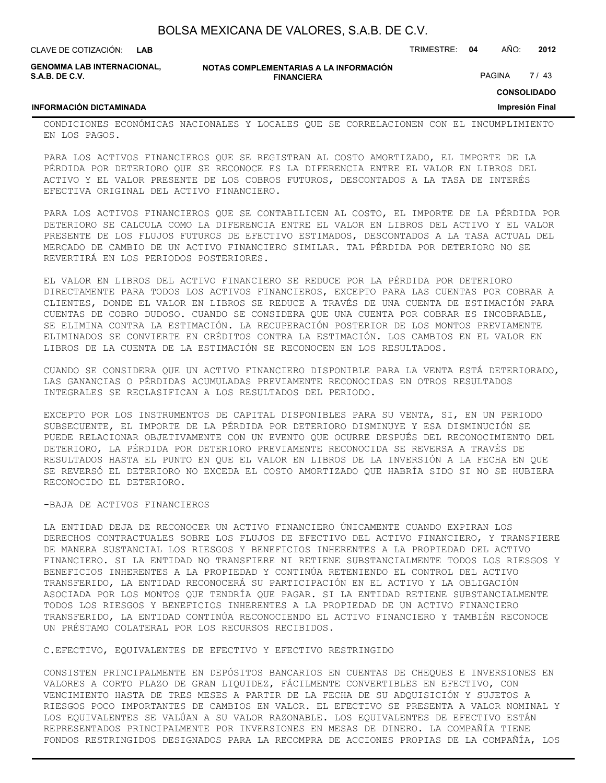| BOLSA MEXICANA DE VALORES, S.A.B. DE C.V. |  |  |  |
|-------------------------------------------|--|--|--|
|-------------------------------------------|--|--|--|

| CLAVE DE COTIZACIÓN:<br>LAB                  |                                                             | TRIMESTRE: | - 04 | AÑO:          | 2012 |
|----------------------------------------------|-------------------------------------------------------------|------------|------|---------------|------|
| GENOMMA LAB INTERNACIONAL.<br>S.A.B. DE C.V. | NOTAS COMPLEMENTARIAS A LA INFORMACIÓN<br><b>FINANCIERA</b> |            |      | <b>PAGINA</b> | 7/43 |

**CONSOLIDADO**

**Impresión Final**

#### **INFORMACIÓN DICTAMINADA**

CONDICIONES ECONÓMICAS NACIONALES Y LOCALES QUE SE CORRELACIONEN CON EL INCUMPLIMIENTO EN LOS PAGOS.

PARA LOS ACTIVOS FINANCIEROS QUE SE REGISTRAN AL COSTO AMORTIZADO, EL IMPORTE DE LA PÉRDIDA POR DETERIORO QUE SE RECONOCE ES LA DIFERENCIA ENTRE EL VALOR EN LIBROS DEL ACTIVO Y EL VALOR PRESENTE DE LOS COBROS FUTUROS, DESCONTADOS A LA TASA DE INTERÉS EFECTIVA ORIGINAL DEL ACTIVO FINANCIERO.

PARA LOS ACTIVOS FINANCIEROS QUE SE CONTABILICEN AL COSTO, EL IMPORTE DE LA PÉRDIDA POR DETERIORO SE CALCULA COMO LA DIFERENCIA ENTRE EL VALOR EN LIBROS DEL ACTIVO Y EL VALOR PRESENTE DE LOS FLUJOS FUTUROS DE EFECTIVO ESTIMADOS, DESCONTADOS A LA TASA ACTUAL DEL MERCADO DE CAMBIO DE UN ACTIVO FINANCIERO SIMILAR. TAL PÉRDIDA POR DETERIORO NO SE REVERTIRÁ EN LOS PERIODOS POSTERIORES.

EL VALOR EN LIBROS DEL ACTIVO FINANCIERO SE REDUCE POR LA PÉRDIDA POR DETERIORO DIRECTAMENTE PARA TODOS LOS ACTIVOS FINANCIEROS, EXCEPTO PARA LAS CUENTAS POR COBRAR A CLIENTES, DONDE EL VALOR EN LIBROS SE REDUCE A TRAVÉS DE UNA CUENTA DE ESTIMACIÓN PARA CUENTAS DE COBRO DUDOSO. CUANDO SE CONSIDERA QUE UNA CUENTA POR COBRAR ES INCOBRABLE, SE ELIMINA CONTRA LA ESTIMACIÓN. LA RECUPERACIÓN POSTERIOR DE LOS MONTOS PREVIAMENTE ELIMINADOS SE CONVIERTE EN CRÉDITOS CONTRA LA ESTIMACIÓN. LOS CAMBIOS EN EL VALOR EN LIBROS DE LA CUENTA DE LA ESTIMACIÓN SE RECONOCEN EN LOS RESULTADOS.

CUANDO SE CONSIDERA QUE UN ACTIVO FINANCIERO DISPONIBLE PARA LA VENTA ESTÁ DETERIORADO, LAS GANANCIAS O PÉRDIDAS ACUMULADAS PREVIAMENTE RECONOCIDAS EN OTROS RESULTADOS INTEGRALES SE RECLASIFICAN A LOS RESULTADOS DEL PERIODO.

EXCEPTO POR LOS INSTRUMENTOS DE CAPITAL DISPONIBLES PARA SU VENTA, SI, EN UN PERIODO SUBSECUENTE, EL IMPORTE DE LA PÉRDIDA POR DETERIORO DISMINUYE Y ESA DISMINUCIÓN SE PUEDE RELACIONAR OBJETIVAMENTE CON UN EVENTO QUE OCURRE DESPUÉS DEL RECONOCIMIENTO DEL DETERIORO, LA PÉRDIDA POR DETERIORO PREVIAMENTE RECONOCIDA SE REVERSA A TRAVÉS DE RESULTADOS HASTA EL PUNTO EN QUE EL VALOR EN LIBROS DE LA INVERSIÓN A LA FECHA EN QUE SE REVERSÓ EL DETERIORO NO EXCEDA EL COSTO AMORTIZADO QUE HABRÍA SIDO SI NO SE HUBIERA RECONOCIDO EL DETERIORO.

#### -BAJA DE ACTIVOS FINANCIEROS

LA ENTIDAD DEJA DE RECONOCER UN ACTIVO FINANCIERO ÚNICAMENTE CUANDO EXPIRAN LOS DERECHOS CONTRACTUALES SOBRE LOS FLUJOS DE EFECTIVO DEL ACTIVO FINANCIERO, Y TRANSFIERE DE MANERA SUSTANCIAL LOS RIESGOS Y BENEFICIOS INHERENTES A LA PROPIEDAD DEL ACTIVO FINANCIERO. SI LA ENTIDAD NO TRANSFIERE NI RETIENE SUBSTANCIALMENTE TODOS LOS RIESGOS Y BENEFICIOS INHERENTES A LA PROPIEDAD Y CONTINÚA RETENIENDO EL CONTROL DEL ACTIVO TRANSFERIDO, LA ENTIDAD RECONOCERÁ SU PARTICIPACIÓN EN EL ACTIVO Y LA OBLIGACIÓN ASOCIADA POR LOS MONTOS QUE TENDRÍA QUE PAGAR. SI LA ENTIDAD RETIENE SUBSTANCIALMENTE TODOS LOS RIESGOS Y BENEFICIOS INHERENTES A LA PROPIEDAD DE UN ACTIVO FINANCIERO TRANSFERIDO, LA ENTIDAD CONTINÚA RECONOCIENDO EL ACTIVO FINANCIERO Y TAMBIÉN RECONOCE UN PRÉSTAMO COLATERAL POR LOS RECURSOS RECIBIDOS.

C.EFECTIVO, EQUIVALENTES DE EFECTIVO Y EFECTIVO RESTRINGIDO

CONSISTEN PRINCIPALMENTE EN DEPÓSITOS BANCARIOS EN CUENTAS DE CHEQUES E INVERSIONES EN VALORES A CORTO PLAZO DE GRAN LIQUIDEZ, FÁCILMENTE CONVERTIBLES EN EFECTIVO, CON VENCIMIENTO HASTA DE TRES MESES A PARTIR DE LA FECHA DE SU ADQUISICIÓN Y SUJETOS A RIESGOS POCO IMPORTANTES DE CAMBIOS EN VALOR. EL EFECTIVO SE PRESENTA A VALOR NOMINAL Y LOS EQUIVALENTES SE VALÚAN A SU VALOR RAZONABLE. LOS EQUIVALENTES DE EFECTIVO ESTÁN REPRESENTADOS PRINCIPALMENTE POR INVERSIONES EN MESAS DE DINERO. LA COMPAÑÍA TIENE FONDOS RESTRINGIDOS DESIGNADOS PARA LA RECOMPRA DE ACCIONES PROPIAS DE LA COMPAÑÍA, LOS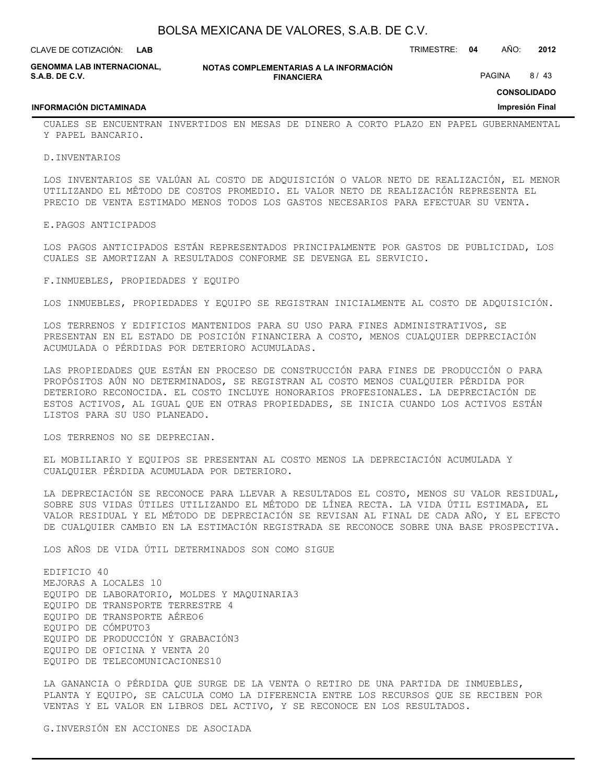**LAB**

CLAVE DE COTIZACIÓN: TRIMESTRE: **04** AÑO: **2012**

|                       | <b>GENOMMA LAB INTERNACIONAL.</b> |
|-----------------------|-----------------------------------|
| <b>S.A.B. DE C.V.</b> |                                   |

**INFORMACIÓN DICTAMINADA**

**NOTAS COMPLEMENTARIAS A LA INFORMACIÓN FINANCIERA**

PAGINA 8/43

**CONSOLIDADO**

**Impresión Final**

CUALES SE ENCUENTRAN INVERTIDOS EN MESAS DE DINERO A CORTO PLAZO EN PAPEL GUBERNAMENTAL Y PAPEL BANCARIO.

D.INVENTARIOS

LOS INVENTARIOS SE VALÚAN AL COSTO DE ADQUISICIÓN O VALOR NETO DE REALIZACIÓN, EL MENOR UTILIZANDO EL MÉTODO DE COSTOS PROMEDIO. EL VALOR NETO DE REALIZACIÓN REPRESENTA EL PRECIO DE VENTA ESTIMADO MENOS TODOS LOS GASTOS NECESARIOS PARA EFECTUAR SU VENTA.

#### E.PAGOS ANTICIPADOS

LOS PAGOS ANTICIPADOS ESTÁN REPRESENTADOS PRINCIPALMENTE POR GASTOS DE PUBLICIDAD, LOS CUALES SE AMORTIZAN A RESULTADOS CONFORME SE DEVENGA EL SERVICIO.

F.INMUEBLES, PROPIEDADES Y EQUIPO

LOS INMUEBLES, PROPIEDADES Y EQUIPO SE REGISTRAN INICIALMENTE AL COSTO DE ADQUISICIÓN.

LOS TERRENOS Y EDIFICIOS MANTENIDOS PARA SU USO PARA FINES ADMINISTRATIVOS, SE PRESENTAN EN EL ESTADO DE POSICIÓN FINANCIERA A COSTO, MENOS CUALQUIER DEPRECIACIÓN ACUMULADA O PÉRDIDAS POR DETERIORO ACUMULADAS.

LAS PROPIEDADES QUE ESTÁN EN PROCESO DE CONSTRUCCIÓN PARA FINES DE PRODUCCIÓN O PARA PROPÓSITOS AÚN NO DETERMINADOS, SE REGISTRAN AL COSTO MENOS CUALQUIER PÉRDIDA POR DETERIORO RECONOCIDA. EL COSTO INCLUYE HONORARIOS PROFESIONALES. LA DEPRECIACIÓN DE ESTOS ACTIVOS, AL IGUAL QUE EN OTRAS PROPIEDADES, SE INICIA CUANDO LOS ACTIVOS ESTÁN LISTOS PARA SU USO PLANEADO.

LOS TERRENOS NO SE DEPRECIAN.

EL MOBILIARIO Y EQUIPOS SE PRESENTAN AL COSTO MENOS LA DEPRECIACIÓN ACUMULADA Y CUALQUIER PÉRDIDA ACUMULADA POR DETERIORO.

LA DEPRECIACIÓN SE RECONOCE PARA LLEVAR A RESULTADOS EL COSTO, MENOS SU VALOR RESIDUAL, SOBRE SUS VIDAS ÚTILES UTILIZANDO EL MÉTODO DE LÍNEA RECTA. LA VIDA ÚTIL ESTIMADA, EL VALOR RESIDUAL Y EL MÉTODO DE DEPRECIACIÓN SE REVISAN AL FINAL DE CADA AÑO, Y EL EFECTO DE CUALQUIER CAMBIO EN LA ESTIMACIÓN REGISTRADA SE RECONOCE SOBRE UNA BASE PROSPECTIVA.

LOS AÑOS DE VIDA ÚTIL DETERMINADOS SON COMO SIGUE

EDIFICIO 40 MEJORAS A LOCALES 10 EQUIPO DE LABORATORIO, MOLDES Y MAQUINARIA3 EQUIPO DE TRANSPORTE TERRESTRE 4 EQUIPO DE TRANSPORTE AÉREO6 EQUIPO DE CÓMPUTO3 EQUIPO DE PRODUCCIÓN Y GRABACIÓN3 EQUIPO DE OFICINA Y VENTA 20 EQUIPO DE TELECOMUNICACIONES10

LA GANANCIA O PÉRDIDA QUE SURGE DE LA VENTA O RETIRO DE UNA PARTIDA DE INMUEBLES, PLANTA Y EQUIPO, SE CALCULA COMO LA DIFERENCIA ENTRE LOS RECURSOS QUE SE RECIBEN POR VENTAS Y EL VALOR EN LIBROS DEL ACTIVO, Y SE RECONOCE EN LOS RESULTADOS.

G.INVERSIÓN EN ACCIONES DE ASOCIADA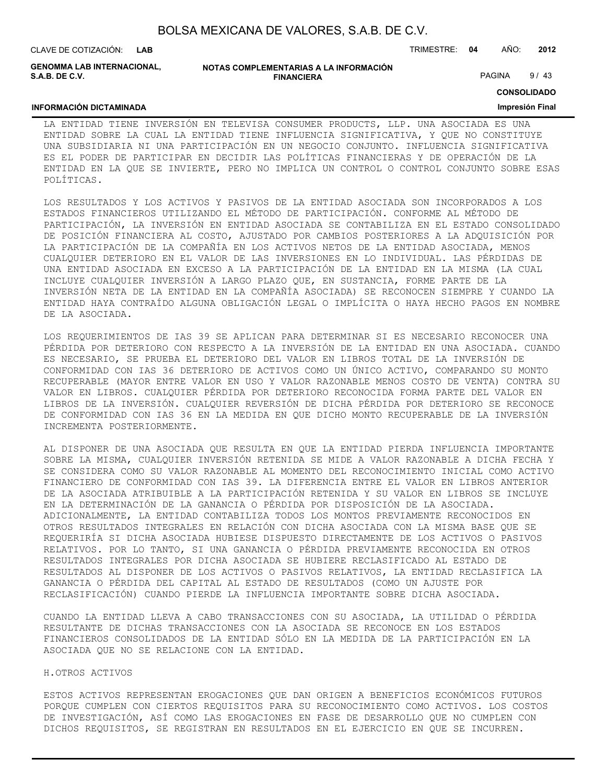CLAVE DE COTIZACIÓN: TRIMESTRE: **04** AÑO: **2012 LAB**

**GENOMMA LAB INTERNACIONAL, S.A.B. DE C.V.**

#### **NOTAS COMPLEMENTARIAS A LA INFORMACIÓN FINANCIERA**

PAGINA 9/43

**CONSOLIDADO**

#### **INFORMACIÓN DICTAMINADA**

**Impresión Final**

LA ENTIDAD TIENE INVERSIÓN EN TELEVISA CONSUMER PRODUCTS, LLP. UNA ASOCIADA ES UNA ENTIDAD SOBRE LA CUAL LA ENTIDAD TIENE INFLUENCIA SIGNIFICATIVA, Y QUE NO CONSTITUYE UNA SUBSIDIARIA NI UNA PARTICIPACIÓN EN UN NEGOCIO CONJUNTO. INFLUENCIA SIGNIFICATIVA ES EL PODER DE PARTICIPAR EN DECIDIR LAS POLÍTICAS FINANCIERAS Y DE OPERACIÓN DE LA ENTIDAD EN LA QUE SE INVIERTE, PERO NO IMPLICA UN CONTROL O CONTROL CONJUNTO SOBRE ESAS POLÍTICAS.

LOS RESULTADOS Y LOS ACTIVOS Y PASIVOS DE LA ENTIDAD ASOCIADA SON INCORPORADOS A LOS ESTADOS FINANCIEROS UTILIZANDO EL MÉTODO DE PARTICIPACIÓN. CONFORME AL MÉTODO DE PARTICIPACIÓN, LA INVERSIÓN EN ENTIDAD ASOCIADA SE CONTABILIZA EN EL ESTADO CONSOLIDADO DE POSICIÓN FINANCIERA AL COSTO, AJUSTADO POR CAMBIOS POSTERIORES A LA ADQUISICIÓN POR LA PARTICIPACIÓN DE LA COMPAÑÍA EN LOS ACTIVOS NETOS DE LA ENTIDAD ASOCIADA, MENOS CUALQUIER DETERIORO EN EL VALOR DE LAS INVERSIONES EN LO INDIVIDUAL. LAS PÉRDIDAS DE UNA ENTIDAD ASOCIADA EN EXCESO A LA PARTICIPACIÓN DE LA ENTIDAD EN LA MISMA (LA CUAL INCLUYE CUALQUIER INVERSIÓN A LARGO PLAZO QUE, EN SUSTANCIA, FORME PARTE DE LA INVERSIÓN NETA DE LA ENTIDAD EN LA COMPAÑÍA ASOCIADA) SE RECONOCEN SIEMPRE Y CUANDO LA ENTIDAD HAYA CONTRAÍDO ALGUNA OBLIGACIÓN LEGAL O IMPLÍCITA O HAYA HECHO PAGOS EN NOMBRE DE LA ASOCIADA.

LOS REQUERIMIENTOS DE IAS 39 SE APLICAN PARA DETERMINAR SI ES NECESARIO RECONOCER UNA PÉRDIDA POR DETERIORO CON RESPECTO A LA INVERSIÓN DE LA ENTIDAD EN UNA ASOCIADA. CUANDO ES NECESARIO, SE PRUEBA EL DETERIORO DEL VALOR EN LIBROS TOTAL DE LA INVERSIÓN DE CONFORMIDAD CON IAS 36 DETERIORO DE ACTIVOS COMO UN ÚNICO ACTIVO, COMPARANDO SU MONTO RECUPERABLE (MAYOR ENTRE VALOR EN USO Y VALOR RAZONABLE MENOS COSTO DE VENTA) CONTRA SU VALOR EN LIBROS. CUALQUIER PÉRDIDA POR DETERIORO RECONOCIDA FORMA PARTE DEL VALOR EN LIBROS DE LA INVERSIÓN. CUALQUIER REVERSIÓN DE DICHA PÉRDIDA POR DETERIORO SE RECONOCE DE CONFORMIDAD CON IAS 36 EN LA MEDIDA EN QUE DICHO MONTO RECUPERABLE DE LA INVERSIÓN INCREMENTA POSTERIORMENTE.

AL DISPONER DE UNA ASOCIADA QUE RESULTA EN QUE LA ENTIDAD PIERDA INFLUENCIA IMPORTANTE SOBRE LA MISMA, CUALQUIER INVERSIÓN RETENIDA SE MIDE A VALOR RAZONABLE A DICHA FECHA Y SE CONSIDERA COMO SU VALOR RAZONABLE AL MOMENTO DEL RECONOCIMIENTO INICIAL COMO ACTIVO FINANCIERO DE CONFORMIDAD CON IAS 39. LA DIFERENCIA ENTRE EL VALOR EN LIBROS ANTERIOR DE LA ASOCIADA ATRIBUIBLE A LA PARTICIPACIÓN RETENIDA Y SU VALOR EN LIBROS SE INCLUYE EN LA DETERMINACIÓN DE LA GANANCIA O PÉRDIDA POR DISPOSICIÓN DE LA ASOCIADA. ADICIONALMENTE, LA ENTIDAD CONTABILIZA TODOS LOS MONTOS PREVIAMENTE RECONOCIDOS EN OTROS RESULTADOS INTEGRALES EN RELACIÓN CON DICHA ASOCIADA CON LA MISMA BASE QUE SE REQUERIRÍA SI DICHA ASOCIADA HUBIESE DISPUESTO DIRECTAMENTE DE LOS ACTIVOS O PASIVOS RELATIVOS. POR LO TANTO, SI UNA GANANCIA O PÉRDIDA PREVIAMENTE RECONOCIDA EN OTROS RESULTADOS INTEGRALES POR DICHA ASOCIADA SE HUBIERE RECLASIFICADO AL ESTADO DE RESULTADOS AL DISPONER DE LOS ACTIVOS O PASIVOS RELATIVOS, LA ENTIDAD RECLASIFICA LA GANANCIA O PÉRDIDA DEL CAPITAL AL ESTADO DE RESULTADOS (COMO UN AJUSTE POR RECLASIFICACIÓN) CUANDO PIERDE LA INFLUENCIA IMPORTANTE SOBRE DICHA ASOCIADA.

CUANDO LA ENTIDAD LLEVA A CABO TRANSACCIONES CON SU ASOCIADA, LA UTILIDAD O PÉRDIDA RESULTANTE DE DICHAS TRANSACCIONES CON LA ASOCIADA SE RECONOCE EN LOS ESTADOS FINANCIEROS CONSOLIDADOS DE LA ENTIDAD SÓLO EN LA MEDIDA DE LA PARTICIPACIÓN EN LA ASOCIADA QUE NO SE RELACIONE CON LA ENTIDAD.

#### H.OTROS ACTIVOS

ESTOS ACTIVOS REPRESENTAN EROGACIONES QUE DAN ORIGEN A BENEFICIOS ECONÓMICOS FUTUROS PORQUE CUMPLEN CON CIERTOS REQUISITOS PARA SU RECONOCIMIENTO COMO ACTIVOS. LOS COSTOS DE INVESTIGACIÓN, ASÍ COMO LAS EROGACIONES EN FASE DE DESARROLLO QUE NO CUMPLEN CON DICHOS REQUISITOS, SE REGISTRAN EN RESULTADOS EN EL EJERCICIO EN QUE SE INCURREN.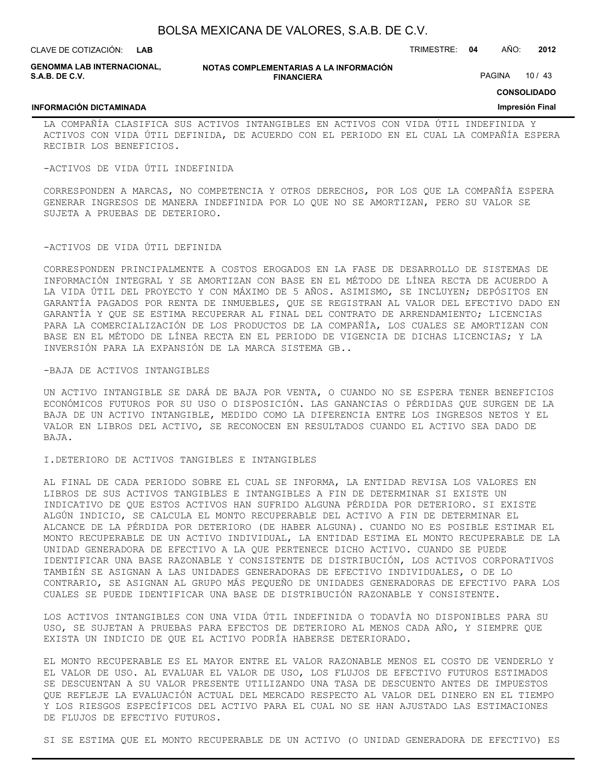**LAB**

CLAVE DE COTIZACIÓN: TRIMESTRE: **04** AÑO: **2012**

**GENOMMA LAB INTERNACIONAL, S.A.B. DE C.V.**

#### **NOTAS COMPLEMENTARIAS A LA INFORMACIÓN FINANCIERA**

PAGINA 10 / 43

**CONSOLIDADO**

#### **INFORMACIÓN DICTAMINADA**

**Impresión Final**

LA COMPAÑÍA CLASIFICA SUS ACTIVOS INTANGIBLES EN ACTIVOS CON VIDA ÚTIL INDEFINIDA Y ACTIVOS CON VIDA ÚTIL DEFINIDA, DE ACUERDO CON EL PERIODO EN EL CUAL LA COMPAÑÍA ESPERA RECIBIR LOS BENEFICIOS.

-ACTIVOS DE VIDA ÚTIL INDEFINIDA

CORRESPONDEN A MARCAS, NO COMPETENCIA Y OTROS DERECHOS, POR LOS QUE LA COMPAÑÍA ESPERA GENERAR INGRESOS DE MANERA INDEFINIDA POR LO QUE NO SE AMORTIZAN, PERO SU VALOR SE SUJETA A PRUEBAS DE DETERIORO.

#### -ACTIVOS DE VIDA ÚTIL DEFINIDA

CORRESPONDEN PRINCIPALMENTE A COSTOS EROGADOS EN LA FASE DE DESARROLLO DE SISTEMAS DE INFORMACIÓN INTEGRAL Y SE AMORTIZAN CON BASE EN EL MÉTODO DE LÍNEA RECTA DE ACUERDO A LA VIDA ÚTIL DEL PROYECTO Y CON MÁXIMO DE 5 AÑOS. ASIMISMO, SE INCLUYEN; DEPÓSITOS EN GARANTÍA PAGADOS POR RENTA DE INMUEBLES, QUE SE REGISTRAN AL VALOR DEL EFECTIVO DADO EN GARANTÍA Y QUE SE ESTIMA RECUPERAR AL FINAL DEL CONTRATO DE ARRENDAMIENTO; LICENCIAS PARA LA COMERCIALIZACIÓN DE LOS PRODUCTOS DE LA COMPAÑÍA, LOS CUALES SE AMORTIZAN CON BASE EN EL MÉTODO DE LÍNEA RECTA EN EL PERIODO DE VIGENCIA DE DICHAS LICENCIAS; Y LA INVERSIÓN PARA LA EXPANSIÓN DE LA MARCA SISTEMA GB..

#### -BAJA DE ACTIVOS INTANGIBLES

UN ACTIVO INTANGIBLE SE DARÁ DE BAJA POR VENTA, O CUANDO NO SE ESPERA TENER BENEFICIOS ECONÓMICOS FUTUROS POR SU USO O DISPOSICIÓN. LAS GANANCIAS O PÉRDIDAS QUE SURGEN DE LA BAJA DE UN ACTIVO INTANGIBLE, MEDIDO COMO LA DIFERENCIA ENTRE LOS INGRESOS NETOS Y EL VALOR EN LIBROS DEL ACTIVO, SE RECONOCEN EN RESULTADOS CUANDO EL ACTIVO SEA DADO DE BAJA.

#### I.DETERIORO DE ACTIVOS TANGIBLES E INTANGIBLES

AL FINAL DE CADA PERIODO SOBRE EL CUAL SE INFORMA, LA ENTIDAD REVISA LOS VALORES EN LIBROS DE SUS ACTIVOS TANGIBLES E INTANGIBLES A FIN DE DETERMINAR SI EXISTE UN INDICATIVO DE QUE ESTOS ACTIVOS HAN SUFRIDO ALGUNA PÉRDIDA POR DETERIORO. SI EXISTE ALGÚN INDICIO, SE CALCULA EL MONTO RECUPERABLE DEL ACTIVO A FIN DE DETERMINAR EL ALCANCE DE LA PÉRDIDA POR DETERIORO (DE HABER ALGUNA). CUANDO NO ES POSIBLE ESTIMAR EL MONTO RECUPERABLE DE UN ACTIVO INDIVIDUAL, LA ENTIDAD ESTIMA EL MONTO RECUPERABLE DE LA UNIDAD GENERADORA DE EFECTIVO A LA QUE PERTENECE DICHO ACTIVO. CUANDO SE PUEDE IDENTIFICAR UNA BASE RAZONABLE Y CONSISTENTE DE DISTRIBUCIÓN, LOS ACTIVOS CORPORATIVOS TAMBIÉN SE ASIGNAN A LAS UNIDADES GENERADORAS DE EFECTIVO INDIVIDUALES, O DE LO CONTRARIO, SE ASIGNAN AL GRUPO MÁS PEQUEÑO DE UNIDADES GENERADORAS DE EFECTIVO PARA LOS CUALES SE PUEDE IDENTIFICAR UNA BASE DE DISTRIBUCIÓN RAZONABLE Y CONSISTENTE.

LOS ACTIVOS INTANGIBLES CON UNA VIDA ÚTIL INDEFINIDA O TODAVÍA NO DISPONIBLES PARA SU USO, SE SUJETAN A PRUEBAS PARA EFECTOS DE DETERIORO AL MENOS CADA AÑO, Y SIEMPRE QUE EXISTA UN INDICIO DE QUE EL ACTIVO PODRÍA HABERSE DETERIORADO.

EL MONTO RECUPERABLE ES EL MAYOR ENTRE EL VALOR RAZONABLE MENOS EL COSTO DE VENDERLO Y EL VALOR DE USO. AL EVALUAR EL VALOR DE USO, LOS FLUJOS DE EFECTIVO FUTUROS ESTIMADOS SE DESCUENTAN A SU VALOR PRESENTE UTILIZANDO UNA TASA DE DESCUENTO ANTES DE IMPUESTOS QUE REFLEJE LA EVALUACIÓN ACTUAL DEL MERCADO RESPECTO AL VALOR DEL DINERO EN EL TIEMPO Y LOS RIESGOS ESPECÍFICOS DEL ACTIVO PARA EL CUAL NO SE HAN AJUSTADO LAS ESTIMACIONES DE FLUJOS DE EFECTIVO FUTUROS.

SI SE ESTIMA QUE EL MONTO RECUPERABLE DE UN ACTIVO (O UNIDAD GENERADORA DE EFECTIVO) ES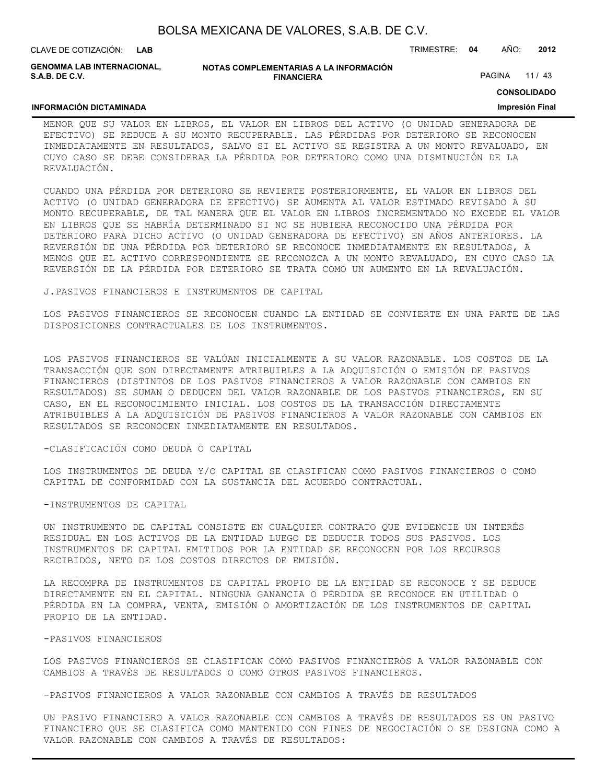CLAVE DE COTIZACIÓN: TRIMESTRE: **04** AÑO: **2012 LAB**

**GENOMMA LAB INTERNACIONAL, S.A.B. DE C.V.**

#### **NOTAS COMPLEMENTARIAS A LA INFORMACIÓN FINANCIERA**

PAGINA 11 / 43

**CONSOLIDADO**

#### **Impresión Final**

#### **INFORMACIÓN DICTAMINADA**

MENOR QUE SU VALOR EN LIBROS, EL VALOR EN LIBROS DEL ACTIVO (O UNIDAD GENERADORA DE EFECTIVO) SE REDUCE A SU MONTO RECUPERABLE. LAS PÉRDIDAS POR DETERIORO SE RECONOCEN INMEDIATAMENTE EN RESULTADOS, SALVO SI EL ACTIVO SE REGISTRA A UN MONTO REVALUADO, EN CUYO CASO SE DEBE CONSIDERAR LA PÉRDIDA POR DETERIORO COMO UNA DISMINUCIÓN DE LA REVALUACIÓN.

CUANDO UNA PÉRDIDA POR DETERIORO SE REVIERTE POSTERIORMENTE, EL VALOR EN LIBROS DEL ACTIVO (O UNIDAD GENERADORA DE EFECTIVO) SE AUMENTA AL VALOR ESTIMADO REVISADO A SU MONTO RECUPERABLE, DE TAL MANERA QUE EL VALOR EN LIBROS INCREMENTADO NO EXCEDE EL VALOR EN LIBROS QUE SE HABRÍA DETERMINADO SI NO SE HUBIERA RECONOCIDO UNA PÉRDIDA POR DETERIORO PARA DICHO ACTIVO (O UNIDAD GENERADORA DE EFECTIVO) EN AÑOS ANTERIORES. LA REVERSIÓN DE UNA PÉRDIDA POR DETERIORO SE RECONOCE INMEDIATAMENTE EN RESULTADOS, A MENOS QUE EL ACTIVO CORRESPONDIENTE SE RECONOZCA A UN MONTO REVALUADO, EN CUYO CASO LA REVERSIÓN DE LA PÉRDIDA POR DETERIORO SE TRATA COMO UN AUMENTO EN LA REVALUACIÓN.

J.PASIVOS FINANCIEROS E INSTRUMENTOS DE CAPITAL

LOS PASIVOS FINANCIEROS SE RECONOCEN CUANDO LA ENTIDAD SE CONVIERTE EN UNA PARTE DE LAS DISPOSICIONES CONTRACTUALES DE LOS INSTRUMENTOS.

LOS PASIVOS FINANCIEROS SE VALÚAN INICIALMENTE A SU VALOR RAZONABLE. LOS COSTOS DE LA TRANSACCIÓN QUE SON DIRECTAMENTE ATRIBUIBLES A LA ADQUISICIÓN O EMISIÓN DE PASIVOS FINANCIEROS (DISTINTOS DE LOS PASIVOS FINANCIEROS A VALOR RAZONABLE CON CAMBIOS EN RESULTADOS) SE SUMAN O DEDUCEN DEL VALOR RAZONABLE DE LOS PASIVOS FINANCIEROS, EN SU CASO, EN EL RECONOCIMIENTO INICIAL. LOS COSTOS DE LA TRANSACCIÓN DIRECTAMENTE ATRIBUIBLES A LA ADQUISICIÓN DE PASIVOS FINANCIEROS A VALOR RAZONABLE CON CAMBIOS EN RESULTADOS SE RECONOCEN INMEDIATAMENTE EN RESULTADOS.

#### -CLASIFICACIÓN COMO DEUDA O CAPITAL

LOS INSTRUMENTOS DE DEUDA Y/O CAPITAL SE CLASIFICAN COMO PASIVOS FINANCIEROS O COMO CAPITAL DE CONFORMIDAD CON LA SUSTANCIA DEL ACUERDO CONTRACTUAL.

#### -INSTRUMENTOS DE CAPITAL

UN INSTRUMENTO DE CAPITAL CONSISTE EN CUALQUIER CONTRATO QUE EVIDENCIE UN INTERÉS RESIDUAL EN LOS ACTIVOS DE LA ENTIDAD LUEGO DE DEDUCIR TODOS SUS PASIVOS. LOS INSTRUMENTOS DE CAPITAL EMITIDOS POR LA ENTIDAD SE RECONOCEN POR LOS RECURSOS RECIBIDOS, NETO DE LOS COSTOS DIRECTOS DE EMISIÓN.

LA RECOMPRA DE INSTRUMENTOS DE CAPITAL PROPIO DE LA ENTIDAD SE RECONOCE Y SE DEDUCE DIRECTAMENTE EN EL CAPITAL. NINGUNA GANANCIA O PÉRDIDA SE RECONOCE EN UTILIDAD O PÉRDIDA EN LA COMPRA, VENTA, EMISIÓN O AMORTIZACIÓN DE LOS INSTRUMENTOS DE CAPITAL PROPIO DE LA ENTIDAD.

#### -PASIVOS FINANCIEROS

LOS PASIVOS FINANCIEROS SE CLASIFICAN COMO PASIVOS FINANCIEROS A VALOR RAZONABLE CON CAMBIOS A TRAVÉS DE RESULTADOS O COMO OTROS PASIVOS FINANCIEROS.

-PASIVOS FINANCIEROS A VALOR RAZONABLE CON CAMBIOS A TRAVÉS DE RESULTADOS

UN PASIVO FINANCIERO A VALOR RAZONABLE CON CAMBIOS A TRAVÉS DE RESULTADOS ES UN PASIVO FINANCIERO QUE SE CLASIFICA COMO MANTENIDO CON FINES DE NEGOCIACIÓN O SE DESIGNA COMO A VALOR RAZONABLE CON CAMBIOS A TRAVÉS DE RESULTADOS: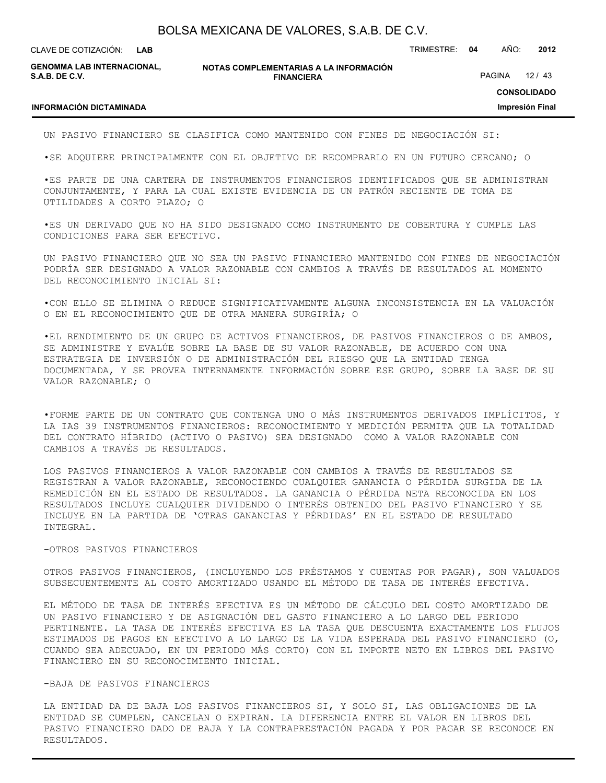**LAB**

CLAVE DE COTIZACIÓN: TRIMESTRE: **04** AÑO: **2012**

**GENOMMA LAB INTERNACIONAL, S.A.B. DE C.V.**

**NOTAS COMPLEMENTARIAS A LA INFORMACIÓN FINANCIERA**

PAGINA 12 / 43

**CONSOLIDADO**

**Impresión Final**

#### **INFORMACIÓN DICTAMINADA**

UN PASIVO FINANCIERO SE CLASIFICA COMO MANTENIDO CON FINES DE NEGOCIACIÓN SI:

•SE ADQUIERE PRINCIPALMENTE CON EL OBJETIVO DE RECOMPRARLO EN UN FUTURO CERCANO; O

•ES PARTE DE UNA CARTERA DE INSTRUMENTOS FINANCIEROS IDENTIFICADOS QUE SE ADMINISTRAN CONJUNTAMENTE, Y PARA LA CUAL EXISTE EVIDENCIA DE UN PATRÓN RECIENTE DE TOMA DE UTILIDADES A CORTO PLAZO; O

•ES UN DERIVADO QUE NO HA SIDO DESIGNADO COMO INSTRUMENTO DE COBERTURA Y CUMPLE LAS CONDICIONES PARA SER EFECTIVO.

UN PASIVO FINANCIERO QUE NO SEA UN PASIVO FINANCIERO MANTENIDO CON FINES DE NEGOCIACIÓN PODRÍA SER DESIGNADO A VALOR RAZONABLE CON CAMBIOS A TRAVÉS DE RESULTADOS AL MOMENTO DEL RECONOCIMIENTO INICIAL SI:

•CON ELLO SE ELIMINA O REDUCE SIGNIFICATIVAMENTE ALGUNA INCONSISTENCIA EN LA VALUACIÓN O EN EL RECONOCIMIENTO QUE DE OTRA MANERA SURGIRÍA; O

•EL RENDIMIENTO DE UN GRUPO DE ACTIVOS FINANCIEROS, DE PASIVOS FINANCIEROS O DE AMBOS, SE ADMINISTRE Y EVALÚE SOBRE LA BASE DE SU VALOR RAZONABLE, DE ACUERDO CON UNA ESTRATEGIA DE INVERSIÓN O DE ADMINISTRACIÓN DEL RIESGO QUE LA ENTIDAD TENGA DOCUMENTADA, Y SE PROVEA INTERNAMENTE INFORMACIÓN SOBRE ESE GRUPO, SOBRE LA BASE DE SU VALOR RAZONABLE; O

•FORME PARTE DE UN CONTRATO QUE CONTENGA UNO O MÁS INSTRUMENTOS DERIVADOS IMPLÍCITOS, Y LA IAS 39 INSTRUMENTOS FINANCIEROS: RECONOCIMIENTO Y MEDICIÓN PERMITA QUE LA TOTALIDAD DEL CONTRATO HÍBRIDO (ACTIVO O PASIVO) SEA DESIGNADO COMO A VALOR RAZONABLE CON CAMBIOS A TRAVÉS DE RESULTADOS.

LOS PASIVOS FINANCIEROS A VALOR RAZONABLE CON CAMBIOS A TRAVÉS DE RESULTADOS SE REGISTRAN A VALOR RAZONABLE, RECONOCIENDO CUALQUIER GANANCIA O PÉRDIDA SURGIDA DE LA REMEDICIÓN EN EL ESTADO DE RESULTADOS. LA GANANCIA O PÉRDIDA NETA RECONOCIDA EN LOS RESULTADOS INCLUYE CUALQUIER DIVIDENDO O INTERÉS OBTENIDO DEL PASIVO FINANCIERO Y SE INCLUYE EN LA PARTIDA DE 'OTRAS GANANCIAS Y PÉRDIDAS' EN EL ESTADO DE RESULTADO INTEGRAL.

#### -OTROS PASIVOS FINANCIEROS

OTROS PASIVOS FINANCIEROS, (INCLUYENDO LOS PRÉSTAMOS Y CUENTAS POR PAGAR), SON VALUADOS SUBSECUENTEMENTE AL COSTO AMORTIZADO USANDO EL MÉTODO DE TASA DE INTERÉS EFECTIVA.

EL MÉTODO DE TASA DE INTERÉS EFECTIVA ES UN MÉTODO DE CÁLCULO DEL COSTO AMORTIZADO DE UN PASIVO FINANCIERO Y DE ASIGNACIÓN DEL GASTO FINANCIERO A LO LARGO DEL PERIODO PERTINENTE. LA TASA DE INTERÉS EFECTIVA ES LA TASA QUE DESCUENTA EXACTAMENTE LOS FLUJOS ESTIMADOS DE PAGOS EN EFECTIVO A LO LARGO DE LA VIDA ESPERADA DEL PASIVO FINANCIERO (O, CUANDO SEA ADECUADO, EN UN PERIODO MÁS CORTO) CON EL IMPORTE NETO EN LIBROS DEL PASIVO FINANCIERO EN SU RECONOCIMIENTO INICIAL.

#### -BAJA DE PASIVOS FINANCIEROS

LA ENTIDAD DA DE BAJA LOS PASIVOS FINANCIEROS SI, Y SOLO SI, LAS OBLIGACIONES DE LA ENTIDAD SE CUMPLEN, CANCELAN O EXPIRAN. LA DIFERENCIA ENTRE EL VALOR EN LIBROS DEL PASIVO FINANCIERO DADO DE BAJA Y LA CONTRAPRESTACIÓN PAGADA Y POR PAGAR SE RECONOCE EN RESULTADOS.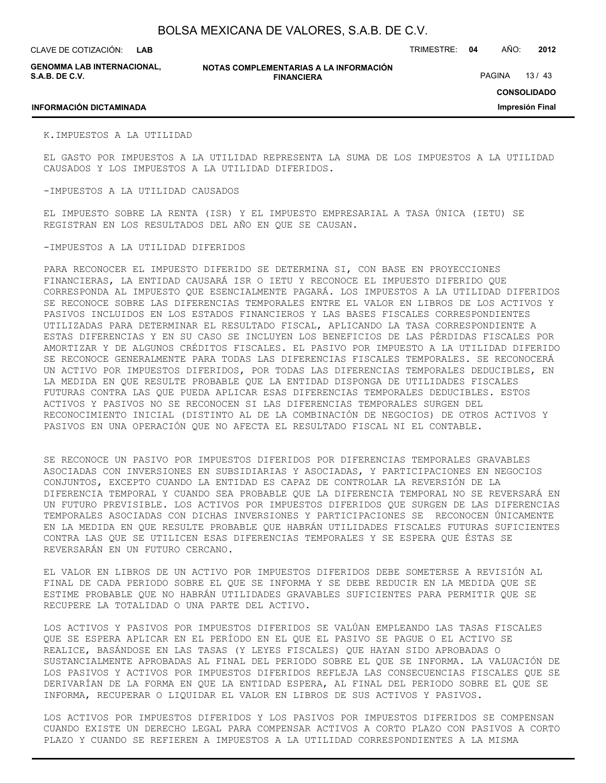**LAB**

CLAVE DE COTIZACIÓN: TRIMESTRE: **04** AÑO: **2012**

**GENOMMA LAB INTERNACIONAL, S.A.B. DE C.V.**

**NOTAS COMPLEMENTARIAS A LA INFORMACIÓN FINANCIERA**

PAGINA 13 / 43

#### **INFORMACIÓN DICTAMINADA**

**CONSOLIDADO**

**Impresión Final**

K.IMPUESTOS A LA UTILIDAD

EL GASTO POR IMPUESTOS A LA UTILIDAD REPRESENTA LA SUMA DE LOS IMPUESTOS A LA UTILIDAD CAUSADOS Y LOS IMPUESTOS A LA UTILIDAD DIFERIDOS.

#### -IMPUESTOS A LA UTILIDAD CAUSADOS

EL IMPUESTO SOBRE LA RENTA (ISR) Y EL IMPUESTO EMPRESARIAL A TASA ÚNICA (IETU) SE REGISTRAN EN LOS RESULTADOS DEL AÑO EN QUE SE CAUSAN.

#### -IMPUESTOS A LA UTILIDAD DIFERIDOS

PARA RECONOCER EL IMPUESTO DIFERIDO SE DETERMINA SI, CON BASE EN PROYECCIONES FINANCIERAS, LA ENTIDAD CAUSARÁ ISR O IETU Y RECONOCE EL IMPUESTO DIFERIDO QUE CORRESPONDA AL IMPUESTO QUE ESENCIALMENTE PAGARÁ. LOS IMPUESTOS A LA UTILIDAD DIFERIDOS SE RECONOCE SOBRE LAS DIFERENCIAS TEMPORALES ENTRE EL VALOR EN LIBROS DE LOS ACTIVOS Y PASIVOS INCLUIDOS EN LOS ESTADOS FINANCIEROS Y LAS BASES FISCALES CORRESPONDIENTES UTILIZADAS PARA DETERMINAR EL RESULTADO FISCAL, APLICANDO LA TASA CORRESPONDIENTE A ESTAS DIFERENCIAS Y EN SU CASO SE INCLUYEN LOS BENEFICIOS DE LAS PÉRDIDAS FISCALES POR AMORTIZAR Y DE ALGUNOS CRÉDITOS FISCALES. EL PASIVO POR IMPUESTO A LA UTILIDAD DIFERIDO SE RECONOCE GENERALMENTE PARA TODAS LAS DIFERENCIAS FISCALES TEMPORALES. SE RECONOCERÁ UN ACTIVO POR IMPUESTOS DIFERIDOS, POR TODAS LAS DIFERENCIAS TEMPORALES DEDUCIBLES, EN LA MEDIDA EN QUE RESULTE PROBABLE QUE LA ENTIDAD DISPONGA DE UTILIDADES FISCALES FUTURAS CONTRA LAS QUE PUEDA APLICAR ESAS DIFERENCIAS TEMPORALES DEDUCIBLES. ESTOS ACTIVOS Y PASIVOS NO SE RECONOCEN SI LAS DIFERENCIAS TEMPORALES SURGEN DEL RECONOCIMIENTO INICIAL (DISTINTO AL DE LA COMBINACIÓN DE NEGOCIOS) DE OTROS ACTIVOS Y PASIVOS EN UNA OPERACIÓN QUE NO AFECTA EL RESULTADO FISCAL NI EL CONTABLE.

SE RECONOCE UN PASIVO POR IMPUESTOS DIFERIDOS POR DIFERENCIAS TEMPORALES GRAVABLES ASOCIADAS CON INVERSIONES EN SUBSIDIARIAS Y ASOCIADAS, Y PARTICIPACIONES EN NEGOCIOS CONJUNTOS, EXCEPTO CUANDO LA ENTIDAD ES CAPAZ DE CONTROLAR LA REVERSIÓN DE LA DIFERENCIA TEMPORAL Y CUANDO SEA PROBABLE QUE LA DIFERENCIA TEMPORAL NO SE REVERSARÁ EN UN FUTURO PREVISIBLE. LOS ACTIVOS POR IMPUESTOS DIFERIDOS QUE SURGEN DE LAS DIFERENCIAS TEMPORALES ASOCIADAS CON DICHAS INVERSIONES Y PARTICIPACIONES SE RECONOCEN ÚNICAMENTE EN LA MEDIDA EN QUE RESULTE PROBABLE QUE HABRÁN UTILIDADES FISCALES FUTURAS SUFICIENTES CONTRA LAS QUE SE UTILICEN ESAS DIFERENCIAS TEMPORALES Y SE ESPERA QUE ÉSTAS SE REVERSARÁN EN UN FUTURO CERCANO.

EL VALOR EN LIBROS DE UN ACTIVO POR IMPUESTOS DIFERIDOS DEBE SOMETERSE A REVISIÓN AL FINAL DE CADA PERIODO SOBRE EL QUE SE INFORMA Y SE DEBE REDUCIR EN LA MEDIDA QUE SE ESTIME PROBABLE QUE NO HABRÁN UTILIDADES GRAVABLES SUFICIENTES PARA PERMITIR QUE SE RECUPERE LA TOTALIDAD O UNA PARTE DEL ACTIVO.

LOS ACTIVOS Y PASIVOS POR IMPUESTOS DIFERIDOS SE VALÚAN EMPLEANDO LAS TASAS FISCALES QUE SE ESPERA APLICAR EN EL PERÍODO EN EL QUE EL PASIVO SE PAGUE O EL ACTIVO SE REALICE, BASÁNDOSE EN LAS TASAS (Y LEYES FISCALES) QUE HAYAN SIDO APROBADAS O SUSTANCIALMENTE APROBADAS AL FINAL DEL PERIODO SOBRE EL QUE SE INFORMA. LA VALUACIÓN DE LOS PASIVOS Y ACTIVOS POR IMPUESTOS DIFERIDOS REFLEJA LAS CONSECUENCIAS FISCALES QUE SE DERIVARÍAN DE LA FORMA EN QUE LA ENTIDAD ESPERA, AL FINAL DEL PERIODO SOBRE EL QUE SE INFORMA, RECUPERAR O LIQUIDAR EL VALOR EN LIBROS DE SUS ACTIVOS Y PASIVOS.

LOS ACTIVOS POR IMPUESTOS DIFERIDOS Y LOS PASIVOS POR IMPUESTOS DIFERIDOS SE COMPENSAN CUANDO EXISTE UN DERECHO LEGAL PARA COMPENSAR ACTIVOS A CORTO PLAZO CON PASIVOS A CORTO PLAZO Y CUANDO SE REFIEREN A IMPUESTOS A LA UTILIDAD CORRESPONDIENTES A LA MISMA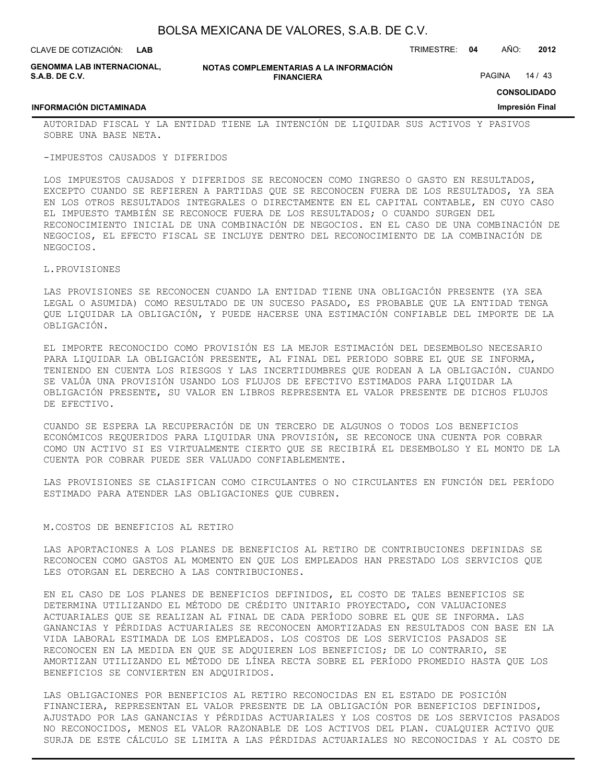| CLAVE DE COTIZACIÓN: L <b>AB</b>             |                                                             | TRIMESTRE: | -04           | AÑO: | 2012  |
|----------------------------------------------|-------------------------------------------------------------|------------|---------------|------|-------|
| GENOMMA LAB INTERNACIONAL,<br>S.A.B. DE C.V. | NOTAS COMPLEMENTARIAS A LA INFORMACIÓN<br><b>FINANCIERA</b> |            | <b>PAGINA</b> |      | 14/43 |

## **CONSOLIDADO Impresión Final**

#### **INFORMACIÓN DICTAMINADA**

AUTORIDAD FISCAL Y LA ENTIDAD TIENE LA INTENCIÓN DE LIQUIDAR SUS ACTIVOS Y PASIVOS SOBRE UNA BASE NETA.

#### -IMPUESTOS CAUSADOS Y DIFERIDOS

LOS IMPUESTOS CAUSADOS Y DIFERIDOS SE RECONOCEN COMO INGRESO O GASTO EN RESULTADOS, EXCEPTO CUANDO SE REFIEREN A PARTIDAS QUE SE RECONOCEN FUERA DE LOS RESULTADOS, YA SEA EN LOS OTROS RESULTADOS INTEGRALES O DIRECTAMENTE EN EL CAPITAL CONTABLE, EN CUYO CASO EL IMPUESTO TAMBIÉN SE RECONOCE FUERA DE LOS RESULTADOS; O CUANDO SURGEN DEL RECONOCIMIENTO INICIAL DE UNA COMBINACIÓN DE NEGOCIOS. EN EL CASO DE UNA COMBINACIÓN DE NEGOCIOS, EL EFECTO FISCAL SE INCLUYE DENTRO DEL RECONOCIMIENTO DE LA COMBINACIÓN DE NEGOCIOS.

#### L.PROVISIONES

LAS PROVISIONES SE RECONOCEN CUANDO LA ENTIDAD TIENE UNA OBLIGACIÓN PRESENTE (YA SEA LEGAL O ASUMIDA) COMO RESULTADO DE UN SUCESO PASADO, ES PROBABLE QUE LA ENTIDAD TENGA QUE LIQUIDAR LA OBLIGACIÓN, Y PUEDE HACERSE UNA ESTIMACIÓN CONFIABLE DEL IMPORTE DE LA OBLIGACIÓN.

EL IMPORTE RECONOCIDO COMO PROVISIÓN ES LA MEJOR ESTIMACIÓN DEL DESEMBOLSO NECESARIO PARA LIQUIDAR LA OBLIGACIÓN PRESENTE, AL FINAL DEL PERIODO SOBRE EL QUE SE INFORMA, TENIENDO EN CUENTA LOS RIESGOS Y LAS INCERTIDUMBRES QUE RODEAN A LA OBLIGACIÓN. CUANDO SE VALÚA UNA PROVISIÓN USANDO LOS FLUJOS DE EFECTIVO ESTIMADOS PARA LIQUIDAR LA OBLIGACIÓN PRESENTE, SU VALOR EN LIBROS REPRESENTA EL VALOR PRESENTE DE DICHOS FLUJOS DE EFECTIVO.

CUANDO SE ESPERA LA RECUPERACIÓN DE UN TERCERO DE ALGUNOS O TODOS LOS BENEFICIOS ECONÓMICOS REQUERIDOS PARA LIQUIDAR UNA PROVISIÓN, SE RECONOCE UNA CUENTA POR COBRAR COMO UN ACTIVO SI ES VIRTUALMENTE CIERTO QUE SE RECIBIRÁ EL DESEMBOLSO Y EL MONTO DE LA CUENTA POR COBRAR PUEDE SER VALUADO CONFIABLEMENTE.

LAS PROVISIONES SE CLASIFICAN COMO CIRCULANTES O NO CIRCULANTES EN FUNCIÓN DEL PERÍODO ESTIMADO PARA ATENDER LAS OBLIGACIONES QUE CUBREN.

#### M.COSTOS DE BENEFICIOS AL RETIRO

LAS APORTACIONES A LOS PLANES DE BENEFICIOS AL RETIRO DE CONTRIBUCIONES DEFINIDAS SE RECONOCEN COMO GASTOS AL MOMENTO EN QUE LOS EMPLEADOS HAN PRESTADO LOS SERVICIOS QUE LES OTORGAN EL DERECHO A LAS CONTRIBUCIONES.

EN EL CASO DE LOS PLANES DE BENEFICIOS DEFINIDOS, EL COSTO DE TALES BENEFICIOS SE DETERMINA UTILIZANDO EL MÉTODO DE CRÉDITO UNITARIO PROYECTADO, CON VALUACIONES ACTUARIALES QUE SE REALIZAN AL FINAL DE CADA PERÍODO SOBRE EL QUE SE INFORMA. LAS GANANCIAS Y PÉRDIDAS ACTUARIALES SE RECONOCEN AMORTIZADAS EN RESULTADOS CON BASE EN LA VIDA LABORAL ESTIMADA DE LOS EMPLEADOS. LOS COSTOS DE LOS SERVICIOS PASADOS SE RECONOCEN EN LA MEDIDA EN QUE SE ADQUIEREN LOS BENEFICIOS; DE LO CONTRARIO, SE AMORTIZAN UTILIZANDO EL MÉTODO DE LÍNEA RECTA SOBRE EL PERÍODO PROMEDIO HASTA QUE LOS BENEFICIOS SE CONVIERTEN EN ADQUIRIDOS.

LAS OBLIGACIONES POR BENEFICIOS AL RETIRO RECONOCIDAS EN EL ESTADO DE POSICIÓN FINANCIERA, REPRESENTAN EL VALOR PRESENTE DE LA OBLIGACIÓN POR BENEFICIOS DEFINIDOS, AJUSTADO POR LAS GANANCIAS Y PÉRDIDAS ACTUARIALES Y LOS COSTOS DE LOS SERVICIOS PASADOS NO RECONOCIDOS, MENOS EL VALOR RAZONABLE DE LOS ACTIVOS DEL PLAN. CUALQUIER ACTIVO QUE SURJA DE ESTE CÁLCULO SE LIMITA A LAS PÉRDIDAS ACTUARIALES NO RECONOCIDAS Y AL COSTO DE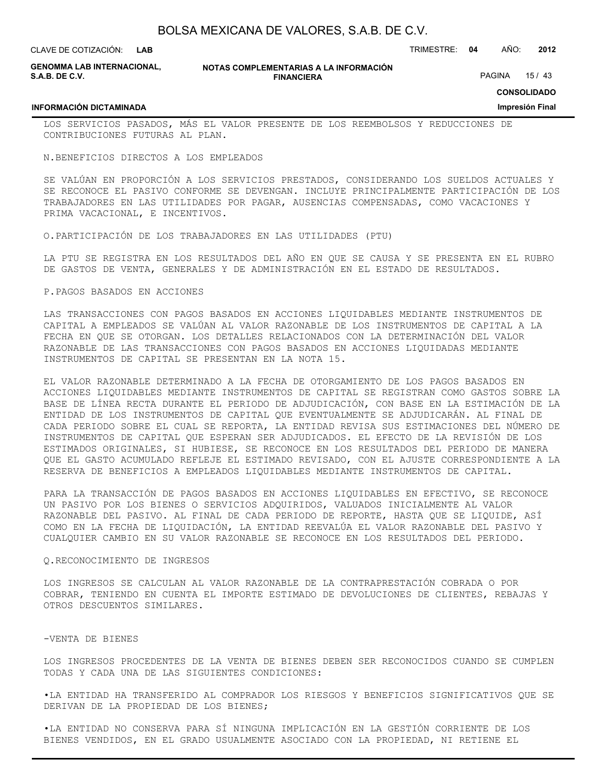| LAVE DE COTIZACIÓN: | <b>LAB</b> |
|---------------------|------------|
|                     |            |

CLAVE DE COTIZACIÓN: TRIMESTRE: **04** AÑO: **2012**

|                | <b>GENOMMA LAB INTERNACIONAL,</b> |
|----------------|-----------------------------------|
| S.A.B. DE C.V. |                                   |

**INFORMACIÓN DICTAMINADA**

**NOTAS COMPLEMENTARIAS A LA INFORMACIÓN FINANCIERA**

PAGINA 15 / 43

**CONSOLIDADO**

**Impresión Final**

LOS SERVICIOS PASADOS, MÁS EL VALOR PRESENTE DE LOS REEMBOLSOS Y REDUCCIONES DE CONTRIBUCIONES FUTURAS AL PLAN.

N.BENEFICIOS DIRECTOS A LOS EMPLEADOS

SE VALÚAN EN PROPORCIÓN A LOS SERVICIOS PRESTADOS, CONSIDERANDO LOS SUELDOS ACTUALES Y SE RECONOCE EL PASIVO CONFORME SE DEVENGAN. INCLUYE PRINCIPALMENTE PARTICIPACIÓN DE LOS TRABAJADORES EN LAS UTILIDADES POR PAGAR, AUSENCIAS COMPENSADAS, COMO VACACIONES Y PRIMA VACACIONAL, E INCENTIVOS.

O.PARTICIPACIÓN DE LOS TRABAJADORES EN LAS UTILIDADES (PTU)

LA PTU SE REGISTRA EN LOS RESULTADOS DEL AÑO EN QUE SE CAUSA Y SE PRESENTA EN EL RUBRO DE GASTOS DE VENTA, GENERALES Y DE ADMINISTRACIÓN EN EL ESTADO DE RESULTADOS.

P.PAGOS BASADOS EN ACCIONES

LAS TRANSACCIONES CON PAGOS BASADOS EN ACCIONES LIQUIDABLES MEDIANTE INSTRUMENTOS DE CAPITAL A EMPLEADOS SE VALÚAN AL VALOR RAZONABLE DE LOS INSTRUMENTOS DE CAPITAL A LA FECHA EN QUE SE OTORGAN. LOS DETALLES RELACIONADOS CON LA DETERMINACIÓN DEL VALOR RAZONABLE DE LAS TRANSACCIONES CON PAGOS BASADOS EN ACCIONES LIQUIDADAS MEDIANTE INSTRUMENTOS DE CAPITAL SE PRESENTAN EN LA NOTA 15.

EL VALOR RAZONABLE DETERMINADO A LA FECHA DE OTORGAMIENTO DE LOS PAGOS BASADOS EN ACCIONES LIQUIDABLES MEDIANTE INSTRUMENTOS DE CAPITAL SE REGISTRAN COMO GASTOS SOBRE LA BASE DE LÍNEA RECTA DURANTE EL PERIODO DE ADJUDICACIÓN, CON BASE EN LA ESTIMACIÓN DE LA ENTIDAD DE LOS INSTRUMENTOS DE CAPITAL QUE EVENTUALMENTE SE ADJUDICARÁN. AL FINAL DE CADA PERIODO SOBRE EL CUAL SE REPORTA, LA ENTIDAD REVISA SUS ESTIMACIONES DEL NÚMERO DE INSTRUMENTOS DE CAPITAL QUE ESPERAN SER ADJUDICADOS. EL EFECTO DE LA REVISIÓN DE LOS ESTIMADOS ORIGINALES, SI HUBIESE, SE RECONOCE EN LOS RESULTADOS DEL PERIODO DE MANERA QUE EL GASTO ACUMULADO REFLEJE EL ESTIMADO REVISADO, CON EL AJUSTE CORRESPONDIENTE A LA RESERVA DE BENEFICIOS A EMPLEADOS LIQUIDABLES MEDIANTE INSTRUMENTOS DE CAPITAL.

PARA LA TRANSACCIÓN DE PAGOS BASADOS EN ACCIONES LIQUIDABLES EN EFECTIVO, SE RECONOCE UN PASIVO POR LOS BIENES O SERVICIOS ADQUIRIDOS, VALUADOS INICIALMENTE AL VALOR RAZONABLE DEL PASIVO. AL FINAL DE CADA PERIODO DE REPORTE, HASTA QUE SE LIQUIDE, ASÍ COMO EN LA FECHA DE LIQUIDACIÓN, LA ENTIDAD REEVALÚA EL VALOR RAZONABLE DEL PASIVO Y CUALQUIER CAMBIO EN SU VALOR RAZONABLE SE RECONOCE EN LOS RESULTADOS DEL PERIODO.

### Q.RECONOCIMIENTO DE INGRESOS

LOS INGRESOS SE CALCULAN AL VALOR RAZONABLE DE LA CONTRAPRESTACIÓN COBRADA O POR COBRAR, TENIENDO EN CUENTA EL IMPORTE ESTIMADO DE DEVOLUCIONES DE CLIENTES, REBAJAS Y OTROS DESCUENTOS SIMILARES.

#### -VENTA DE BIENES

LOS INGRESOS PROCEDENTES DE LA VENTA DE BIENES DEBEN SER RECONOCIDOS CUANDO SE CUMPLEN TODAS Y CADA UNA DE LAS SIGUIENTES CONDICIONES:

•LA ENTIDAD HA TRANSFERIDO AL COMPRADOR LOS RIESGOS Y BENEFICIOS SIGNIFICATIVOS QUE SE DERIVAN DE LA PROPIEDAD DE LOS BIENES;

•LA ENTIDAD NO CONSERVA PARA SÍ NINGUNA IMPLICACIÓN EN LA GESTIÓN CORRIENTE DE LOS BIENES VENDIDOS, EN EL GRADO USUALMENTE ASOCIADO CON LA PROPIEDAD, NI RETIENE EL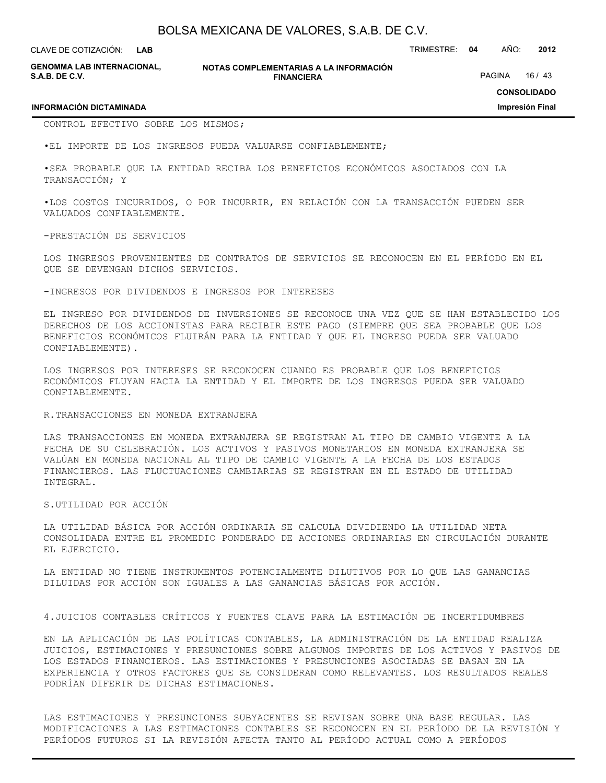CLAVE DE COTIZACIÓN: TRIMESTRE: **04** AÑO: **2012 LAB**

**GENOMMA LAB INTERNACIONAL, S.A.B. DE C.V.**

#### **NOTAS COMPLEMENTARIAS A LA INFORMACIÓN FINANCIERA**

PAGINA 16 / 43

**CONSOLIDADO**

**Impresión Final**

#### **INFORMACIÓN DICTAMINADA**

CONTROL EFECTIVO SOBRE LOS MISMOS;

•EL IMPORTE DE LOS INGRESOS PUEDA VALUARSE CONFIABLEMENTE;

•SEA PROBABLE QUE LA ENTIDAD RECIBA LOS BENEFICIOS ECONÓMICOS ASOCIADOS CON LA TRANSACCIÓN; Y

•LOS COSTOS INCURRIDOS, O POR INCURRIR, EN RELACIÓN CON LA TRANSACCIÓN PUEDEN SER VALUADOS CONFIABLEMENTE.

-PRESTACIÓN DE SERVICIOS

LOS INGRESOS PROVENIENTES DE CONTRATOS DE SERVICIOS SE RECONOCEN EN EL PERÍODO EN EL QUE SE DEVENGAN DICHOS SERVICIOS.

-INGRESOS POR DIVIDENDOS E INGRESOS POR INTERESES

EL INGRESO POR DIVIDENDOS DE INVERSIONES SE RECONOCE UNA VEZ QUE SE HAN ESTABLECIDO LOS DERECHOS DE LOS ACCIONISTAS PARA RECIBIR ESTE PAGO (SIEMPRE QUE SEA PROBABLE QUE LOS BENEFICIOS ECONÓMICOS FLUIRÁN PARA LA ENTIDAD Y QUE EL INGRESO PUEDA SER VALUADO CONFIABLEMENTE).

LOS INGRESOS POR INTERESES SE RECONOCEN CUANDO ES PROBABLE QUE LOS BENEFICIOS ECONÓMICOS FLUYAN HACIA LA ENTIDAD Y EL IMPORTE DE LOS INGRESOS PUEDA SER VALUADO CONFIABLEMENTE.

#### R.TRANSACCIONES EN MONEDA EXTRANJERA

LAS TRANSACCIONES EN MONEDA EXTRANJERA SE REGISTRAN AL TIPO DE CAMBIO VIGENTE A LA FECHA DE SU CELEBRACIÓN. LOS ACTIVOS Y PASIVOS MONETARIOS EN MONEDA EXTRANJERA SE VALÚAN EN MONEDA NACIONAL AL TIPO DE CAMBIO VIGENTE A LA FECHA DE LOS ESTADOS FINANCIEROS. LAS FLUCTUACIONES CAMBIARIAS SE REGISTRAN EN EL ESTADO DE UTILIDAD INTEGRAL.

S.UTILIDAD POR ACCIÓN

LA UTILIDAD BÁSICA POR ACCIÓN ORDINARIA SE CALCULA DIVIDIENDO LA UTILIDAD NETA CONSOLIDADA ENTRE EL PROMEDIO PONDERADO DE ACCIONES ORDINARIAS EN CIRCULACIÓN DURANTE EL EJERCICIO.

LA ENTIDAD NO TIENE INSTRUMENTOS POTENCIALMENTE DILUTIVOS POR LO QUE LAS GANANCIAS DILUIDAS POR ACCIÓN SON IGUALES A LAS GANANCIAS BÁSICAS POR ACCIÓN.

4.JUICIOS CONTABLES CRÍTICOS Y FUENTES CLAVE PARA LA ESTIMACIÓN DE INCERTIDUMBRES

EN LA APLICACIÓN DE LAS POLÍTICAS CONTABLES, LA ADMINISTRACIÓN DE LA ENTIDAD REALIZA JUICIOS, ESTIMACIONES Y PRESUNCIONES SOBRE ALGUNOS IMPORTES DE LOS ACTIVOS Y PASIVOS DE LOS ESTADOS FINANCIEROS. LAS ESTIMACIONES Y PRESUNCIONES ASOCIADAS SE BASAN EN LA EXPERIENCIA Y OTROS FACTORES QUE SE CONSIDERAN COMO RELEVANTES. LOS RESULTADOS REALES PODRÍAN DIFERIR DE DICHAS ESTIMACIONES.

LAS ESTIMACIONES Y PRESUNCIONES SUBYACENTES SE REVISAN SOBRE UNA BASE REGULAR. LAS MODIFICACIONES A LAS ESTIMACIONES CONTABLES SE RECONOCEN EN EL PERÍODO DE LA REVISIÓN Y PERÍODOS FUTUROS SI LA REVISIÓN AFECTA TANTO AL PERÍODO ACTUAL COMO A PERÍODOS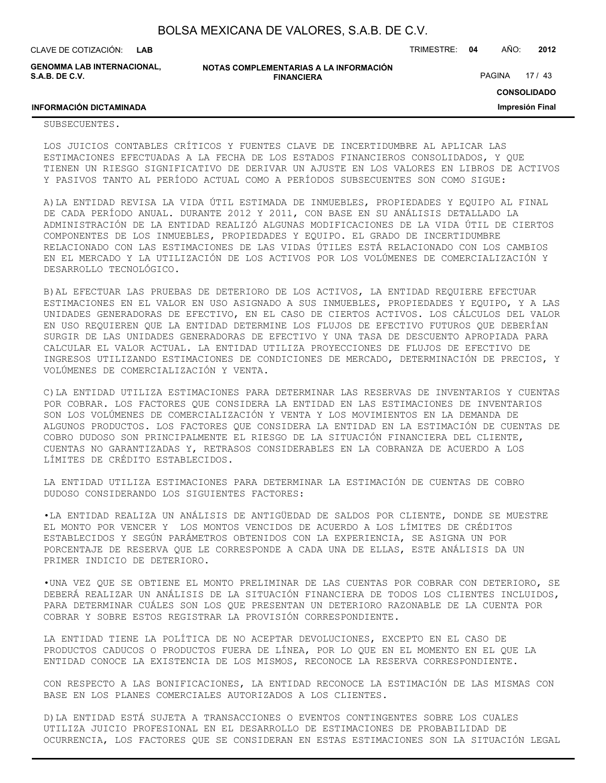| BOLSA MEXICANA DE VALORES, S.A.B. DE C.V. |  |  |  |
|-------------------------------------------|--|--|--|
|-------------------------------------------|--|--|--|

CLAVE DE COTIZACIÓN: TRIMESTRE: **04** AÑO: **2012 LAB**

**GENOMMA LAB INTERNACIONAL, S.A.B. DE C.V.**

**NOTAS COMPLEMENTARIAS A LA INFORMACIÓN FINANCIERA**

PAGINA 17 / 43

**CONSOLIDADO**

**Impresión Final**

### **INFORMACIÓN DICTAMINADA**

#### SUBSECUENTES.

LOS JUICIOS CONTABLES CRÍTICOS Y FUENTES CLAVE DE INCERTIDUMBRE AL APLICAR LAS ESTIMACIONES EFECTUADAS A LA FECHA DE LOS ESTADOS FINANCIEROS CONSOLIDADOS, Y QUE TIENEN UN RIESGO SIGNIFICATIVO DE DERIVAR UN AJUSTE EN LOS VALORES EN LIBROS DE ACTIVOS Y PASIVOS TANTO AL PERÍODO ACTUAL COMO A PERÍODOS SUBSECUENTES SON COMO SIGUE:

A)LA ENTIDAD REVISA LA VIDA ÚTIL ESTIMADA DE INMUEBLES, PROPIEDADES Y EQUIPO AL FINAL DE CADA PERÍODO ANUAL. DURANTE 2012 Y 2011, CON BASE EN SU ANÁLISIS DETALLADO LA ADMINISTRACIÓN DE LA ENTIDAD REALIZÓ ALGUNAS MODIFICACIONES DE LA VIDA ÚTIL DE CIERTOS COMPONENTES DE LOS INMUEBLES, PROPIEDADES Y EQUIPO. EL GRADO DE INCERTIDUMBRE RELACIONADO CON LAS ESTIMACIONES DE LAS VIDAS ÚTILES ESTÁ RELACIONADO CON LOS CAMBIOS EN EL MERCADO Y LA UTILIZACIÓN DE LOS ACTIVOS POR LOS VOLÚMENES DE COMERCIALIZACIÓN Y DESARROLLO TECNOLÓGICO.

B)AL EFECTUAR LAS PRUEBAS DE DETERIORO DE LOS ACTIVOS, LA ENTIDAD REQUIERE EFECTUAR ESTIMACIONES EN EL VALOR EN USO ASIGNADO A SUS INMUEBLES, PROPIEDADES Y EQUIPO, Y A LAS UNIDADES GENERADORAS DE EFECTIVO, EN EL CASO DE CIERTOS ACTIVOS. LOS CÁLCULOS DEL VALOR EN USO REQUIEREN QUE LA ENTIDAD DETERMINE LOS FLUJOS DE EFECTIVO FUTUROS QUE DEBERÍAN SURGIR DE LAS UNIDADES GENERADORAS DE EFECTIVO Y UNA TASA DE DESCUENTO APROPIADA PARA CALCULAR EL VALOR ACTUAL. LA ENTIDAD UTILIZA PROYECCIONES DE FLUJOS DE EFECTIVO DE INGRESOS UTILIZANDO ESTIMACIONES DE CONDICIONES DE MERCADO, DETERMINACIÓN DE PRECIOS, Y VOLÚMENES DE COMERCIALIZACIÓN Y VENTA.

C)LA ENTIDAD UTILIZA ESTIMACIONES PARA DETERMINAR LAS RESERVAS DE INVENTARIOS Y CUENTAS POR COBRAR. LOS FACTORES QUE CONSIDERA LA ENTIDAD EN LAS ESTIMACIONES DE INVENTARIOS SON LOS VOLÚMENES DE COMERCIALIZACIÓN Y VENTA Y LOS MOVIMIENTOS EN LA DEMANDA DE ALGUNOS PRODUCTOS. LOS FACTORES QUE CONSIDERA LA ENTIDAD EN LA ESTIMACIÓN DE CUENTAS DE COBRO DUDOSO SON PRINCIPALMENTE EL RIESGO DE LA SITUACIÓN FINANCIERA DEL CLIENTE, CUENTAS NO GARANTIZADAS Y, RETRASOS CONSIDERABLES EN LA COBRANZA DE ACUERDO A LOS LÍMITES DE CRÉDITO ESTABLECIDOS.

LA ENTIDAD UTILIZA ESTIMACIONES PARA DETERMINAR LA ESTIMACIÓN DE CUENTAS DE COBRO DUDOSO CONSIDERANDO LOS SIGUIENTES FACTORES:

•LA ENTIDAD REALIZA UN ANÁLISIS DE ANTIGÜEDAD DE SALDOS POR CLIENTE, DONDE SE MUESTRE EL MONTO POR VENCER Y LOS MONTOS VENCIDOS DE ACUERDO A LOS LÍMITES DE CRÉDITOS ESTABLECIDOS Y SEGÚN PARÁMETROS OBTENIDOS CON LA EXPERIENCIA, SE ASIGNA UN POR PORCENTAJE DE RESERVA QUE LE CORRESPONDE A CADA UNA DE ELLAS, ESTE ANÁLISIS DA UN PRIMER INDICIO DE DETERIORO.

•UNA VEZ QUE SE OBTIENE EL MONTO PRELIMINAR DE LAS CUENTAS POR COBRAR CON DETERIORO, SE DEBERÁ REALIZAR UN ANÁLISIS DE LA SITUACIÓN FINANCIERA DE TODOS LOS CLIENTES INCLUIDOS, PARA DETERMINAR CUÁLES SON LOS QUE PRESENTAN UN DETERIORO RAZONABLE DE LA CUENTA POR COBRAR Y SOBRE ESTOS REGISTRAR LA PROVISIÓN CORRESPONDIENTE.

LA ENTIDAD TIENE LA POLÍTICA DE NO ACEPTAR DEVOLUCIONES, EXCEPTO EN EL CASO DE PRODUCTOS CADUCOS O PRODUCTOS FUERA DE LÍNEA, POR LO QUE EN EL MOMENTO EN EL QUE LA ENTIDAD CONOCE LA EXISTENCIA DE LOS MISMOS, RECONOCE LA RESERVA CORRESPONDIENTE.

CON RESPECTO A LAS BONIFICACIONES, LA ENTIDAD RECONOCE LA ESTIMACIÓN DE LAS MISMAS CON BASE EN LOS PLANES COMERCIALES AUTORIZADOS A LOS CLIENTES.

D)LA ENTIDAD ESTÁ SUJETA A TRANSACCIONES O EVENTOS CONTINGENTES SOBRE LOS CUALES UTILIZA JUICIO PROFESIONAL EN EL DESARROLLO DE ESTIMACIONES DE PROBABILIDAD DE OCURRENCIA, LOS FACTORES QUE SE CONSIDERAN EN ESTAS ESTIMACIONES SON LA SITUACIÓN LEGAL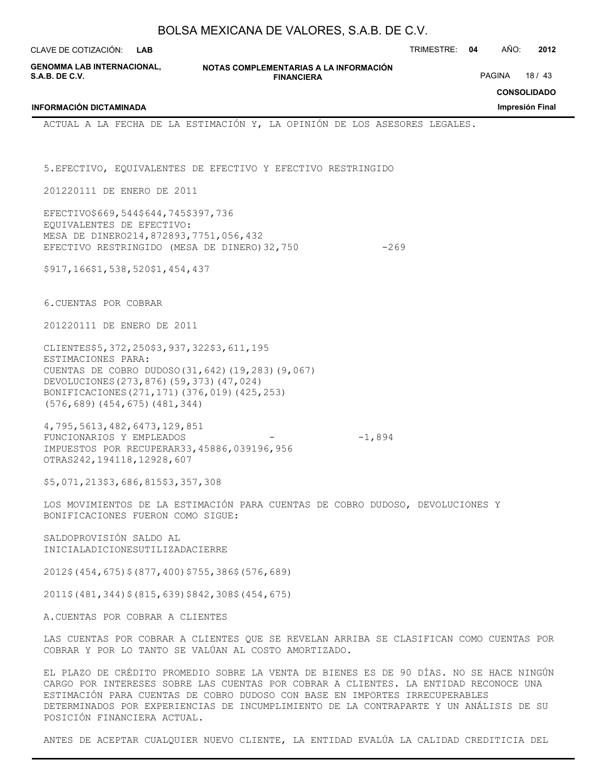| BOLSA MEXICANA DE VALORES, S.A.B. DE C.V.                                                                                                                                                                                                                                 |                                                                                                                                                |               |                                       |  |  |
|---------------------------------------------------------------------------------------------------------------------------------------------------------------------------------------------------------------------------------------------------------------------------|------------------------------------------------------------------------------------------------------------------------------------------------|---------------|---------------------------------------|--|--|
| CLAVE DE COTIZACIÓN:<br><b>LAB</b>                                                                                                                                                                                                                                        |                                                                                                                                                | TRIMESTRE: 04 | AÑO:<br>2012                          |  |  |
| GENOMMA LAB INTERNACIONAL,<br>S.A.B. DE C.V.                                                                                                                                                                                                                              | NOTAS COMPLEMENTARIAS A LA INFORMACIÓN<br><b>FINANCIERA</b>                                                                                    |               | <b>PAGINA</b><br>18/43                |  |  |
| <b>INFORMACIÓN DICTAMINADA</b>                                                                                                                                                                                                                                            |                                                                                                                                                |               | <b>CONSOLIDADO</b><br>Impresión Final |  |  |
|                                                                                                                                                                                                                                                                           | ACTUAL A LA FECHA DE LA ESTIMACIÓN Y, LA OPINIÓN DE LOS ASESORES LEGALES.                                                                      |               |                                       |  |  |
|                                                                                                                                                                                                                                                                           | 5. EFECTIVO, EQUIVALENTES DE EFECTIVO Y EFECTIVO RESTRINGIDO                                                                                   |               |                                       |  |  |
| 201220111 DE ENERO DE 2011                                                                                                                                                                                                                                                |                                                                                                                                                |               |                                       |  |  |
| EFECTIVO\$669,544\$644,745\$397,736<br>EQUIVALENTES DE EFECTIVO:<br>MESA DE DINERO214, 872893, 7751, 056, 432<br>EFECTIVO RESTRINGIDO (MESA DE DINERO) 32,750                                                                                                             | $-269$                                                                                                                                         |               |                                       |  |  |
| \$917,166\$1,538,520\$1,454,437                                                                                                                                                                                                                                           |                                                                                                                                                |               |                                       |  |  |
| 6. CUENTAS POR COBRAR                                                                                                                                                                                                                                                     |                                                                                                                                                |               |                                       |  |  |
| 201220111 DE ENERO DE 2011                                                                                                                                                                                                                                                |                                                                                                                                                |               |                                       |  |  |
| CLIENTES\$5, 372, 250\$3, 937, 322\$3, 611, 195<br>ESTIMACIONES PARA:<br>CUENTAS DE COBRO DUDOSO (31, 642) (19, 283) (9, 067)<br>DEVOLUCIONES (273, 876) (59, 373) (47, 024)<br>BONIFICACIONES (271, 171) (376, 019) (425, 253)<br>$(576, 689)$ $(454, 675)$ $(481, 344)$ |                                                                                                                                                |               |                                       |  |  |
| 4,795,5613,482,6473,129,851<br>FUNCIONARIOS Y EMPLEADOS<br>IMPUESTOS POR RECUPERAR33, 45886, 039196, 956<br>OTRAS242, 194118, 12928, 607                                                                                                                                  | $-1,894$                                                                                                                                       |               |                                       |  |  |
| \$5,071,213\$3,686,815\$3,357,308                                                                                                                                                                                                                                         |                                                                                                                                                |               |                                       |  |  |
| BONIFICACIONES FUERON COMO SIGUE:                                                                                                                                                                                                                                         | LOS MOVIMIENTOS DE LA ESTIMACIÓN PARA CUENTAS DE COBRO DUDOSO, DEVOLUCIONES Y                                                                  |               |                                       |  |  |
| SALDOPROVISIÓN SALDO AL<br>INICIALADICIONESUTILIZADACIERRE                                                                                                                                                                                                                |                                                                                                                                                |               |                                       |  |  |
| $2012\$ (454, 675) $\frac{2}{3}$ (877, 400) $\frac{2}{755}$ , 386 $\frac{2}{3}$ (576, 689)                                                                                                                                                                                |                                                                                                                                                |               |                                       |  |  |
| 2011\$ (481, 344) \$ (815, 639) \$842, 308\$ (454, 675)                                                                                                                                                                                                                   |                                                                                                                                                |               |                                       |  |  |
| A.CUENTAS POR COBRAR A CLIENTES                                                                                                                                                                                                                                           |                                                                                                                                                |               |                                       |  |  |
|                                                                                                                                                                                                                                                                           | LAS CUENTAS POR COBRAR A CLIENTES QUE SE REVELAN ARRIBA SE CLASIFICAN COMO CUENTAS POR<br>COBRAR Y POR LO TANTO SE VALÚAN AL COSTO AMORTIZADO. |               |                                       |  |  |
|                                                                                                                                                                                                                                                                           | EL PLAZO DE CRÉDITO PROMEDIO SOBRE LA VENTA DE BIENES ES DE 90 DÍAS. NO SE HACE NINGÚN                                                         |               |                                       |  |  |

CARGO POR INTERESES SOBRE LAS CUENTAS POR COBRAR A CLIENTES. LA ENTIDAD RECONOCE UNA ESTIMACIÓN PARA CUENTAS DE COBRO DUDOSO CON BASE EN IMPORTES IRRECUPERABLES DETERMINADOS POR EXPERIENCIAS DE INCUMPLIMIENTO DE LA CONTRAPARTE Y UN ANÁLISIS DE SU POSICIÓN FINANCIERA ACTUAL.

ANTES DE ACEPTAR CUALQUIER NUEVO CLIENTE, LA ENTIDAD EVALÚA LA CALIDAD CREDITICIA DEL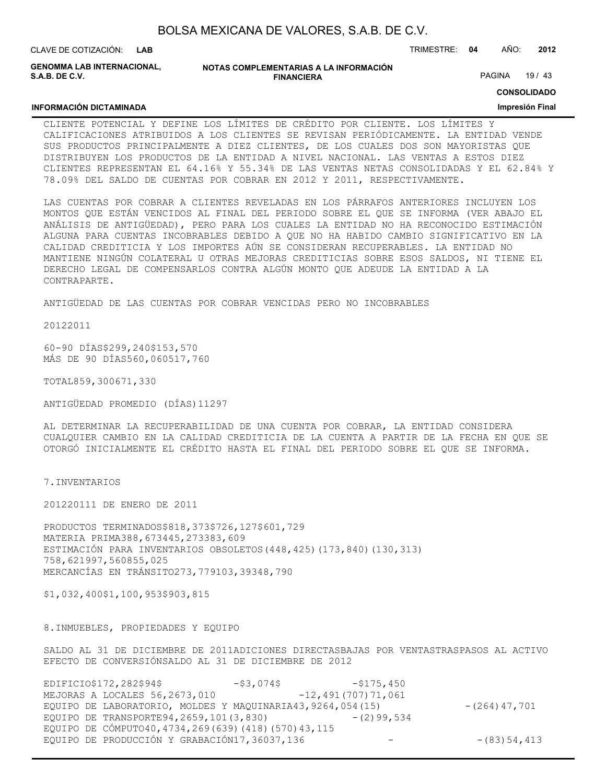| BOLSA MEXICANA DE VALORES, S.A.B. DE C.V. |  |  |  |
|-------------------------------------------|--|--|--|
|-------------------------------------------|--|--|--|

CLAVE DE COTIZACIÓN: TRIMESTRE: **04** AÑO: **2012 LAB**

**GENOMMA LAB INTERNACIONAL, S.A.B. DE C.V.**

**INFORMACIÓN DICTAMINADA**

#### **NOTAS COMPLEMENTARIAS A LA INFORMACIÓN FINANCIERA**

PAGINA 19 / 43

**CONSOLIDADO**

#### **Impresión Final**

CLIENTE POTENCIAL Y DEFINE LOS LÍMITES DE CRÉDITO POR CLIENTE. LOS LÍMITES Y CALIFICACIONES ATRIBUIDOS A LOS CLIENTES SE REVISAN PERIÓDICAMENTE. LA ENTIDAD VENDE SUS PRODUCTOS PRINCIPALMENTE A DIEZ CLIENTES, DE LOS CUALES DOS SON MAYORISTAS QUE DISTRIBUYEN LOS PRODUCTOS DE LA ENTIDAD A NIVEL NACIONAL. LAS VENTAS A ESTOS DIEZ CLIENTES REPRESENTAN EL 64.16% Y 55.34% DE LAS VENTAS NETAS CONSOLIDADAS Y EL 62.84% Y 78.09% DEL SALDO DE CUENTAS POR COBRAR EN 2012 Y 2011, RESPECTIVAMENTE.

LAS CUENTAS POR COBRAR A CLIENTES REVELADAS EN LOS PÁRRAFOS ANTERIORES INCLUYEN LOS MONTOS QUE ESTÁN VENCIDOS AL FINAL DEL PERIODO SOBRE EL QUE SE INFORMA (VER ABAJO EL ANÁLISIS DE ANTIGÜEDAD), PERO PARA LOS CUALES LA ENTIDAD NO HA RECONOCIDO ESTIMACIÓN ALGUNA PARA CUENTAS INCOBRABLES DEBIDO A QUE NO HA HABIDO CAMBIO SIGNIFICATIVO EN LA CALIDAD CREDITICIA Y LOS IMPORTES AÚN SE CONSIDERAN RECUPERABLES. LA ENTIDAD NO MANTIENE NINGÚN COLATERAL U OTRAS MEJORAS CREDITICIAS SOBRE ESOS SALDOS, NI TIENE EL DERECHO LEGAL DE COMPENSARLOS CONTRA ALGÚN MONTO QUE ADEUDE LA ENTIDAD A LA CONTRAPARTE.

ANTIGÜEDAD DE LAS CUENTAS POR COBRAR VENCIDAS PERO NO INCOBRABLES

20122011

60-90 DÍAS\$299,240\$153,570 MÁS DE 90 DÍAS560,060517,760

TOTAL859,300671,330

ANTIGÜEDAD PROMEDIO (DÍAS)11297

AL DETERMINAR LA RECUPERABILIDAD DE UNA CUENTA POR COBRAR, LA ENTIDAD CONSIDERA CUALQUIER CAMBIO EN LA CALIDAD CREDITICIA DE LA CUENTA A PARTIR DE LA FECHA EN QUE SE OTORGÓ INICIALMENTE EL CRÉDITO HASTA EL FINAL DEL PERIODO SOBRE EL QUE SE INFORMA.

7.INVENTARIOS

201220111 DE ENERO DE 2011

PRODUCTOS TERMINADOS\$818,373\$726,127\$601,729 MATERIA PRIMA388,673445,273383,609 ESTIMACIÓN PARA INVENTARIOS OBSOLETOS(448,425)(173,840)(130,313) 758,621997,560855,025 MERCANCÍAS EN TRÁNSITO273,779103,39348,790

\$1,032,400\$1,100,953\$903,815

8.INMUEBLES, PROPIEDADES Y EQUIPO

SALDO AL 31 DE DICIEMBRE DE 2011ADICIONES DIRECTASBAJAS POR VENTASTRASPASOS AL ACTIVO EFECTO DE CONVERSIÓNSALDO AL 31 DE DICIEMBRE DE 2012

| EDIFICIO\$172,282\$94\$                        | -\$3,074\$                                                   | $-$ \$175,450        |                  |
|------------------------------------------------|--------------------------------------------------------------|----------------------|------------------|
| MEJORAS A LOCALES 56, 2673, 010                |                                                              | $-12,491(707)71,061$ |                  |
|                                                | EQUIPO DE LABORATORIO, MOLDES Y MAQUINARIA43, 9264, 054 (15) |                      | $-(264)$ 47,701  |
| EQUIPO DE TRANSPORTE94, 2659, 101 (3,830)      |                                                              | $-$ (2) 99, 534      |                  |
|                                                | EQUIPO DE CÓMPUTO40, 4734, 269 (639) (418) (570) 43, 115     |                      |                  |
| EQUIPO DE PRODUCCIÓN Y GRABACIÓN17, 36037, 136 |                                                              |                      | $- (83) 54, 413$ |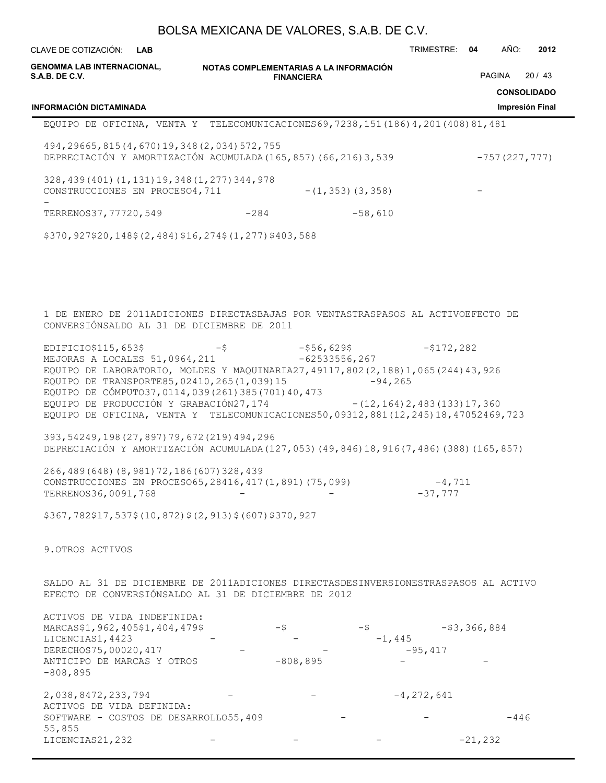| CLAVE DE COTIZACIÓN:<br><b>LAB</b>                                                                                                                                                                                                                                                                                                                                                                                         |                                        |                                               | TRIMESTRE: 04         | AÑO:<br>2012                          |
|----------------------------------------------------------------------------------------------------------------------------------------------------------------------------------------------------------------------------------------------------------------------------------------------------------------------------------------------------------------------------------------------------------------------------|----------------------------------------|-----------------------------------------------|-----------------------|---------------------------------------|
| <b>GENOMMA LAB INTERNACIONAL,</b><br><b>S.A.B. DE C.V.</b>                                                                                                                                                                                                                                                                                                                                                                 | NOTAS COMPLEMENTARIAS A LA INFORMACIÓN | <b>FINANCIERA</b>                             |                       | 20/43<br>PAGINA<br><b>CONSOLIDADO</b> |
| INFORMACIÓN DICTAMINADA                                                                                                                                                                                                                                                                                                                                                                                                    |                                        |                                               |                       | Impresión Final                       |
| EQUIPO DE OFICINA, VENTA Y TELECOMUNICACIONES69, 7238, 151 (186) 4, 201 (408) 81, 481                                                                                                                                                                                                                                                                                                                                      |                                        |                                               |                       |                                       |
| 494, 29665, 815 (4, 670) 19, 348 (2, 034) 572, 755<br>DEPRECIACIÓN Y AMORTIZACIÓN ACUMULADA (165,857) (66,216) 3,539                                                                                                                                                                                                                                                                                                       |                                        |                                               |                       | $-757(227, 777)$                      |
| 328, 439 (401) (1, 131) 19, 348 (1, 277) 344, 978<br>CONSTRUCCIONES EN PROCESO4, 711                                                                                                                                                                                                                                                                                                                                       |                                        | $-$ (1,353) (3,358)                           |                       |                                       |
| TERRENOS37, 77720, 549                                                                                                                                                                                                                                                                                                                                                                                                     | $-284$                                 |                                               | $-58,610$             |                                       |
| \$370,927\$20,148\$(2,484)\$16,274\$(1,277)\$403,588                                                                                                                                                                                                                                                                                                                                                                       |                                        |                                               |                       |                                       |
| 1 DE ENERO DE 2011ADICIONES DIRECTASBAJAS POR VENTASTRASPASOS AL ACTIVOEFECTO DE<br>CONVERSIÓNSALDO AL 31 DE DICIEMBRE DE 2011                                                                                                                                                                                                                                                                                             |                                        |                                               |                       |                                       |
| EDIFICIO\$115,653\$<br>MEJORAS A LOCALES 51,0964,211<br>EQUIPO DE LABORATORIO, MOLDES Y MAQUINARIA27, 49117, 802 (2, 188) 1, 065 (244) 43, 926<br>EQUIPO DE TRANSPORTE85, 02410, 265 (1, 039) 15<br>EQUIPO DE CÓMPUTO37, 0114, 039 (261) 385 (701) 40, 473<br>EQUIPO DE PRODUCCIÓN Y GRABACIÓN27, 174 - (12, 164) 2, 483 (133) 17, 360<br>EQUIPO DE OFICINA, VENTA Y TELECOMUNICACIONES50,09312,881(12,245)18,47052469,723 | $-\xi$                                 | $-556,6295$<br>$-62533556, 267$<br>$-94, 265$ | $-5172,282$           |                                       |
| 393, 54249, 198 (27, 897) 79, 672 (219) 494, 296<br>DEPRECIACIÓN Y AMORTIZACIÓN ACUMULADA (127, 053) (49, 846) 18, 916 (7, 486) (388) (165, 857)                                                                                                                                                                                                                                                                           |                                        |                                               |                       |                                       |
| 266, 489 (648) (8, 981) 72, 186 (607) 328, 439<br>CONSTRUCCIONES EN PROCESO65, 28416, 417 (1,891) (75,099)<br>TERRENOS36,0091,768                                                                                                                                                                                                                                                                                          |                                        |                                               | $-4,711$<br>$-37,777$ |                                       |
| \$367,782\$17,537\$(10,872)\$(2,913)\$(607)\$370,927                                                                                                                                                                                                                                                                                                                                                                       |                                        |                                               |                       |                                       |
| 9. OTROS ACTIVOS                                                                                                                                                                                                                                                                                                                                                                                                           |                                        |                                               |                       |                                       |
| SALDO AL 31 DE DICIEMBRE DE 2011ADICIONES DIRECTASDESINVERSIONESTRASPASOS AL ACTIVO<br>EFECTO DE CONVERSIÓNSALDO AL 31 DE DICIEMBRE DE 2012                                                                                                                                                                                                                                                                                |                                        |                                               |                       |                                       |
| ACTIVOS DE VIDA INDEFINIDA:<br>MARCAS\$1, 962, 405\$1, 404, 479\$<br>LICENCIAS1, 4423<br>DERECHOS75,00020,417<br>ANTICIPO DE MARCAS Y OTROS<br>$-808, 895$                                                                                                                                                                                                                                                                 | $-$ \$                                 | -\$<br>$-808, 895$                            | $-1,445$<br>$-95,417$ | $-$ \$3,366,884                       |
| 2,038,8472,233,794<br>ACTIVOS DE VIDA DEFINIDA:<br>SOFTWARE - COSTOS DE DESARROLLO55, 409<br>55,855                                                                                                                                                                                                                                                                                                                        |                                        |                                               | $-4, 272, 641$        | $-446$                                |

LICENCIAS21, 232 - - - - - - - - - - - 21, 232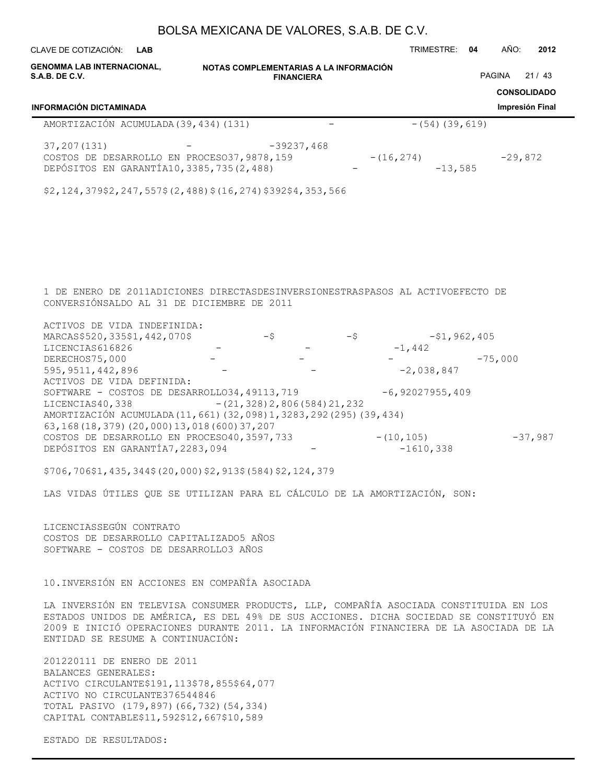| CLAVE DE COTIZACIÓN:<br><b>LAB</b>                                                                                                                                                                                                                                                                             |                                        |        |                   |       | TRIMESTRE:                   | 04 | AÑO:               | 2012      |
|----------------------------------------------------------------------------------------------------------------------------------------------------------------------------------------------------------------------------------------------------------------------------------------------------------------|----------------------------------------|--------|-------------------|-------|------------------------------|----|--------------------|-----------|
| <b>GENOMMA LAB INTERNACIONAL,</b><br><b>S.A.B. DE C.V.</b>                                                                                                                                                                                                                                                     | NOTAS COMPLEMENTARIAS A LA INFORMACIÓN |        | PAGINA            | 21/43 |                              |    |                    |           |
|                                                                                                                                                                                                                                                                                                                |                                        |        | <b>FINANCIERA</b> |       |                              |    | <b>CONSOLIDADO</b> |           |
| <b>INFORMACIÓN DICTAMINADA</b>                                                                                                                                                                                                                                                                                 |                                        |        |                   |       |                              |    | Impresión Final    |           |
| AMORTIZACIÓN ACUMULADA (39, 434) (131)                                                                                                                                                                                                                                                                         |                                        |        |                   |       | $- (54) (39, 619)$           |    |                    |           |
| 37, 207 (131)<br>COSTOS DE DESARROLLO EN PROCESO37, 9878, 159<br>DEPÓSITOS EN GARANTÍA10, 3385, 735 (2, 488)                                                                                                                                                                                                   |                                        |        | $-39237,468$      |       | $- (16, 274)$<br>$-13,585$   |    | $-29,872$          |           |
| \$2,124,379\$2,247,557\$(2,488)\$(16,274)\$392\$4,353,566                                                                                                                                                                                                                                                      |                                        |        |                   |       |                              |    |                    |           |
|                                                                                                                                                                                                                                                                                                                |                                        |        |                   |       |                              |    |                    |           |
|                                                                                                                                                                                                                                                                                                                |                                        |        |                   |       |                              |    |                    |           |
|                                                                                                                                                                                                                                                                                                                |                                        |        |                   |       |                              |    |                    |           |
| 1 DE ENERO DE 2011ADICIONES DIRECTASDESINVERSIONESTRASPASOS AL ACTIVOEFECTO DE<br>CONVERSIÓNSALDO AL 31 DE DICIEMBRE DE 2011                                                                                                                                                                                   |                                        |        |                   |       |                              |    |                    |           |
| ACTIVOS DE VIDA INDEFINIDA:<br>MARCAS\$520, 335\$1, 442, 070\$<br>LICENCIAS616826                                                                                                                                                                                                                              |                                        | $-$ \$ |                   | -\$   | $-51,962,405$<br>$-1,442$    |    |                    |           |
| DERECHOS75,000<br>595, 9511, 442, 896                                                                                                                                                                                                                                                                          |                                        |        |                   |       | $-2,038,847$                 |    | $-75,000$          |           |
| ACTIVOS DE VIDA DEFINIDA:<br>SOFTWARE - COSTOS DE DESARROLLO34, 49113, 719<br>LICENCIAS40, 338                                                                                                                                                                                                                 | $- (21, 328) 2, 806 (584) 21, 232$     |        |                   |       | $-6,92027955,409$            |    |                    |           |
| AMORTIZACIÓN ACUMULADA (11, 661) (32, 098) 1, 3283, 292 (295) (39, 434)<br>63, 168 (18, 379) (20, 000) 13, 018 (600) 37, 207                                                                                                                                                                                   |                                        |        |                   |       |                              |    |                    |           |
| COSTOS DE DESARROLLO EN PROCESO40, 3597, 733<br>DEPÓSITOS EN GARANTÍA7, 2283, 094                                                                                                                                                                                                                              |                                        |        |                   |       | $- (10, 105)$<br>$-1610,338$ |    |                    | $-37,987$ |
| \$706,706\$1,435,344\$(20,000)\$2,913\$(584)\$2,124,379                                                                                                                                                                                                                                                        |                                        |        |                   |       |                              |    |                    |           |
| LAS VIDAS ÚTILES QUE SE UTILIZAN PARA EL CÁLCULO DE LA AMORTIZACIÓN, SON:                                                                                                                                                                                                                                      |                                        |        |                   |       |                              |    |                    |           |
| LICENCIASSEGÚN CONTRATO<br>COSTOS DE DESARROLLO CAPITALIZADO5 AÑOS<br>SOFTWARE - COSTOS DE DESARROLLO3 AÑOS                                                                                                                                                                                                    |                                        |        |                   |       |                              |    |                    |           |
| 10. INVERSIÓN EN ACCIONES EN COMPAÑÍA ASOCIADA                                                                                                                                                                                                                                                                 |                                        |        |                   |       |                              |    |                    |           |
| LA INVERSIÓN EN TELEVISA CONSUMER PRODUCTS, LLP, COMPAÑÍA ASOCIADA CONSTITUIDA EN LOS<br>ESTADOS UNIDOS DE AMÉRICA, ES DEL 49% DE SUS ACCIONES. DICHA SOCIEDAD SE CONSTITUYÓ EN<br>2009 E INICIÓ OPERACIONES DURANTE 2011. LA INFORMACIÓN FINANCIERA DE LA ASOCIADA DE LA<br>ENTIDAD SE RESUME A CONTINUACIÓN: |                                        |        |                   |       |                              |    |                    |           |
| 201220111 DE ENERO DE 2011<br>BALANCES GENERALES:                                                                                                                                                                                                                                                              |                                        |        |                   |       |                              |    |                    |           |
| ACTIVO CIRCULANTE\$191, 113\$78, 855\$64, 077<br>ACTIVO NO CIRCULANTE376544846<br>TOTAL PASIVO (179,897) (66,732) (54,334)                                                                                                                                                                                     |                                        |        |                   |       |                              |    |                    |           |

CAPITAL CONTABLE\$11,592\$12,667\$10,589

ESTADO DE RESULTADOS: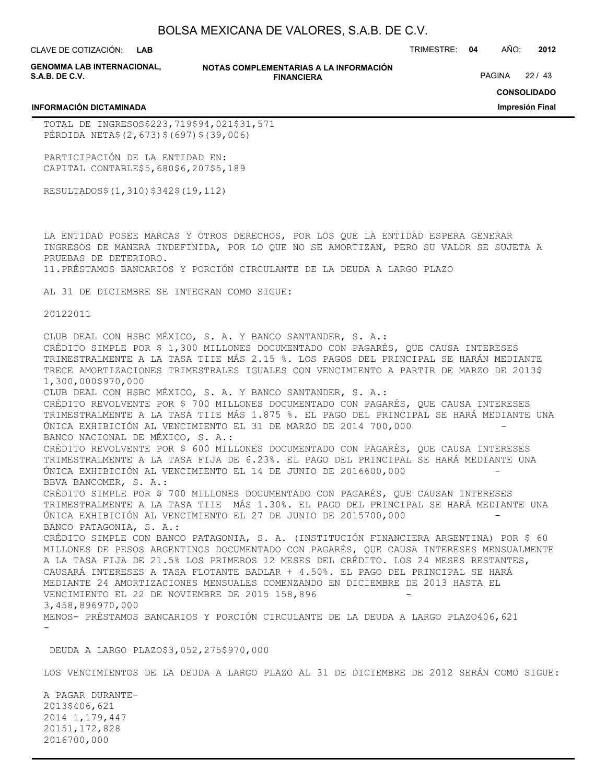**LAB**

CLAVE DE COTIZACIÓN: TRIMESTRE: **04** AÑO: **2012**

**GENOMMA LAB INTERNACIONAL, S.A.B. DE C.V.**

**INFORMACIÓN DICTAMINADA**

**NOTAS COMPLEMENTARIAS A LA INFORMACIÓN FINANCIERA**

PAGINA 22 / 43

**CONSOLIDADO**

**Impresión Final**

TOTAL DE INGRESOS\$223,719\$94,021\$31,571 PÉRDIDA NETA\$(2,673)\$(697)\$(39,006)

PARTICIPACIÓN DE LA ENTIDAD EN: CAPITAL CONTABLE\$5,680\$6,207\$5,189

RESULTADOS\$(1,310)\$342\$(19,112)

LA ENTIDAD POSEE MARCAS Y OTROS DERECHOS, POR LOS QUE LA ENTIDAD ESPERA GENERAR INGRESOS DE MANERA INDEFINIDA, POR LO QUE NO SE AMORTIZAN, PERO SU VALOR SE SUJETA A PRUEBAS DE DETERIORO.

11.PRÉSTAMOS BANCARIOS Y PORCIÓN CIRCULANTE DE LA DEUDA A LARGO PLAZO

AL 31 DE DICIEMBRE SE INTEGRAN COMO SIGUE:

20122011

CLUB DEAL CON HSBC MÉXICO, S. A. Y BANCO SANTANDER, S. A.: CRÉDITO SIMPLE POR \$ 1,300 MILLONES DOCUMENTADO CON PAGARÉS, QUE CAUSA INTERESES TRIMESTRALMENTE A LA TASA TIIE MÁS 2.15 %. LOS PAGOS DEL PRINCIPAL SE HARÁN MEDIANTE TRECE AMORTIZACIONES TRIMESTRALES IGUALES CON VENCIMIENTO A PARTIR DE MARZO DE 2013\$ 1,300,000\$970,000 CLUB DEAL CON HSBC MÉXICO, S. A. Y BANCO SANTANDER, S. A.: CRÉDITO REVOLVENTE POR \$ 700 MILLONES DOCUMENTADO CON PAGARÉS, QUE CAUSA INTERESES TRIMESTRALMENTE A LA TASA TIIE MÁS 1.875 %. EL PAGO DEL PRINCIPAL SE HARÁ MEDIANTE UNA ÚNICA EXHIBICIÓN AL VENCIMIENTO EL 31 DE MARZO DE 2014 700,000 - BANCO NACIONAL DE MÉXICO, S. A.: CRÉDITO REVOLVENTE POR \$ 600 MILLONES DOCUMENTADO CON PAGARÉS, QUE CAUSA INTERESES TRIMESTRALMENTE A LA TASA FIJA DE 6.23%. EL PAGO DEL PRINCIPAL SE HARÁ MEDIANTE UNA ÚNICA EXHIBICIÓN AL VENCIMIENTO EL 14 DE JUNIO DE 2016600,000 - BBVA BANCOMER, S. A.: CRÉDITO SIMPLE POR \$ 700 MILLONES DOCUMENTADO CON PAGARÉS, QUE CAUSAN INTERESES TRIMESTRALMENTE A LA TASA TIIE MÁS 1.30%. EL PAGO DEL PRINCIPAL SE HARÁ MEDIANTE UNA ÚNICA EXHIBICIÓN AL VENCIMIENTO EL 27 DE JUNIO DE 2015700,000 - BANCO PATAGONIA, S. A.: CRÉDITO SIMPLE CON BANCO PATAGONIA, S. A. (INSTITUCIÓN FINANCIERA ARGENTINA) POR \$ 60 MILLONES DE PESOS ARGENTINOS DOCUMENTADO CON PAGARÉS, QUE CAUSA INTERESES MENSUALMENTE A LA TASA FIJA DE 21.5% LOS PRIMEROS 12 MESES DEL CRÉDITO. LOS 24 MESES RESTANTES, CAUSARÁ INTERESES A TASA FLOTANTE BADLAR + 4.50%. EL PAGO DEL PRINCIPAL SE HARÁ MEDIANTE 24 AMORTIZACIONES MENSUALES COMENZANDO EN DICIEMBRE DE 2013 HASTA EL VENCIMIENTO EL 22 DE NOVIEMBRE DE 2015 158,896 3,458,896970,000 MENOS- PRÉSTAMOS BANCARIOS Y PORCIÓN CIRCULANTE DE LA DEUDA A LARGO PLAZO406,621 -

DEUDA A LARGO PLAZO\$3,052,275\$970,000

LOS VENCIMIENTOS DE LA DEUDA A LARGO PLAZO AL 31 DE DICIEMBRE DE 2012 SERÁN COMO SIGUE:

A PAGAR DURANTE-2013\$406,621 2014 1,179,447 20151,172,828 2016700,000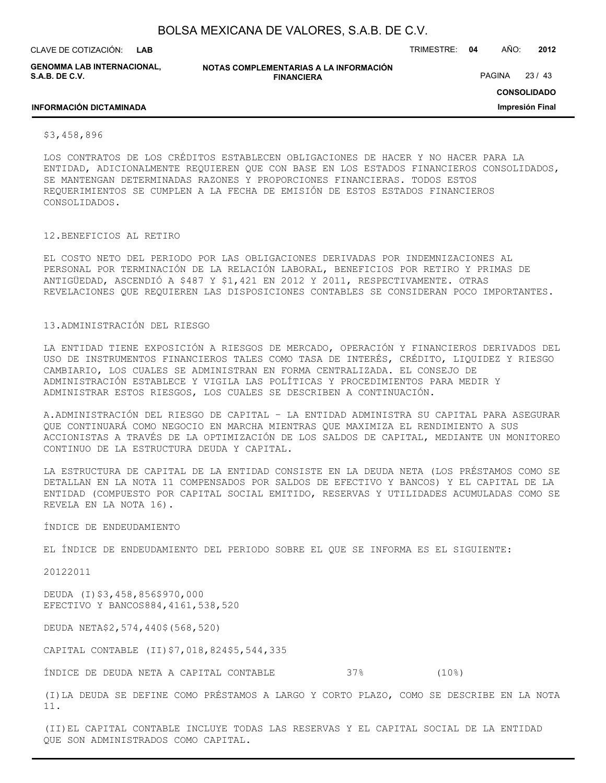| BOLSA MEXICANA DE VALORES, S.A.B. DE C.V. |  |  |
|-------------------------------------------|--|--|
|-------------------------------------------|--|--|

CLAVE DE COTIZACIÓN: TRIMESTRE: **04** AÑO: **2012 LAB**

**GENOMMA LAB INTERNACIONAL, S.A.B. DE C.V.**

**NOTAS COMPLEMENTARIAS A LA INFORMACIÓN FINANCIERA**

PAGINA 23 / 43

**CONSOLIDADO**

**Impresión Final**

#### **INFORMACIÓN DICTAMINADA**

\$3,458,896

LOS CONTRATOS DE LOS CRÉDITOS ESTABLECEN OBLIGACIONES DE HACER Y NO HACER PARA LA ENTIDAD, ADICIONALMENTE REQUIEREN QUE CON BASE EN LOS ESTADOS FINANCIEROS CONSOLIDADOS, SE MANTENGAN DETERMINADAS RAZONES Y PROPORCIONES FINANCIERAS. TODOS ESTOS REQUERIMIENTOS SE CUMPLEN A LA FECHA DE EMISIÓN DE ESTOS ESTADOS FINANCIEROS CONSOLIDADOS.

#### 12.BENEFICIOS AL RETIRO

EL COSTO NETO DEL PERIODO POR LAS OBLIGACIONES DERIVADAS POR INDEMNIZACIONES AL PERSONAL POR TERMINACIÓN DE LA RELACIÓN LABORAL, BENEFICIOS POR RETIRO Y PRIMAS DE ANTIGÜEDAD, ASCENDIÓ A \$487 Y \$1,421 EN 2012 Y 2011, RESPECTIVAMENTE. OTRAS REVELACIONES QUE REQUIEREN LAS DISPOSICIONES CONTABLES SE CONSIDERAN POCO IMPORTANTES.

#### 13.ADMINISTRACIÓN DEL RIESGO

LA ENTIDAD TIENE EXPOSICIÓN A RIESGOS DE MERCADO, OPERACIÓN Y FINANCIEROS DERIVADOS DEL USO DE INSTRUMENTOS FINANCIEROS TALES COMO TASA DE INTERÉS, CRÉDITO, LIQUIDEZ Y RIESGO CAMBIARIO, LOS CUALES SE ADMINISTRAN EN FORMA CENTRALIZADA. EL CONSEJO DE ADMINISTRACIÓN ESTABLECE Y VIGILA LAS POLÍTICAS Y PROCEDIMIENTOS PARA MEDIR Y ADMINISTRAR ESTOS RIESGOS, LOS CUALES SE DESCRIBEN A CONTINUACIÓN.

A.ADMINISTRACIÓN DEL RIESGO DE CAPITAL – LA ENTIDAD ADMINISTRA SU CAPITAL PARA ASEGURAR QUE CONTINUARÁ COMO NEGOCIO EN MARCHA MIENTRAS QUE MAXIMIZA EL RENDIMIENTO A SUS ACCIONISTAS A TRAVÉS DE LA OPTIMIZACIÓN DE LOS SALDOS DE CAPITAL, MEDIANTE UN MONITOREO CONTINUO DE LA ESTRUCTURA DEUDA Y CAPITAL.

LA ESTRUCTURA DE CAPITAL DE LA ENTIDAD CONSISTE EN LA DEUDA NETA (LOS PRÉSTAMOS COMO SE DETALLAN EN LA NOTA 11 COMPENSADOS POR SALDOS DE EFECTIVO Y BANCOS) Y EL CAPITAL DE LA ENTIDAD (COMPUESTO POR CAPITAL SOCIAL EMITIDO, RESERVAS Y UTILIDADES ACUMULADAS COMO SE REVELA EN LA NOTA 16).

#### ÍNDICE DE ENDEUDAMIENTO

EL ÍNDICE DE ENDEUDAMIENTO DEL PERIODO SOBRE EL QUE SE INFORMA ES EL SIGUIENTE:

20122011

DEUDA (I)\$3,458,856\$970,000 EFECTIVO Y BANCOS884,4161,538,520

DEUDA NETA\$2,574,440\$(568,520)

CAPITAL CONTABLE (II)\$7,018,824\$5,544,335

ÍNDICE DE DEUDA NETA A CAPITAL CONTABLE 37% (10%)

(I)LA DEUDA SE DEFINE COMO PRÉSTAMOS A LARGO Y CORTO PLAZO, COMO SE DESCRIBE EN LA NOTA 11.

(II)EL CAPITAL CONTABLE INCLUYE TODAS LAS RESERVAS Y EL CAPITAL SOCIAL DE LA ENTIDAD QUE SON ADMINISTRADOS COMO CAPITAL.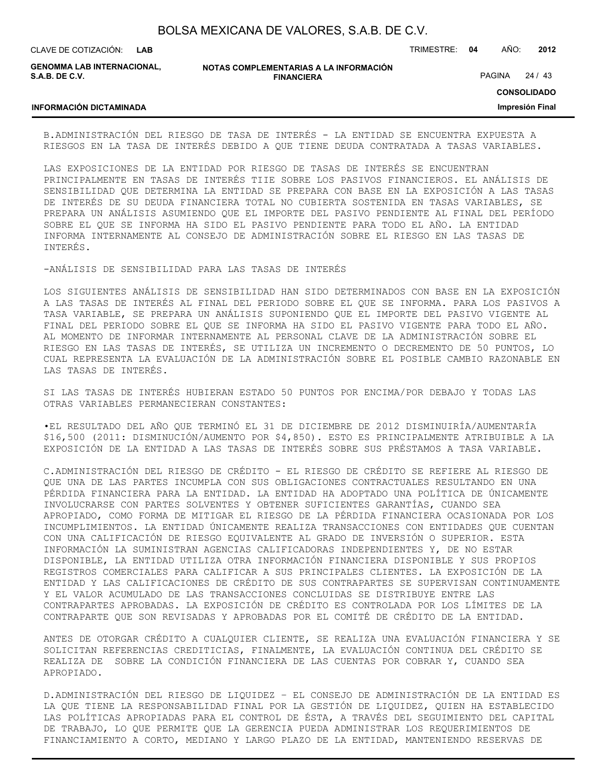**LAB**

CLAVE DE COTIZACIÓN: TRIMESTRE: **04** AÑO: **2012**

**GENOMMA LAB INTERNACIONAL, S.A.B. DE C.V.**

**INFORMACIÓN DICTAMINADA**

**NOTAS COMPLEMENTARIAS A LA INFORMACIÓN FINANCIERA**

PAGINA 24 / 43

**CONSOLIDADO**

#### **Impresión Final**

B.ADMINISTRACIÓN DEL RIESGO DE TASA DE INTERÉS - LA ENTIDAD SE ENCUENTRA EXPUESTA A RIESGOS EN LA TASA DE INTERÉS DEBIDO A QUE TIENE DEUDA CONTRATADA A TASAS VARIABLES.

LAS EXPOSICIONES DE LA ENTIDAD POR RIESGO DE TASAS DE INTERÉS SE ENCUENTRAN PRINCIPALMENTE EN TASAS DE INTERÉS TIIE SOBRE LOS PASIVOS FINANCIEROS. EL ANÁLISIS DE SENSIBILIDAD QUE DETERMINA LA ENTIDAD SE PREPARA CON BASE EN LA EXPOSICIÓN A LAS TASAS DE INTERÉS DE SU DEUDA FINANCIERA TOTAL NO CUBIERTA SOSTENIDA EN TASAS VARIABLES, SE PREPARA UN ANÁLISIS ASUMIENDO QUE EL IMPORTE DEL PASIVO PENDIENTE AL FINAL DEL PERÍODO SOBRE EL QUE SE INFORMA HA SIDO EL PASIVO PENDIENTE PARA TODO EL AÑO. LA ENTIDAD INFORMA INTERNAMENTE AL CONSEJO DE ADMINISTRACIÓN SOBRE EL RIESGO EN LAS TASAS DE INTERÉS.

-ANÁLISIS DE SENSIBILIDAD PARA LAS TASAS DE INTERÉS

LOS SIGUIENTES ANÁLISIS DE SENSIBILIDAD HAN SIDO DETERMINADOS CON BASE EN LA EXPOSICIÓN A LAS TASAS DE INTERÉS AL FINAL DEL PERIODO SOBRE EL QUE SE INFORMA. PARA LOS PASIVOS A TASA VARIABLE, SE PREPARA UN ANÁLISIS SUPONIENDO QUE EL IMPORTE DEL PASIVO VIGENTE AL FINAL DEL PERIODO SOBRE EL QUE SE INFORMA HA SIDO EL PASIVO VIGENTE PARA TODO EL AÑO. AL MOMENTO DE INFORMAR INTERNAMENTE AL PERSONAL CLAVE DE LA ADMINISTRACIÓN SOBRE EL RIESGO EN LAS TASAS DE INTERÉS, SE UTILIZA UN INCREMENTO O DECREMENTO DE 50 PUNTOS, LO CUAL REPRESENTA LA EVALUACIÓN DE LA ADMINISTRACIÓN SOBRE EL POSIBLE CAMBIO RAZONABLE EN LAS TASAS DE INTERÉS.

SI LAS TASAS DE INTERÉS HUBIERAN ESTADO 50 PUNTOS POR ENCIMA/POR DEBAJO Y TODAS LAS OTRAS VARIABLES PERMANECIERAN CONSTANTES:

•EL RESULTADO DEL AÑO QUE TERMINÓ EL 31 DE DICIEMBRE DE 2012 DISMINUIRÍA/AUMENTARÍA \$16,500 (2011: DISMINUCIÓN/AUMENTO POR \$4,850). ESTO ES PRINCIPALMENTE ATRIBUIBLE A LA EXPOSICIÓN DE LA ENTIDAD A LAS TASAS DE INTERÉS SOBRE SUS PRÉSTAMOS A TASA VARIABLE.

C.ADMINISTRACIÓN DEL RIESGO DE CRÉDITO - EL RIESGO DE CRÉDITO SE REFIERE AL RIESGO DE QUE UNA DE LAS PARTES INCUMPLA CON SUS OBLIGACIONES CONTRACTUALES RESULTANDO EN UNA PÉRDIDA FINANCIERA PARA LA ENTIDAD. LA ENTIDAD HA ADOPTADO UNA POLÍTICA DE ÚNICAMENTE INVOLUCRARSE CON PARTES SOLVENTES Y OBTENER SUFICIENTES GARANTÍAS, CUANDO SEA APROPIADO, COMO FORMA DE MITIGAR EL RIESGO DE LA PÉRDIDA FINANCIERA OCASIONADA POR LOS INCUMPLIMIENTOS. LA ENTIDAD ÚNICAMENTE REALIZA TRANSACCIONES CON ENTIDADES QUE CUENTAN CON UNA CALIFICACIÓN DE RIESGO EQUIVALENTE AL GRADO DE INVERSIÓN O SUPERIOR. ESTA INFORMACIÓN LA SUMINISTRAN AGENCIAS CALIFICADORAS INDEPENDIENTES Y, DE NO ESTAR DISPONIBLE, LA ENTIDAD UTILIZA OTRA INFORMACIÓN FINANCIERA DISPONIBLE Y SUS PROPIOS REGISTROS COMERCIALES PARA CALIFICAR A SUS PRINCIPALES CLIENTES. LA EXPOSICIÓN DE LA ENTIDAD Y LAS CALIFICACIONES DE CRÉDITO DE SUS CONTRAPARTES SE SUPERVISAN CONTINUAMENTE Y EL VALOR ACUMULADO DE LAS TRANSACCIONES CONCLUIDAS SE DISTRIBUYE ENTRE LAS CONTRAPARTES APROBADAS. LA EXPOSICIÓN DE CRÉDITO ES CONTROLADA POR LOS LÍMITES DE LA CONTRAPARTE QUE SON REVISADAS Y APROBADAS POR EL COMITÉ DE CRÉDITO DE LA ENTIDAD.

ANTES DE OTORGAR CRÉDITO A CUALQUIER CLIENTE, SE REALIZA UNA EVALUACIÓN FINANCIERA Y SE SOLICITAN REFERENCIAS CREDITICIAS, FINALMENTE, LA EVALUACIÓN CONTINUA DEL CRÉDITO SE REALIZA DE SOBRE LA CONDICIÓN FINANCIERA DE LAS CUENTAS POR COBRAR Y, CUANDO SEA APROPIADO.

D.ADMINISTRACIÓN DEL RIESGO DE LIQUIDEZ – EL CONSEJO DE ADMINISTRACIÓN DE LA ENTIDAD ES LA QUE TIENE LA RESPONSABILIDAD FINAL POR LA GESTIÓN DE LIQUIDEZ, QUIEN HA ESTABLECIDO LAS POLÍTICAS APROPIADAS PARA EL CONTROL DE ÉSTA, A TRAVÉS DEL SEGUIMIENTO DEL CAPITAL DE TRABAJO, LO QUE PERMITE QUE LA GERENCIA PUEDA ADMINISTRAR LOS REQUERIMIENTOS DE FINANCIAMIENTO A CORTO, MEDIANO Y LARGO PLAZO DE LA ENTIDAD, MANTENIENDO RESERVAS DE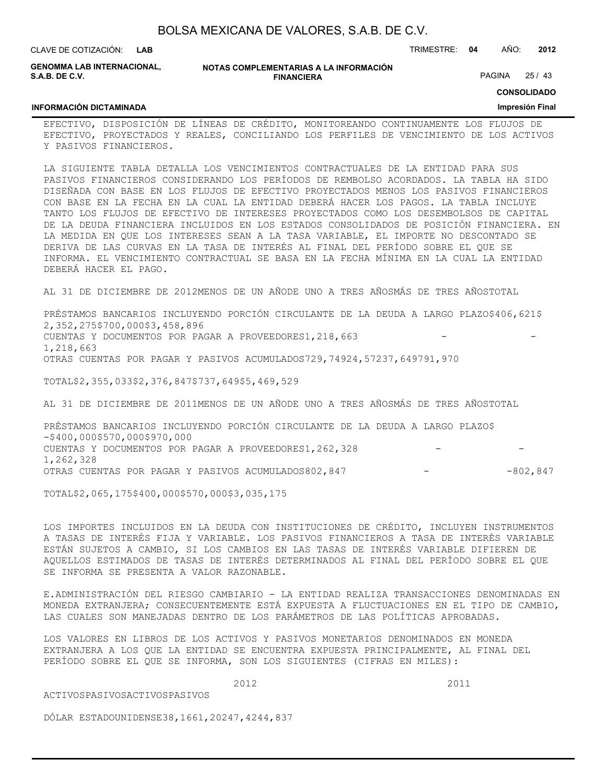| BOLSA MEXICANA DE VALORES, S.A.B. DE C.V. |  |  |
|-------------------------------------------|--|--|
|-------------------------------------------|--|--|

CLAVE DE COTIZACIÓN: TRIMESTRE: **04** AÑO: **2012 LAB**

**GENOMMA LAB INTERNACIONAL, S.A.B. DE C.V.**

**NOTAS COMPLEMENTARIAS A LA INFORMACIÓN FINANCIERA**

PAGINA 25 / 43

**CONSOLIDADO**

#### **INFORMACIÓN DICTAMINADA**

**Impresión Final**

EFECTIVO, DISPOSICIÓN DE LÍNEAS DE CRÉDITO, MONITOREANDO CONTINUAMENTE LOS FLUJOS DE EFECTIVO, PROYECTADOS Y REALES, CONCILIANDO LOS PERFILES DE VENCIMIENTO DE LOS ACTIVOS Y PASIVOS FINANCIEROS.

LA SIGUIENTE TABLA DETALLA LOS VENCIMIENTOS CONTRACTUALES DE LA ENTIDAD PARA SUS PASIVOS FINANCIEROS CONSIDERANDO LOS PERÍODOS DE REMBOLSO ACORDADOS. LA TABLA HA SIDO DISEÑADA CON BASE EN LOS FLUJOS DE EFECTIVO PROYECTADOS MENOS LOS PASIVOS FINANCIEROS CON BASE EN LA FECHA EN LA CUAL LA ENTIDAD DEBERÁ HACER LOS PAGOS. LA TABLA INCLUYE TANTO LOS FLUJOS DE EFECTIVO DE INTERESES PROYECTADOS COMO LOS DESEMBOLSOS DE CAPITAL DE LA DEUDA FINANCIERA INCLUIDOS EN LOS ESTADOS CONSOLIDADOS DE POSICIÓN FINANCIERA. EN LA MEDIDA EN QUE LOS INTERESES SEAN A LA TASA VARIABLE, EL IMPORTE NO DESCONTADO SE DERIVA DE LAS CURVAS EN LA TASA DE INTERÉS AL FINAL DEL PERÍODO SOBRE EL QUE SE INFORMA. EL VENCIMIENTO CONTRACTUAL SE BASA EN LA FECHA MÍNIMA EN LA CUAL LA ENTIDAD DEBERÁ HACER EL PAGO.

AL 31 DE DICIEMBRE DE 2012MENOS DE UN AÑODE UNO A TRES AÑOSMÁS DE TRES AÑOSTOTAL

PRÉSTAMOS BANCARIOS INCLUYENDO PORCIÓN CIRCULANTE DE LA DEUDA A LARGO PLAZO\$406,621\$ 2,352,275\$700,000\$3,458,896 CUENTAS Y DOCUMENTOS POR PAGAR A PROVEEDORES1, 218, 663 1,218,663 OTRAS CUENTAS POR PAGAR Y PASIVOS ACUMULADOS729,74924,57237,649791,970

TOTAL\$2,355,033\$2,376,847\$737,649\$5,469,529

AL 31 DE DICIEMBRE DE 2011MENOS DE UN AÑODE UNO A TRES AÑOSMÁS DE TRES AÑOSTOTAL

PRÉSTAMOS BANCARIOS INCLUYENDO PORCIÓN CIRCULANTE DE LA DEUDA A LARGO PLAZO\$ -\$400,000\$570,000\$970,000 CUENTAS Y DOCUMENTOS POR PAGAR A PROVEEDORES1, 262, 328 1,262,328 OTRAS CUENTAS POR PAGAR Y PASIVOS ACUMULADOS802,847 - -802,847

TOTAL\$2,065,175\$400,000\$570,000\$3,035,175

LOS IMPORTES INCLUIDOS EN LA DEUDA CON INSTITUCIONES DE CRÉDITO, INCLUYEN INSTRUMENTOS A TASAS DE INTERÉS FIJA Y VARIABLE. LOS PASIVOS FINANCIEROS A TASA DE INTERÉS VARIABLE ESTÁN SUJETOS A CAMBIO, SI LOS CAMBIOS EN LAS TASAS DE INTERÉS VARIABLE DIFIEREN DE AQUELLOS ESTIMADOS DE TASAS DE INTERÉS DETERMINADOS AL FINAL DEL PERÍODO SOBRE EL QUE SE INFORMA SE PRESENTA A VALOR RAZONABLE.

E.ADMINISTRACIÓN DEL RIESGO CAMBIARIO - LA ENTIDAD REALIZA TRANSACCIONES DENOMINADAS EN MONEDA EXTRANJERA; CONSECUENTEMENTE ESTÁ EXPUESTA A FLUCTUACIONES EN EL TIPO DE CAMBIO, LAS CUALES SON MANEJADAS DENTRO DE LOS PARÁMETROS DE LAS POLÍTICAS APROBADAS.

LOS VALORES EN LIBROS DE LOS ACTIVOS Y PASIVOS MONETARIOS DENOMINADOS EN MONEDA EXTRANJERA A LOS QUE LA ENTIDAD SE ENCUENTRA EXPUESTA PRINCIPALMENTE, AL FINAL DEL PERÍODO SOBRE EL QUE SE INFORMA, SON LOS SIGUIENTES (CIFRAS EN MILES):

2012 2011

DÓLAR ESTADOUNIDENSE38,1661,20247,4244,837

ACTIVOSPASIVOSACTIVOSPASIVOS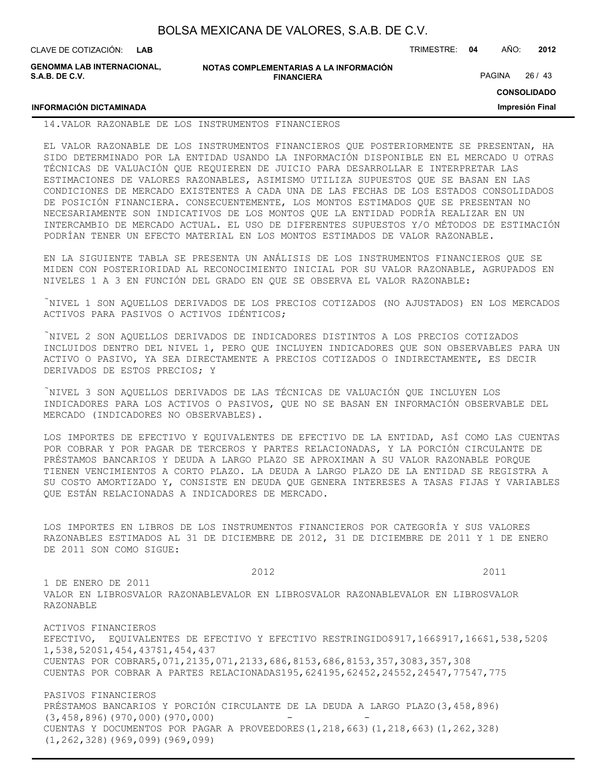| BOLSA MEXICANA DE VALORES, S.A.B. DE C.V. |  |  |  |
|-------------------------------------------|--|--|--|
|-------------------------------------------|--|--|--|

CLAVE DE COTIZACIÓN: TRIMESTRE: **04** AÑO: **2012 LAB**

**GENOMMA LAB INTERNACIONAL, S.A.B. DE C.V.**

**NOTAS COMPLEMENTARIAS A LA INFORMACIÓN FINANCIERA**

PAGINA 26 / 43

**CONSOLIDADO**

**Impresión Final**

## **INFORMACIÓN DICTAMINADA**

### 14.VALOR RAZONABLE DE LOS INSTRUMENTOS FINANCIEROS

EL VALOR RAZONABLE DE LOS INSTRUMENTOS FINANCIEROS QUE POSTERIORMENTE SE PRESENTAN, HA SIDO DETERMINADO POR LA ENTIDAD USANDO LA INFORMACIÓN DISPONIBLE EN EL MERCADO U OTRAS TÉCNICAS DE VALUACIÓN QUE REQUIEREN DE JUICIO PARA DESARROLLAR E INTERPRETAR LAS ESTIMACIONES DE VALORES RAZONABLES, ASIMISMO UTILIZA SUPUESTOS QUE SE BASAN EN LAS CONDICIONES DE MERCADO EXISTENTES A CADA UNA DE LAS FECHAS DE LOS ESTADOS CONSOLIDADOS DE POSICIÓN FINANCIERA. CONSECUENTEMENTE, LOS MONTOS ESTIMADOS QUE SE PRESENTAN NO NECESARIAMENTE SON INDICATIVOS DE LOS MONTOS QUE LA ENTIDAD PODRÍA REALIZAR EN UN INTERCAMBIO DE MERCADO ACTUAL. EL USO DE DIFERENTES SUPUESTOS Y/O MÉTODOS DE ESTIMACIÓN PODRÍAN TENER UN EFECTO MATERIAL EN LOS MONTOS ESTIMADOS DE VALOR RAZONABLE.

EN LA SIGUIENTE TABLA SE PRESENTA UN ANÁLISIS DE LOS INSTRUMENTOS FINANCIEROS QUE SE MIDEN CON POSTERIORIDAD AL RECONOCIMIENTO INICIAL POR SU VALOR RAZONABLE, AGRUPADOS EN NIVELES 1 A 3 EN FUNCIÓN DEL GRADO EN QUE SE OBSERVA EL VALOR RAZONABLE:

NIVEL 1 SON AQUELLOS DERIVADOS DE LOS PRECIOS COTIZADOS (NO AJUSTADOS) EN LOS MERCADOS ACTIVOS PARA PASIVOS O ACTIVOS IDÉNTICOS;

NIVEL 2 SON AQUELLOS DERIVADOS DE INDICADORES DISTINTOS A LOS PRECIOS COTIZADOS INCLUIDOS DENTRO DEL NIVEL 1, PERO QUE INCLUYEN INDICADORES QUE SON OBSERVABLES PARA UN ACTIVO O PASIVO, YA SEA DIRECTAMENTE A PRECIOS COTIZADOS O INDIRECTAMENTE, ES DECIR DERIVADOS DE ESTOS PRECIOS; Y

NIVEL 3 SON AQUELLOS DERIVADOS DE LAS TÉCNICAS DE VALUACIÓN QUE INCLUYEN LOS INDICADORES PARA LOS ACTIVOS O PASIVOS, QUE NO SE BASAN EN INFORMACIÓN OBSERVABLE DEL MERCADO (INDICADORES NO OBSERVABLES).

LOS IMPORTES DE EFECTIVO Y EQUIVALENTES DE EFECTIVO DE LA ENTIDAD, ASÍ COMO LAS CUENTAS POR COBRAR Y POR PAGAR DE TERCEROS Y PARTES RELACIONADAS, Y LA PORCIÓN CIRCULANTE DE PRÉSTAMOS BANCARIOS Y DEUDA A LARGO PLAZO SE APROXIMAN A SU VALOR RAZONABLE PORQUE TIENEN VENCIMIENTOS A CORTO PLAZO. LA DEUDA A LARGO PLAZO DE LA ENTIDAD SE REGISTRA A SU COSTO AMORTIZADO Y, CONSISTE EN DEUDA QUE GENERA INTERESES A TASAS FIJAS Y VARIABLES QUE ESTÁN RELACIONADAS A INDICADORES DE MERCADO.

LOS IMPORTES EN LIBROS DE LOS INSTRUMENTOS FINANCIEROS POR CATEGORÍA Y SUS VALORES RAZONABLES ESTIMADOS AL 31 DE DICIEMBRE DE 2012, 31 DE DICIEMBRE DE 2011 Y 1 DE ENERO DE 2011 SON COMO SIGUE:

 2012 2011 1 DE ENERO DE 2011 VALOR EN LIBROSVALOR RAZONABLEVALOR EN LIBROSVALOR RAZONABLEVALOR EN LIBROSVALOR RAZONABLE ACTIVOS FINANCIEROS EFECTIVO, EQUIVALENTES DE EFECTIVO Y EFECTIVO RESTRINGIDO\$917,166\$917,166\$1,538,520\$ 1,538,520\$1,454,437\$1,454,437 CUENTAS POR COBRAR5,071,2135,071,2133,686,8153,686,8153,357,3083,357,308 CUENTAS POR COBRAR A PARTES RELACIONADAS195,624195,62452,24552,24547,77547,775 PASIVOS FINANCIEROS PRÉSTAMOS BANCARIOS Y PORCIÓN CIRCULANTE DE LA DEUDA A LARGO PLAZO(3,458,896)

 $(3,458,896)$  (970,000) (970,000) CUENTAS Y DOCUMENTOS POR PAGAR A PROVEEDORES(1,218,663)(1,218,663)(1,262,328) (1,262,328)(969,099)(969,099)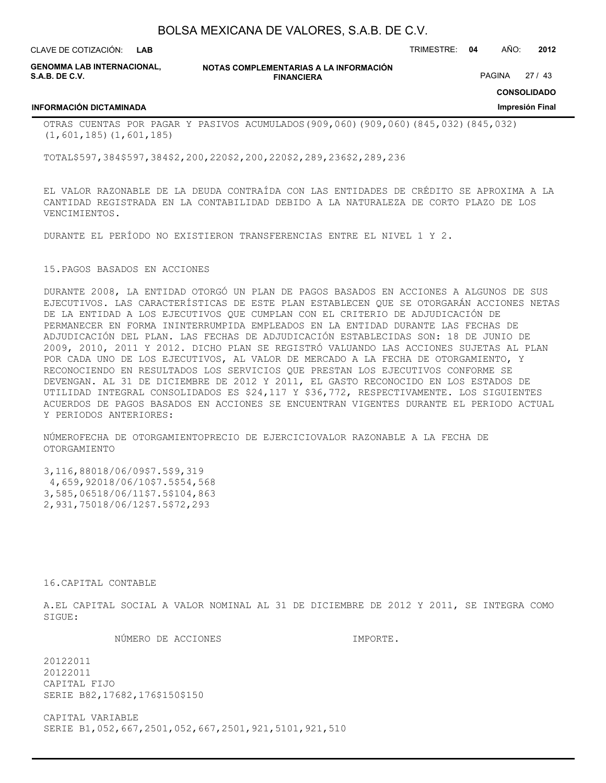**LAB**

CLAVE DE COTIZACIÓN: TRIMESTRE: **04** AÑO: **2012**

**GENOMMA LAB INTERNACIONAL, S.A.B. DE C.V.**

**NOTAS COMPLEMENTARIAS A LA INFORMACIÓN FINANCIERA**

PAGINA 27 / 43

**CONSOLIDADO Impresión Final**

#### **INFORMACIÓN DICTAMINADA**

OTRAS CUENTAS POR PAGAR Y PASIVOS ACUMULADOS(909,060)(909,060)(845,032)(845,032) (1,601,185)(1,601,185)

TOTAL\$597,384\$597,384\$2,200,220\$2,200,220\$2,289,236\$2,289,236

EL VALOR RAZONABLE DE LA DEUDA CONTRAÍDA CON LAS ENTIDADES DE CRÉDITO SE APROXIMA A LA CANTIDAD REGISTRADA EN LA CONTABILIDAD DEBIDO A LA NATURALEZA DE CORTO PLAZO DE LOS VENCIMIENTOS.

DURANTE EL PERÍODO NO EXISTIERON TRANSFERENCIAS ENTRE EL NIVEL 1 Y 2.

#### 15.PAGOS BASADOS EN ACCIONES

DURANTE 2008, LA ENTIDAD OTORGÓ UN PLAN DE PAGOS BASADOS EN ACCIONES A ALGUNOS DE SUS EJECUTIVOS. LAS CARACTERÍSTICAS DE ESTE PLAN ESTABLECEN QUE SE OTORGARÁN ACCIONES NETAS DE LA ENTIDAD A LOS EJECUTIVOS QUE CUMPLAN CON EL CRITERIO DE ADJUDICACIÓN DE PERMANECER EN FORMA ININTERRUMPIDA EMPLEADOS EN LA ENTIDAD DURANTE LAS FECHAS DE ADJUDICACIÓN DEL PLAN. LAS FECHAS DE ADJUDICACIÓN ESTABLECIDAS SON: 18 DE JUNIO DE 2009, 2010, 2011 Y 2012. DICHO PLAN SE REGISTRÓ VALUANDO LAS ACCIONES SUJETAS AL PLAN POR CADA UNO DE LOS EJECUTIVOS, AL VALOR DE MERCADO A LA FECHA DE OTORGAMIENTO, Y RECONOCIENDO EN RESULTADOS LOS SERVICIOS QUE PRESTAN LOS EJECUTIVOS CONFORME SE DEVENGAN. AL 31 DE DICIEMBRE DE 2012 Y 2011, EL GASTO RECONOCIDO EN LOS ESTADOS DE UTILIDAD INTEGRAL CONSOLIDADOS ES \$24,117 Y \$36,772, RESPECTIVAMENTE. LOS SIGUIENTES ACUERDOS DE PAGOS BASADOS EN ACCIONES SE ENCUENTRAN VIGENTES DURANTE EL PERIODO ACTUAL Y PERIODOS ANTERIORES:

NÚMEROFECHA DE OTORGAMIENTOPRECIO DE EJERCICIOVALOR RAZONABLE A LA FECHA DE OTORGAMIENTO

3,116,88018/06/09\$7.5\$9,319 4,659,92018/06/10\$7.5\$54,568 3,585,06518/06/11\$7.5\$104,863 2,931,75018/06/12\$7.5\$72,293

16.CAPITAL CONTABLE

A.EL CAPITAL SOCIAL A VALOR NOMINAL AL 31 DE DICIEMBRE DE 2012 Y 2011, SE INTEGRA COMO SIGUE:

NÚMERO DE ACCIONES IMPORTE.

20122011 20122011 CAPITAL FIJO SERIE B82,17682,176\$150\$150

CAPITAL VARIABLE SERIE B1,052,667,2501,052,667,2501,921,5101,921,510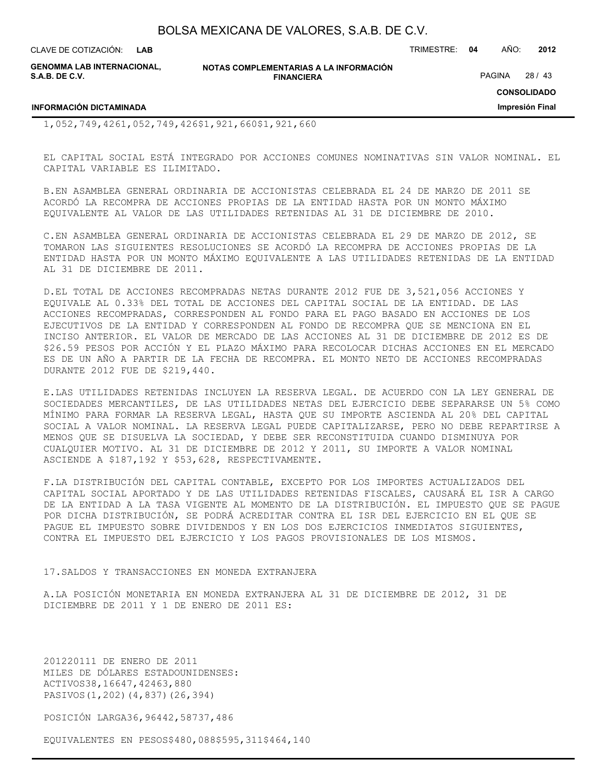**LAB**

CLAVE DE COTIZACIÓN: TRIMESTRE: **04** AÑO: **2012**

**GENOMMA LAB INTERNACIONAL, S.A.B. DE C.V.**

**NOTAS COMPLEMENTARIAS A LA INFORMACIÓN FINANCIERA**

PAGINA 28 / 43

**CONSOLIDADO**

**Impresión Final**

**INFORMACIÓN DICTAMINADA**

1,052,749,4261,052,749,426\$1,921,660\$1,921,660

EL CAPITAL SOCIAL ESTÁ INTEGRADO POR ACCIONES COMUNES NOMINATIVAS SIN VALOR NOMINAL. EL CAPITAL VARIABLE ES ILIMITADO.

B.EN ASAMBLEA GENERAL ORDINARIA DE ACCIONISTAS CELEBRADA EL 24 DE MARZO DE 2011 SE ACORDÓ LA RECOMPRA DE ACCIONES PROPIAS DE LA ENTIDAD HASTA POR UN MONTO MÁXIMO EQUIVALENTE AL VALOR DE LAS UTILIDADES RETENIDAS AL 31 DE DICIEMBRE DE 2010.

C.EN ASAMBLEA GENERAL ORDINARIA DE ACCIONISTAS CELEBRADA EL 29 DE MARZO DE 2012, SE TOMARON LAS SIGUIENTES RESOLUCIONES SE ACORDÓ LA RECOMPRA DE ACCIONES PROPIAS DE LA ENTIDAD HASTA POR UN MONTO MÁXIMO EQUIVALENTE A LAS UTILIDADES RETENIDAS DE LA ENTIDAD AL 31 DE DICIEMBRE DE 2011.

D.EL TOTAL DE ACCIONES RECOMPRADAS NETAS DURANTE 2012 FUE DE 3,521,056 ACCIONES Y EQUIVALE AL 0.33% DEL TOTAL DE ACCIONES DEL CAPITAL SOCIAL DE LA ENTIDAD. DE LAS ACCIONES RECOMPRADAS, CORRESPONDEN AL FONDO PARA EL PAGO BASADO EN ACCIONES DE LOS EJECUTIVOS DE LA ENTIDAD Y CORRESPONDEN AL FONDO DE RECOMPRA QUE SE MENCIONA EN EL INCISO ANTERIOR. EL VALOR DE MERCADO DE LAS ACCIONES AL 31 DE DICIEMBRE DE 2012 ES DE \$26.59 PESOS POR ACCIÓN Y EL PLAZO MÁXIMO PARA RECOLOCAR DICHAS ACCIONES EN EL MERCADO ES DE UN AÑO A PARTIR DE LA FECHA DE RECOMPRA. EL MONTO NETO DE ACCIONES RECOMPRADAS DURANTE 2012 FUE DE \$219,440.

E.LAS UTILIDADES RETENIDAS INCLUYEN LA RESERVA LEGAL. DE ACUERDO CON LA LEY GENERAL DE SOCIEDADES MERCANTILES, DE LAS UTILIDADES NETAS DEL EJERCICIO DEBE SEPARARSE UN 5% COMO MÍNIMO PARA FORMAR LA RESERVA LEGAL, HASTA QUE SU IMPORTE ASCIENDA AL 20% DEL CAPITAL SOCIAL A VALOR NOMINAL. LA RESERVA LEGAL PUEDE CAPITALIZARSE, PERO NO DEBE REPARTIRSE A MENOS QUE SE DISUELVA LA SOCIEDAD, Y DEBE SER RECONSTITUIDA CUANDO DISMINUYA POR CUALQUIER MOTIVO. AL 31 DE DICIEMBRE DE 2012 Y 2011, SU IMPORTE A VALOR NOMINAL ASCIENDE A \$187,192 Y \$53,628, RESPECTIVAMENTE.

F.LA DISTRIBUCIÓN DEL CAPITAL CONTABLE, EXCEPTO POR LOS IMPORTES ACTUALIZADOS DEL CAPITAL SOCIAL APORTADO Y DE LAS UTILIDADES RETENIDAS FISCALES, CAUSARÁ EL ISR A CARGO DE LA ENTIDAD A LA TASA VIGENTE AL MOMENTO DE LA DISTRIBUCIÓN. EL IMPUESTO QUE SE PAGUE POR DICHA DISTRIBUCIÓN, SE PODRÁ ACREDITAR CONTRA EL ISR DEL EJERCICIO EN EL QUE SE PAGUE EL IMPUESTO SOBRE DIVIDENDOS Y EN LOS DOS EJERCICIOS INMEDIATOS SIGUIENTES, CONTRA EL IMPUESTO DEL EJERCICIO Y LOS PAGOS PROVISIONALES DE LOS MISMOS.

17.SALDOS Y TRANSACCIONES EN MONEDA EXTRANJERA

A.LA POSICIÓN MONETARIA EN MONEDA EXTRANJERA AL 31 DE DICIEMBRE DE 2012, 31 DE DICIEMBRE DE 2011 Y 1 DE ENERO DE 2011 ES:

201220111 DE ENERO DE 2011 MILES DE DÓLARES ESTADOUNIDENSES: ACTIVOS38,16647,42463,880 PASIVOS(1,202)(4,837)(26,394)

POSICIÓN LARGA36,96442,58737,486

EQUIVALENTES EN PESOS\$480,088\$595,311\$464,140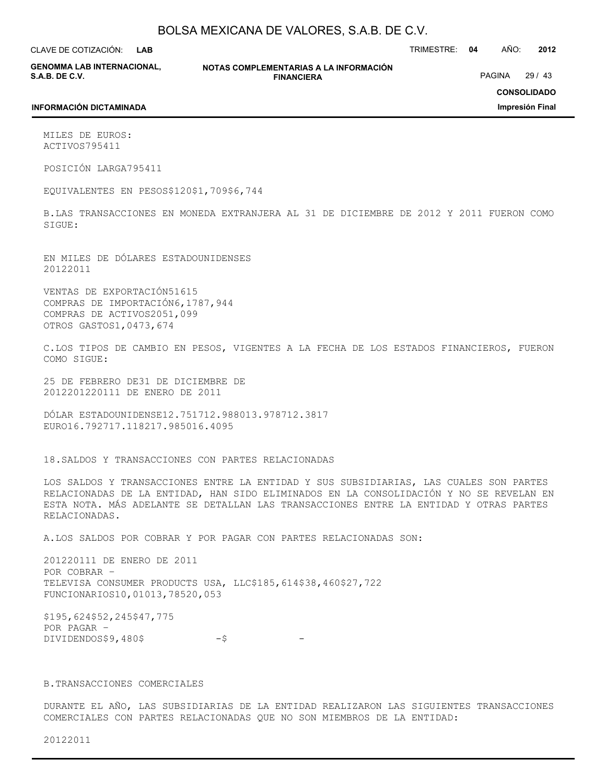**LAB**

CLAVE DE COTIZACIÓN: TRIMESTRE: **04** AÑO: **2012**

**GENOMMA LAB INTERNACIONAL, S.A.B. DE C.V.**

**NOTAS COMPLEMENTARIAS A LA INFORMACIÓN FINANCIERA**

PAGINA 29 / 43

### **CONSOLIDADO**

**Impresión Final**

#### **INFORMACIÓN DICTAMINADA**

MILES DE EUROS: ACTIVOS795411

POSICIÓN LARGA795411

EQUIVALENTES EN PESOS\$120\$1,709\$6,744

B.LAS TRANSACCIONES EN MONEDA EXTRANJERA AL 31 DE DICIEMBRE DE 2012 Y 2011 FUERON COMO SIGUE:

EN MILES DE DÓLARES ESTADOUNIDENSES 20122011

VENTAS DE EXPORTACIÓN51615 COMPRAS DE IMPORTACIÓN6,1787,944 COMPRAS DE ACTIVOS2051,099 OTROS GASTOS1,0473,674

C.LOS TIPOS DE CAMBIO EN PESOS, VIGENTES A LA FECHA DE LOS ESTADOS FINANCIEROS, FUERON COMO SIGUE:

25 DE FEBRERO DE31 DE DICIEMBRE DE 2012201220111 DE ENERO DE 2011

DÓLAR ESTADOUNIDENSE12.751712.988013.978712.3817 EURO16.792717.118217.985016.4095

18.SALDOS Y TRANSACCIONES CON PARTES RELACIONADAS

LOS SALDOS Y TRANSACCIONES ENTRE LA ENTIDAD Y SUS SUBSIDIARIAS, LAS CUALES SON PARTES RELACIONADAS DE LA ENTIDAD, HAN SIDO ELIMINADOS EN LA CONSOLIDACIÓN Y NO SE REVELAN EN ESTA NOTA. MÁS ADELANTE SE DETALLAN LAS TRANSACCIONES ENTRE LA ENTIDAD Y OTRAS PARTES RELACIONADAS.

A.LOS SALDOS POR COBRAR Y POR PAGAR CON PARTES RELACIONADAS SON:

201220111 DE ENERO DE 2011 POR COBRAR – TELEVISA CONSUMER PRODUCTS USA, LLC\$185,614\$38,460\$27,722 FUNCIONARIOS10,01013,78520,053

\$195,624\$52,245\$47,775 POR PAGAR –  $DIVIDENDOS$9,480$$  -\$

### B.TRANSACCIONES COMERCIALES

DURANTE EL AÑO, LAS SUBSIDIARIAS DE LA ENTIDAD REALIZARON LAS SIGUIENTES TRANSACCIONES COMERCIALES CON PARTES RELACIONADAS QUE NO SON MIEMBROS DE LA ENTIDAD:

20122011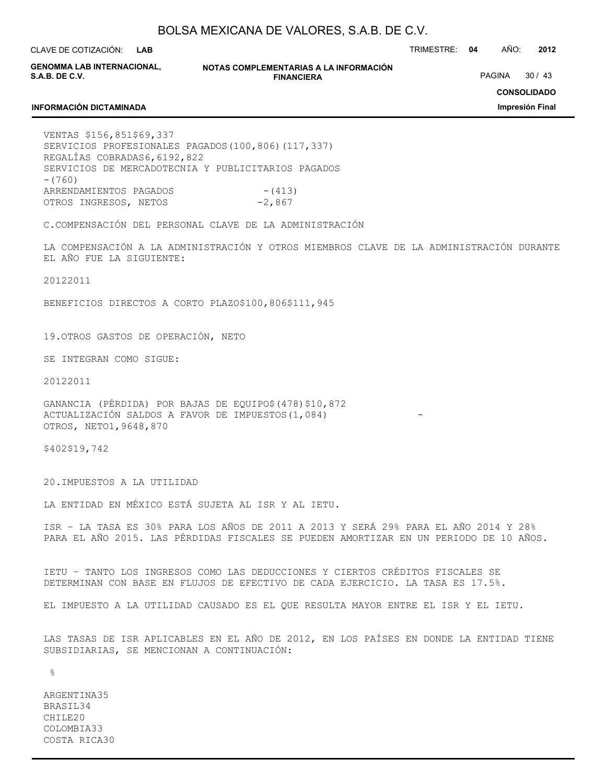**LAB**

CLAVE DE COTIZACIÓN: TRIMESTRE: **04** AÑO: **2012**

**GENOMMA LAB INTERNACIONAL, S.A.B. DE C.V.**

**INFORMACIÓN DICTAMINADA**

**NOTAS COMPLEMENTARIAS A LA INFORMACIÓN FINANCIERA**

PAGINA 30 / 43

**CONSOLIDADO**

**Impresión Final**

### VENTAS \$156,851\$69,337 SERVICIOS PROFESIONALES PAGADOS(100,806)(117,337) REGALÍAS COBRADAS6,6192,822 SERVICIOS DE MERCADOTECNIA Y PUBLICITARIOS PAGADOS -(760) ARRENDAMIENTOS PAGADOS - (413) OTROS INGRESOS, NETOS -2,867

C.COMPENSACIÓN DEL PERSONAL CLAVE DE LA ADMINISTRACIÓN

LA COMPENSACIÓN A LA ADMINISTRACIÓN Y OTROS MIEMBROS CLAVE DE LA ADMINISTRACIÓN DURANTE EL AÑO FUE LA SIGUIENTE:

20122011

BENEFICIOS DIRECTOS A CORTO PLAZO\$100,806\$111,945

19.OTROS GASTOS DE OPERACIÓN, NETO

SE INTEGRAN COMO SIGUE:

20122011

GANANCIA (PÉRDIDA) POR BAJAS DE EQUIPO\$(478)\$10,872 ACTUALIZACIÓN SALDOS A FAVOR DE IMPUESTOS(1,084) OTROS, NETO1,9648,870

\$402\$19,742

20.IMPUESTOS A LA UTILIDAD

LA ENTIDAD EN MÉXICO ESTÁ SUJETA AL ISR Y AL IETU.

ISR – LA TASA ES 30% PARA LOS AÑOS DE 2011 A 2013 Y SERÁ 29% PARA EL AÑO 2014 Y 28% PARA EL AÑO 2015. LAS PÉRDIDAS FISCALES SE PUEDEN AMORTIZAR EN UN PERIODO DE 10 AÑOS.

IETU – TANTO LOS INGRESOS COMO LAS DEDUCCIONES Y CIERTOS CRÉDITOS FISCALES SE DETERMINAN CON BASE EN FLUJOS DE EFECTIVO DE CADA EJERCICIO. LA TASA ES 17.5%.

EL IMPUESTO A LA UTILIDAD CAUSADO ES EL QUE RESULTA MAYOR ENTRE EL ISR Y EL IETU.

LAS TASAS DE ISR APLICABLES EN EL AÑO DE 2012, EN LOS PAÍSES EN DONDE LA ENTIDAD TIENE SUBSIDIARIAS, SE MENCIONAN A CONTINUACIÓN:

 $\approx$ 

ARGENTINA35 BRASIL34 CHILE20 COLOMBIA33 COSTA RICA30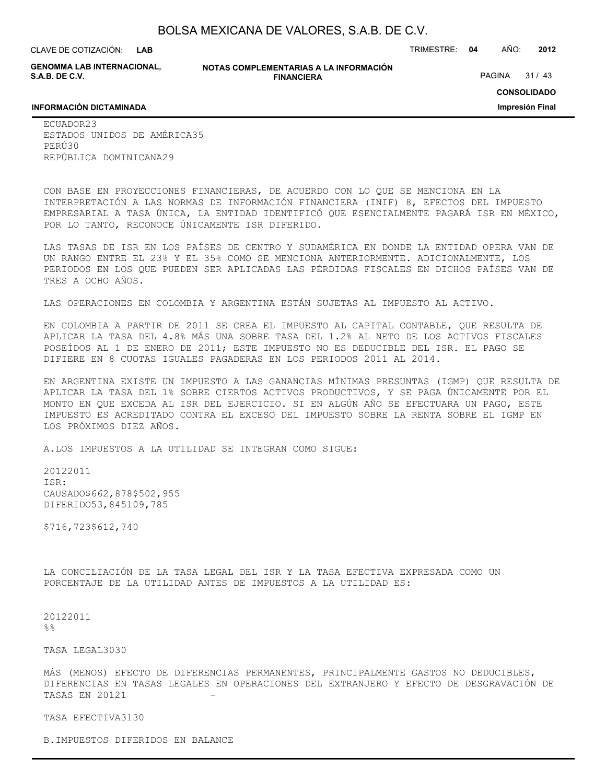**LAB**

CLAVE DE COTIZACIÓN: TRIMESTRE: **04** AÑO: **2012**

**GENOMMA LAB INTERNACIONAL, S.A.B. DE C.V.**

**NOTAS COMPLEMENTARIAS A LA INFORMACIÓN FINANCIERA**

PAGINA 31 / 43

**CONSOLIDADO**

**Impresión Final**

#### **INFORMACIÓN DICTAMINADA**

ECUADOR23 ESTADOS UNIDOS DE AMÉRICA35 PERÚ30 REPÚBLICA DOMINICANA29

CON BASE EN PROYECCIONES FINANCIERAS, DE ACUERDO CON LO QUE SE MENCIONA EN LA INTERPRETACIÓN A LAS NORMAS DE INFORMACIÓN FINANCIERA (INIF) 8, EFECTOS DEL IMPUESTO EMPRESARIAL A TASA ÚNICA, LA ENTIDAD IDENTIFICÓ QUE ESENCIALMENTE PAGARÁ ISR EN MÉXICO, POR LO TANTO, RECONOCE ÚNICAMENTE ISR DIFERIDO.

LAS TASAS DE ISR EN LOS PAÍSES DE CENTRO Y SUDAMÉRICA EN DONDE LA ENTIDAD OPERA VAN DE UN RANGO ENTRE EL 23% Y EL 35% COMO SE MENCIONA ANTERIORMENTE. ADICIONALMENTE, LOS PERIODOS EN LOS QUE PUEDEN SER APLICADAS LAS PÉRDIDAS FISCALES EN DICHOS PAÍSES VAN DE TRES A OCHO AÑOS.

LAS OPERACIONES EN COLOMBIA Y ARGENTINA ESTÁN SUJETAS AL IMPUESTO AL ACTIVO.

EN COLOMBIA A PARTIR DE 2011 SE CREA EL IMPUESTO AL CAPITAL CONTABLE, QUE RESULTA DE APLICAR LA TASA DEL 4.8% MÁS UNA SOBRE TASA DEL 1.2% AL NETO DE LOS ACTIVOS FISCALES POSEÍDOS AL 1 DE ENERO DE 2011; ESTE IMPUESTO NO ES DEDUCIBLE DEL ISR. EL PAGO SE DIFIERE EN 8 CUOTAS IGUALES PAGADERAS EN LOS PERIODOS 2011 AL 2014.

EN ARGENTINA EXISTE UN IMPUESTO A LAS GANANCIAS MÍNIMAS PRESUNTAS (IGMP) QUE RESULTA DE APLICAR LA TASA DEL 1% SOBRE CIERTOS ACTIVOS PRODUCTIVOS, Y SE PAGA ÚNICAMENTE POR EL MONTO EN QUE EXCEDA AL ISR DEL EJERCICIO. SI EN ALGÚN AÑO SE EFECTUARA UN PAGO, ESTE IMPUESTO ES ACREDITADO CONTRA EL EXCESO DEL IMPUESTO SOBRE LA RENTA SOBRE EL IGMP EN LOS PRÓXIMOS DIEZ AÑOS.

A.LOS IMPUESTOS A LA UTILIDAD SE INTEGRAN COMO SIGUE:

20122011 ISR: CAUSADO\$662,878\$502,955 DIFERIDO53,845109,785

\$716,723\$612,740

LA CONCILIACIÓN DE LA TASA LEGAL DEL ISR Y LA TASA EFECTIVA EXPRESADA COMO UN PORCENTAJE DE LA UTILIDAD ANTES DE IMPUESTOS A LA UTILIDAD ES:

20122011  $%$ 

TASA LEGAL3030

MÁS (MENOS) EFECTO DE DIFERENCIAS PERMANENTES, PRINCIPALMENTE GASTOS NO DEDUCIBLES, DIFERENCIAS EN TASAS LEGALES EN OPERACIONES DEL EXTRANJERO Y EFECTO DE DESGRAVACIÓN DE TASAS EN 20121

TASA EFECTIVA3130

B.IMPUESTOS DIFERIDOS EN BALANCE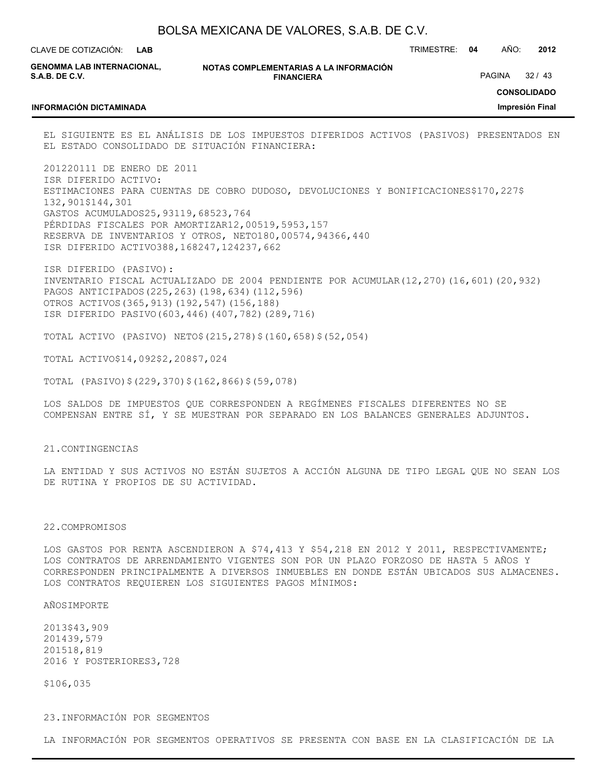| BOLSA MEXICANA DE VALORES, S.A.B. DE C.V. |  |  |
|-------------------------------------------|--|--|
|-------------------------------------------|--|--|

**LAB**

CLAVE DE COTIZACIÓN: TRIMESTRE: **04** AÑO: **2012**

**GENOMMA LAB INTERNACIONAL, S.A.B. DE C.V.**

**NOTAS COMPLEMENTARIAS A LA INFORMACIÓN FINANCIERA**

PAGINA 32 / 43

**CONSOLIDADO**

#### **INFORMACIÓN DICTAMINADA**

**Impresión Final**

EL SIGUIENTE ES EL ANÁLISIS DE LOS IMPUESTOS DIFERIDOS ACTIVOS (PASIVOS) PRESENTADOS EN EL ESTADO CONSOLIDADO DE SITUACIÓN FINANCIERA:

201220111 DE ENERO DE 2011 ISR DIFERIDO ACTIVO: ESTIMACIONES PARA CUENTAS DE COBRO DUDOSO, DEVOLUCIONES Y BONIFICACIONES\$170,227\$ 132,901\$144,301 GASTOS ACUMULADOS25,93119,68523,764 PÉRDIDAS FISCALES POR AMORTIZAR12,00519,5953,157 RESERVA DE INVENTARIOS Y OTROS, NETO180,00574,94366,440 ISR DIFERIDO ACTIVO388,168247,124237,662

ISR DIFERIDO (PASIVO): INVENTARIO FISCAL ACTUALIZADO DE 2004 PENDIENTE POR ACUMULAR(12,270)(16,601)(20,932) PAGOS ANTICIPADOS(225,263)(198,634)(112,596) OTROS ACTIVOS(365,913)(192,547)(156,188) ISR DIFERIDO PASIVO(603,446)(407,782)(289,716)

TOTAL ACTIVO (PASIVO) NETO\$(215,278)\$(160,658)\$(52,054)

TOTAL ACTIVO\$14,092\$2,208\$7,024

TOTAL (PASIVO)\$(229,370)\$(162,866)\$(59,078)

LOS SALDOS DE IMPUESTOS QUE CORRESPONDEN A REGÍMENES FISCALES DIFERENTES NO SE COMPENSAN ENTRE SÍ, Y SE MUESTRAN POR SEPARADO EN LOS BALANCES GENERALES ADJUNTOS.

#### 21.CONTINGENCIAS

LA ENTIDAD Y SUS ACTIVOS NO ESTÁN SUJETOS A ACCIÓN ALGUNA DE TIPO LEGAL QUE NO SEAN LOS DE RUTINA Y PROPIOS DE SU ACTIVIDAD.

#### 22.COMPROMISOS

LOS GASTOS POR RENTA ASCENDIERON A \$74,413 Y \$54,218 EN 2012 Y 2011, RESPECTIVAMENTE; LOS CONTRATOS DE ARRENDAMIENTO VIGENTES SON POR UN PLAZO FORZOSO DE HASTA 5 AÑOS Y CORRESPONDEN PRINCIPALMENTE A DIVERSOS INMUEBLES EN DONDE ESTÁN UBICADOS SUS ALMACENES. LOS CONTRATOS REQUIEREN LOS SIGUIENTES PAGOS MÍNIMOS:

#### AÑOSIMPORTE

2013\$43,909 201439,579 201518,819 2016 Y POSTERIORES3,728

\$106,035

#### 23.INFORMACIÓN POR SEGMENTOS

LA INFORMACIÓN POR SEGMENTOS OPERATIVOS SE PRESENTA CON BASE EN LA CLASIFICACIÓN DE LA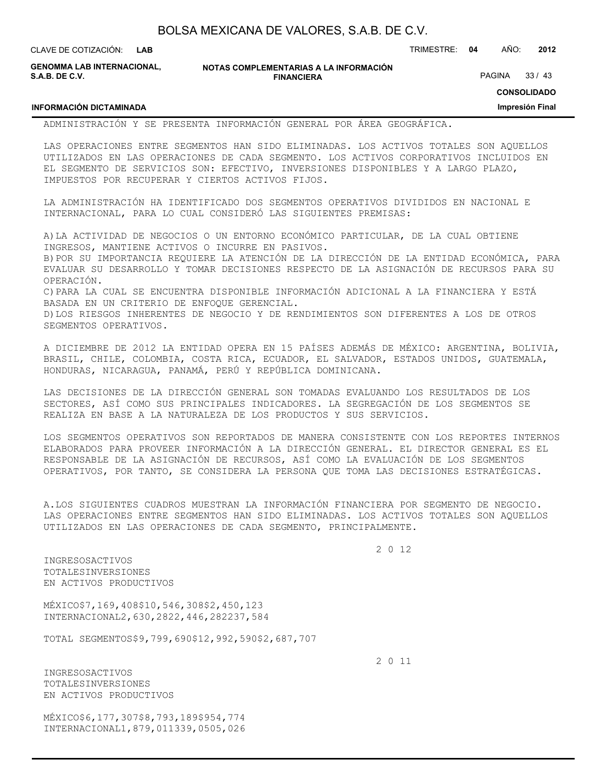| BOLSA MEXICANA DE VALORES, S.A.B. DE C.V. |  |  |
|-------------------------------------------|--|--|
|-------------------------------------------|--|--|

CLAVE DE COTIZACIÓN: TRIMESTRE: **04** AÑO: **2012 LAB**

**GENOMMA LAB INTERNACIONAL, S.A.B. DE C.V.**

**NOTAS COMPLEMENTARIAS A LA INFORMACIÓN FINANCIERA**

PAGINA 33 / 43

**CONSOLIDADO**

**Impresión Final**

# **INFORMACIÓN DICTAMINADA**

ADMINISTRACIÓN Y SE PRESENTA INFORMACIÓN GENERAL POR ÁREA GEOGRÁFICA.

LAS OPERACIONES ENTRE SEGMENTOS HAN SIDO ELIMINADAS. LOS ACTIVOS TOTALES SON AQUELLOS UTILIZADOS EN LAS OPERACIONES DE CADA SEGMENTO. LOS ACTIVOS CORPORATIVOS INCLUIDOS EN EL SEGMENTO DE SERVICIOS SON: EFECTIVO, INVERSIONES DISPONIBLES Y A LARGO PLAZO, IMPUESTOS POR RECUPERAR Y CIERTOS ACTIVOS FIJOS.

LA ADMINISTRACIÓN HA IDENTIFICADO DOS SEGMENTOS OPERATIVOS DIVIDIDOS EN NACIONAL E INTERNACIONAL, PARA LO CUAL CONSIDERÓ LAS SIGUIENTES PREMISAS:

A)LA ACTIVIDAD DE NEGOCIOS O UN ENTORNO ECONÓMICO PARTICULAR, DE LA CUAL OBTIENE INGRESOS, MANTIENE ACTIVOS O INCURRE EN PASIVOS. B)POR SU IMPORTANCIA REQUIERE LA ATENCIÓN DE LA DIRECCIÓN DE LA ENTIDAD ECONÓMICA, PARA

EVALUAR SU DESARROLLO Y TOMAR DECISIONES RESPECTO DE LA ASIGNACIÓN DE RECURSOS PARA SU OPERACIÓN.

C)PARA LA CUAL SE ENCUENTRA DISPONIBLE INFORMACIÓN ADICIONAL A LA FINANCIERA Y ESTÁ BASADA EN UN CRITERIO DE ENFOQUE GERENCIAL.

D)LOS RIESGOS INHERENTES DE NEGOCIO Y DE RENDIMIENTOS SON DIFERENTES A LOS DE OTROS SEGMENTOS OPERATIVOS.

A DICIEMBRE DE 2012 LA ENTIDAD OPERA EN 15 PAÍSES ADEMÁS DE MÉXICO: ARGENTINA, BOLIVIA, BRASIL, CHILE, COLOMBIA, COSTA RICA, ECUADOR, EL SALVADOR, ESTADOS UNIDOS, GUATEMALA, HONDURAS, NICARAGUA, PANAMÁ, PERÚ Y REPÚBLICA DOMINICANA.

LAS DECISIONES DE LA DIRECCIÓN GENERAL SON TOMADAS EVALUANDO LOS RESULTADOS DE LOS SECTORES, ASÍ COMO SUS PRINCIPALES INDICADORES. LA SEGREGACIÓN DE LOS SEGMENTOS SE REALIZA EN BASE A LA NATURALEZA DE LOS PRODUCTOS Y SUS SERVICIOS.

LOS SEGMENTOS OPERATIVOS SON REPORTADOS DE MANERA CONSISTENTE CON LOS REPORTES INTERNOS ELABORADOS PARA PROVEER INFORMACIÓN A LA DIRECCIÓN GENERAL. EL DIRECTOR GENERAL ES EL RESPONSABLE DE LA ASIGNACIÓN DE RECURSOS, ASÍ COMO LA EVALUACIÓN DE LOS SEGMENTOS OPERATIVOS, POR TANTO, SE CONSIDERA LA PERSONA QUE TOMA LAS DECISIONES ESTRATÉGICAS.

A.LOS SIGUIENTES CUADROS MUESTRAN LA INFORMACIÓN FINANCIERA POR SEGMENTO DE NEGOCIO. LAS OPERACIONES ENTRE SEGMENTOS HAN SIDO ELIMINADAS. LOS ACTIVOS TOTALES SON AQUELLOS UTILIZADOS EN LAS OPERACIONES DE CADA SEGMENTO, PRINCIPALMENTE.

2 0 12

INGRESOSACTIVOS TOTALESINVERSIONES EN ACTIVOS PRODUCTIVOS

MÉXICO\$7,169,408\$10,546,308\$2,450,123 INTERNACIONAL2,630,2822,446,282237,584

TOTAL SEGMENTOS\$9,799,690\$12,992,590\$2,687,707

2 0 11

INGRESOSACTIVOS TOTALESINVERSIONES EN ACTIVOS PRODUCTIVOS

MÉXICO\$6,177,307\$8,793,189\$954,774 INTERNACIONAL1,879,011339,0505,026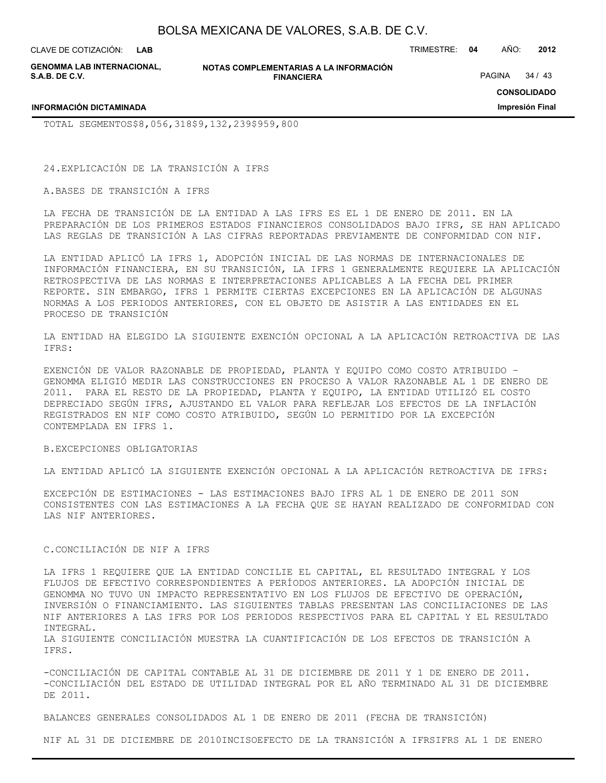**LAB**

CLAVE DE COTIZACIÓN: TRIMESTRE: **04** AÑO: **2012**

**GENOMMA LAB INTERNACIONAL, S.A.B. DE C.V.**

**NOTAS COMPLEMENTARIAS A LA INFORMACIÓN FINANCIERA**

PAGINA 34 / 43

**CONSOLIDADO**

**Impresión Final**

**INFORMACIÓN DICTAMINADA**

TOTAL SEGMENTOS\$8,056,318\$9,132,239\$959,800

24.EXPLICACIÓN DE LA TRANSICIÓN A IFRS

A.BASES DE TRANSICIÓN A IFRS

LA FECHA DE TRANSICIÓN DE LA ENTIDAD A LAS IFRS ES EL 1 DE ENERO DE 2011. EN LA PREPARACIÓN DE LOS PRIMEROS ESTADOS FINANCIEROS CONSOLIDADOS BAJO IFRS, SE HAN APLICADO LAS REGLAS DE TRANSICIÓN A LAS CIFRAS REPORTADAS PREVIAMENTE DE CONFORMIDAD CON NIF.

LA ENTIDAD APLICÓ LA IFRS 1, ADOPCIÓN INICIAL DE LAS NORMAS DE INTERNACIONALES DE INFORMACIÓN FINANCIERA, EN SU TRANSICIÓN, LA IFRS 1 GENERALMENTE REQUIERE LA APLICACIÓN RETROSPECTIVA DE LAS NORMAS E INTERPRETACIONES APLICABLES A LA FECHA DEL PRIMER REPORTE. SIN EMBARGO, IFRS 1 PERMITE CIERTAS EXCEPCIONES EN LA APLICACIÓN DE ALGUNAS NORMAS A LOS PERIODOS ANTERIORES, CON EL OBJETO DE ASISTIR A LAS ENTIDADES EN EL PROCESO DE TRANSICIÓN

LA ENTIDAD HA ELEGIDO LA SIGUIENTE EXENCIÓN OPCIONAL A LA APLICACIÓN RETROACTIVA DE LAS IFRS:

EXENCIÓN DE VALOR RAZONABLE DE PROPIEDAD, PLANTA Y EQUIPO COMO COSTO ATRIBUIDO – GENOMMA ELIGIÓ MEDIR LAS CONSTRUCCIONES EN PROCESO A VALOR RAZONABLE AL 1 DE ENERO DE 2011. PARA EL RESTO DE LA PROPIEDAD, PLANTA Y EQUIPO, LA ENTIDAD UTILIZÓ EL COSTO DEPRECIADO SEGÚN IFRS, AJUSTANDO EL VALOR PARA REFLEJAR LOS EFECTOS DE LA INFLACIÓN REGISTRADOS EN NIF COMO COSTO ATRIBUIDO, SEGÚN LO PERMITIDO POR LA EXCEPCIÓN CONTEMPLADA EN IFRS 1.

#### B.EXCEPCIONES OBLIGATORIAS

LA ENTIDAD APLICÓ LA SIGUIENTE EXENCIÓN OPCIONAL A LA APLICACIÓN RETROACTIVA DE IFRS:

EXCEPCIÓN DE ESTIMACIONES - LAS ESTIMACIONES BAJO IFRS AL 1 DE ENERO DE 2011 SON CONSISTENTES CON LAS ESTIMACIONES A LA FECHA QUE SE HAYAN REALIZADO DE CONFORMIDAD CON LAS NIF ANTERIORES.

### C.CONCILIACIÓN DE NIF A IFRS

LA IFRS 1 REQUIERE QUE LA ENTIDAD CONCILIE EL CAPITAL, EL RESULTADO INTEGRAL Y LOS FLUJOS DE EFECTIVO CORRESPONDIENTES A PERÍODOS ANTERIORES. LA ADOPCIÓN INICIAL DE GENOMMA NO TUVO UN IMPACTO REPRESENTATIVO EN LOS FLUJOS DE EFECTIVO DE OPERACIÓN, INVERSIÓN O FINANCIAMIENTO. LAS SIGUIENTES TABLAS PRESENTAN LAS CONCILIACIONES DE LAS NIF ANTERIORES A LAS IFRS POR LOS PERIODOS RESPECTIVOS PARA EL CAPITAL Y EL RESULTADO INTEGRAL.

LA SIGUIENTE CONCILIACIÓN MUESTRA LA CUANTIFICACIÓN DE LOS EFECTOS DE TRANSICIÓN A IFRS.

-CONCILIACIÓN DE CAPITAL CONTABLE AL 31 DE DICIEMBRE DE 2011 Y 1 DE ENERO DE 2011. -CONCILIACIÓN DEL ESTADO DE UTILIDAD INTEGRAL POR EL AÑO TERMINADO AL 31 DE DICIEMBRE DE 2011.

BALANCES GENERALES CONSOLIDADOS AL 1 DE ENERO DE 2011 (FECHA DE TRANSICIÓN)

NIF AL 31 DE DICIEMBRE DE 2010INCISOEFECTO DE LA TRANSICIÓN A IFRSIFRS AL 1 DE ENERO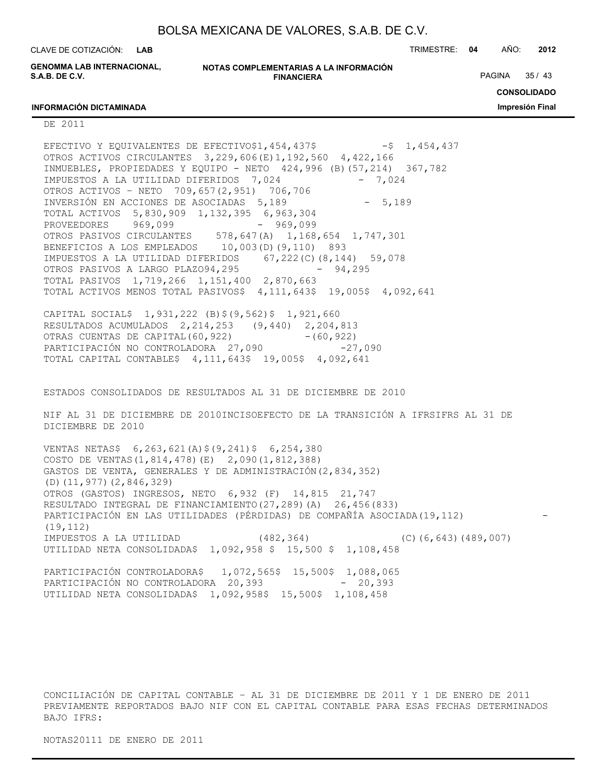**LAB**

CLAVE DE COTIZACIÓN: TRIMESTRE: **04** AÑO: **2012**

**GENOMMA LAB INTERNACIONAL, S.A.B. DE C.V.**

**NOTAS COMPLEMENTARIAS A LA INFORMACIÓN FINANCIERA**

PAGINA 35 / 43

**CONSOLIDADO**

**Impresión Final**

#### **INFORMACIÓN DICTAMINADA**

DE 2011

EFECTIVO Y EOUIVALENTES DE EFECTIVO\$1,454,437\$  $-$ \$ 1,454,437 OTROS ACTIVOS CIRCULANTES 3,229,606(E)1,192,560 4,422,166 INMUEBLES, PROPIEDADES Y EQUIPO - NETO 424,996 (B)(57,214) 367,782 IMPUESTOS A LA UTILIDAD DIFERIDOS 7,024 - 7,024 OTROS ACTIVOS – NETO 709,657(2,951) 706,706 INVERSIÓN EN ACCIONES DE ASOCIADAS 5,189 - 5,189 TOTAL ACTIVOS 5,830,909 1,132,395 6,963,304 PROVEEDORES 969,099 - 969,099 OTROS PASIVOS CIRCULANTES 578,647(A) 1,168,654 1,747,301 BENEFICIOS A LOS EMPLEADOS 10,003(D)(9,110) 893 IMPUESTOS A LA UTILIDAD DIFERIDOS 67,222(C)(8,144) 59,078 OTROS PASIVOS A LARGO PLAZO94,295 - 94,295 TOTAL PASIVOS 1,719,266 1,151,400 2,870,663 TOTAL ACTIVOS MENOS TOTAL PASIVOS\$ 4,111,643\$ 19,005\$ 4,092,641

CAPITAL SOCIAL\$ 1,931,222 (B)\$(9,562)\$ 1,921,660 RESULTADOS ACUMULADOS 2,214,253 (9,440) 2,204,813 OTRAS CUENTAS DE CAPITAL(60,922) - (60,922) PARTICIPACIÓN NO CONTROLADORA 27,090 -27,090 TOTAL CAPITAL CONTABLE\$ 4,111,643\$ 19,005\$ 4,092,641

ESTADOS CONSOLIDADOS DE RESULTADOS AL 31 DE DICIEMBRE DE 2010

NIF AL 31 DE DICIEMBRE DE 2010INCISOEFECTO DE LA TRANSICIÓN A IFRSIFRS AL 31 DE DICIEMBRE DE 2010

VENTAS NETAS\$ 6,263,621(A)\$(9,241)\$ 6,254,380 COSTO DE VENTAS(1,814,478)(E) 2,090(1,812,388) GASTOS DE VENTA, GENERALES Y DE ADMINISTRACIÓN(2,834,352) (D)(11,977)(2,846,329) OTROS (GASTOS) INGRESOS, NETO 6,932 (F) 14,815 21,747 RESULTADO INTEGRAL DE FINANCIAMIENTO(27,289)(A) 26,456(833) PARTICIPACIÓN EN LAS UTILIDADES (PÉRDIDAS) DE COMPAÑÍA ASOCIADA(19,112) (19,112) IMPUESTOS A LA UTILIDAD (482,364) (C)(6,643)(489,007) UTILIDAD NETA CONSOLIDADA\$ 1,092,958 \$ 15,500 \$ 1,108,458

PARTICIPACIÓN CONTROLADORA\$ 1,072,565\$ 15,500\$ 1,088,065 PARTICIPACIÓN NO CONTROLADORA 20,393 - 20,393 UTILIDAD NETA CONSOLIDADA\$ 1,092,958\$ 15,500\$ 1,108,458

CONCILIACIÓN DE CAPITAL CONTABLE – AL 31 DE DICIEMBRE DE 2011 Y 1 DE ENERO DE 2011 PREVIAMENTE REPORTADOS BAJO NIF CON EL CAPITAL CONTABLE PARA ESAS FECHAS DETERMINADOS BAJO IFRS:

NOTAS20111 DE ENERO DE 2011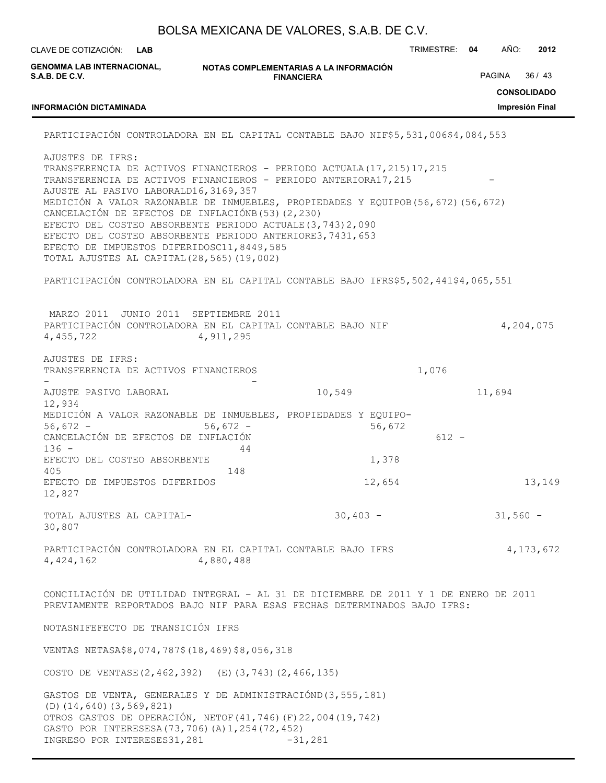|                                                                                                                                                                                                                                                                                                                                                                                                                                                                                                                                                                                 |                                       | BOLSA MEXICANA DE VALORES, S.A.B. DE C.V. |               |        |            |                 |
|---------------------------------------------------------------------------------------------------------------------------------------------------------------------------------------------------------------------------------------------------------------------------------------------------------------------------------------------------------------------------------------------------------------------------------------------------------------------------------------------------------------------------------------------------------------------------------|---------------------------------------|-------------------------------------------|---------------|--------|------------|-----------------|
| CLAVE DE COTIZACIÓN:<br><b>LAB</b>                                                                                                                                                                                                                                                                                                                                                                                                                                                                                                                                              |                                       |                                           | TRIMESTRE: 04 |        | AÑO:       | 2012            |
| <b>GENOMMA LAB INTERNACIONAL,</b><br><b>S.A.B. DE C.V.</b>                                                                                                                                                                                                                                                                                                                                                                                                                                                                                                                      | PAGINA<br>36/43<br><b>CONSOLIDADO</b> |                                           |               |        |            |                 |
| <b>INFORMACIÓN DICTAMINADA</b>                                                                                                                                                                                                                                                                                                                                                                                                                                                                                                                                                  |                                       |                                           |               |        |            | Impresión Final |
| PARTICIPACIÓN CONTROLADORA EN EL CAPITAL CONTABLE BAJO NIF\$5,531,006\$4,084,553                                                                                                                                                                                                                                                                                                                                                                                                                                                                                                |                                       |                                           |               |        |            |                 |
| AJUSTES DE IFRS:<br>TRANSFERENCIA DE ACTIVOS FINANCIEROS - PERIODO ACTUALA (17, 215) 17, 215<br>TRANSFERENCIA DE ACTIVOS FINANCIEROS - PERIODO ANTERIORA17, 215<br>AJUSTE AL PASIVO LABORALD16, 3169, 357<br>MEDICIÓN A VALOR RAZONABLE DE INMUEBLES, PROPIEDADES Y EQUIPOB (56,672) (56,672)<br>CANCELACIÓN DE EFECTOS DE INFLACIÓNB (53) (2,230)<br>EFECTO DEL COSTEO ABSORBENTE PERIODO ACTUALE (3, 743) 2, 090<br>EFECTO DEL COSTEO ABSORBENTE PERIODO ANTERIORE3, 7431, 653<br>EFECTO DE IMPUESTOS DIFERIDOSC11, 8449, 585<br>TOTAL AJUSTES AL CAPITAL (28, 565) (19, 002) |                                       |                                           |               |        |            |                 |
| PARTICIPACIÓN CONTROLADORA EN EL CAPITAL CONTABLE BAJO IFRS\$5,502,441\$4,065,551                                                                                                                                                                                                                                                                                                                                                                                                                                                                                               |                                       |                                           |               |        |            |                 |
| MARZO 2011 JUNIO 2011 SEPTIEMBRE 2011<br>PARTICIPACIÓN CONTROLADORA EN EL CAPITAL CONTABLE BAJO NIF<br>4, 455, 722                                                                                                                                                                                                                                                                                                                                                                                                                                                              | 4, 911, 295                           |                                           |               |        |            | 4,204,075       |
| AJUSTES DE IFRS:<br>TRANSFERENCIA DE ACTIVOS FINANCIEROS                                                                                                                                                                                                                                                                                                                                                                                                                                                                                                                        |                                       |                                           | 1,076         |        |            |                 |
| AJUSTE PASIVO LABORAL<br>12,934                                                                                                                                                                                                                                                                                                                                                                                                                                                                                                                                                 |                                       | 10,549                                    |               | 11,694 |            |                 |
| MEDICIÓN A VALOR RAZONABLE DE INMUEBLES, PROPIEDADES Y EQUIPO-<br>$56,672 -$<br>CANCELACIÓN DE EFECTOS DE INFLACIÓN<br>$136 -$                                                                                                                                                                                                                                                                                                                                                                                                                                                  | $56,672 -$<br>44                      | 56,672                                    | $612 -$       |        |            |                 |
| EFECTO DEL COSTEO ABSORBENTE<br>405                                                                                                                                                                                                                                                                                                                                                                                                                                                                                                                                             | 148                                   | 1,378                                     |               |        |            |                 |
| EFECTO DE IMPUESTOS DIFERIDOS<br>12,827                                                                                                                                                                                                                                                                                                                                                                                                                                                                                                                                         |                                       | 12,654                                    |               |        |            | 13,149          |
| TOTAL AJUSTES AL CAPITAL-<br>30,807                                                                                                                                                                                                                                                                                                                                                                                                                                                                                                                                             |                                       | $30,403 -$                                |               |        | $31,560 -$ |                 |
| PARTICIPACIÓN CONTROLADORA EN EL CAPITAL CONTABLE BAJO IFRS<br>4, 424, 162                                                                                                                                                                                                                                                                                                                                                                                                                                                                                                      | 4,880,488                             |                                           |               |        |            | 4, 173, 672     |
| CONCILIACIÓN DE UTILIDAD INTEGRAL - AL 31 DE DICIEMBRE DE 2011 Y 1 DE ENERO DE 2011<br>PREVIAMENTE REPORTADOS BAJO NIF PARA ESAS FECHAS DETERMINADOS BAJO IFRS:                                                                                                                                                                                                                                                                                                                                                                                                                 |                                       |                                           |               |        |            |                 |
| NOTASNIFEFECTO DE TRANSICIÓN IFRS                                                                                                                                                                                                                                                                                                                                                                                                                                                                                                                                               |                                       |                                           |               |        |            |                 |
| VENTAS NETASA\$8, 074, 787\$ (18, 469) \$8, 056, 318                                                                                                                                                                                                                                                                                                                                                                                                                                                                                                                            |                                       |                                           |               |        |            |                 |
| COSTO DE VENTASE (2, 462, 392) (E) (3, 743) (2, 466, 135)                                                                                                                                                                                                                                                                                                                                                                                                                                                                                                                       |                                       |                                           |               |        |            |                 |
| GASTOS DE VENTA, GENERALES Y DE ADMINISTRACIÓND (3,555,181)<br>$(D)$ $(14, 640)$ $(3, 569, 821)$<br>OTROS GASTOS DE OPERACIÓN, NETOF (41,746) (F) 22,004 (19,742)<br>GASTO POR INTERESESA (73, 706) (A) 1, 254 (72, 452)<br>INGRESO POR INTERESES31, 281                                                                                                                                                                                                                                                                                                                        |                                       | $-31,281$                                 |               |        |            |                 |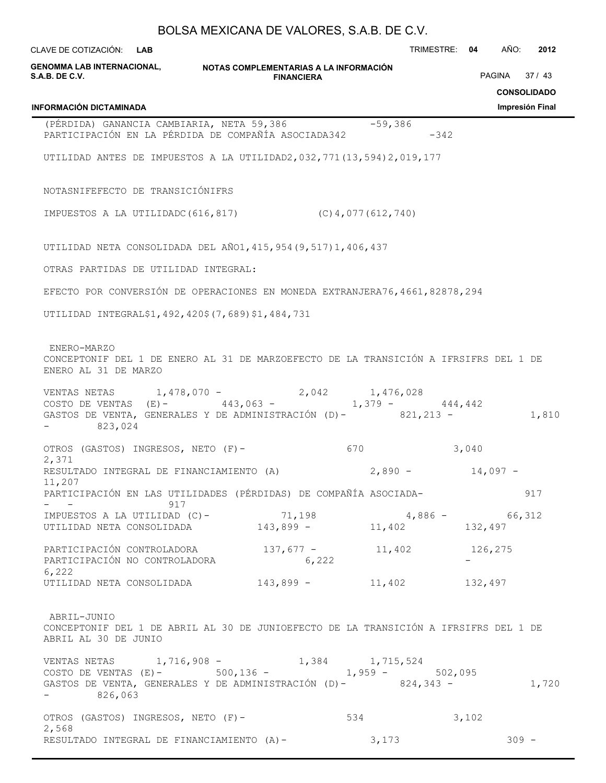| CLAVE DE COTIZACIÓN: LAB                                                                                                                                               |                   |                       | TRIMESTRE: 04 |       | AÑO:    | 2012                        |
|------------------------------------------------------------------------------------------------------------------------------------------------------------------------|-------------------|-----------------------|---------------|-------|---------|-----------------------------|
| GENOMMA LAB INTERNACIONAL, NOTAS COMPLEMENTARIAS A LA INFORMACIÓN<br>S.A.B. DE C.V.                                                                                    | <b>FINANCIERA</b> |                       |               |       | PAGINA  | 37/43<br><b>CONSOLIDADO</b> |
| <b>INFORMACIÓN DICTAMINADA</b>                                                                                                                                         |                   |                       |               |       |         | Impresión Final             |
| (PÉRDIDA) GANANCIA CAMBIARIA, NETA 59,386<br>PARTICIPACIÓN EN LA PÉRDIDA DE COMPAÑÍA ASOCIADA342                                                                       |                   | $-59,386$             | $-342$        |       |         |                             |
| UTILIDAD ANTES DE IMPUESTOS A LA UTILIDAD2, 032, 771 (13, 594) 2, 019, 177                                                                                             |                   |                       |               |       |         |                             |
| NOTASNIFEFECTO DE TRANSICIÓNIFRS                                                                                                                                       |                   |                       |               |       |         |                             |
| IMPUESTOS A LA UTILIDADC (616,817)                                                                                                                                     |                   | $(C)$ 4,077 (612,740) |               |       |         |                             |
| UTILIDAD NETA CONSOLIDADA DEL AÑO1, 415, 954 (9, 517) 1, 406, 437                                                                                                      |                   |                       |               |       |         |                             |
| OTRAS PARTIDAS DE UTILIDAD INTEGRAL:                                                                                                                                   |                   |                       |               |       |         |                             |
| EFECTO POR CONVERSIÓN DE OPERACIONES EN MONEDA EXTRANJERA76,4661,82878,294                                                                                             |                   |                       |               |       |         |                             |
| UTILIDAD INTEGRALȘ1, 492, 420\$ (7, 689) \$1, 484, 731                                                                                                                 |                   |                       |               |       |         |                             |
| ENERO-MARZO<br>CONCEPTONIF DEL 1 DE ENERO AL 31 DE MARZOEFECTO DE LA TRANSICIÓN A IFRSIFRS DEL 1 DE<br>ENERO AL 31 DE MARZO                                            |                   |                       |               |       |         |                             |
| VENTAS NETAS $1,478,070 - 2,042$ $1,476,028$<br>COSTO DE VENTAS (E)-443,063 - $1,379 -$<br>GASTOS DE VENTA, GENERALES Y DE ADMINISTRACIÓN (D)- 821,213 -<br>$-823,024$ |                   | $1,379 - 444,442$     |               |       |         | 1,810                       |
| OTROS (GASTOS) INGRESOS, NETO (F)-                                                                                                                                     |                   |                       |               | 3,040 |         |                             |
| 2,371<br>RESULTADO INTEGRAL DE FINANCIAMIENTO (A) $2,890 - 14,097 - 14$<br>11,207                                                                                      |                   |                       |               |       |         |                             |
| PARTICIPACIÓN EN LAS UTILIDADES (PÉRDIDAS) DE COMPAÑÍA ASOCIADA-<br>$ -$ 917                                                                                           |                   |                       |               |       |         | 917                         |
| IMPUESTOS A LA UTILIDAD (C) - 71,198 4,886 - 66,312<br>UTILIDAD NETA CONSOLIDADA 143,899 - 11,402 132,497                                                              |                   |                       |               |       |         |                             |
| PARTICIPACIÓN CONTROLADORA 137,677 - 11,402 126,275<br>PARTICIPACIÓN NO CONTROLADORA                                                                                   | 6,222             |                       |               |       |         |                             |
| 6,222<br>UTILIDAD NETA CONSOLIDADA $143,899 - 11,402$ $132,497$                                                                                                        |                   |                       |               |       |         |                             |
| ABRIL-JUNIO<br>CONCEPTONIF DEL 1 DE ABRIL AL 30 DE JUNIOEFECTO DE LA TRANSICIÓN A IFRSIFRS DEL 1 DE<br>ABRIL AL 30 DE JUNIO                                            |                   |                       |               |       |         |                             |
| VENTAS NETAS 1,716,908 - 1,384 1,715,524<br>COSTO DE VENTAS (E) - 500,136 - 1,959 - 502,095                                                                            |                   |                       |               |       |         |                             |
| GASTOS DE VENTA, GENERALES Y DE ADMINISTRACIÓN (D)- 824,343 -<br>$-826,063$                                                                                            |                   |                       |               |       |         | 1,720                       |
| OTROS (GASTOS) INGRESOS, NETO (F)-                                                                                                                                     |                   | 534                   |               | 3,102 |         |                             |
| 2,568<br>RESULTADO INTEGRAL DE FINANCIAMIENTO (A)-                                                                                                                     |                   | 3,173                 |               |       | $309 -$ |                             |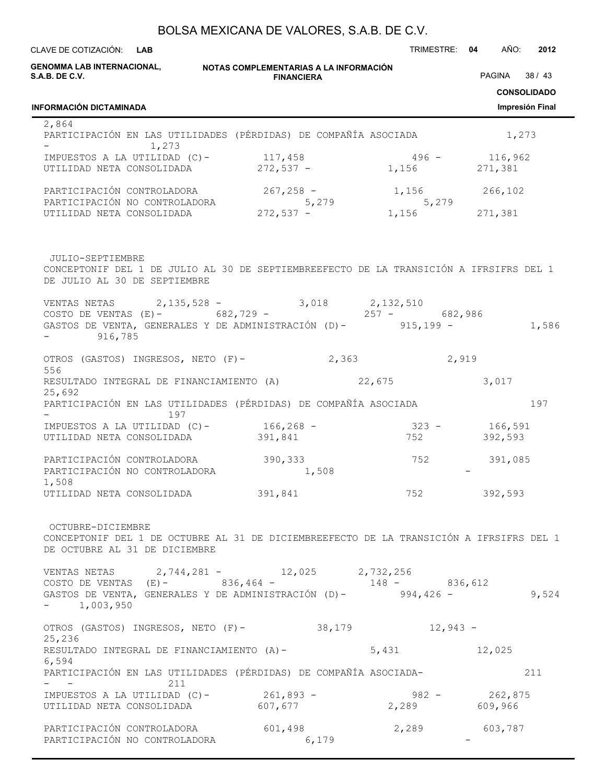**NOTAS COMPLEMENTARIAS A LA INFORMACIÓN FINANCIERA** CLAVE DE COTIZACIÓN: TRIMESTRE: **04** AÑO: **2012 LAB CONSOLIDADO Impresión Final GENOMMA LAB INTERNACIONAL, S.A.B. DE C.V. INFORMACIÓN DICTAMINADA** PAGINA 38 / 43 2,864 PARTICIPACIÓN EN LAS UTILIDADES (PÉRDIDAS) DE COMPAÑÍA ASOCIADA  $1,273$ - 1,273 IMPUESTOS A LA UTILIDAD (C)- 117,458 496 - 116,962 UTILIDAD NETA CONSOLIDADA  $272,537$  - 1,156 271,381 PARTICIPACIÓN CONTROLADORA 267,258 - 1,156 266,102 PARTICIPACIÓN NO CONTROLADORA  $5,279$  5,279 UTILIDAD NETA CONSOLIDADA  $272,537$  - 1,156 271,381 JULIO-SEPTIEMBRE CONCEPTONIF DEL 1 DE JULIO AL 30 DE SEPTIEMBREEFECTO DE LA TRANSICIÓN A IFRSIFRS DEL 1 DE JULIO AL 30 DE SEPTIEMBRE VENTAS NETAS 2,135,528 - 3,018 2,132,510 COSTO DE VENTAS (E)- 682,729 - 257 - 682,986 GASTOS DE VENTA, GENERALES Y DE ADMINISTRACIÓN (D)- 915,199 - 1,586 916,785 OTROS (GASTOS) INGRESOS, NETO (F)- 2,363 2,919 556 RESULTADO INTEGRAL DE FINANCIAMIENTO (A)  $22,675$  3,017 25,692 PARTICIPACIÓN EN LAS UTILIDADES (PÉRDIDAS) DE COMPAÑÍA ASOCIADA 197 - 197 IMPUESTOS A LA UTILIDAD (C)- 166,268 - 323 - 166,591 UTILIDAD NETA CONSOLIDADA 391,841 752 392,593 PARTICIPACIÓN CONTROLADORA 390,333 752 391,085 PARTICIPACIÓN NO CONTROLADORA  $1,508$ 1,508 UTILIDAD NETA CONSOLIDADA 391,841 752 392,593 OCTUBRE-DICIEMBRE CONCEPTONIF DEL 1 DE OCTUBRE AL 31 DE DICIEMBREEFECTO DE LA TRANSICIÓN A IFRSIFRS DEL 1 DE OCTUBRE AL 31 DE DICIEMBRE VENTAS NETAS 2,744,281 - 12,025 2,732,256 COSTO DE VENTAS (E)- 836,464 - 148 - 836,612 GASTOS DE VENTA, GENERALES Y DE ADMINISTRACIÓN (D)- 994,426 - 9,524  $- 1,003,950$ OTROS (GASTOS) INGRESOS, NETO (F)- 38,179 12,943 -25,236 RESULTADO INTEGRAL DE FINANCIAMIENTO (A)- 5,431 12,025 6,594 PARTICIPACIÓN EN LAS UTILIDADES (PÉRDIDAS) DE COMPAÑÍA ASOCIADA- 211  $-$  211 IMPUESTOS A LA UTILIDAD (C)- 261,893 - 982 - 262,875 UTILIDAD NETA CONSOLIDADA 607,677 2,289 609,966 PARTICIPACIÓN CONTROLADORA 601,498 2,289 603,787 PARTICIPACIÓN NO CONTROLADORA 6,179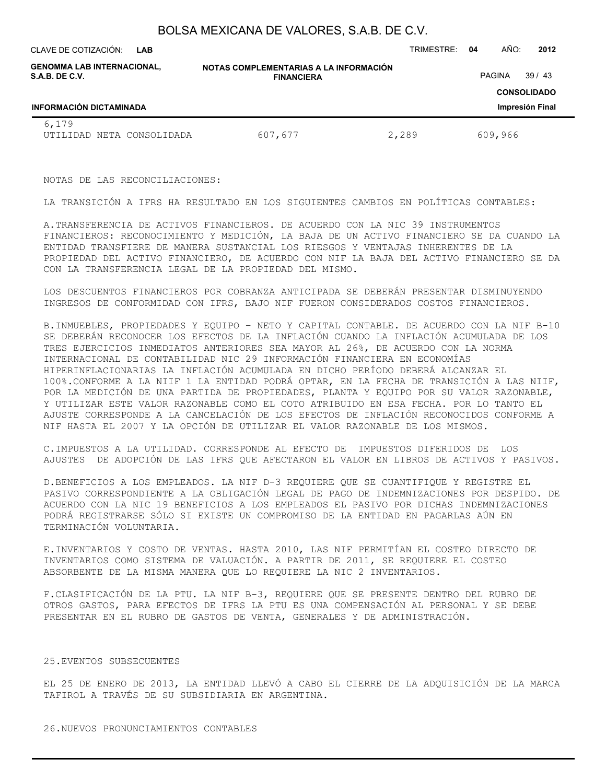**LAB**

CLAVE DE COTIZACIÓN: TRIMESTRE: **04** AÑO: **2012**

| <b>GENOMMA LAB INTERNACIONAL,</b><br>S.A.B. DE C.V. | NOTAS COMPLEMENTARIAS A LA INFORMACIÓN<br><b>FINANCIERA</b> | 39/43<br>PAGINA |                                       |
|-----------------------------------------------------|-------------------------------------------------------------|-----------------|---------------------------------------|
| <b>INFORMACIÓN DICTAMINADA</b>                      |                                                             |                 | <b>CONSOLIDADO</b><br>Impresión Final |
| 6,179<br>UTILIDAD NETA CONSOLIDADA                  | 607,677                                                     | 2,289           | 609,966                               |

NOTAS DE LAS RECONCILIACIONES:

LA TRANSICIÓN A IFRS HA RESULTADO EN LOS SIGUIENTES CAMBIOS EN POLÍTICAS CONTABLES:

A.TRANSFERENCIA DE ACTIVOS FINANCIEROS. DE ACUERDO CON LA NIC 39 INSTRUMENTOS FINANCIEROS: RECONOCIMIENTO Y MEDICIÓN, LA BAJA DE UN ACTIVO FINANCIERO SE DA CUANDO LA ENTIDAD TRANSFIERE DE MANERA SUSTANCIAL LOS RIESGOS Y VENTAJAS INHERENTES DE LA PROPIEDAD DEL ACTIVO FINANCIERO, DE ACUERDO CON NIF LA BAJA DEL ACTIVO FINANCIERO SE DA CON LA TRANSFERENCIA LEGAL DE LA PROPIEDAD DEL MISMO.

LOS DESCUENTOS FINANCIEROS POR COBRANZA ANTICIPADA SE DEBERÁN PRESENTAR DISMINUYENDO INGRESOS DE CONFORMIDAD CON IFRS, BAJO NIF FUERON CONSIDERADOS COSTOS FINANCIEROS.

B.INMUEBLES, PROPIEDADES Y EQUIPO – NETO Y CAPITAL CONTABLE. DE ACUERDO CON LA NIF B-10 SE DEBERÁN RECONOCER LOS EFECTOS DE LA INFLACIÓN CUANDO LA INFLACIÓN ACUMULADA DE LOS TRES EJERCICIOS INMEDIATOS ANTERIORES SEA MAYOR AL 26%, DE ACUERDO CON LA NORMA INTERNACIONAL DE CONTABILIDAD NIC 29 INFORMACIÓN FINANCIERA EN ECONOMÍAS HIPERINFLACIONARIAS LA INFLACIÓN ACUMULADA EN DICHO PERÍODO DEBERÁ ALCANZAR EL 100%.CONFORME A LA NIIF 1 LA ENTIDAD PODRÁ OPTAR, EN LA FECHA DE TRANSICIÓN A LAS NIIF, POR LA MEDICIÓN DE UNA PARTIDA DE PROPIEDADES, PLANTA Y EQUIPO POR SU VALOR RAZONABLE, Y UTILIZAR ESTE VALOR RAZONABLE COMO EL COTO ATRIBUIDO EN ESA FECHA. POR LO TANTO EL AJUSTE CORRESPONDE A LA CANCELACIÓN DE LOS EFECTOS DE INFLACIÓN RECONOCIDOS CONFORME A NIF HASTA EL 2007 Y LA OPCIÓN DE UTILIZAR EL VALOR RAZONABLE DE LOS MISMOS.

C.IMPUESTOS A LA UTILIDAD. CORRESPONDE AL EFECTO DE IMPUESTOS DIFERIDOS DE LOS AJUSTES DE ADOPCIÓN DE LAS IFRS QUE AFECTARON EL VALOR EN LIBROS DE ACTIVOS Y PASIVOS.

D.BENEFICIOS A LOS EMPLEADOS. LA NIF D-3 REQUIERE QUE SE CUANTIFIQUE Y REGISTRE EL PASIVO CORRESPONDIENTE A LA OBLIGACIÓN LEGAL DE PAGO DE INDEMNIZACIONES POR DESPIDO. DE ACUERDO CON LA NIC 19 BENEFICIOS A LOS EMPLEADOS EL PASIVO POR DICHAS INDEMNIZACIONES PODRÁ REGISTRARSE SÓLO SI EXISTE UN COMPROMISO DE LA ENTIDAD EN PAGARLAS AÚN EN TERMINACIÓN VOLUNTARIA.

E.INVENTARIOS Y COSTO DE VENTAS. HASTA 2010, LAS NIF PERMITÍAN EL COSTEO DIRECTO DE INVENTARIOS COMO SISTEMA DE VALUACIÓN. A PARTIR DE 2011, SE REQUIERE EL COSTEO ABSORBENTE DE LA MISMA MANERA QUE LO REQUIERE LA NIC 2 INVENTARIOS.

F.CLASIFICACIÓN DE LA PTU. LA NIF B-3, REQUIERE QUE SE PRESENTE DENTRO DEL RUBRO DE OTROS GASTOS, PARA EFECTOS DE IFRS LA PTU ES UNA COMPENSACIÓN AL PERSONAL Y SE DEBE PRESENTAR EN EL RUBRO DE GASTOS DE VENTA, GENERALES Y DE ADMINISTRACIÓN.

#### 25.EVENTOS SUBSECUENTES

EL 25 DE ENERO DE 2013, LA ENTIDAD LLEVÓ A CABO EL CIERRE DE LA ADQUISICIÓN DE LA MARCA TAFIROL A TRAVÉS DE SU SUBSIDIARIA EN ARGENTINA.

#### 26.NUEVOS PRONUNCIAMIENTOS CONTABLES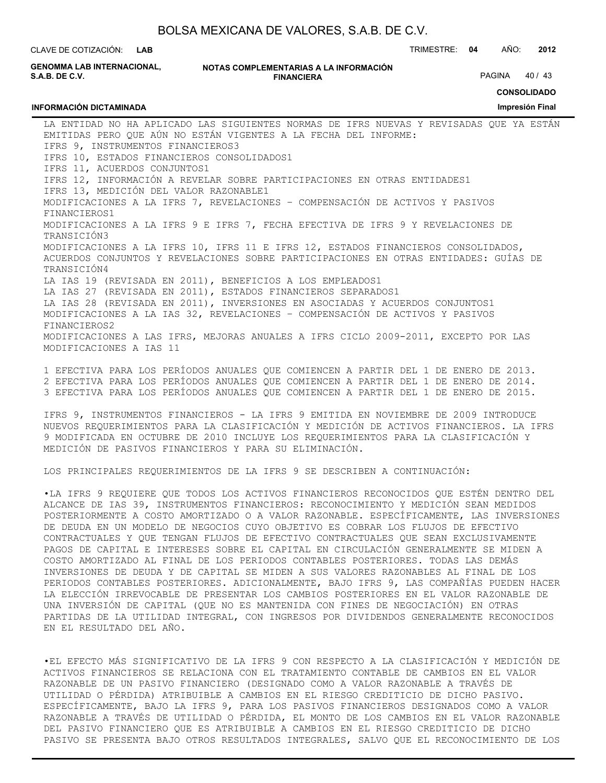**LAB**

CLAVE DE COTIZACIÓN: TRIMESTRE: **04** AÑO: **2012**

**GENOMMA LAB INTERNACIONAL, S.A.B. DE C.V.**

**INFORMACIÓN DICTAMINADA**

**NOTAS COMPLEMENTARIAS A LA INFORMACIÓN FINANCIERA**

PAGINA 40 / 43

**CONSOLIDADO**

**Impresión Final**

LA ENTIDAD NO HA APLICADO LAS SIGUIENTES NORMAS DE IFRS NUEVAS Y REVISADAS QUE YA ESTÁN EMITIDAS PERO QUE AÚN NO ESTÁN VIGENTES A LA FECHA DEL INFORME: IFRS 9, INSTRUMENTOS FINANCIEROS3 IFRS 10, ESTADOS FINANCIEROS CONSOLIDADOS1 IFRS 11, ACUERDOS CONJUNTOS1 IFRS 12, INFORMACIÓN A REVELAR SOBRE PARTICIPACIONES EN OTRAS ENTIDADES1 IFRS 13, MEDICIÓN DEL VALOR RAZONABLE1 MODIFICACIONES A LA IFRS 7, REVELACIONES – COMPENSACIÓN DE ACTIVOS Y PASIVOS FINANCIEROS1 MODIFICACIONES A LA IFRS 9 E IFRS 7, FECHA EFECTIVA DE IFRS 9 Y REVELACIONES DE TRANSICIÓN3 MODIFICACIONES A LA IFRS 10, IFRS 11 E IFRS 12, ESTADOS FINANCIEROS CONSOLIDADOS, ACUERDOS CONJUNTOS Y REVELACIONES SOBRE PARTICIPACIONES EN OTRAS ENTIDADES: GUÍAS DE TRANSICIÓN4 LA IAS 19 (REVISADA EN 2011), BENEFICIOS A LOS EMPLEADOS1 LA IAS 27 (REVISADA EN 2011), ESTADOS FINANCIEROS SEPARADOS1 LA IAS 28 (REVISADA EN 2011), INVERSIONES EN ASOCIADAS Y ACUERDOS CONJUNTOS1 MODIFICACIONES A LA IAS 32, REVELACIONES – COMPENSACIÓN DE ACTIVOS Y PASIVOS FINANCIEROS2 MODIFICACIONES A LAS IFRS, MEJORAS ANUALES A IFRS CICLO 2009-2011, EXCEPTO POR LAS MODIFICACIONES A IAS 11

1 EFECTIVA PARA LOS PERÍODOS ANUALES QUE COMIENCEN A PARTIR DEL 1 DE ENERO DE 2013. 2 EFECTIVA PARA LOS PERÍODOS ANUALES QUE COMIENCEN A PARTIR DEL 1 DE ENERO DE 2014. 3 EFECTIVA PARA LOS PERÍODOS ANUALES QUE COMIENCEN A PARTIR DEL 1 DE ENERO DE 2015.

IFRS 9, INSTRUMENTOS FINANCIEROS - LA IFRS 9 EMITIDA EN NOVIEMBRE DE 2009 INTRODUCE NUEVOS REQUERIMIENTOS PARA LA CLASIFICACIÓN Y MEDICIÓN DE ACTIVOS FINANCIEROS. LA IFRS 9 MODIFICADA EN OCTUBRE DE 2010 INCLUYE LOS REQUERIMIENTOS PARA LA CLASIFICACIÓN Y MEDICIÓN DE PASIVOS FINANCIEROS Y PARA SU ELIMINACIÓN.

LOS PRINCIPALES REQUERIMIENTOS DE LA IFRS 9 SE DESCRIBEN A CONTINUACIÓN:

•LA IFRS 9 REQUIERE QUE TODOS LOS ACTIVOS FINANCIEROS RECONOCIDOS QUE ESTÉN DENTRO DEL ALCANCE DE IAS 39, INSTRUMENTOS FINANCIEROS: RECONOCIMIENTO Y MEDICIÓN SEAN MEDIDOS POSTERIORMENTE A COSTO AMORTIZADO O A VALOR RAZONABLE. ESPECÍFICAMENTE, LAS INVERSIONES DE DEUDA EN UN MODELO DE NEGOCIOS CUYO OBJETIVO ES COBRAR LOS FLUJOS DE EFECTIVO CONTRACTUALES Y QUE TENGAN FLUJOS DE EFECTIVO CONTRACTUALES QUE SEAN EXCLUSIVAMENTE PAGOS DE CAPITAL E INTERESES SOBRE EL CAPITAL EN CIRCULACIÓN GENERALMENTE SE MIDEN A COSTO AMORTIZADO AL FINAL DE LOS PERIODOS CONTABLES POSTERIORES. TODAS LAS DEMÁS INVERSIONES DE DEUDA Y DE CAPITAL SE MIDEN A SUS VALORES RAZONABLES AL FINAL DE LOS PERIODOS CONTABLES POSTERIORES. ADICIONALMENTE, BAJO IFRS 9, LAS COMPAÑÍAS PUEDEN HACER LA ELECCIÓN IRREVOCABLE DE PRESENTAR LOS CAMBIOS POSTERIORES EN EL VALOR RAZONABLE DE UNA INVERSIÓN DE CAPITAL (QUE NO ES MANTENIDA CON FINES DE NEGOCIACIÓN) EN OTRAS PARTIDAS DE LA UTILIDAD INTEGRAL, CON INGRESOS POR DIVIDENDOS GENERALMENTE RECONOCIDOS EN EL RESULTADO DEL AÑO.

•EL EFECTO MÁS SIGNIFICATIVO DE LA IFRS 9 CON RESPECTO A LA CLASIFICACIÓN Y MEDICIÓN DE ACTIVOS FINANCIEROS SE RELACIONA CON EL TRATAMIENTO CONTABLE DE CAMBIOS EN EL VALOR RAZONABLE DE UN PASIVO FINANCIERO (DESIGNADO COMO A VALOR RAZONABLE A TRAVÉS DE UTILIDAD O PÉRDIDA) ATRIBUIBLE A CAMBIOS EN EL RIESGO CREDITICIO DE DICHO PASIVO. ESPECÍFICAMENTE, BAJO LA IFRS 9, PARA LOS PASIVOS FINANCIEROS DESIGNADOS COMO A VALOR RAZONABLE A TRAVÉS DE UTILIDAD O PÉRDIDA, EL MONTO DE LOS CAMBIOS EN EL VALOR RAZONABLE DEL PASIVO FINANCIERO QUE ES ATRIBUIBLE A CAMBIOS EN EL RIESGO CREDITICIO DE DICHO PASIVO SE PRESENTA BAJO OTROS RESULTADOS INTEGRALES, SALVO QUE EL RECONOCIMIENTO DE LOS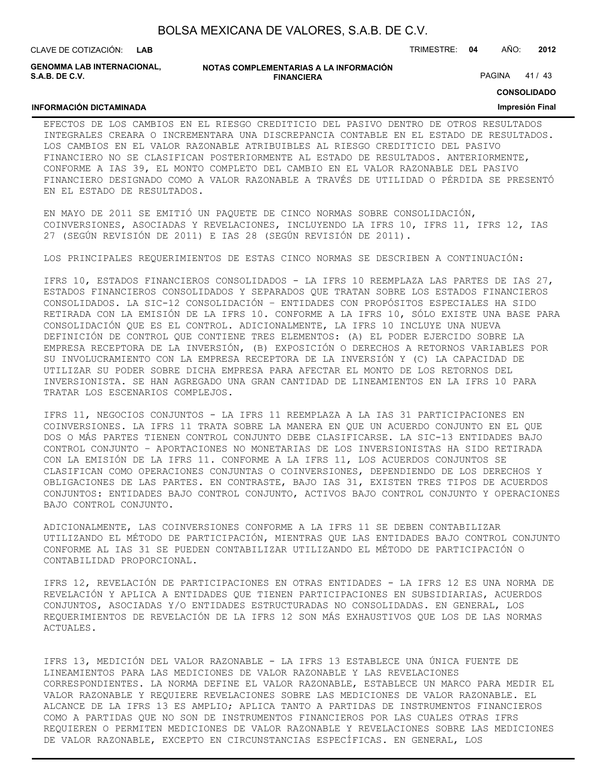| BOLSA MEXICANA DE VALORES, S.A.B. DE C.V. |  |  |
|-------------------------------------------|--|--|
|-------------------------------------------|--|--|

CLAVE DE COTIZACIÓN: TRIMESTRE: **04** AÑO: **2012 LAB**

**GENOMMA LAB INTERNACIONAL, S.A.B. DE C.V.**

#### **NOTAS COMPLEMENTARIAS A LA INFORMACIÓN FINANCIERA**

PAGINA 41 / 43

**CONSOLIDADO**

### **INFORMACIÓN DICTAMINADA**

### **Impresión Final**

EFECTOS DE LOS CAMBIOS EN EL RIESGO CREDITICIO DEL PASIVO DENTRO DE OTROS RESULTADOS INTEGRALES CREARA O INCREMENTARA UNA DISCREPANCIA CONTABLE EN EL ESTADO DE RESULTADOS. LOS CAMBIOS EN EL VALOR RAZONABLE ATRIBUIBLES AL RIESGO CREDITICIO DEL PASIVO FINANCIERO NO SE CLASIFICAN POSTERIORMENTE AL ESTADO DE RESULTADOS. ANTERIORMENTE, CONFORME A IAS 39, EL MONTO COMPLETO DEL CAMBIO EN EL VALOR RAZONABLE DEL PASIVO FINANCIERO DESIGNADO COMO A VALOR RAZONABLE A TRAVÉS DE UTILIDAD O PÉRDIDA SE PRESENTÓ EN EL ESTADO DE RESULTADOS.

EN MAYO DE 2011 SE EMITIÓ UN PAQUETE DE CINCO NORMAS SOBRE CONSOLIDACIÓN, COINVERSIONES, ASOCIADAS Y REVELACIONES, INCLUYENDO LA IFRS 10, IFRS 11, IFRS 12, IAS 27 (SEGÚN REVISIÓN DE 2011) E IAS 28 (SEGÚN REVISIÓN DE 2011).

LOS PRINCIPALES REQUERIMIENTOS DE ESTAS CINCO NORMAS SE DESCRIBEN A CONTINUACIÓN:

IFRS 10, ESTADOS FINANCIEROS CONSOLIDADOS - LA IFRS 10 REEMPLAZA LAS PARTES DE IAS 27, ESTADOS FINANCIEROS CONSOLIDADOS Y SEPARADOS QUE TRATAN SOBRE LOS ESTADOS FINANCIEROS CONSOLIDADOS. LA SIC-12 CONSOLIDACIÓN – ENTIDADES CON PROPÓSITOS ESPECIALES HA SIDO RETIRADA CON LA EMISIÓN DE LA IFRS 10. CONFORME A LA IFRS 10, SÓLO EXISTE UNA BASE PARA CONSOLIDACIÓN QUE ES EL CONTROL. ADICIONALMENTE, LA IFRS 10 INCLUYE UNA NUEVA DEFINICIÓN DE CONTROL QUE CONTIENE TRES ELEMENTOS: (A) EL PODER EJERCIDO SOBRE LA EMPRESA RECEPTORA DE LA INVERSIÓN, (B) EXPOSICIÓN O DERECHOS A RETORNOS VARIABLES POR SU INVOLUCRAMIENTO CON LA EMPRESA RECEPTORA DE LA INVERSIÓN Y (C) LA CAPACIDAD DE UTILIZAR SU PODER SOBRE DICHA EMPRESA PARA AFECTAR EL MONTO DE LOS RETORNOS DEL INVERSIONISTA. SE HAN AGREGADO UNA GRAN CANTIDAD DE LINEAMIENTOS EN LA IFRS 10 PARA TRATAR LOS ESCENARIOS COMPLEJOS.

IFRS 11, NEGOCIOS CONJUNTOS - LA IFRS 11 REEMPLAZA A LA IAS 31 PARTICIPACIONES EN COINVERSIONES. LA IFRS 11 TRATA SOBRE LA MANERA EN QUE UN ACUERDO CONJUNTO EN EL QUE DOS O MÁS PARTES TIENEN CONTROL CONJUNTO DEBE CLASIFICARSE. LA SIC-13 ENTIDADES BAJO CONTROL CONJUNTO – APORTACIONES NO MONETARIAS DE LOS INVERSIONISTAS HA SIDO RETIRADA CON LA EMISIÓN DE LA IFRS 11. CONFORME A LA IFRS 11, LOS ACUERDOS CONJUNTOS SE CLASIFICAN COMO OPERACIONES CONJUNTAS O COINVERSIONES, DEPENDIENDO DE LOS DERECHOS Y OBLIGACIONES DE LAS PARTES. EN CONTRASTE, BAJO IAS 31, EXISTEN TRES TIPOS DE ACUERDOS CONJUNTOS: ENTIDADES BAJO CONTROL CONJUNTO, ACTIVOS BAJO CONTROL CONJUNTO Y OPERACIONES BAJO CONTROL CONJUNTO.

ADICIONALMENTE, LAS COINVERSIONES CONFORME A LA IFRS 11 SE DEBEN CONTABILIZAR UTILIZANDO EL MÉTODO DE PARTICIPACIÓN, MIENTRAS QUE LAS ENTIDADES BAJO CONTROL CONJUNTO CONFORME AL IAS 31 SE PUEDEN CONTABILIZAR UTILIZANDO EL MÉTODO DE PARTICIPACIÓN O CONTABILIDAD PROPORCIONAL.

IFRS 12, REVELACIÓN DE PARTICIPACIONES EN OTRAS ENTIDADES - LA IFRS 12 ES UNA NORMA DE REVELACIÓN Y APLICA A ENTIDADES QUE TIENEN PARTICIPACIONES EN SUBSIDIARIAS, ACUERDOS CONJUNTOS, ASOCIADAS Y/O ENTIDADES ESTRUCTURADAS NO CONSOLIDADAS. EN GENERAL, LOS REQUERIMIENTOS DE REVELACIÓN DE LA IFRS 12 SON MÁS EXHAUSTIVOS QUE LOS DE LAS NORMAS ACTUALES.

IFRS 13, MEDICIÓN DEL VALOR RAZONABLE - LA IFRS 13 ESTABLECE UNA ÚNICA FUENTE DE LINEAMIENTOS PARA LAS MEDICIONES DE VALOR RAZONABLE Y LAS REVELACIONES CORRESPONDIENTES. LA NORMA DEFINE EL VALOR RAZONABLE, ESTABLECE UN MARCO PARA MEDIR EL VALOR RAZONABLE Y REQUIERE REVELACIONES SOBRE LAS MEDICIONES DE VALOR RAZONABLE. EL ALCANCE DE LA IFRS 13 ES AMPLIO; APLICA TANTO A PARTIDAS DE INSTRUMENTOS FINANCIEROS COMO A PARTIDAS QUE NO SON DE INSTRUMENTOS FINANCIEROS POR LAS CUALES OTRAS IFRS REQUIEREN O PERMITEN MEDICIONES DE VALOR RAZONABLE Y REVELACIONES SOBRE LAS MEDICIONES DE VALOR RAZONABLE, EXCEPTO EN CIRCUNSTANCIAS ESPECÍFICAS. EN GENERAL, LOS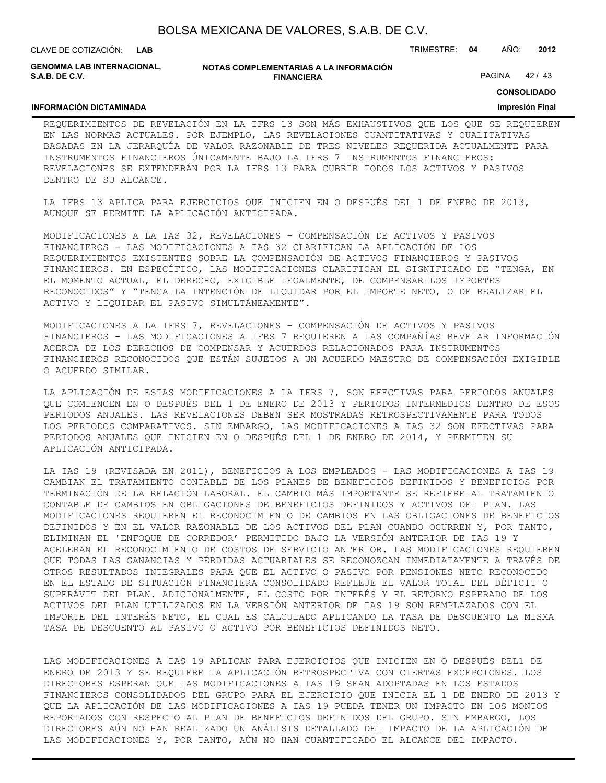|  | BOLSA MEXICANA DE VALORES, S.A.B. DE C.V. |  |
|--|-------------------------------------------|--|
|--|-------------------------------------------|--|

CLAVE DE COTIZACIÓN: TRIMESTRE: **04** AÑO: **2012 LAB GENOMMA LAB INTERNACIONAL,**

**NOTAS COMPLEMENTARIAS A LA INFORMACIÓN FINANCIERA**

PAGINA 42 / 43

#### **CONSOLIDADO**

#### **INFORMACIÓN DICTAMINADA**

**S.A.B. DE C.V.**

### **Impresión Final**

REQUERIMIENTOS DE REVELACIÓN EN LA IFRS 13 SON MÁS EXHAUSTIVOS QUE LOS QUE SE REQUIEREN EN LAS NORMAS ACTUALES. POR EJEMPLO, LAS REVELACIONES CUANTITATIVAS Y CUALITATIVAS BASADAS EN LA JERARQUÍA DE VALOR RAZONABLE DE TRES NIVELES REQUERIDA ACTUALMENTE PARA INSTRUMENTOS FINANCIEROS ÚNICAMENTE BAJO LA IFRS 7 INSTRUMENTOS FINANCIEROS: REVELACIONES SE EXTENDERÁN POR LA IFRS 13 PARA CUBRIR TODOS LOS ACTIVOS Y PASIVOS DENTRO DE SU ALCANCE.

LA IFRS 13 APLICA PARA EJERCICIOS QUE INICIEN EN O DESPUÉS DEL 1 DE ENERO DE 2013, AUNQUE SE PERMITE LA APLICACIÓN ANTICIPADA.

MODIFICACIONES A LA IAS 32, REVELACIONES – COMPENSACIÓN DE ACTIVOS Y PASIVOS FINANCIEROS - LAS MODIFICACIONES A IAS 32 CLARIFICAN LA APLICACIÓN DE LOS REQUERIMIENTOS EXISTENTES SOBRE LA COMPENSACIÓN DE ACTIVOS FINANCIEROS Y PASIVOS FINANCIEROS. EN ESPECÍFICO, LAS MODIFICACIONES CLARIFICAN EL SIGNIFICADO DE "TENGA, EN EL MOMENTO ACTUAL, EL DERECHO, EXIGIBLE LEGALMENTE, DE COMPENSAR LOS IMPORTES RECONOCIDOS" Y "TENGA LA INTENCIÓN DE LIQUIDAR POR EL IMPORTE NETO, O DE REALIZAR EL ACTIVO Y LIQUIDAR EL PASIVO SIMULTÁNEAMENTE".

MODIFICACIONES A LA IFRS 7, REVELACIONES – COMPENSACIÓN DE ACTIVOS Y PASIVOS FINANCIEROS - LAS MODIFICACIONES A IFRS 7 REQUIEREN A LAS COMPAÑÍAS REVELAR INFORMACIÓN ACERCA DE LOS DERECHOS DE COMPENSAR Y ACUERDOS RELACIONADOS PARA INSTRUMENTOS FINANCIEROS RECONOCIDOS QUE ESTÁN SUJETOS A UN ACUERDO MAESTRO DE COMPENSACIÓN EXIGIBLE O ACUERDO SIMILAR.

LA APLICACIÓN DE ESTAS MODIFICACIONES A LA IFRS 7, SON EFECTIVAS PARA PERIODOS ANUALES QUE COMIENCEN EN O DESPUÉS DEL 1 DE ENERO DE 2013 Y PERIODOS INTERMEDIOS DENTRO DE ESOS PERIODOS ANUALES. LAS REVELACIONES DEBEN SER MOSTRADAS RETROSPECTIVAMENTE PARA TODOS LOS PERIODOS COMPARATIVOS. SIN EMBARGO, LAS MODIFICACIONES A IAS 32 SON EFECTIVAS PARA PERIODOS ANUALES QUE INICIEN EN O DESPUÉS DEL 1 DE ENERO DE 2014, Y PERMITEN SU APLICACIÓN ANTICIPADA.

LA IAS 19 (REVISADA EN 2011), BENEFICIOS A LOS EMPLEADOS - LAS MODIFICACIONES A IAS 19 CAMBIAN EL TRATAMIENTO CONTABLE DE LOS PLANES DE BENEFICIOS DEFINIDOS Y BENEFICIOS POR TERMINACIÓN DE LA RELACIÓN LABORAL. EL CAMBIO MÁS IMPORTANTE SE REFIERE AL TRATAMIENTO CONTABLE DE CAMBIOS EN OBLIGACIONES DE BENEFICIOS DEFINIDOS Y ACTIVOS DEL PLAN. LAS MODIFICACIONES REQUIEREN EL RECONOCIMIENTO DE CAMBIOS EN LAS OBLIGACIONES DE BENEFICIOS DEFINIDOS Y EN EL VALOR RAZONABLE DE LOS ACTIVOS DEL PLAN CUANDO OCURREN Y, POR TANTO, ELIMINAN EL 'ENFOQUE DE CORREDOR' PERMITIDO BAJO LA VERSIÓN ANTERIOR DE IAS 19 Y ACELERAN EL RECONOCIMIENTO DE COSTOS DE SERVICIO ANTERIOR. LAS MODIFICACIONES REQUIEREN QUE TODAS LAS GANANCIAS Y PÉRDIDAS ACTUARIALES SE RECONOZCAN INMEDIATAMENTE A TRAVÉS DE OTROS RESULTADOS INTEGRALES PARA QUE EL ACTIVO O PASIVO POR PENSIONES NETO RECONOCIDO EN EL ESTADO DE SITUACIÓN FINANCIERA CONSOLIDADO REFLEJE EL VALOR TOTAL DEL DÉFICIT O SUPERÁVIT DEL PLAN. ADICIONALMENTE, EL COSTO POR INTERÉS Y EL RETORNO ESPERADO DE LOS ACTIVOS DEL PLAN UTILIZADOS EN LA VERSIÓN ANTERIOR DE IAS 19 SON REMPLAZADOS CON EL IMPORTE DEL INTERÉS NETO, EL CUAL ES CALCULADO APLICANDO LA TASA DE DESCUENTO LA MISMA TASA DE DESCUENTO AL PASIVO O ACTIVO POR BENEFICIOS DEFINIDOS NETO.

LAS MODIFICACIONES A IAS 19 APLICAN PARA EJERCICIOS QUE INICIEN EN O DESPUÉS DEL1 DE ENERO DE 2013 Y SE REQUIERE LA APLICACIÓN RETROSPECTIVA CON CIERTAS EXCEPCIONES. LOS DIRECTORES ESPERAN QUE LAS MODIFICACIONES A IAS 19 SEAN ADOPTADAS EN LOS ESTADOS FINANCIEROS CONSOLIDADOS DEL GRUPO PARA EL EJERCICIO QUE INICIA EL 1 DE ENERO DE 2013 Y QUE LA APLICACIÓN DE LAS MODIFICACIONES A IAS 19 PUEDA TENER UN IMPACTO EN LOS MONTOS REPORTADOS CON RESPECTO AL PLAN DE BENEFICIOS DEFINIDOS DEL GRUPO. SIN EMBARGO, LOS DIRECTORES AÚN NO HAN REALIZADO UN ANÁLISIS DETALLADO DEL IMPACTO DE LA APLICACIÓN DE LAS MODIFICACIONES Y, POR TANTO, AÚN NO HAN CUANTIFICADO EL ALCANCE DEL IMPACTO.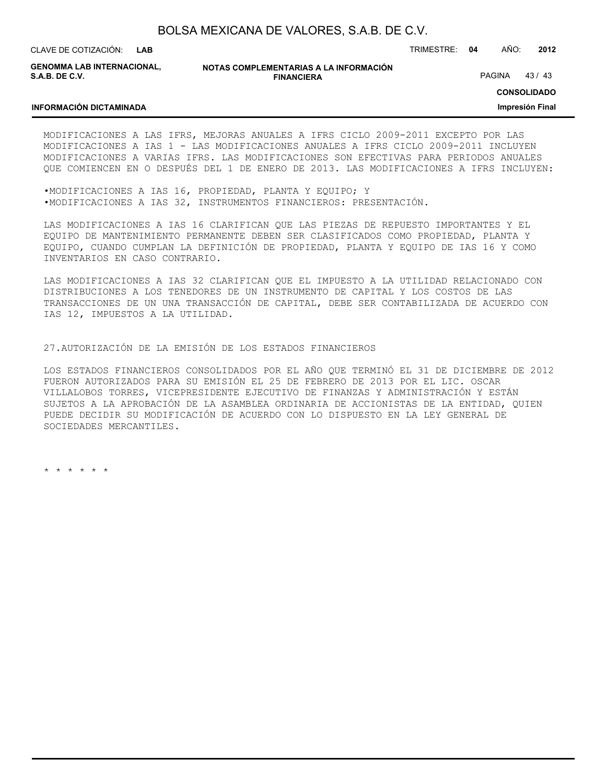**LAB**

CLAVE DE COTIZACIÓN: TRIMESTRE: **04** AÑO: **2012**

**GENOMMA LAB INTERNACIONAL, S.A.B. DE C.V.**

**INFORMACIÓN DICTAMINADA**

**NOTAS COMPLEMENTARIAS A LA INFORMACIÓN FINANCIERA**

PAGINA 43/43

**CONSOLIDADO**

**Impresión Final**

MODIFICACIONES A LAS IFRS, MEJORAS ANUALES A IFRS CICLO 2009-2011 EXCEPTO POR LAS MODIFICACIONES A IAS 1 - LAS MODIFICACIONES ANUALES A IFRS CICLO 2009-2011 INCLUYEN MODIFICACIONES A VARIAS IFRS. LAS MODIFICACIONES SON EFECTIVAS PARA PERIODOS ANUALES QUE COMIENCEN EN O DESPUÉS DEL 1 DE ENERO DE 2013. LAS MODIFICACIONES A IFRS INCLUYEN:

•MODIFICACIONES A IAS 16, PROPIEDAD, PLANTA Y EQUIPO; Y •MODIFICACIONES A IAS 32, INSTRUMENTOS FINANCIEROS: PRESENTACIÓN.

LAS MODIFICACIONES A IAS 16 CLARIFICAN QUE LAS PIEZAS DE REPUESTO IMPORTANTES Y EL EQUIPO DE MANTENIMIENTO PERMANENTE DEBEN SER CLASIFICADOS COMO PROPIEDAD, PLANTA Y EQUIPO, CUANDO CUMPLAN LA DEFINICIÓN DE PROPIEDAD, PLANTA Y EQUIPO DE IAS 16 Y COMO INVENTARIOS EN CASO CONTRARIO.

LAS MODIFICACIONES A IAS 32 CLARIFICAN QUE EL IMPUESTO A LA UTILIDAD RELACIONADO CON DISTRIBUCIONES A LOS TENEDORES DE UN INSTRUMENTO DE CAPITAL Y LOS COSTOS DE LAS TRANSACCIONES DE UN UNA TRANSACCIÓN DE CAPITAL, DEBE SER CONTABILIZADA DE ACUERDO CON IAS 12, IMPUESTOS A LA UTILIDAD.

#### 27.AUTORIZACIÓN DE LA EMISIÓN DE LOS ESTADOS FINANCIEROS

LOS ESTADOS FINANCIEROS CONSOLIDADOS POR EL AÑO QUE TERMINÓ EL 31 DE DICIEMBRE DE 2012 FUERON AUTORIZADOS PARA SU EMISIÓN EL 25 DE FEBRERO DE 2013 POR EL LIC. OSCAR VILLALOBOS TORRES, VICEPRESIDENTE EJECUTIVO DE FINANZAS Y ADMINISTRACIÓN Y ESTÁN SUJETOS A LA APROBACIÓN DE LA ASAMBLEA ORDINARIA DE ACCIONISTAS DE LA ENTIDAD, QUIEN PUEDE DECIDIR SU MODIFICACIÓN DE ACUERDO CON LO DISPUESTO EN LA LEY GENERAL DE SOCIEDADES MERCANTILES.

\* \* \* \* \* \*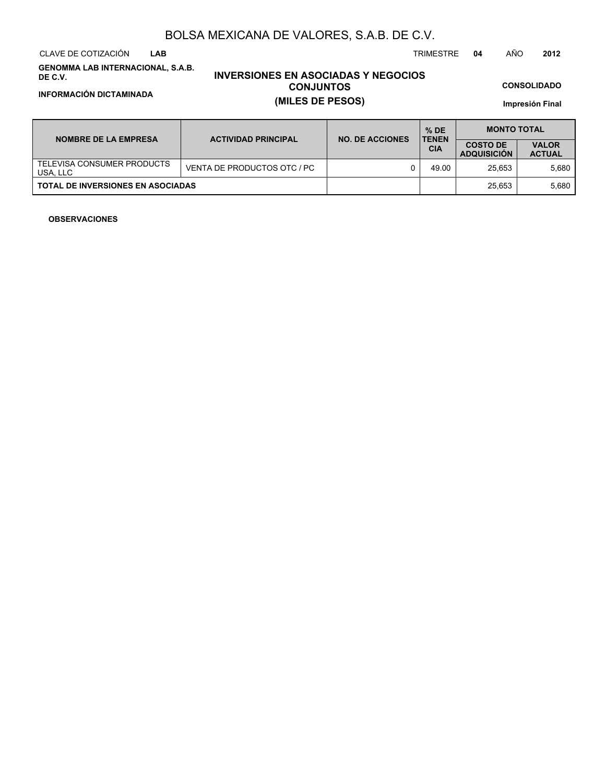CLAVE DE COTIZACIÓN TRIMESTRE **04** AÑO **2012 LAB**

**GENOMMA LAB INTERNACIONAL, S.A.B. DE C.V.**

# **INVERSIONES EN ASOCIADAS Y NEGOCIOS CONJUNTOS INFORMACIÓN DICTAMINADA (MILES DE PESOS)**

**CONSOLIDADO**

**Impresión Final**

| <b>NOMBRE DE LA EMPRESA</b>              | <b>ACTIVIDAD PRINCIPAL</b>  | <b>NO. DE ACCIONES</b> | $%$ DE<br><b>TENEN</b> | <b>MONTO TOTAL</b>                    |                               |  |  |
|------------------------------------------|-----------------------------|------------------------|------------------------|---------------------------------------|-------------------------------|--|--|
|                                          |                             |                        | <b>CIA</b>             | <b>COSTO DE</b><br><b>ADQUISICION</b> | <b>VALOR</b><br><b>ACTUAL</b> |  |  |
| TELEVISA CONSUMER PRODUCTS<br>USA, LLC   | VENTA DE PRODUCTOS OTC / PC |                        | 49.00                  | 25.653                                | 5.680                         |  |  |
| <b>TOTAL DE INVERSIONES EN ASOCIADAS</b> |                             |                        |                        | 25.653                                | 5.680                         |  |  |

### **OBSERVACIONES**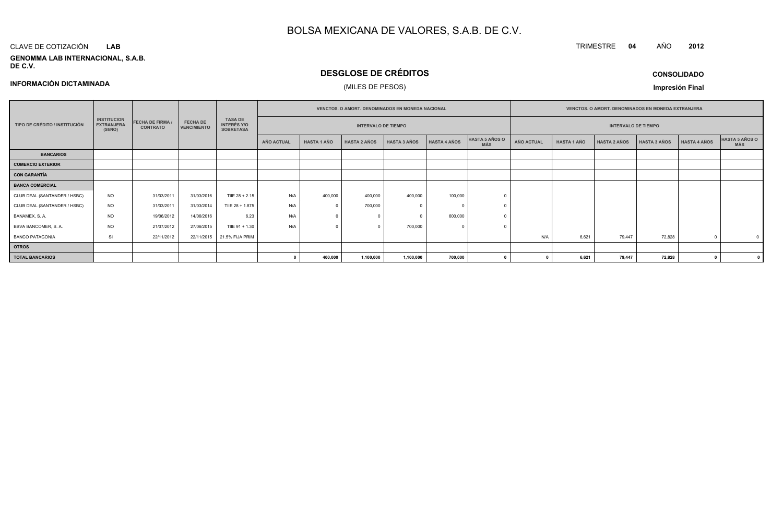#### CLAVE DE COTIZACIÓN**LAB**

**INFORMACIÓN DICTAMINADA**

#### **GENOMMA LAB INTERNACIONAL, S.A.B. DE C.V.**

# **DESGLOSE DE CRÉDITOS**

### (MILES DE PESOS)

**CONSOLIDADO**

**<sup>2012</sup>**

TRIMESTRE **<sup>04</sup>** AÑO

**Impresión Final**

|                               |                                                    | <b>FECHA DE FIRMA /</b><br><b>CONTRATO</b> | <b>FECHA DE</b><br><b>VENCIMIENTO</b> |                                                          | <b>VENCTOS, O AMORT, DENOMINADOS EN MONEDA NACIONAL</b> |                    |                     |                     |                     |                              | <b>VENCTOS, O AMORT, DENOMINADOS EN MONEDA EXTRANJERA</b> |                            |                     |                     |              |                       |
|-------------------------------|----------------------------------------------------|--------------------------------------------|---------------------------------------|----------------------------------------------------------|---------------------------------------------------------|--------------------|---------------------|---------------------|---------------------|------------------------------|-----------------------------------------------------------|----------------------------|---------------------|---------------------|--------------|-----------------------|
| TIPO DE CRÉDITO / INSTITUCIÓN | <b>INSTITUCION</b><br><b>EXTRANJERA</b><br>(SI/NO) |                                            |                                       | <b>TASA DE</b><br><b>INTERÉS Y/O</b><br><b>SOBRETASA</b> | <b>INTERVALO DE TIEMPO</b>                              |                    |                     |                     |                     |                              |                                                           | <b>INTERVALO DE TIEMPO</b> |                     |                     |              |                       |
|                               |                                                    |                                            |                                       |                                                          | <b>AÑO ACTUAL</b>                                       | <b>HASTA 1 AÑO</b> | <b>HASTA 2 AÑOS</b> | <b>HASTA 3 AÑOS</b> | <b>HASTA 4 AÑOS</b> | HASTA 5 AÑOS O<br><b>MÁS</b> | <b>AÑO ACTUAL</b>                                         | <b>HASTA 1 AÑO</b>         | <b>HASTA 2 AÑOS</b> | <b>HASTA 3 AÑOS</b> | HASTA 4 AÑOS | HASTA 5 AÑOS O<br>MÁS |
| <b>BANCARIOS</b>              |                                                    |                                            |                                       |                                                          |                                                         |                    |                     |                     |                     |                              |                                                           |                            |                     |                     |              |                       |
| <b>COMERCIO EXTERIOR</b>      |                                                    |                                            |                                       |                                                          |                                                         |                    |                     |                     |                     |                              |                                                           |                            |                     |                     |              |                       |
| <b>CON GARANTÍA</b>           |                                                    |                                            |                                       |                                                          |                                                         |                    |                     |                     |                     |                              |                                                           |                            |                     |                     |              |                       |
| <b>BANCA COMERCIAL</b>        |                                                    |                                            |                                       |                                                          |                                                         |                    |                     |                     |                     |                              |                                                           |                            |                     |                     |              |                       |
| CLUB DEAL (SANTANDER / HSBC)  | <b>NO</b>                                          | 31/03/2011                                 | 31/03/2016                            | TIIE 28 + 2.15                                           | N/A                                                     | 400,000            | 400,000             | 400,000             | 100,000             |                              |                                                           |                            |                     |                     |              |                       |
| CLUB DEAL (SANTANDER / HSBC)  | <b>NO</b>                                          | 31/03/2011                                 | 31/03/2014                            | TIIE 28 + 1.875                                          | N/A                                                     | $^{\circ}$         | 700,000             |                     |                     |                              |                                                           |                            |                     |                     |              |                       |
| BANAMEX, S.A.                 | <b>NO</b>                                          | 19/06/2012                                 | 14/06/2016                            | 6.23                                                     | N/A                                                     |                    |                     |                     | 600,000             |                              |                                                           |                            |                     |                     |              |                       |
| BBVA BANCOMER, S. A.          | <b>NO</b>                                          | 21/07/2012                                 | 27/06/2015                            | TIIE 91 + 1.30                                           | N/A                                                     |                    |                     | 700,000             |                     |                              |                                                           |                            |                     |                     |              |                       |
| <b>BANCO PATAGONIA</b>        | SI                                                 | 22/11/2012                                 | 22/11/2015                            | 21.5% FIJA PRIM                                          |                                                         |                    |                     |                     |                     |                              | N/A                                                       | 6,621                      | 79.447              | 72,828              |              |                       |
| <b>OTROS</b>                  |                                                    |                                            |                                       |                                                          |                                                         |                    |                     |                     |                     |                              |                                                           |                            |                     |                     |              |                       |
| <b>TOTAL BANCARIOS</b>        |                                                    |                                            |                                       |                                                          |                                                         | 400,000            | 1,100,000           | 1,100,000           | 700,000             |                              |                                                           | 6,621                      | 79,447              | 72,828              |              |                       |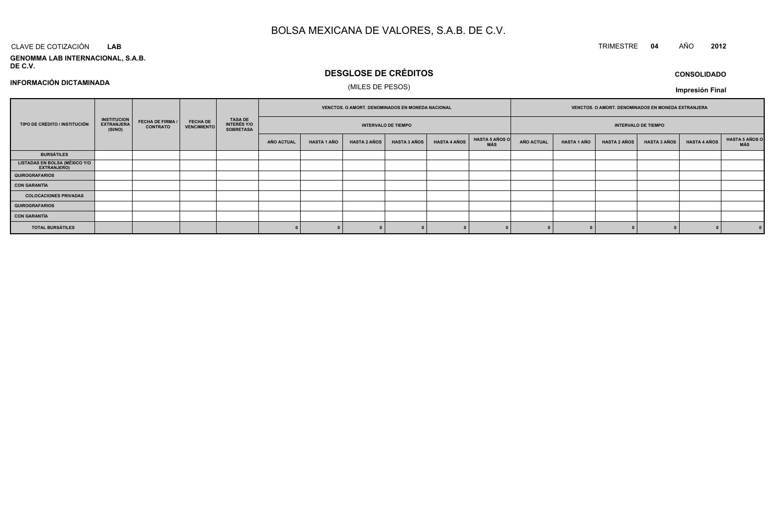#### CLAVE DE COTIZACIÓN TRIMESTRE **<sup>04</sup>** AÑO **<sup>2012</sup> LAB**

**INFORMACIÓN DICTAMINADA**

**GENOMMA LAB INTERNACIONAL, S.A.B. DE C.V.**

# **DESGLOSE DE CRÉDITOS**

**VENCTOS. O AMORT. DENOMINADOS EN MONEDA EXTRANJERA**

**Impresión Final**

#### (MILES DE PESOS)**TIPO DE CRÉDITO / INSTITUCIÓNRECHA DE FIRMA / FECHA DE<br>
RECHA DE TECHA DE CONTRATO | VENCIMIENTO TASA DE INTERÉS Y/O SOBRETASAVENCTOS. O AMORT. DENOMINADOS EN MONEDA NACIONALINSTITUCIONEXTRANJERA(SI/NO)FECHA DE FIRMA /CONTRATO**

| TIPO DE CRÉDITO / INSTITUCIÓN                       | <b>INSTITUCION</b><br><b>EXTRANJERA</b><br>(SI/NO) | <b>FECHA DE FIRMA /</b><br><b>CONTRATO</b> | <b>FECHA DE</b><br><b>VENCIMIENTO</b> | <b>TASA DE</b><br><b>INTERÉS Y/O</b><br><b>SOBRETASA</b> | <b>INTERVALO DE TIEMPO</b> |             |                     |                     |                     | <b>INTERVALO DE TIEMPO</b>   |                   |                    |                     |                     |                     |                                     |
|-----------------------------------------------------|----------------------------------------------------|--------------------------------------------|---------------------------------------|----------------------------------------------------------|----------------------------|-------------|---------------------|---------------------|---------------------|------------------------------|-------------------|--------------------|---------------------|---------------------|---------------------|-------------------------------------|
|                                                     |                                                    |                                            |                                       |                                                          | AÑO ACTUAL                 | HASTA 1 AÑO | <b>HASTA 2 AÑOS</b> | <b>HASTA 3 AÑOS</b> | <b>HASTA 4 AÑOS</b> | <b>HASTA 5 AÑOS O</b><br>MÁS | <b>AÑO ACTUAL</b> | <b>HASTA 1 AÑO</b> | <b>HASTA 2 AÑOS</b> | <b>HASTA 3 AÑOS</b> | <b>HASTA 4 AÑOS</b> | <b>HASTA 5 AÑOS O</b><br><b>MÁS</b> |
| <b>BURSÁTILES</b>                                   |                                                    |                                            |                                       |                                                          |                            |             |                     |                     |                     |                              |                   |                    |                     |                     |                     |                                     |
| LISTADAS EN BOLSA (MÉXICO Y/O<br><b>EXTRANJERO)</b> |                                                    |                                            |                                       |                                                          |                            |             |                     |                     |                     |                              |                   |                    |                     |                     |                     |                                     |
| <b>QUIROGRAFARIOS</b>                               |                                                    |                                            |                                       |                                                          |                            |             |                     |                     |                     |                              |                   |                    |                     |                     |                     |                                     |
| <b>CON GARANTÍA</b>                                 |                                                    |                                            |                                       |                                                          |                            |             |                     |                     |                     |                              |                   |                    |                     |                     |                     |                                     |
| <b>COLOCACIONES PRIVADAS</b>                        |                                                    |                                            |                                       |                                                          |                            |             |                     |                     |                     |                              |                   |                    |                     |                     |                     |                                     |
| <b>QUIROGRAFARIOS</b>                               |                                                    |                                            |                                       |                                                          |                            |             |                     |                     |                     |                              |                   |                    |                     |                     |                     |                                     |
| <b>CON GARANTÍA</b>                                 |                                                    |                                            |                                       |                                                          |                            |             |                     |                     |                     |                              |                   |                    |                     |                     |                     |                                     |
| <b>TOTAL BURSÁTILES</b>                             |                                                    |                                            |                                       |                                                          |                            |             |                     |                     |                     |                              |                   |                    |                     |                     |                     |                                     |

### **CONSOLIDADO**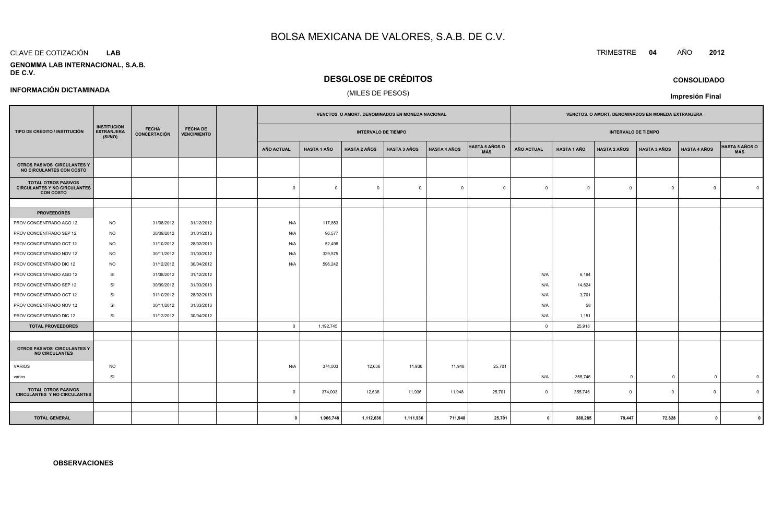#### CLAVE DE COTIZACIÓN**LAB**

#### **GENOMMA LAB INTERNACIONAL, S.A.B.DE C.V.**

## **DESGLOSE DE CRÉDITOS**

### (MILES DE PESOS)

|                                                                                       |                                                    |                              |                                       |  | <b>VENCTOS, O AMORT, DENOMINADOS EN MONEDA NACIONAL</b> |                    |                            |                     |                     |                              | <b>VENCTOS, O AMORT, DENOMINADOS EN MONEDA EXTRANJERA</b> |                    |                     |                            |                         |                              |  |
|---------------------------------------------------------------------------------------|----------------------------------------------------|------------------------------|---------------------------------------|--|---------------------------------------------------------|--------------------|----------------------------|---------------------|---------------------|------------------------------|-----------------------------------------------------------|--------------------|---------------------|----------------------------|-------------------------|------------------------------|--|
| TIPO DE CRÉDITO / INSTITUCIÓN                                                         | <b>INSTITUCION</b><br><b>EXTRANJERA</b><br>(SI/NO) | <b>FECHA</b><br>CONCERTACIÓN | <b>FECHA DE</b><br><b>VENCIMIENTO</b> |  |                                                         |                    | <b>INTERVALO DE TIEMPO</b> |                     |                     |                              |                                                           |                    |                     | <b>INTERVALO DE TIEMPO</b> |                         |                              |  |
|                                                                                       |                                                    |                              |                                       |  | <b>AÑO ACTUAL</b>                                       | <b>HASTA 1 AÑO</b> | <b>HASTA 2 AÑOS</b>        | <b>HASTA 3 AÑOS</b> | <b>HASTA 4 AÑOS</b> | <b>HASTA 5 AÑOS O</b><br>MÁS | <b>AÑO ACTUAL</b>                                         | <b>HASTA 1 AÑO</b> | <b>HASTA 2 AÑOS</b> | <b>HASTA 3 AÑOS</b>        | <b>HASTA 4 AÑOS</b>     | <b>HASTA 5 AÑOS O</b><br>MÁS |  |
| OTROS PASIVOS CIRCULANTES Y<br>NO CIRCULANTES CON COSTO                               |                                                    |                              |                                       |  |                                                         |                    |                            |                     |                     |                              |                                                           |                    |                     |                            |                         |                              |  |
| <b>TOTAL OTROS PASIVOS</b><br><b>CIRCULANTES Y NO CIRCULANTES</b><br><b>CON COSTO</b> |                                                    |                              |                                       |  | $\Omega$                                                | $\overline{0}$     | $\overline{0}$             | $\Omega$            | $\overline{0}$      | $\Omega$                     | $\circ$                                                   | $\Omega$           | $\mathbf 0$         | $\Omega$                   | $\circ$                 |                              |  |
|                                                                                       |                                                    |                              |                                       |  |                                                         |                    |                            |                     |                     |                              |                                                           |                    |                     |                            |                         |                              |  |
| <b>PROVEEDORES</b>                                                                    |                                                    |                              |                                       |  |                                                         |                    |                            |                     |                     |                              |                                                           |                    |                     |                            |                         |                              |  |
| PROV CONCENTRADO AGO 12                                                               | <b>NO</b>                                          | 31/08/2012                   | 31/12/2012                            |  | N/A                                                     | 117,853            |                            |                     |                     |                              |                                                           |                    |                     |                            |                         |                              |  |
| PROV CONCENTRADO SEP 12                                                               | NO.                                                | 30/09/2012                   | 31/01/2013                            |  | N/A                                                     | 96,577             |                            |                     |                     |                              |                                                           |                    |                     |                            |                         |                              |  |
| PROV CONCENTRADO OCT 12                                                               | <b>NO</b>                                          | 31/10/2012                   | 28/02/2013                            |  | N/A                                                     | 52,498             |                            |                     |                     |                              |                                                           |                    |                     |                            |                         |                              |  |
| PROV CONCENTRADO NOV 12                                                               | <b>NO</b>                                          | 30/11/2012                   | 31/03/2012                            |  | N/A                                                     | 329,575            |                            |                     |                     |                              |                                                           |                    |                     |                            |                         |                              |  |
| PROV CONCENTRADO DIC 12                                                               | <b>NO</b>                                          | 31/12/2012                   | 30/04/2012                            |  | N/A                                                     | 596,242            |                            |                     |                     |                              |                                                           |                    |                     |                            |                         |                              |  |
| PROV CONCENTRADO AGO 12                                                               | SI                                                 | 31/08/2012                   | 31/12/2012                            |  |                                                         |                    |                            |                     |                     |                              | N/A                                                       | 6,184              |                     |                            |                         |                              |  |
| PROV CONCENTRADO SEP 12                                                               | SI                                                 | 30/09/2012                   | 31/03/2013                            |  |                                                         |                    |                            |                     |                     |                              | N/A                                                       | 14,824             |                     |                            |                         |                              |  |
| PROV CONCENTRADO OCT 12                                                               | SI                                                 | 31/10/2012                   | 28/02/2013                            |  |                                                         |                    |                            |                     |                     |                              | N/A                                                       | 3,701              |                     |                            |                         |                              |  |
| PROV CONCENTRADO NOV 12                                                               | SI                                                 | 30/11/2012                   | 31/03/2013                            |  |                                                         |                    |                            |                     |                     |                              | N/A                                                       | 58                 |                     |                            |                         |                              |  |
| PROV CONCENTRADO DIC 12                                                               | SI                                                 | 31/12/2012                   | 30/04/2012                            |  |                                                         |                    |                            |                     |                     |                              | N/A                                                       | 1,151              |                     |                            |                         |                              |  |
| <b>TOTAL PROVEEDORES</b>                                                              |                                                    |                              |                                       |  | $\overline{\mathbf{0}}$                                 | 1,192,745          |                            |                     |                     |                              | $\mathbf{0}$                                              | 25,918             |                     |                            |                         |                              |  |
|                                                                                       |                                                    |                              |                                       |  |                                                         |                    |                            |                     |                     |                              |                                                           |                    |                     |                            |                         |                              |  |
| OTROS PASIVOS CIRCULANTES Y<br><b>NO CIRCULANTES</b>                                  |                                                    |                              |                                       |  |                                                         |                    |                            |                     |                     |                              |                                                           |                    |                     |                            |                         |                              |  |
| <b>VARIOS</b>                                                                         | <b>NO</b>                                          |                              |                                       |  | N/A                                                     | 374,003            | 12,636                     | 11,936              | 11,948              | 25,701                       |                                                           |                    |                     |                            |                         |                              |  |
| varios                                                                                | SI                                                 |                              |                                       |  |                                                         |                    |                            |                     |                     |                              | N/A                                                       | 355,746            | $\mathbf 0$         | $\mathbf 0$                | $\mathbf 0$             | $\mathfrak{c}$               |  |
| <b>TOTAL OTROS PASIVOS</b><br><b>CIRCULANTES Y NO CIRCULANTES</b>                     |                                                    |                              |                                       |  | $\mathbf 0$                                             | 374,003            | 12,636                     | 11,936              | 11,948              | 25,701                       | $\overline{0}$                                            | 355,746            | $\mathbf 0$         | $\mathbf 0$                | $\Omega$                |                              |  |
|                                                                                       |                                                    |                              |                                       |  |                                                         |                    |                            |                     |                     |                              |                                                           |                    |                     |                            |                         |                              |  |
| <b>TOTAL GENERAL</b>                                                                  |                                                    |                              |                                       |  | $\mathbf{0}$                                            | 1,966,748          | 1,112,636                  | 1,111,936           | 711,948             | 25,701                       | $\mathbf{0}$                                              | 388,285            | 79,447              | 72,828                     | $\overline{\mathbf{0}}$ |                              |  |

**<sup>0</sup> 1,966,748 1,112,636 1,111,936 711,948 25,701 <sup>0</sup> 388,285 79,447 72,828 <sup>0</sup> <sup>0</sup>**

#### **INFORMACIÓN DICTAMINADA**

**OBSERVACIONES**

# TRIMESTRE **<sup>04</sup>** AÑO **<sup>2012</sup>**

**CONSOLIDADO**

**Impresión Final**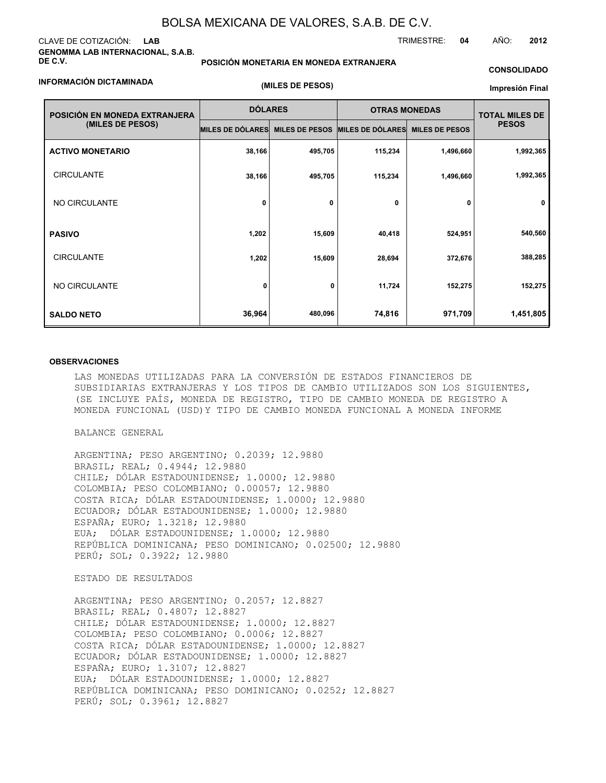### CLAVE DE COTIZACIÓN: **LAB GENOMMA LAB INTERNACIONAL, S.A.B. DE C.V.**

#### **INFORMACIÓN DICTAMINADA**

**POSICIÓN MONETARIA EN MONEDA EXTRANJERA**

**(MILES DE PESOS)**

### **CONSOLIDADO**

TRIMESTRE: **04** AÑO: **2012**

**Impresión Final**

| POSICIÓN EN MONEDA EXTRANJERA<br>(MILES DE PESOS) | <b>DÓLARES</b>   |                       | <b>OTRAS MONEDAS</b> |                       | <b>TOTAL MILES DE</b> |  |
|---------------------------------------------------|------------------|-----------------------|----------------------|-----------------------|-----------------------|--|
|                                                   | MILES DE DÓLARES | <b>MILES DE PESOS</b> | MILES DE DÓLARES     | <b>MILES DE PESOS</b> | <b>PESOS</b>          |  |
| <b>ACTIVO MONETARIO</b>                           | 38,166           | 495,705               | 115,234              | 1,496,660             | 1,992,365             |  |
| <b>CIRCULANTE</b>                                 | 38,166           | 495,705               | 115,234              | 1,496,660             | 1,992,365             |  |
| NO CIRCULANTE                                     | 0                | 0                     | 0                    | 0                     | 0                     |  |
| <b>PASIVO</b>                                     | 1,202            | 15,609                | 40,418               | 524,951               | 540,560               |  |
| <b>CIRCULANTE</b>                                 | 1,202            | 15,609                | 28,694               | 372,676               | 388,285               |  |
| NO CIRCULANTE                                     | 0                | 0                     | 11,724               | 152,275               | 152,275               |  |
| <b>SALDO NETO</b>                                 | 36,964           | 480,096               | 74,816               | 971,709               | 1,451,805             |  |

#### **OBSERVACIONES**

LAS MONEDAS UTILIZADAS PARA LA CONVERSIÓN DE ESTADOS FINANCIEROS DE SUBSIDIARIAS EXTRANJERAS Y LOS TIPOS DE CAMBIO UTILIZADOS SON LOS SIGUIENTES, (SE INCLUYE PAÍS, MONEDA DE REGISTRO, TIPO DE CAMBIO MONEDA DE REGISTRO A MONEDA FUNCIONAL (USD)Y TIPO DE CAMBIO MONEDA FUNCIONAL A MONEDA INFORME

BALANCE GENERAL

ARGENTINA; PESO ARGENTINO; 0.2039; 12.9880 BRASIL; REAL; 0.4944; 12.9880 CHILE; DÓLAR ESTADOUNIDENSE; 1.0000; 12.9880 COLOMBIA; PESO COLOMBIANO; 0.00057; 12.9880 COSTA RICA; DÓLAR ESTADOUNIDENSE; 1.0000; 12.9880 ECUADOR; DÓLAR ESTADOUNIDENSE; 1.0000; 12.9880 ESPAÑA; EURO; 1.3218; 12.9880 EUA; DÓLAR ESTADOUNIDENSE; 1.0000; 12.9880 REPÚBLICA DOMINICANA; PESO DOMINICANO; 0.02500; 12.9880 PERÚ; SOL; 0.3922; 12.9880

ESTADO DE RESULTADOS

ARGENTINA; PESO ARGENTINO; 0.2057; 12.8827 BRASIL; REAL; 0.4807; 12.8827 CHILE; DÓLAR ESTADOUNIDENSE; 1.0000; 12.8827 COLOMBIA; PESO COLOMBIANO; 0.0006; 12.8827 COSTA RICA; DÓLAR ESTADOUNIDENSE; 1.0000; 12.8827 ECUADOR; DÓLAR ESTADOUNIDENSE; 1.0000; 12.8827 ESPAÑA; EURO; 1.3107; 12.8827 EUA; DÓLAR ESTADOUNIDENSE; 1.0000; 12.8827 REPÚBLICA DOMINICANA; PESO DOMINICANO; 0.0252; 12.8827 PERÚ; SOL; 0.3961; 12.8827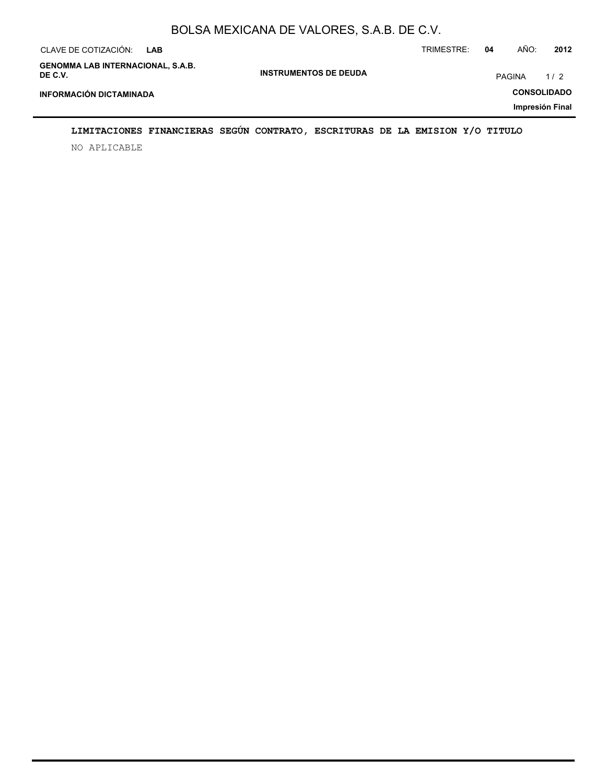| CLAVE DE COTIZACIÓN:<br>LAB                         |                              | TRIMESTRE:         | 04 | AÑO:          | 2012 |  |
|-----------------------------------------------------|------------------------------|--------------------|----|---------------|------|--|
| <b>GENOMMA LAB INTERNACIONAL, S.A.B.</b><br>DE C.V. | <b>INSTRUMENTOS DE DEUDA</b> |                    |    | <b>PAGINA</b> | 1/2  |  |
| <b>INFORMACIÓN DICTAMINADA</b>                      |                              | <b>CONSOLIDADO</b> |    |               |      |  |
| Impresión Final                                     |                              |                    |    |               |      |  |

## **LIMITACIONES FINANCIERAS SEGÚN CONTRATO, ESCRITURAS DE LA EMISION Y/O TITULO**

NO APLICABLE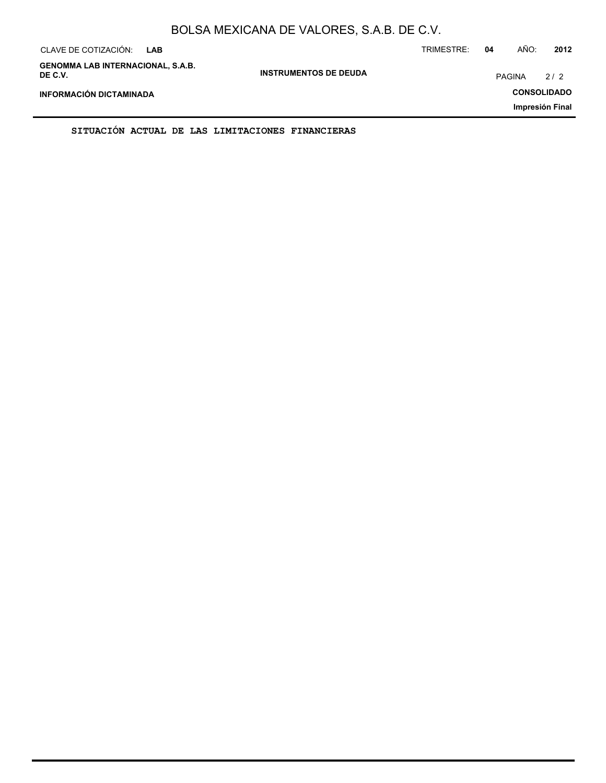# BOLSA MEXICANA DE VALORES, S.A.B. DE C.V.

| CLAVE DE COTIZACIÓN:<br><b>LAB</b>                  |                              | TRIMESTRE:         | 04 | AÑO:          | 2012            |
|-----------------------------------------------------|------------------------------|--------------------|----|---------------|-----------------|
| <b>GENOMMA LAB INTERNACIONAL, S.A.B.</b><br>DE C.V. | <b>INSTRUMENTOS DE DEUDA</b> |                    |    | <b>PAGINA</b> | 2/2             |
| <b>INFORMACIÓN DICTAMINADA</b>                      |                              | <b>CONSOLIDADO</b> |    |               |                 |
|                                                     |                              |                    |    |               | Impresión Final |

**SITUACIÓN ACTUAL DE LAS LIMITACIONES FINANCIERAS**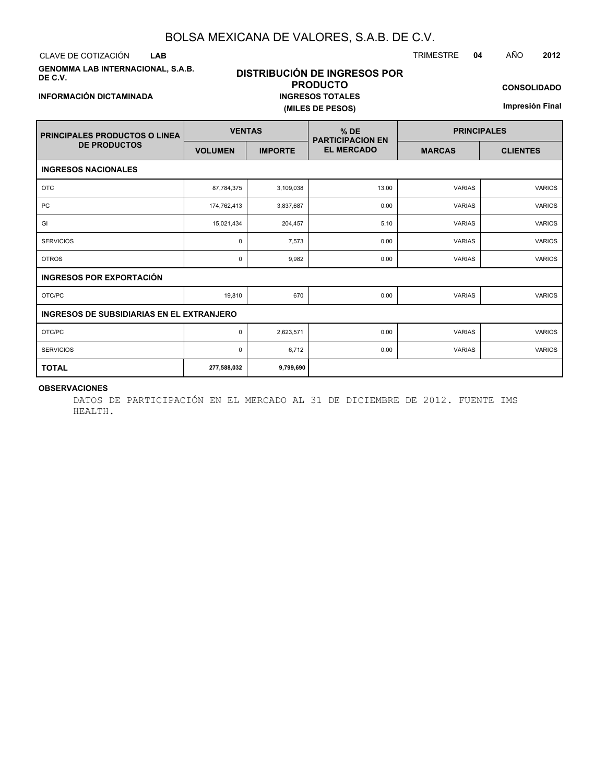### BOLSA MEXICANA DE VALORES, S.A.B. DE C.V.

CLAVE DE COTIZACIÓN TRIMESTRE **04** AÑO **2012 LAB**

**GENOMMA LAB INTERNACIONAL, S.A.B. DE C.V.**

### **DISTRIBUCIÓN DE INGRESOS POR PRODUCTO INGRESOS TOTALES (MILES DE PESOS)**

**CONSOLIDADO**

**Impresión Final**

| <b>PRINCIPALES PRODUCTOS O LINEA</b>             | <b>VENTAS</b>  |                | $%$ DE<br><b>PARTICIPACION EN</b> | <b>PRINCIPALES</b> |                 |  |  |
|--------------------------------------------------|----------------|----------------|-----------------------------------|--------------------|-----------------|--|--|
| <b>DE PRODUCTOS</b>                              | <b>VOLUMEN</b> | <b>IMPORTE</b> | <b>EL MERCADO</b>                 | <b>MARCAS</b>      | <b>CLIENTES</b> |  |  |
| <b>INGRESOS NACIONALES</b>                       |                |                |                                   |                    |                 |  |  |
| <b>OTC</b>                                       | 87,784,375     | 3,109,038      | 13.00                             | <b>VARIAS</b>      | <b>VARIOS</b>   |  |  |
| PC                                               | 174,762,413    | 3,837,687      | 0.00                              | <b>VARIAS</b>      | <b>VARIOS</b>   |  |  |
| GI                                               | 15,021,434     | 204,457        | 5.10                              | <b>VARIAS</b>      | <b>VARIOS</b>   |  |  |
| <b>SERVICIOS</b>                                 | 0              | 7,573          | 0.00                              | <b>VARIAS</b>      | <b>VARIOS</b>   |  |  |
| <b>OTROS</b>                                     | 0              | 9,982          | 0.00                              | <b>VARIAS</b>      | <b>VARIOS</b>   |  |  |
| <b>INGRESOS POR EXPORTACIÓN</b>                  |                |                |                                   |                    |                 |  |  |
| OTC/PC                                           | 19,810         | 670            | 0.00                              | <b>VARIAS</b>      | <b>VARIOS</b>   |  |  |
| <b>INGRESOS DE SUBSIDIARIAS EN EL EXTRANJERO</b> |                |                |                                   |                    |                 |  |  |
| OTC/PC                                           | $\mathbf 0$    | 2,623,571      | 0.00                              | <b>VARIAS</b>      | <b>VARIOS</b>   |  |  |
| <b>SERVICIOS</b>                                 | 0              | 6,712          | 0.00                              | <b>VARIAS</b>      | <b>VARIOS</b>   |  |  |
| <b>TOTAL</b>                                     | 277,588,032    | 9,799,690      |                                   |                    |                 |  |  |

#### **OBSERVACIONES**

DATOS DE PARTICIPACIÓN EN EL MERCADO AL 31 DE DICIEMBRE DE 2012. FUENTE IMS HEALTH.

## **INFORMACIÓN DICTAMINADA**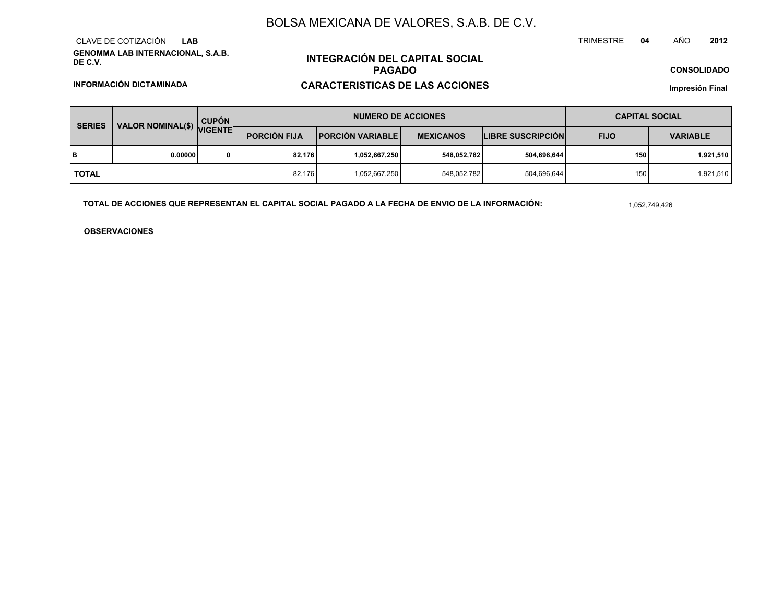### BOLSA MEXICANA DE VALORES, S.A.B. DE C.V.

**GENOMMA LAB INTERNACIONAL, S.A.B. DE C.V.**CLAVE DE COTIZACIÓN**LAB**

**INFORMACIÓN DICTAMINADA**

## **INTEGRACIÓN DEL CAPITAL SOCIALPAGADOCARACTERISTICAS DE LAS ACCIONES**

#### **CONSOLIDADO**

**Impresión Final**

| VALOR NOMINAL(\$) VIGENTE<br><b>SERIES</b> | <b>CUPÓN</b> | <b>NUMERO DE ACCIONES</b> |                           |                  |                          | <b>CAPITAL SOCIAL</b> |                 |           |
|--------------------------------------------|--------------|---------------------------|---------------------------|------------------|--------------------------|-----------------------|-----------------|-----------|
|                                            |              | <b>PORCIÓN FIJA</b>       | <b>PORCIÓN VARIABLE  </b> | <b>MEXICANOS</b> | <b>LIBRE SUSCRIPCIÓN</b> | <b>FIJO</b>           | <b>VARIABLE</b> |           |
| в                                          | 0.00000      | 0                         | 82.176                    | 1,052,667,250    | 548,052,782              | 504,696,644           | 150             | 1,921,510 |
| <b>TOTAL</b>                               |              |                           | 82,176                    | 1,052,667,250    | 548,052,782              | 504,696,644           | 150             | 1,921,510 |

**TOTAL DE ACCIONES QUE REPRESENTAN EL CAPITAL SOCIAL PAGADO A LA FECHA DE ENVIO DE LA INFORMACIÓN:**

1,052,749,426

TRIMESTRE

**OBSERVACIONES**

 **<sup>04</sup>** AÑO**<sup>2012</sup>**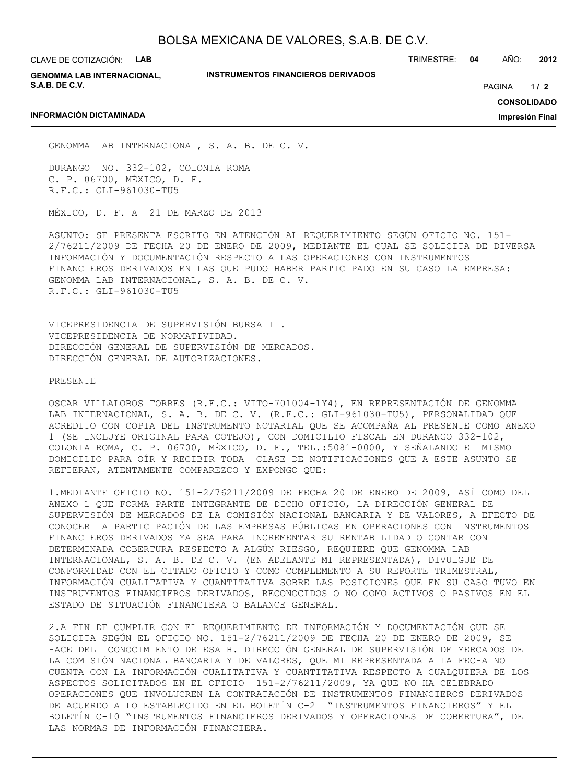CLAVE DE COTIZACIÓN: **LAB**

**INFORMACIÓN DICTAMINADA**

**GENOMMA LAB INTERNACIONAL, S.A.B. DE C.V.**

**INSTRUMENTOS FINANCIEROS DERIVADOS**

TRIMESTRE: **04** AÑO: **2012**

 $1/2$ PAGINA **/ 2**

**CONSOLIDADO**

**Impresión Final**

GENOMMA LAB INTERNACIONAL, S. A. B. DE C. V.

DURANGO NO. 332-102, COLONIA ROMA C. P. 06700, MÉXICO, D. F. R.F.C.: GLI-961030-TU5

MÉXICO, D. F. A 21 DE MARZO DE 2013

ASUNTO: SE PRESENTA ESCRITO EN ATENCIÓN AL REQUERIMIENTO SEGÚN OFICIO NO. 151- 2/76211/2009 DE FECHA 20 DE ENERO DE 2009, MEDIANTE EL CUAL SE SOLICITA DE DIVERSA INFORMACIÓN Y DOCUMENTACIÓN RESPECTO A LAS OPERACIONES CON INSTRUMENTOS FINANCIEROS DERIVADOS EN LAS QUE PUDO HABER PARTICIPADO EN SU CASO LA EMPRESA: GENOMMA LAB INTERNACIONAL, S. A. B. DE C. V. R.F.C.: GLI-961030-TU5

VICEPRESIDENCIA DE SUPERVISIÓN BURSATIL. VICEPRESIDENCIA DE NORMATIVIDAD. DIRECCIÓN GENERAL DE SUPERVISIÓN DE MERCADOS. DIRECCIÓN GENERAL DE AUTORIZACIONES.

PRESENTE

OSCAR VILLALOBOS TORRES (R.F.C.: VITO-701004-1Y4), EN REPRESENTACIÓN DE GENOMMA LAB INTERNACIONAL, S. A. B. DE C. V. (R.F.C.: GLI-961030-TU5), PERSONALIDAD QUE ACREDITO CON COPIA DEL INSTRUMENTO NOTARIAL QUE SE ACOMPAÑA AL PRESENTE COMO ANEXO 1 (SE INCLUYE ORIGINAL PARA COTEJO), CON DOMICILIO FISCAL EN DURANGO 332-102, COLONIA ROMA, C. P. 06700, MÉXICO, D. F., TEL.:5081-0000, Y SEÑALANDO EL MISMO DOMICILIO PARA OÍR Y RECIBIR TODA CLASE DE NOTIFICACIONES QUE A ESTE ASUNTO SE REFIERAN, ATENTAMENTE COMPAREZCO Y EXPONGO QUE:

1.MEDIANTE OFICIO NO. 151-2/76211/2009 DE FECHA 20 DE ENERO DE 2009, ASÍ COMO DEL ANEXO 1 QUE FORMA PARTE INTEGRANTE DE DICHO OFICIO, LA DIRECCIÓN GENERAL DE SUPERVISIÓN DE MERCADOS DE LA COMISIÓN NACIONAL BANCARIA Y DE VALORES, A EFECTO DE CONOCER LA PARTICIPACIÓN DE LAS EMPRESAS PÚBLICAS EN OPERACIONES CON INSTRUMENTOS FINANCIEROS DERIVADOS YA SEA PARA INCREMENTAR SU RENTABILIDAD O CONTAR CON DETERMINADA COBERTURA RESPECTO A ALGÚN RIESGO, REQUIERE QUE GENOMMA LAB INTERNACIONAL, S. A. B. DE C. V. (EN ADELANTE MI REPRESENTADA), DIVULGUE DE CONFORMIDAD CON EL CITADO OFICIO Y COMO COMPLEMENTO A SU REPORTE TRIMESTRAL, INFORMACIÓN CUALITATIVA Y CUANTITATIVA SOBRE LAS POSICIONES QUE EN SU CASO TUVO EN INSTRUMENTOS FINANCIEROS DERIVADOS, RECONOCIDOS O NO COMO ACTIVOS O PASIVOS EN EL ESTADO DE SITUACIÓN FINANCIERA O BALANCE GENERAL.

2.A FIN DE CUMPLIR CON EL REQUERIMIENTO DE INFORMACIÓN Y DOCUMENTACIÓN QUE SE SOLICITA SEGÚN EL OFICIO NO. 151-2/76211/2009 DE FECHA 20 DE ENERO DE 2009, SE HACE DEL CONOCIMIENTO DE ESA H. DIRECCIÓN GENERAL DE SUPERVISIÓN DE MERCADOS DE LA COMISIÓN NACIONAL BANCARIA Y DE VALORES, QUE MI REPRESENTADA A LA FECHA NO CUENTA CON LA INFORMACIÓN CUALITATIVA Y CUANTITATIVA RESPECTO A CUALQUIERA DE LOS ASPECTOS SOLICITADOS EN EL OFICIO 151-2/76211/2009, YA QUE NO HA CELEBRADO OPERACIONES QUE INVOLUCREN LA CONTRATACIÓN DE INSTRUMENTOS FINANCIEROS DERIVADOS DE ACUERDO A LO ESTABLECIDO EN EL BOLETÍN C-2 "INSTRUMENTOS FINANCIEROS" Y EL BOLETÍN C-10 "INSTRUMENTOS FINANCIEROS DERIVADOS Y OPERACIONES DE COBERTURA", DE LAS NORMAS DE INFORMACIÓN FINANCIERA.